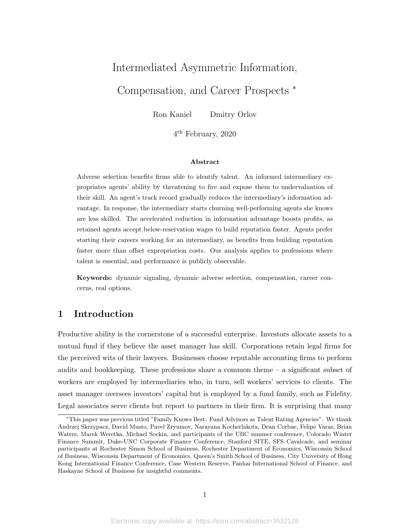## Intermediated Asymmetric Information,

# Compensation, and Career Prospects <sup>∗</sup>

Ron Kaniel Dmitry Orlov

4 th February, 2020

#### Abstract

Adverse selection benefits firms able to identify talent. An informed intermediary expropriates agents' ability by threatening to fire and expose them to undervaluation of their skill. An agent's track record gradually reduces the intermediary's information advantage. In response, the intermediary starts churning well-performing agents she knows are less skilled. The accelerated reduction in information advantage boosts profits, as retained agents accept below-reservation wages to build reputation faster. Agents prefer starting their careers working for an intermediary, as benefits from building reputation faster more than offset expropriation costs. Our analysis applies to professions where talent is essential, and performance is publicly observable.

Keywords: dynamic signaling, dynamic adverse selection, compensation, career concerns, real options.

## <span id="page-0-0"></span>1 Introduction

Productive ability is the cornerstone of a successful enterprise. Investors allocate assets to a mutual fund if they believe the asset manager has skill. Corporations retain legal firms for the perceived wits of their lawyers. Businesses choose reputable accounting firms to perform audits and bookkeeping. These professions share a common theme  $-$  a significant subset of workers are employed by intermediaries who, in turn, sell workers' services to clients. The asset manager oversees investors' capital but is employed by a fund family, such as Fidelity. Legal associates serve clients but report to partners in their firm. It is surprising that many

<sup>∗</sup>This paper was previous titled "Family Knows Best: Fund Advisors as Talent Rating Agencies". We thank Andrzej Skrzypacz, David Musto, Pavel Zryumov, Narayana Kocherlakota, Dean Corbae, Felipe Varas, Brian Waters, Marek Weretka, Michael Sockin, and participants of the UBC summer conference, Colorado Winter Finance Summit, Duke-UNC Corporate Finance Conference, Stanford SITE, SFS Cavalcade, and seminar participants at Rochester Simon School of Business, Rochester Department of Economics, Wisconsin School of Business, Wisconsin Department of Economics, Queen's Smith School of Business, City University of Hong Kong International Finance Conference, Case Western Reserve, Fanhai International School of Finance, and Haskayne School of Business for insightful comments.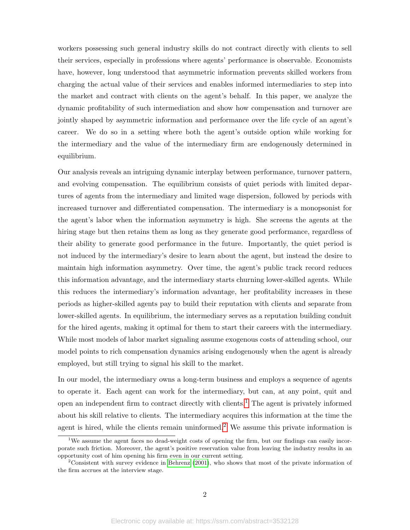workers possessing such general industry skills do not contract directly with clients to sell their services, especially in professions where agents' performance is observable. Economists have, however, long understood that asymmetric information prevents skilled workers from charging the actual value of their services and enables informed intermediaries to step into the market and contract with clients on the agent's behalf. In this paper, we analyze the dynamic profitability of such intermediation and show how compensation and turnover are jointly shaped by asymmetric information and performance over the life cycle of an agent's career. We do so in a setting where both the agent's outside option while working for the intermediary and the value of the intermediary firm are endogenously determined in equilibrium.

Our analysis reveals an intriguing dynamic interplay between performance, turnover pattern, and evolving compensation. The equilibrium consists of quiet periods with limited departures of agents from the intermediary and limited wage dispersion, followed by periods with increased turnover and differentiated compensation. The intermediary is a monopsonist for the agent's labor when the information asymmetry is high. She screens the agents at the hiring stage but then retains them as long as they generate good performance, regardless of their ability to generate good performance in the future. Importantly, the quiet period is not induced by the intermediary's desire to learn about the agent, but instead the desire to maintain high information asymmetry. Over time, the agent's public track record reduces this information advantage, and the intermediary starts churning lower-skilled agents. While this reduces the intermediary's information advantage, her profitability increases in these periods as higher-skilled agents pay to build their reputation with clients and separate from lower-skilled agents. In equilibrium, the intermediary serves as a reputation building conduit for the hired agents, making it optimal for them to start their careers with the intermediary. While most models of labor market signaling assume exogenous costs of attending school, our model points to rich compensation dynamics arising endogenously when the agent is already employed, but still trying to signal his skill to the market.

In our model, the intermediary owns a long-term business and employs a sequence of agents to operate it. Each agent can work for the intermediary, but can, at any point, quit and open an independent firm to contract directly with clients.<sup>[1](#page-1-0)</sup> The agent is privately informed about his skill relative to clients. The intermediary acquires this information at the time the agent is hired, while the clients remain uninformed.<sup>[2](#page-1-1)</sup> We assume this private information is

<span id="page-1-0"></span><sup>&</sup>lt;sup>1</sup>We assume the agent faces no dead-weight costs of opening the firm, but our findings can easily incorporate such friction. Moreover, the agent's positive reservation value from leaving the industry results in an opportunity cost of him opening his firm even in our current setting.

<span id="page-1-1"></span><sup>&</sup>lt;sup>2</sup>Consistent with survey evidence in [Behrenz](#page-43-0)  $(2001)$ , who shows that most of the private information of the firm accrues at the interview stage.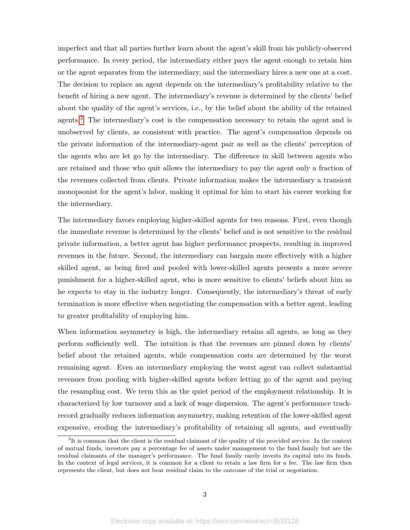imperfect and that all parties further learn about the agent's skill from his publicly-observed performance. In every period, the intermediary either pays the agent enough to retain him or the agent separates from the intermediary, and the intermediary hires a new one at a cost. The decision to replace an agent depends on the intermediary's profitability relative to the benefit of hiring a new agent. The intermediary's revenue is determined by the clients' belief about the quality of the agent's services, i.e., by the belief about the ability of the retained agents.[3](#page-2-0) The intermediary's cost is the compensation necessary to retain the agent and is unobserved by clients, as consistent with practice. The agent's compensation depends on the private information of the intermediary-agent pair as well as the clients' perception of the agents who are let go by the intermediary. The difference in skill between agents who are retained and those who quit allows the intermediary to pay the agent only a fraction of the revenues collected from clients. Private information makes the intermediary a transient monopsonist for the agent's labor, making it optimal for him to start his career working for the intermediary.

The intermediary favors employing higher-skilled agents for two reasons. First, even though the immediate revenue is determined by the clients' belief and is not sensitive to the residual private information, a better agent has higher performance prospects, resulting in improved revenues in the future. Second, the intermediary can bargain more effectively with a higher skilled agent, as being fired and pooled with lower-skilled agents presents a more severe punishment for a higher-skilled agent, who is more sensitive to clients' beliefs about him as he expects to stay in the industry longer. Consequently, the intermediary's threat of early termination is more effective when negotiating the compensation with a better agent, leading to greater profitability of employing him.

When information asymmetry is high, the intermediary retains all agents, as long as they perform sufficiently well. The intuition is that the revenues are pinned down by clients' belief about the retained agents, while compensation costs are determined by the worst remaining agent. Even an intermediary employing the worst agent can collect substantial revenues from pooling with higher-skilled agents before letting go of the agent and paying the resampling cost. We term this as the quiet period of the employment relationship. It is characterized by low turnover and a lack of wage dispersion. The agent's performance trackrecord gradually reduces information asymmetry, making retention of the lower-skilled agent expensive, eroding the intermediary's profitability of retaining all agents, and eventually

<span id="page-2-0"></span><sup>&</sup>lt;sup>3</sup>It is common that the client is the residual claimant of the quality of the provided service. In the context of mutual funds, investors pay a percentage fee of assets under management to the fund family but are the residual claimants of the manager's performance. The fund family rarely invests its capital into its funds. In the context of legal services, it is common for a client to retain a law firm for a fee. The law firm then represents the client, but does not bear residual claim to the outcome of the trial or negotiation.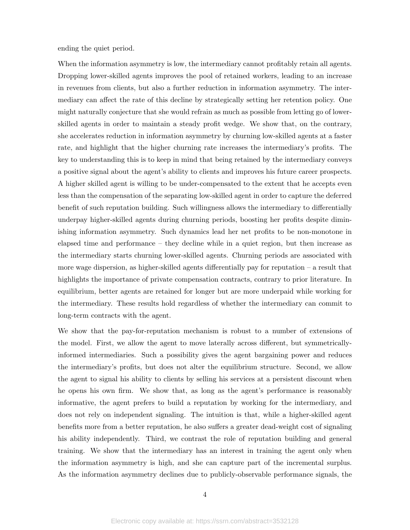ending the quiet period.

When the information asymmetry is low, the intermediary cannot profitably retain all agents. Dropping lower-skilled agents improves the pool of retained workers, leading to an increase in revenues from clients, but also a further reduction in information asymmetry. The intermediary can affect the rate of this decline by strategically setting her retention policy. One might naturally conjecture that she would refrain as much as possible from letting go of lowerskilled agents in order to maintain a steady profit wedge. We show that, on the contrary, she accelerates reduction in information asymmetry by churning low-skilled agents at a faster rate, and highlight that the higher churning rate increases the intermediary's profits. The key to understanding this is to keep in mind that being retained by the intermediary conveys a positive signal about the agent's ability to clients and improves his future career prospects. A higher skilled agent is willing to be under-compensated to the extent that he accepts even less than the compensation of the separating low-skilled agent in order to capture the deferred benefit of such reputation building. Such willingness allows the intermediary to differentially underpay higher-skilled agents during churning periods, boosting her profits despite diminishing information asymmetry. Such dynamics lead her net profits to be non-monotone in elapsed time and performance – they decline while in a quiet region, but then increase as the intermediary starts churning lower-skilled agents. Churning periods are associated with more wage dispersion, as higher-skilled agents differentially pay for reputation – a result that highlights the importance of private compensation contracts, contrary to prior literature. In equilibrium, better agents are retained for longer but are more underpaid while working for the intermediary. These results hold regardless of whether the intermediary can commit to long-term contracts with the agent.

We show that the pay-for-reputation mechanism is robust to a number of extensions of the model. First, we allow the agent to move laterally across different, but symmetricallyinformed intermediaries. Such a possibility gives the agent bargaining power and reduces the intermediary's profits, but does not alter the equilibrium structure. Second, we allow the agent to signal his ability to clients by selling his services at a persistent discount when he opens his own firm. We show that, as long as the agent's performance is reasonably informative, the agent prefers to build a reputation by working for the intermediary, and does not rely on independent signaling. The intuition is that, while a higher-skilled agent benefits more from a better reputation, he also suffers a greater dead-weight cost of signaling his ability independently. Third, we contrast the role of reputation building and general training. We show that the intermediary has an interest in training the agent only when the information asymmetry is high, and she can capture part of the incremental surplus. As the information asymmetry declines due to publicly-observable performance signals, the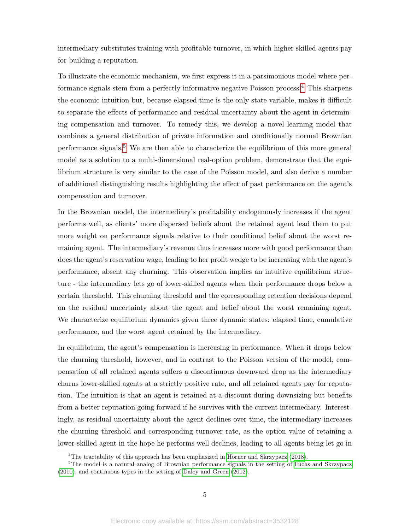intermediary substitutes training with profitable turnover, in which higher skilled agents pay for building a reputation.

To illustrate the economic mechanism, we first express it in a parsimonious model where performance signals stem from a perfectly informative negative Poisson process.[4](#page-4-0) This sharpens the economic intuition but, because elapsed time is the only state variable, makes it difficult to separate the effects of performance and residual uncertainty about the agent in determining compensation and turnover. To remedy this, we develop a novel learning model that combines a general distribution of private information and conditionally normal Brownian performance signals.<sup>[5](#page-4-1)</sup> We are then able to characterize the equilibrium of this more general model as a solution to a multi-dimensional real-option problem, demonstrate that the equilibrium structure is very similar to the case of the Poisson model, and also derive a number of additional distinguishing results highlighting the effect of past performance on the agent's compensation and turnover.

In the Brownian model, the intermediary's profitability endogenously increases if the agent performs well, as clients' more dispersed beliefs about the retained agent lead them to put more weight on performance signals relative to their conditional belief about the worst remaining agent. The intermediary's revenue thus increases more with good performance than does the agent's reservation wage, leading to her profit wedge to be increasing with the agent's performance, absent any churning. This observation implies an intuitive equilibrium structure - the intermediary lets go of lower-skilled agents when their performance drops below a certain threshold. This churning threshold and the corresponding retention decisions depend on the residual uncertainty about the agent and belief about the worst remaining agent. We characterize equilibrium dynamics given three dynamic states: elapsed time, cumulative performance, and the worst agent retained by the intermediary.

In equilibrium, the agent's compensation is increasing in performance. When it drops below the churning threshold, however, and in contrast to the Poisson version of the model, compensation of all retained agents suffers a discontinuous downward drop as the intermediary churns lower-skilled agents at a strictly positive rate, and all retained agents pay for reputation. The intuition is that an agent is retained at a discount during downsizing but benefits from a better reputation going forward if he survives with the current intermediary. Interestingly, as residual uncertainty about the agent declines over time, the intermediary increases the churning threshold and corresponding turnover rate, as the option value of retaining a lower-skilled agent in the hope he performs well declines, leading to all agents being let go in

<span id="page-4-1"></span><span id="page-4-0"></span> $4$ The tractability of this approach has been emphasized in Hörner and Skrzypacz [\(2018\)](#page-44-0).

<sup>&</sup>lt;sup>5</sup>The model is a natural analog of Brownian performance signals in the setting of [Fuchs and Skrzypacz](#page-43-1) [\(2010\)](#page-43-1), and continuous types in the setting of [Daley and Green](#page-43-2) [\(2012\)](#page-43-2).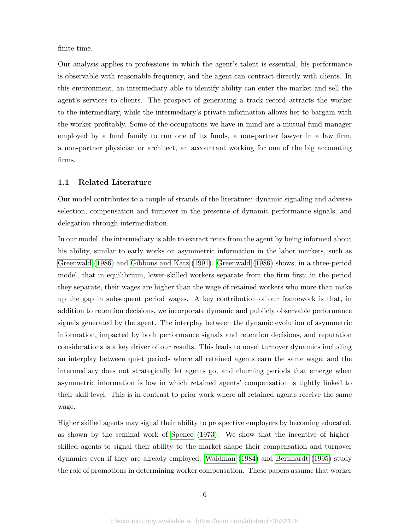finite time.

Our analysis applies to professions in which the agent's talent is essential, his performance is observable with reasonable frequency, and the agent can contract directly with clients. In this environment, an intermediary able to identify ability can enter the market and sell the agent's services to clients. The prospect of generating a track record attracts the worker to the intermediary, while the intermediary's private information allows her to bargain with the worker profitably. Some of the occupations we have in mind are a mutual fund manager employed by a fund family to run one of its funds, a non-partner lawyer in a law firm, a non-partner physician or architect, an accountant working for one of the big accounting firms.

#### <span id="page-5-0"></span>1.1 Related Literature

Our model contributes to a couple of strands of the literature: dynamic signaling and adverse selection, compensation and turnover in the presence of dynamic performance signals, and delegation through intermediation.

In our model, the intermediary is able to extract rents from the agent by being informed about his ability, similar to early works on asymmetric information in the labor markets, such as [Greenwald](#page-44-1) [\(1986\)](#page-44-1) and [Gibbons and Katz](#page-44-2) [\(1991\)](#page-44-2). [Greenwald](#page-44-1) [\(1986\)](#page-44-1) shows, in a three-period model, that in equilibrium, lower-skilled workers separate from the firm first; in the period they separate, their wages are higher than the wage of retained workers who more than make up the gap in subsequent period wages. A key contribution of our framework is that, in addition to retention decisions, we incorporate dynamic and publicly observable performance signals generated by the agent. The interplay between the dynamic evolution of asymmetric information, impacted by both performance signals and retention decisions, and reputation considerations is a key driver of our results. This leads to novel turnover dynamics including an interplay between quiet periods where all retained agents earn the same wage, and the intermediary does not strategically let agents go, and churning periods that emerge when asymmetric information is low in which retained agents' compensation is tightly linked to their skill level. This is in contrast to prior work where all retained agents receive the same wage.

Higher skilled agents may signal their ability to prospective employers by becoming educated, as shown by the seminal work of [Spence](#page-44-3) [\(1973\)](#page-44-3). We show that the incentive of higherskilled agents to signal their ability to the market shape their compensation and turnover dynamics even if they are already employed. [Waldman](#page-44-4) [\(1984\)](#page-44-4) and [Bernhardt](#page-43-3) [\(1995\)](#page-43-3) study the role of promotions in determining worker compensation. These papers assume that worker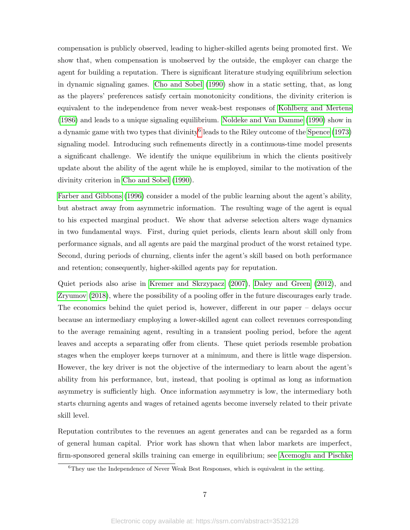compensation is publicly observed, leading to higher-skilled agents being promoted first. We show that, when compensation is unobserved by the outside, the employer can charge the agent for building a reputation. There is significant literature studying equilibrium selection in dynamic signaling games. [Cho and Sobel](#page-43-4) [\(1990\)](#page-43-4) show in a static setting, that, as long as the players' preferences satisfy certain monotonicity conditions, the divinity criterion is equivalent to the independence from never weak-best responses of [Kohlberg and Mertens](#page-44-5) [\(1986\)](#page-44-5) and leads to a unique signaling equilibrium. [Noldeke and Van Damme](#page-44-6) [\(1990\)](#page-44-6) show in a dynamic game with two types that divinity<sup>[6](#page-6-0)</sup> leads to the Riley outcome of the [Spence](#page-44-3) [\(1973\)](#page-44-3) signaling model. Introducing such refinements directly in a continuous-time model presents a significant challenge. We identify the unique equilibrium in which the clients positively update about the ability of the agent while he is employed, similar to the motivation of the divinity criterion in [Cho and Sobel](#page-43-4) [\(1990\)](#page-43-4).

[Farber and Gibbons](#page-43-5) [\(1996\)](#page-43-5) consider a model of the public learning about the agent's ability, but abstract away from asymmetric information. The resulting wage of the agent is equal to his expected marginal product. We show that adverse selection alters wage dynamics in two fundamental ways. First, during quiet periods, clients learn about skill only from performance signals, and all agents are paid the marginal product of the worst retained type. Second, during periods of churning, clients infer the agent's skill based on both performance and retention; consequently, higher-skilled agents pay for reputation.

Quiet periods also arise in [Kremer and Skrzypacz](#page-44-7) [\(2007\)](#page-44-7), [Daley and Green](#page-43-2) [\(2012\)](#page-43-2), and [Zryumov](#page-44-8) [\(2018\)](#page-44-8), where the possibility of a pooling offer in the future discourages early trade. The economics behind the quiet period is, however, different in our paper – delays occur because an intermediary employing a lower-skilled agent can collect revenues corresponding to the average remaining agent, resulting in a transient pooling period, before the agent leaves and accepts a separating offer from clients. These quiet periods resemble probation stages when the employer keeps turnover at a minimum, and there is little wage dispersion. However, the key driver is not the objective of the intermediary to learn about the agent's ability from his performance, but, instead, that pooling is optimal as long as information asymmetry is sufficiently high. Once information asymmetry is low, the intermediary both starts churning agents and wages of retained agents become inversely related to their private skill level.

Reputation contributes to the revenues an agent generates and can be regarded as a form of general human capital. Prior work has shown that when labor markets are imperfect, firm-sponsored general skills training can emerge in equilibrium; see [Acemoglu and Pischke](#page-43-6)

<span id="page-6-0"></span> $6$ They use the Independence of Never Weak Best Responses, which is equivalent in the setting.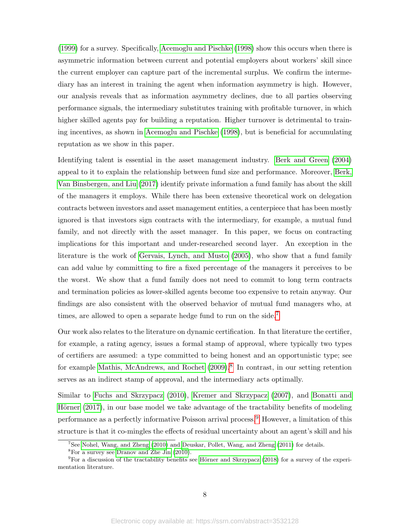[\(1999\)](#page-43-6) for a survey. Specifically, [Acemoglu and Pischke](#page-43-7) [\(1998\)](#page-43-7) show this occurs when there is asymmetric information between current and potential employers about workers' skill since the current employer can capture part of the incremental surplus. We confirm the intermediary has an interest in training the agent when information asymmetry is high. However, our analysis reveals that as information asymmetry declines, due to all parties observing performance signals, the intermediary substitutes training with profitable turnover, in which higher skilled agents pay for building a reputation. Higher turnover is detrimental to training incentives, as shown in [Acemoglu and Pischke](#page-43-7) [\(1998\)](#page-43-7), but is beneficial for accumulating reputation as we show in this paper.

Identifying talent is essential in the asset management industry. [Berk and Green](#page-43-8) [\(2004\)](#page-43-8) appeal to it to explain the relationship between fund size and performance. Moreover, [Berk,](#page-43-9) [Van Binsbergen, and Liu](#page-43-9) [\(2017\)](#page-43-9) identify private information a fund family has about the skill of the managers it employs. While there has been extensive theoretical work on delegation contracts between investors and asset management entities, a centerpiece that has been mostly ignored is that investors sign contracts with the intermediary, for example, a mutual fund family, and not directly with the asset manager. In this paper, we focus on contracting implications for this important and under-researched second layer. An exception in the literature is the work of [Gervais, Lynch, and Musto](#page-44-9) [\(2005\)](#page-44-9), who show that a fund family can add value by committing to fire a fixed percentage of the managers it perceives to be the worst. We show that a fund family does not need to commit to long term contracts and termination policies as lower-skilled agents become too expensive to retain anyway. Our findings are also consistent with the observed behavior of mutual fund managers who, at times, are allowed to open a separate hedge fund to run on the side.<sup>[7](#page-7-0)</sup>

Our work also relates to the literature on dynamic certification. In that literature the certifier, for example, a rating agency, issues a formal stamp of approval, where typically two types of certifiers are assumed: a type committed to being honest and an opportunistic type; see for example [Mathis, McAndrews, and Rochet](#page-44-10)  $(2009)^8$  $(2009)^8$  $(2009)^8$ . In contrast, in our setting retention serves as an indirect stamp of approval, and the intermediary acts optimally.

Similar to [Fuchs and Skrzypacz](#page-43-1) [\(2010\)](#page-43-1), [Kremer and Skrzypacz](#page-44-7) [\(2007\)](#page-44-7), and [Bonatti and](#page-43-10) Hörner  $(2017)$ , in our base model we take advantage of the tractability benefits of modeling performance as a perfectly informative Poisson arrival process.[9](#page-7-2) However, a limitation of this structure is that it co-mingles the effects of residual uncertainty about an agent's skill and his

<span id="page-7-0"></span><sup>7</sup>See [Nohel, Wang, and Zheng](#page-44-11) [\(2010\)](#page-44-11) and [Deuskar, Pollet, Wang, and Zheng](#page-43-11) [\(2011\)](#page-43-11) for details.

<span id="page-7-2"></span><span id="page-7-1"></span><sup>8</sup>For a survey see [Dranov and Zhe Jin](#page-43-12) [\(2010\)](#page-43-12).

 $9F$ or a discussion of the tractability benefits see Hörner and Skrzypacz [\(2018\)](#page-44-0) for a survey of the experimentation literature.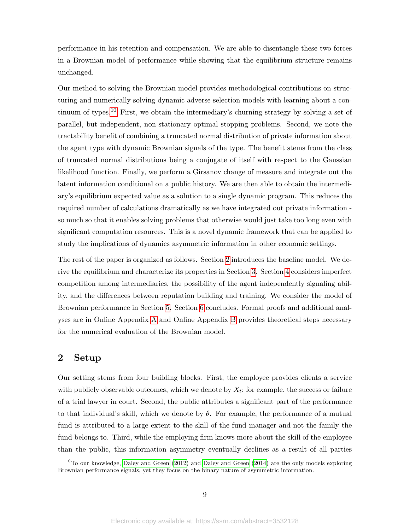performance in his retention and compensation. We are able to disentangle these two forces in a Brownian model of performance while showing that the equilibrium structure remains unchanged.

Our method to solving the Brownian model provides methodological contributions on structuring and numerically solving dynamic adverse selection models with learning about a continuum of types.[10](#page-8-0) First, we obtain the intermediary's churning strategy by solving a set of parallel, but independent, non-stationary optimal stopping problems. Second, we note the tractability benefit of combining a truncated normal distribution of private information about the agent type with dynamic Brownian signals of the type. The benefit stems from the class of truncated normal distributions being a conjugate of itself with respect to the Gaussian likelihood function. Finally, we perform a Girsanov change of measure and integrate out the latent information conditional on a public history. We are then able to obtain the intermediary's equilibrium expected value as a solution to a single dynamic program. This reduces the required number of calculations dramatically as we have integrated out private information so much so that it enables solving problems that otherwise would just take too long even with significant computation resources. This is a novel dynamic framework that can be applied to study the implications of dynamics asymmetric information in other economic settings.

The rest of the paper is organized as follows. Section [2](#page-8-1) introduces the baseline model. We derive the equilibrium and characterize its properties in Section [3.](#page-13-0) Section [4](#page-26-0) considers imperfect competition among intermediaries, the possibility of the agent independently signaling ability, and the differences between reputation building and training. We consider the model of Brownian performance in Section [5.](#page-31-0) Section [6](#page-42-0) concludes. Formal proofs and additional analyses are in Online Appendix [A](#page-0-0) and Online Appendix [B](#page-0-0) provides theoretical steps necessary for the numerical evaluation of the Brownian model.

### <span id="page-8-1"></span>2 Setup

Our setting stems from four building blocks. First, the employee provides clients a service with publicly observable outcomes, which we denote by  $X_t$ ; for example, the success or failure of a trial lawyer in court. Second, the public attributes a significant part of the performance to that individual's skill, which we denote by  $\theta$ . For example, the performance of a mutual fund is attributed to a large extent to the skill of the fund manager and not the family the fund belongs to. Third, while the employing firm knows more about the skill of the employee than the public, this information asymmetry eventually declines as a result of all parties

<span id="page-8-0"></span><sup>10</sup>To our knowledge, [Daley and Green](#page-43-2) [\(2012\)](#page-43-2) and [Daley and Green](#page-43-13) [\(2014\)](#page-43-13) are the only models exploring Brownian performance signals, yet they focus on the binary nature of asymmetric information.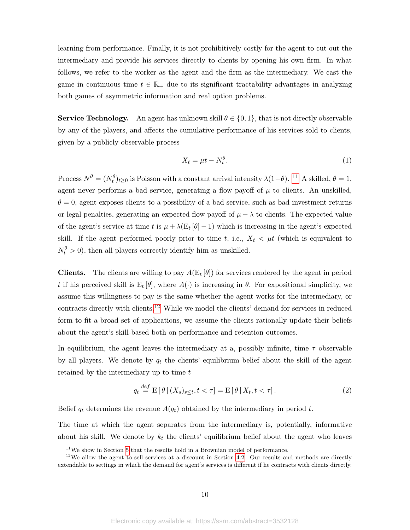learning from performance. Finally, it is not prohibitively costly for the agent to cut out the intermediary and provide his services directly to clients by opening his own firm. In what follows, we refer to the worker as the agent and the firm as the intermediary. We cast the game in continuous time  $t \in \mathbb{R}_+$  due to its significant tractability advantages in analyzing both games of asymmetric information and real option problems.

**Service Technology.** An agent has unknown skill  $\theta \in \{0, 1\}$ , that is not directly observable by any of the players, and affects the cumulative performance of his services sold to clients, given by a publicly observable process

<span id="page-9-3"></span>
$$
X_t = \mu t - N_t^{\theta}.\tag{1}
$$

Process  $N^{\theta} = (N_t^{\theta})_{t\geq 0}$  is Poisson with a constant arrival intensity  $\lambda(1-\theta)$ . <sup>[11](#page-9-0)</sup> A skilled,  $\theta = 1$ , agent never performs a bad service, generating a flow payoff of  $\mu$  to clients. An unskilled,  $\theta = 0$ , agent exposes clients to a possibility of a bad service, such as bad investment returns or legal penalties, generating an expected flow payoff of  $\mu - \lambda$  to clients. The expected value of the agent's service at time t is  $\mu + \lambda (E_t [\theta] - 1)$  which is increasing in the agent's expected skill. If the agent performed poorly prior to time t, i.e.,  $X_t < \mu t$  (which is equivalent to  $N_t^{\theta} > 0$ , then all players correctly identify him as unskilled.

**Clients.** The clients are willing to pay  $A(E_t[\theta])$  for services rendered by the agent in period t if his perceived skill is  $E_t[\theta]$ , where  $A(\cdot)$  is increasing in  $\theta$ . For expositional simplicity, we assume this willingness-to-pay is the same whether the agent works for the intermediary, or contracts directly with clients.[12](#page-9-1) While we model the clients' demand for services in reduced form to fit a broad set of applications, we assume the clients rationally update their beliefs about the agent's skill-based both on performance and retention outcomes.

In equilibrium, the agent leaves the intermediary at a, possibly infinite, time  $\tau$  observable by all players. We denote by  $q_t$  the clients' equilibrium belief about the skill of the agent retained by the intermediary up to time  $t$ 

<span id="page-9-2"></span>
$$
q_t \stackrel{def}{=} \mathcal{E}\left[\theta \,|\, (X_s)_{s \le t}, t < \tau\right] = \mathcal{E}\left[\theta \,|\, X_t, t < \tau\right].\tag{2}
$$

Belief  $q_t$  determines the revenue  $A(q_t)$  obtained by the intermediary in period t.

The time at which the agent separates from the intermediary is, potentially, informative about his skill. We denote by  $k_t$  the clients' equilibrium belief about the agent who leaves

<span id="page-9-1"></span><span id="page-9-0"></span> $11$ We show in Section [5](#page-31-0) that the results hold in a Brownian model of performance.

 $12$ We allow the agent to sell services at a discount in Section [4.2.](#page-27-0) Our results and methods are directly extendable to settings in which the demand for agent's services is different if he contracts with clients directly.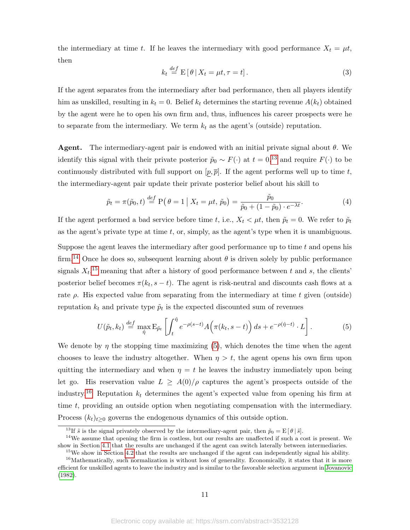<span id="page-10-5"></span>the intermediary at time t. If he leaves the intermediary with good performance  $X_t = \mu t$ , then

<span id="page-10-6"></span>
$$
k_t \stackrel{def}{=} \mathcal{E} \left[ \theta \, | \, X_t = \mu t, \tau = t \right]. \tag{3}
$$

If the agent separates from the intermediary after bad performance, then all players identify him as unskilled, resulting in  $k_t = 0$ . Belief  $k_t$  determines the starting revenue  $A(k_t)$  obtained by the agent were he to open his own firm and, thus, influences his career prospects were he to separate from the intermediary. We term  $k_t$  as the agent's (outside) reputation.

**Agent.** The intermediary-agent pair is endowed with an initial private signal about  $\theta$ . We identify this signal with their private posterior  $\tilde{p}_0 \sim F(\cdot)$  at  $t = 0$ ,<sup>[13](#page-10-0)</sup> and require  $F(\cdot)$  to be continuously distributed with full support on  $[p, \overline{p}]$ . If the agent performs well up to time t, the intermediary-agent pair update their private posterior belief about his skill to

$$
\tilde{p}_t = \pi(\tilde{p}_0, t) \stackrel{def}{=} P(\theta = 1 | X_t = \mu t, \tilde{p}_0) = \frac{\tilde{p}_0}{\tilde{p}_0 + (1 - \tilde{p}_0) \cdot e^{-\lambda t}}.
$$
\n(4)

If the agent performed a bad service before time t, i.e.,  $X_t \leq \mu t$ , then  $\tilde{p}_t = 0$ . We refer to  $\tilde{p}_t$ as the agent's private type at time  $t$ , or, simply, as the agent's type when it is unambiguous. Suppose the agent leaves the intermediary after good performance up to time  $t$  and opens his firm.<sup>[14](#page-10-1)</sup> Once he does so, subsequent learning about  $\theta$  is driven solely by public performance signals  $X_t$ ,<sup>[15](#page-10-2)</sup> meaning that after a history of good performance between t and s, the clients' posterior belief becomes  $\pi(k_t, s-t)$ . The agent is risk-neutral and discounts cash flows at a rate  $\rho$ . His expected value from separating from the intermediary at time t given (outside) reputation  $k_t$  and private type  $\tilde{p}_t$  is the expected discounted sum of revenues

<span id="page-10-3"></span>
$$
U(\tilde{p}_t, k_t) \stackrel{def}{=} \max_{\tilde{\eta}} \mathcal{E}_{\tilde{p}_t} \left[ \int_t^{\hat{\eta}} e^{-\rho(s-t)} A\Big(\pi(k_t, s-t)\Big) ds + e^{-\rho(\hat{\eta}-t)} \cdot L \right]. \tag{5}
$$

We denote by  $\eta$  the stopping time maximizing [\(5\)](#page-10-3), which denotes the time when the agent chooses to leave the industry altogether. When  $\eta > t$ , the agent opens his own firm upon quitting the intermediary and when  $\eta = t$  he leaves the industry immediately upon being let go. His reservation value  $L \geq A(0)/\rho$  captures the agent's prospects outside of the industry.<sup>[16](#page-10-4)</sup> Reputation  $k_t$  determines the agent's expected value from opening his firm at time t, providing an outside option when negotiating compensation with the intermediary. Process  $(k_t)_{t\geq 0}$  governs the endogenous dynamics of this outside option.

<span id="page-10-1"></span><span id="page-10-0"></span><sup>&</sup>lt;sup>13</sup>If  $\tilde{s}$  is the signal privately observed by the intermediary-agent pair, then  $\tilde{p}_0 = \mathbb{E}[\theta | \tilde{s}]$ .

<sup>&</sup>lt;sup>14</sup>We assume that opening the firm is costless, but our results are unaffected if such a cost is present. We show in Section [4.1](#page-26-1) that the results are unchanged if the agent can switch laterally between intermediaries.

<span id="page-10-4"></span><span id="page-10-2"></span> $15$ We show in Section [4.2](#page-27-0) that the results are unchanged if the agent can independently signal his ability.

 $16$ Mathematically, such normalization is without loss of generality. Economically, it states that it is more efficient for unskilled agents to leave the industry and is similar to the favorable selection argument in [Jovanovic](#page-44-12) [\(1982\)](#page-44-12).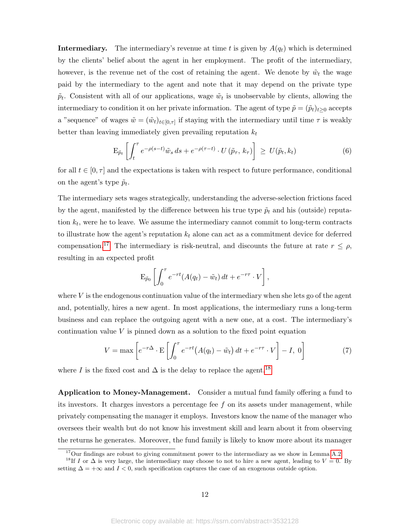**Intermediary.** The intermediary's revenue at time t is given by  $A(q_t)$  which is determined by the clients' belief about the agent in her employment. The profit of the intermediary, however, is the revenue net of the cost of retaining the agent. We denote by  $\tilde{w}_t$  the wage paid by the intermediary to the agent and note that it may depend on the private type  $\tilde{p}_t$ . Consistent with all of our applications, wage  $\tilde{w}_t$  is unobservable by clients, allowing the intermediary to condition it on her private information. The agent of type  $\tilde{p} = (\tilde{p}_t)_{t>0}$  accepts a "sequence" of wages  $\tilde{w} = (\tilde{w}_t)_{t \in [0,\tau]}$  if staying with the intermediary until time  $\tau$  is weakly better than leaving immediately given prevailing reputation  $k_t$ 

<span id="page-11-2"></span>
$$
\mathcal{E}_{\tilde{p}_t} \left[ \int_t^\tau e^{-\rho(s-t)} \tilde{w}_s \, ds + e^{-\rho(\tau-t)} \cdot U(\tilde{p}_\tau, k_\tau) \right] \ge U(\tilde{p}_t, k_t) \tag{6}
$$

for all  $t \in [0, \tau]$  and the expectations is taken with respect to future performance, conditional on the agent's type  $\tilde{p}_t$ .

The intermediary sets wages strategically, understanding the adverse-selection frictions faced by the agent, manifested by the difference between his true type  $\tilde{p}_t$  and his (outside) reputation  $k_t$ , were he to leave. We assume the intermediary cannot commit to long-term contracts to illustrate how the agent's reputation  $k_t$  alone can act as a commitment device for deferred compensation.<sup>[17](#page-11-0)</sup> The intermediary is risk-neutral, and discounts the future at rate  $r \leq \rho$ , resulting in an expected profit

<span id="page-11-3"></span>
$$
\mathcal{E}_{\tilde{p}_0}\left[\int_0^{\tau} e^{-rt}(A(q_t)-\tilde{w}_t) dt + e^{-r\tau} \cdot V\right],
$$

where  $V$  is the endogenous continuation value of the intermediary when she lets go of the agent and, potentially, hires a new agent. In most applications, the intermediary runs a long-term business and can replace the outgoing agent with a new one, at a cost. The intermediary's continuation value V is pinned down as a solution to the fixed point equation

$$
V = \max\left[e^{-r\Delta} \cdot \mathbb{E}\left[\int_0^{\tau} e^{-rt}(A(q_t) - \tilde{w}_t) dt + e^{-r\tau} \cdot V\right] - I, 0\right]
$$
(7)

where I is the fixed cost and  $\Delta$  is the delay to replace the agent.<sup>[18](#page-11-1)</sup>

Application to Money-Management. Consider a mutual fund family offering a fund to its investors. It charges investors a percentage fee  $f$  on its assets under management, while privately compensating the manager it employs. Investors know the name of the manager who oversees their wealth but do not know his investment skill and learn about it from observing the returns he generates. Moreover, the fund family is likely to know more about its manager

<span id="page-11-1"></span><span id="page-11-0"></span><sup>&</sup>lt;sup>17</sup>Our findings are robust to giving commitment power to the intermediary as we show in Lemma [A.2.](#page-21-0)

<sup>&</sup>lt;sup>18</sup>If I or  $\Delta$  is very large, the intermediary may choose to not to hire a new agent, leading to  $V = 0$ . By setting  $\Delta = +\infty$  and  $I < 0$ , such specification captures the case of an exogenous outside option.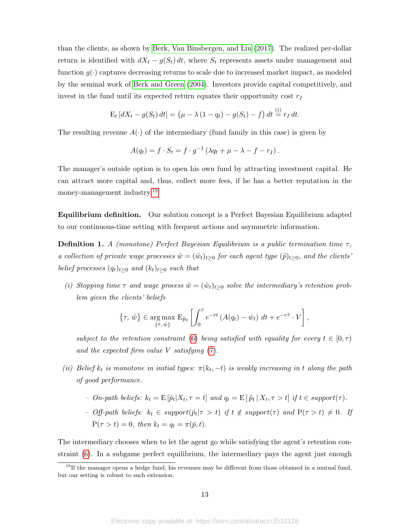than the clients, as shown by [Berk, Van Binsbergen, and Liu](#page-43-9) [\(2017\)](#page-43-9). The realized per-dollar return is identified with  $dX_t - g(S_t) dt$ , where  $S_t$  represents assets under management and function  $g(\cdot)$  captures decreasing returns to scale due to increased market impact, as modeled by the seminal work of [Berk and Green](#page-43-8) [\(2004\)](#page-43-8). Investors provide capital competitively, and invest in the fund until its expected return equates their opportunity cost  $r_I$ 

$$
E_t\left[dX_t-g(S_t)\,dt\right]=\left(\mu-\lambda\left(1-q_t\right)-g(S_t)-f\right)dt\stackrel{\text{(i)}}{=}r_I\,dt.
$$

The resulting revenue  $A(\cdot)$  of the intermediary (fund family in this case) is given by

$$
A(q_t) = f \cdot S_t = f \cdot g^{-1} \left( \lambda q_t + \mu - \lambda - f - r_I \right).
$$

The manager's outside option is to open his own fund by attracting investment capital. He can attract more capital and, thus, collect more fees, if he has a better reputation in the money-management industry.<sup>[19](#page-12-0)</sup>

Equilibrium definition. Our solution concept is a Perfect Bayesian Equilibrium adapted to our continuous-time setting with frequent actions and asymmetric information.

**Definition 1.** A (monotone) Perfect Bayesian Equilibrium is a public termination time  $\tau$ , a collection of private wage processes  $\tilde{w} = (\tilde{w}_t)_{t\geq 0}$  for each agent type  $(\tilde{p})_{t\geq 0}$ , and the clients' belief processes  $(q_t)_{t\geq 0}$  and  $(k_t)_{t\geq 0}$  such that

(i) Stopping time  $\tau$  and wage process  $\tilde{w} = (\tilde{w}_t)_{t \geq 0}$  solve the intermediary's retention problem given the clients' beliefs

$$
\{\tau, \,\tilde{w}\} \in \underset{\{\hat{\tau}, \,\hat{w}\}}{\arg \max} \, \mathrm{E}_{\tilde{p}_0} \left[ \int_0^{\hat{\tau}} e^{-rt} \left( A(q_t) - \hat{w}_t \right) \, dt + e^{-r\hat{\tau}} \cdot V \right],
$$

subject to the retention constraint [\(6\)](#page-11-2) being satisfied with equality for every  $t \in [0, \tau)$ and the expected firm value  $V$  satisfying  $(7)$ .

- (ii) Belief  $k_t$  is monotone in initial types:  $\pi(k_t, -t)$  is weakly increasing in t along the path of good performance.
	- On-path beliefs:  $k_t = \mathbb{E} \left[ \tilde{p}_t | X_t, \tau = t \right]$  and  $q_t = \mathbb{E} \left[ \tilde{p}_t | X_t, \tau > t \right]$  if  $t \in support(\tau)$ .
	- $-$  Off-path beliefs:  $k_t$  ∈ support $(\tilde{p}_t | \tau > t)$  if  $t \notin support(\tau)$  and  $P(\tau > t) \neq 0$ . If  $P(\tau > t) = 0$ , then  $k_t = q_t = \pi(\bar{p}, t)$ .

The intermediary chooses when to let the agent go while satisfying the agent's retention constraint [\(6\)](#page-11-2). In a subgame perfect equilibrium, the intermediary pays the agent just enough

<span id="page-12-0"></span> $19$ If the manager opens a hedge fund, his revenues may be different from those obtained in a mutual fund, but our setting is robust to such extension.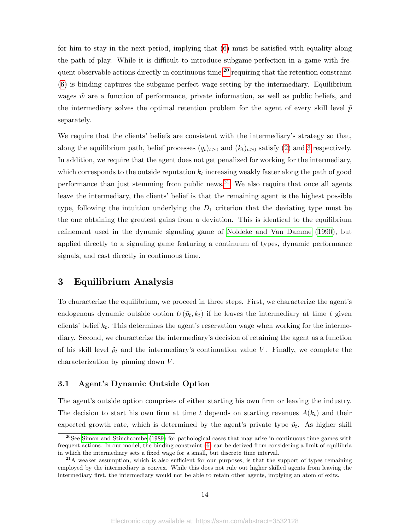for him to stay in the next period, implying that [\(6\)](#page-11-2) must be satisfied with equality along the path of play. While it is difficult to introduce subgame-perfection in a game with frequent observable actions directly in continuous time,  $2<sup>0</sup>$  requiring that the retention constraint [\(6\)](#page-11-2) is binding captures the subgame-perfect wage-setting by the intermediary. Equilibrium wages  $\tilde{w}$  are a function of performance, private information, as well as public beliefs, and the intermediary solves the optimal retention problem for the agent of every skill level  $\tilde{p}$ separately.

We require that the clients' beliefs are consistent with the intermediary's strategy so that, along the equilibrium path, belief processes  $(q_t)_{t\geq 0}$  and  $(k_t)_{t\geq 0}$  satisfy [\(2\)](#page-9-2) and [3](#page-10-5) respectively. In addition, we require that the agent does not get penalized for working for the intermediary, which corresponds to the outside reputation  $k_t$  increasing weakly faster along the path of good performance than just stemming from public news.[21](#page-13-2) We also require that once all agents leave the intermediary, the clients' belief is that the remaining agent is the highest possible type, following the intuition underlying the  $D_1$  criterion that the deviating type must be the one obtaining the greatest gains from a deviation. This is identical to the equilibrium refinement used in the dynamic signaling game of [Noldeke and Van Damme](#page-44-6) [\(1990\)](#page-44-6), but applied directly to a signaling game featuring a continuum of types, dynamic performance signals, and cast directly in continuous time.

### <span id="page-13-0"></span>3 Equilibrium Analysis

To characterize the equilibrium, we proceed in three steps. First, we characterize the agent's endogenous dynamic outside option  $U(\tilde{p}_t, k_t)$  if he leaves the intermediary at time t given clients' belief  $k_t$ . This determines the agent's reservation wage when working for the intermediary. Second, we characterize the intermediary's decision of retaining the agent as a function of his skill level  $\tilde{p}_t$  and the intermediary's continuation value V. Finally, we complete the characterization by pinning down V.

#### <span id="page-13-3"></span>3.1 Agent's Dynamic Outside Option

The agent's outside option comprises of either starting his own firm or leaving the industry. The decision to start his own firm at time t depends on starting revenues  $A(k_t)$  and their expected growth rate, which is determined by the agent's private type  $\tilde{p}_t$ . As higher skill

<span id="page-13-1"></span> $20$ See [Simon and Stinchcombe](#page-44-13) [\(1989\)](#page-44-13) for pathological cases that may arise in continuous time games with frequent actions. In our model, the binding constraint [\(6\)](#page-11-2) can be derived from considering a limit of equilibria in which the intermediary sets a fixed wage for a small, but discrete time interval.

<span id="page-13-2"></span> $^{21}$ A weaker assumption, which is also sufficient for our purposes, is that the support of types remaining employed by the intermediary is convex. While this does not rule out higher skilled agents from leaving the intermediary first, the intermediary would not be able to retain other agents, implying an atom of exits.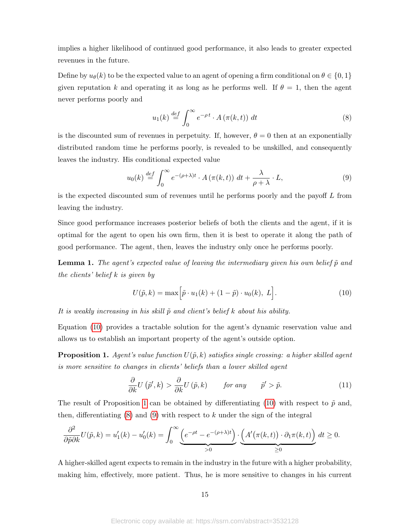implies a higher likelihood of continued good performance, it also leads to greater expected revenues in the future.

Define by  $u_{\theta}(k)$  to be the expected value to an agent of opening a firm conditional on  $\theta \in \{0,1\}$ given reputation k and operating it as long as he performs well. If  $\theta = 1$ , then the agent never performs poorly and

<span id="page-14-3"></span><span id="page-14-2"></span>
$$
u_1(k) \stackrel{def}{=} \int_0^\infty e^{-\rho t} \cdot A(\pi(k,t)) \ dt \tag{8}
$$

is the discounted sum of revenues in perpetuity. If, however,  $\theta = 0$  then at an exponentially distributed random time he performs poorly, is revealed to be unskilled, and consequently leaves the industry. His conditional expected value

$$
u_0(k) \stackrel{def}{=} \int_0^\infty e^{-(\rho+\lambda)t} \cdot A(\pi(k,t)) \, dt + \frac{\lambda}{\rho+\lambda} \cdot L,\tag{9}
$$

is the expected discounted sum of revenues until he performs poorly and the payoff L from leaving the industry.

Since good performance increases posterior beliefs of both the clients and the agent, if it is optimal for the agent to open his own firm, then it is best to operate it along the path of good performance. The agent, then, leaves the industry only once he performs poorly.

<span id="page-14-4"></span>**Lemma 1.** The agent's expected value of leaving the intermediary given his own belief  $\tilde{p}$  and the clients' belief k is given by

<span id="page-14-0"></span>
$$
U(\tilde{p},k) = \max\Big[\tilde{p}\cdot u_1(k) + (1-\tilde{p})\cdot u_0(k), L\Big].
$$
\n(10)

It is weakly increasing in his skill  $\tilde{p}$  and client's belief k about his ability.

Equation [\(10\)](#page-14-0) provides a tractable solution for the agent's dynamic reservation value and allows us to establish an important property of the agent's outside option.

<span id="page-14-1"></span>**Proposition 1.** Agent's value function  $U(\tilde{p}, k)$  satisfies single crossing: a higher skilled agent is more sensitive to changes in clients' beliefs than a lower skilled agent

$$
\frac{\partial}{\partial k}U(\tilde{p}',k) > \frac{\partial}{\partial k}U(\tilde{p},k) \qquad \text{for any} \qquad \tilde{p}' > \tilde{p}.\tag{11}
$$

The result of Proposition [1](#page-14-1) can be obtained by differentiating [\(10\)](#page-14-0) with respect to  $\tilde{p}$  and, then, differentiating  $(8)$  and  $(9)$  with respect to k under the sign of the integral

$$
\frac{\partial^2}{\partial \tilde{p} \partial k} U(\tilde{p}, k) = u'_1(k) - u'_0(k) = \int_0^\infty \underbrace{\left( e^{-\rho t} - e^{-(\rho + \lambda)t} \right)}_{>0} \cdot \underbrace{\left( A'(\pi(k, t)) \cdot \partial_1 \pi(k, t) \right)}_{\geq 0} dt \geq 0.
$$

A higher-skilled agent expects to remain in the industry in the future with a higher probability, making him, effectively, more patient. Thus, he is more sensitive to changes in his current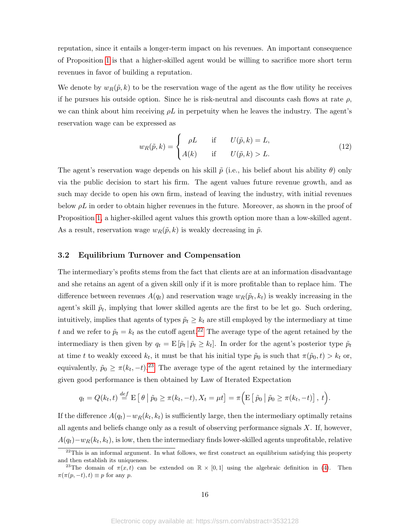reputation, since it entails a longer-term impact on his revenues. An important consequence of Proposition [1](#page-14-1) is that a higher-skilled agent would be willing to sacrifice more short term revenues in favor of building a reputation.

We denote by  $w_R(\tilde{p}, k)$  to be the reservation wage of the agent as the flow utility he receives if he pursues his outside option. Since he is risk-neutral and discounts cash flows at rate  $\rho$ , we can think about him receiving  $\rho L$  in perpetuity when he leaves the industry. The agent's reservation wage can be expressed as

<span id="page-15-2"></span>
$$
w_R(\tilde{p}, k) = \begin{cases} \rho L & \text{if } U(\tilde{p}, k) = L, \\ A(k) & \text{if } U(\tilde{p}, k) > L. \end{cases}
$$
(12)

The agent's reservation wage depends on his skill  $\tilde{p}$  (i.e., his belief about his ability  $\theta$ ) only via the public decision to start his firm. The agent values future revenue growth, and as such may decide to open his own firm, instead of leaving the industry, with initial revenues below  $\rho L$  in order to obtain higher revenues in the future. Moreover, as shown in the proof of Proposition [1,](#page-14-1) a higher-skilled agent values this growth option more than a low-skilled agent. As a result, reservation wage  $w_R(\tilde{p}, k)$  is weakly decreasing in  $\tilde{p}$ .

#### 3.2 Equilibrium Turnover and Compensation

The intermediary's profits stems from the fact that clients are at an information disadvantage and she retains an agent of a given skill only if it is more profitable than to replace him. The difference between revenues  $A(q_t)$  and reservation wage  $w_R(\tilde{p}_t, k_t)$  is weakly increasing in the agent's skill  $\tilde{p}_t$ , implying that lower skilled agents are the first to be let go. Such ordering, intuitively, implies that agents of types  $\tilde{p}_t \geq k_t$  are still employed by the intermediary at time t and we refer to  $\tilde{p}_t = k_t$  as the cutoff agent.<sup>[22](#page-15-0)</sup> The average type of the agent retained by the intermediary is then given by  $q_t = \mathrm{E}[\tilde{p}_t | \tilde{p}_t \geq k_t]$ . In order for the agent's posterior type  $\tilde{p}_t$ at time t to weakly exceed  $k_t$ , it must be that his initial type  $\tilde{p}_0$  is such that  $\pi(\tilde{p}_0, t) > k_t$  or, equivalently,  $\tilde{p}_0 \ge \pi (k_t, -t)$ .<sup>[23](#page-15-1)</sup> The average type of the agent retained by the intermediary given good performance is then obtained by Law of Iterated Expectation

$$
q_t = Q(k_t, t) \stackrel{def}{=} \mathbf{E} \left[ \theta \mid \tilde{p}_0 \ge \pi(k_t, -t), X_t = \mu t \right] = \pi \left( \mathbf{E} \left[ \tilde{p}_0 \mid \tilde{p}_0 \ge \pi(k_t, -t) \right], t \right).
$$

If the difference  $A(q_t) - w_R(k_t, k_t)$  is sufficiently large, then the intermediary optimally retains all agents and beliefs change only as a result of observing performance signals  $X$ . If, however,  $A(q_t)-w_R(k_t, k_t)$ , is low, then the intermediary finds lower-skilled agents unprofitable, relative

<span id="page-15-0"></span> $22$ This is an informal argument. In what follows, we first construct an equilibrium satisfying this property and then establish its uniqueness.

<span id="page-15-1"></span><sup>&</sup>lt;sup>23</sup>The domain of  $\pi(x, t)$  can be extended on  $\mathbb{R} \times [0, 1]$  using the algebraic definition in [\(4\)](#page-10-6). Then  $\pi(\pi(p,-t), t) \equiv p$  for any p.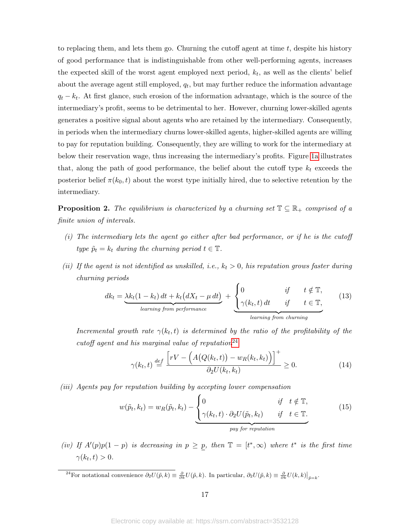to replacing them, and lets them go. Churning the cutoff agent at time t, despite his history of good performance that is indistinguishable from other well-performing agents, increases the expected skill of the worst agent employed next period,  $k_t$ , as well as the clients' belief about the average agent still employed,  $q_t$ , but may further reduce the information advantage  $q_t - k_t$ . At first glance, such erosion of the information advantage, which is the source of the intermediary's profit, seems to be detrimental to her. However, churning lower-skilled agents generates a positive signal about agents who are retained by the intermediary. Consequently, in periods when the intermediary churns lower-skilled agents, higher-skilled agents are willing to pay for reputation building. Consequently, they are willing to work for the intermediary at below their reservation wage, thus increasing the intermediary's profits. Figure [1a](#page-17-0) illustrates that, along the path of good performance, the belief about the cutoff type  $k_t$  exceeds the posterior belief  $\pi(k_0, t)$  about the worst type initially hired, due to selective retention by the intermediary.

<span id="page-16-2"></span>**Proposition 2.** The equilibrium is characterized by a churning set  $\mathbb{T} \subseteq \mathbb{R}_+$  comprised of a finite union of intervals.

- (i) The intermediary lets the agent go either after bad performance, or if he is the cutoff type  $\tilde{p}_t = k_t$  during the churning period  $t \in \mathbb{T}$ .
- (ii) If the agent is not identified as unskilled, i.e.,  $k_t > 0$ , his reputation grows faster during churning periods

$$
dk_t = \underbrace{\lambda k_t (1 - k_t) dt + k_t (dX_t - \mu dt)}_{learning\ from\ performance} + \underbrace{\begin{cases} 0 & if & t \notin \mathbb{T}, \\ \gamma(k_t, t) dt & if & t \in \mathbb{T}, \end{cases}}_{learning\ from\ churning} \tag{13}
$$

Incremental growth rate  $\gamma(k_t,t)$  is determined by the ratio of the profitability of the cutoff agent and his marginal value of reputation<sup>[24](#page-16-0)</sup>

<span id="page-16-1"></span>
$$
\gamma(k_t, t) \stackrel{def}{=} \frac{\left[rV - \left(A(Q(k_t, t)) - w_R(k_t, k_t)\right)\right]^+}{\partial_2 U(k_t, k_t)} \ge 0.
$$
\n(14)

(iii) Agents pay for reputation building by accepting lower compensation

$$
w(\tilde{p}_t, k_t) = w_R(\tilde{p}_t, k_t) - \begin{cases} 0 & \text{if } t \notin \mathbb{T}, \\ \gamma(k_t, t) \cdot \partial_2 U(\tilde{p}_t, k_t) & \text{if } t \in \mathbb{T}. \end{cases}
$$
(15)

(iv) If  $A'(p)p(1-p)$  is decreasing in  $p \geq p$ , then  $\mathbb{T} = [t^*, \infty)$  where  $t^*$  is the first time  $\gamma(k_t,t)>0.$ 

<span id="page-16-0"></span><sup>24</sup>For notational convenience  $\partial_2 U(\tilde{p}, k) \equiv \frac{\partial}{\partial k} U(\tilde{p}, k)$ . In particular,  $\partial_2 U(\tilde{p}, k) \equiv \frac{\partial}{\partial k} U(k, k)|_{\tilde{p}=k}$ .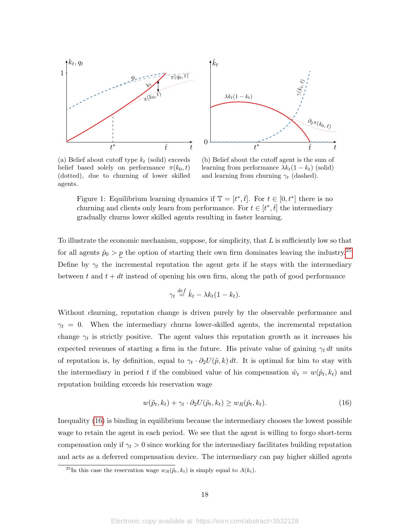<span id="page-17-0"></span>



(a) Belief about cutoff type  $k_t$  (solid) exceeds belief based solely on performance  $\pi(k_0, t)$ (dotted), due to churning of lower skilled agents.

(b) Belief about the cutoff agent is the sum of learning from performance  $\lambda k_t(1 - k_t)$  (solid) and learning from churning  $\gamma_t$  (dashed).

Figure 1: Equilibrium learning dynamics if  $\mathbb{T} = [t^*, \bar{t}]$ . For  $t \in [0, t^*]$  there is no churning and clients only learn from performance. For  $t \in [t^*, \bar{t}]$  the intermediary gradually churns lower skilled agents resulting in faster learning.

To illustrate the economic mechanism, suppose, for simplicity, that  $L$  is sufficiently low so that for all agents  $\tilde{p}_0 > p$  the option of starting their own firm dominates leaving the industry.<sup>[25](#page-17-1)</sup> Define by  $\gamma_t$  the incremental reputation the agent gets if he stays with the intermediary between t and  $t + dt$  instead of opening his own firm, along the path of good performance

$$
\gamma_t \stackrel{def}{=} \dot{k}_t - \lambda k_t (1 - k_t).
$$

Without churning, reputation change is driven purely by the observable performance and  $\gamma_t = 0$ . When the intermediary churns lower-skilled agents, the incremental reputation change  $\gamma_t$  is strictly positive. The agent values this reputation growth as it increases his expected revenues of starting a firm in the future. His private value of gaining  $\gamma_t dt$  units of reputation is, by definition, equal to  $\gamma_t \cdot \partial_2 U(\tilde{p}, k) dt$ . It is optimal for him to stay with the intermediary in period t if the combined value of his compensation  $\tilde{w}_t = w(\tilde{p}_t, k_t)$  and reputation building exceeds his reservation wage

<span id="page-17-2"></span>
$$
w(\tilde{p}_t, k_t) + \gamma_t \cdot \partial_2 U(\tilde{p}_t, k_t) \ge w_R(\tilde{p}_t, k_t).
$$
\n(16)

Inequality [\(16\)](#page-17-2) is binding in equilibrium because the intermediary chooses the lowest possible wage to retain the agent in each period. We see that the agent is willing to forgo short-term compensation only if  $\gamma_t > 0$  since working for the intermediary facilitates building reputation and acts as a deferred compensation device. The intermediary can pay higher skilled agents

<span id="page-17-1"></span><sup>&</sup>lt;sup>25</sup>In this case the reservation wage  $w_R(\tilde{p}_t, k_t)$  is simply equal to  $A(k_t)$ .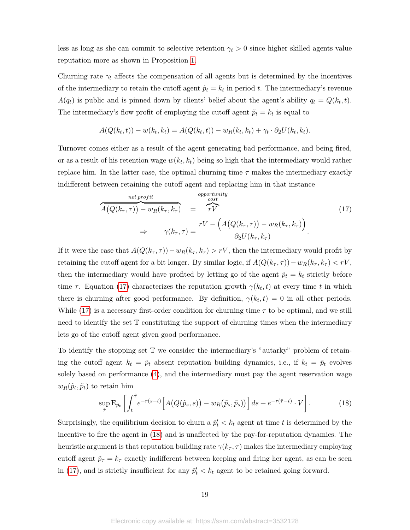less as long as she can commit to selective retention  $\gamma_t > 0$  since higher skilled agents value reputation more as shown in Proposition [1.](#page-14-1)

Churning rate  $\gamma_t$  affects the compensation of all agents but is determined by the incentives of the intermediary to retain the cutoff agent  $\tilde{p}_t = k_t$  in period t. The intermediary's revenue  $A(q_t)$  is public and is pinned down by clients' belief about the agent's ability  $q_t = Q(k_t, t)$ . The intermediary's flow profit of employing the cutoff agent  $\tilde{p}_t = k_t$  is equal to

$$
A(Q(k_t, t)) - w(k_t, k_t) = A(Q(k_t, t)) - w_R(k_t, k_t) + \gamma_t \cdot \partial_2 U(k_t, k_t).
$$

Turnover comes either as a result of the agent generating bad performance, and being fired, or as a result of his retention wage  $w(k_t, k_t)$  being so high that the intermediary would rather replace him. In the latter case, the optimal churning time  $\tau$  makes the intermediary exactly indifferent between retaining the cutoff agent and replacing him in that instance

<span id="page-18-0"></span>
$$
\overbrace{A(Q(k_{\tau},\tau)) - w_R(k_{\tau},k_{\tau})}^{\text{net profit}} = \overbrace{rV}^{\text{oportunity}} \overbrace{\gamma(k_{\tau},\tau)}^{\text{toportunity}} = \frac{rV - \left(A(Q(k_{\tau},\tau)) - w_R(k_{\tau},k_{\tau})\right)}{\partial_2 U(k_{\tau},k_{\tau})}.
$$
\n
$$
(17)
$$

If it were the case that  $A(Q(k_7, \tau)) - w_R(k_7, k_7) > rV$ , then the intermediary would profit by retaining the cutoff agent for a bit longer. By similar logic, if  $A(Q(k_7, \tau)) - w_R(k_7, k_7) < rV$ , then the intermediary would have profited by letting go of the agent  $\tilde{p}_t = k_t$  strictly before time  $\tau$ . Equation [\(17\)](#page-18-0) characterizes the reputation growth  $\gamma(k_t, t)$  at every time t in which there is churning after good performance. By definition,  $\gamma(k_t, t) = 0$  in all other periods. While [\(17\)](#page-18-0) is a necessary first-order condition for churning time  $\tau$  to be optimal, and we still need to identify the set T constituting the support of churning times when the intermediary lets go of the cutoff agent given good performance.

To identify the stopping set T we consider the intermediary's "autarky" problem of retaining the cutoff agent  $k_t = \tilde{p}_t$  absent reputation building dynamics, i.e., if  $k_t = \tilde{p}_t$  evolves solely based on performance [\(4\)](#page-10-6), and the intermediary must pay the agent reservation wage  $w_R(\tilde{p}_t, \tilde{p}_t)$  to retain him

<span id="page-18-1"></span>
$$
\sup_{\hat{\tau}} \mathcal{E}_{\tilde{p}_t} \left[ \int_t^{\hat{\tau}} e^{-r(s-t)} \left[ A(Q(\tilde{p}_s, s)) - w_R(\tilde{p}_s, \tilde{p}_s) \right) \right] ds + e^{-r(\hat{\tau}-t)} \cdot V \right]. \tag{18}
$$

Surprisingly, the equilibrium decision to churn a  $\tilde{p}'_t < k_t$  agent at time t is determined by the incentive to fire the agent in [\(18\)](#page-18-1) and is unaffected by the pay-for-reputation dynamics. The heuristic argument is that reputation building rate  $\gamma(k_\tau, \tau)$  makes the intermediary employing cutoff agent  $\tilde{p}_{\tau} = k_{\tau}$  exactly indifferent between keeping and firing her agent, as can be seen in [\(17\)](#page-18-0), and is strictly insufficient for any  $\tilde{p}'_t < k_t$  agent to be retained going forward.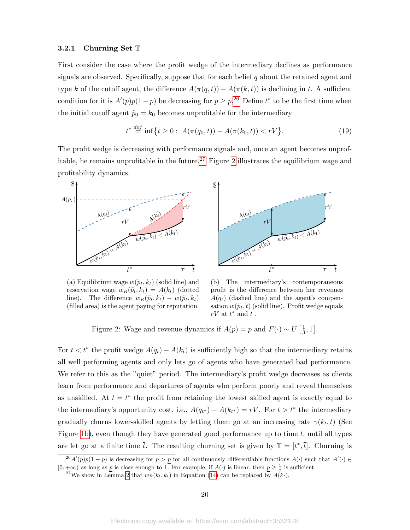#### 3.2.1 Churning Set T

First consider the case where the profit wedge of the intermediary declines as performance signals are observed. Specifically, suppose that for each belief  $q$  about the retained agent and type k of the cutoff agent, the difference  $A(\pi(q,t)) - A(\pi(k,t))$  is declining in t. A sufficient condition for it is  $A'(p)p(1-p)$  be decreasing for  $p \geq p^{26}$  $p \geq p^{26}$  $p \geq p^{26}$  Define  $t^*$  to be the first time when the initial cutoff agent  $\tilde{p}_0 = k_0$  becomes unprofitable for the intermediary

$$
t^* \stackrel{def}{=} \inf\big\{t \ge 0: \ A(\pi(q_0, t)) - A(\pi(k_0, t)) < rV\big\}.\tag{19}
$$

The profit wedge is decreasing with performance signals and, once an agent becomes unprof-itable, he remains unprofitable in the future.<sup>[27](#page-19-1)</sup> Figure [2](#page-19-2) illustrates the equilibrium wage and profitability dynamics.

<span id="page-19-2"></span>

(a) Equilibrium wage  $w(\tilde{p}_t, k_t)$  (solid line) and reservation wage  $w_R(\tilde{p}_t, k_t) = A(k_t)$  (dotted line). The difference  $w_R(\tilde{p}_t, k_t) - w(\tilde{p}_t, k_t)$ (filled area) is the agent paying for reputation.

<span id="page-19-3"></span>

(b) The intermediary's contemporaneous profit is the difference between her revenues  $A(q_t)$  (dashed line) and the agent's compensation  $w(\tilde{p}_t, t)$  (solid line). Profit wedge equals  $rV$  at  $t^*$  and  $\bar{t}$ .

Figure 2: Wage and revenue dynamics if  $A(p) = p$  and  $F(\cdot) \sim U\left[\frac{1}{3}\right]$  $\frac{1}{3}, 1].$ 

For  $t < t^*$  the profit wedge  $A(q_t) - A(k_t)$  is sufficiently high so that the intermediary retains all well performing agents and only lets go of agents who have generated bad performance. We refer to this as the "quiet" period. The intermediary's profit wedge decreases as clients learn from performance and departures of agents who perform poorly and reveal themselves as unskilled. At  $t = t^*$  the profit from retaining the lowest skilled agent is exactly equal to the intermediary's opportunity cost, i.e.,  $A(q_{t^*}) - A(k_{t^*}) = rV$ . For  $t > t^*$  the intermediary gradually churns lower-skilled agents by letting them go at an increasing rate  $\gamma(k_t, t)$  (See Figure [1b\)](#page-17-0), even though they have generated good performance up to time  $t$ , until all types are let go at a finite time  $\bar{t}$ . The resulting churning set is given by  $\mathbb{T} = [t^*, \bar{t}]$ . Churning is

<span id="page-19-0"></span><sup>&</sup>lt;sup>26</sup> $A'(p)p(1-p)$  is decreasing for  $p > p$  for all continuously differentiable functions  $A(\cdot)$  such that  $A'(\cdot) \in$  $[0, +\infty)$  as long as p is close enough to 1. For example, if  $A(\cdot)$  is linear, then  $p \geq \frac{1}{2}$  is sufficient.

<span id="page-19-1"></span><sup>&</sup>lt;sup>27</sup>We show in Lemma [2](#page-21-0) that  $w_R(k_t, k_t)$  in Equation [\(14\)](#page-16-1) can be replaced by  $A(k_t)$ .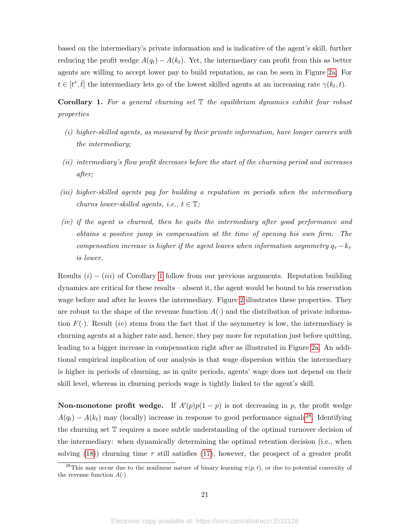based on the intermediary's private information and is indicative of the agent's skill, further reducing the profit wedge  $A(q_t) - A(k_t)$ . Yet, the intermediary can profit from this as better agents are willing to accept lower pay to build reputation, as can be seen in Figure [2a.](#page-19-2) For  $t \in [t^*, \bar{t}]$  the intermediary lets go of the lowest skilled agents at an increasing rate  $\gamma(k_t, t)$ .

<span id="page-20-0"></span>**Corollary 1.** For a general churning set  $\mathbb T$  the equilibrium dynamics exhibit four robust properties

- (i) higher-skilled agents, as measured by their private information, have longer careers with the intermediary;
- (ii) intermediary's flow profit decreases before the start of the churning period and increases after;
- (iii) higher-skilled agents pay for building a reputation in periods when the intermediary churns lower-skilled agents, i.e.,  $t \in \mathbb{T}$ ;
- (iv) if the agent is churned, then he quits the intermediary after good performance and obtains a positive jump in compensation at the time of opening his own firm. The compensation increase is higher if the agent leaves when information asymmetry  $q_{\tau} - k_{\tau}$ is lower.

Results  $(i) - (iii)$  of Corollary [1](#page-20-0) follow from our previous arguments. Reputation building dynamics are critical for these results – absent it, the agent would be bound to his reservation wage before and after he leaves the intermediary. Figure [2](#page-19-2) illustrates these properties. They are robust to the shape of the revenue function  $A(\cdot)$  and the distribution of private information  $F(\cdot)$ . Result *(iv)* stems from the fact that if the asymmetry is low, the intermediary is churning agents at a higher rate and, hence, they pay more for reputation just before quitting, leading to a bigger increase in compensation right after as illustrated in Figure [2a.](#page-19-2) An additional empirical implication of our analysis is that wage dispersion within the intermediary is higher in periods of churning, as in quite periods, agents' wage does not depend on their skill level, whereas in churning periods wage is tightly linked to the agent's skill.

**Non-monotone profit wedge.** If  $A'(p)p(1-p)$  is not decreasing in p, the profit wedge  $A(q_t) - A(k_t)$  may (locally) increase in response to good performance signals<sup>[28](#page-20-1)</sup>. Identifying the churning set T requires a more subtle understanding of the optimal turnover decision of the intermediary: when dynamically determining the optimal retention decision (i.e., when solving [\(18\)](#page-18-1)) churning time  $\tau$  still satisfies [\(17\)](#page-18-0), however, the prospect of a greater profit

<span id="page-20-1"></span><sup>&</sup>lt;sup>28</sup>This may occur due to the nonlinear nature of binary learning  $\pi(p, t)$ , or due to potential convexity of the revenue function  $A(\cdot)$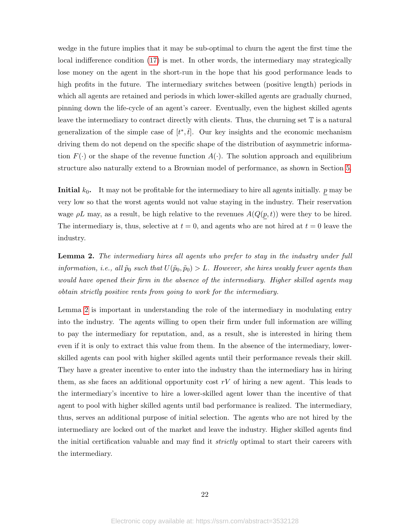wedge in the future implies that it may be sub-optimal to churn the agent the first time the local indifference condition [\(17\)](#page-18-0) is met. In other words, the intermediary may strategically lose money on the agent in the short-run in the hope that his good performance leads to high profits in the future. The intermediary switches between (positive length) periods in which all agents are retained and periods in which lower-skilled agents are gradually churned, pinning down the life-cycle of an agent's career. Eventually, even the highest skilled agents leave the intermediary to contract directly with clients. Thus, the churning set T is a natural generalization of the simple case of  $[t^*, \bar{t}]$ . Our key insights and the economic mechanism driving them do not depend on the specific shape of the distribution of asymmetric information  $F(\cdot)$  or the shape of the revenue function  $A(\cdot)$ . The solution approach and equilibrium structure also naturally extend to a Brownian model of performance, as shown in Section [5.](#page-31-0)

**Initial**  $k_0$ . It may not be profitable for the intermediary to hire all agents initially.  $p$  may be very low so that the worst agents would not value staying in the industry. Their reservation wage  $\rho L$  may, as a result, be high relative to the revenues  $A(Q(p, t))$  were they to be hired. The intermediary is, thus, selective at  $t = 0$ , and agents who are not hired at  $t = 0$  leave the industry.

<span id="page-21-0"></span>**Lemma 2.** The intermediary hires all agents who prefer to stay in the industry under full information, i.e., all  $\tilde{p}_0$  such that  $U(\tilde{p}_0, \tilde{p}_0) > L$ . However, she hires weakly fewer agents than would have opened their firm in the absence of the intermediary. Higher skilled agents may obtain strictly positive rents from going to work for the intermediary.

Lemma [2](#page-21-0) is important in understanding the role of the intermediary in modulating entry into the industry. The agents willing to open their firm under full information are willing to pay the intermediary for reputation, and, as a result, she is interested in hiring them even if it is only to extract this value from them. In the absence of the intermediary, lowerskilled agents can pool with higher skilled agents until their performance reveals their skill. They have a greater incentive to enter into the industry than the intermediary has in hiring them, as she faces an additional opportunity cost  $rV$  of hiring a new agent. This leads to the intermediary's incentive to hire a lower-skilled agent lower than the incentive of that agent to pool with higher skilled agents until bad performance is realized. The intermediary, thus, serves an additional purpose of initial selection. The agents who are not hired by the intermediary are locked out of the market and leave the industry. Higher skilled agents find the initial certification valuable and may find it *strictly* optimal to start their careers with the intermediary.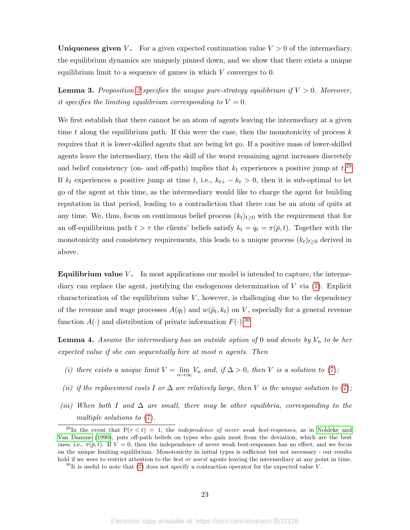Uniqueness given V. For a given expected continuation value  $V > 0$  of the intermediary, the equilibrium dynamics are uniquely pinned down, and we show that there exists a unique equilibrium limit to a sequence of games in which V converges to 0.

**Lemma 3.** Proposition [2](#page-16-2) specifies the unique pure-strategy equilibrium if  $V > 0$ . Moreover, it specifies the limiting equilibrium corresponding to  $V = 0$ .

We first establish that there cannot be an atom of agents leaving the intermediary at a given time t along the equilibrium path. If this were the case, then the monotonicity of process  $k$ requires that it is lower-skilled agents that are being let go. If a positive mass of lower-skilled agents leave the intermediary, then the skill of the worst remaining agent increases discretely and belief consistency (on- and off-path) implies that  $k_t$  experiences a positive jump at  $t^{29}$  $t^{29}$  $t^{29}$ . If  $k_t$  experiences a positive jump at time t, i.e.,  $k_{t+} - k_t > 0$ , then it is sub-optimal to let go of the agent at this time, as the intermediary would like to charge the agent for building reputation in that period, leading to a contradiction that there can be an atom of quits at any time. We, thus, focus on continuous belief process  $(k_t)_{t\geq0}$  with the requirement that for an off-equilibrium path  $t > \tau$  the clients' beliefs satisfy  $k_t = q_t = \pi(\bar{p}, t)$ . Together with the monotonicity and consistency requirements, this leads to a unique process  $(k_t)_{t>0}$  derived in above.

**Equilibrium value V.** In most applications our model is intended to capture, the intermediary can replace the agent, justifying the endogenous determination of  $V$  via  $(7)$ . Explicit characterization of the equilibrium value  $V$ , however, is challenging due to the dependency of the revenue and wage processes  $A(q_t)$  and  $w(\tilde{p}_t, k_t)$  on V, especially for a general revenue function  $A(\cdot)$  and distribution of private information  $F(\cdot)$ .<sup>[30](#page-22-1)</sup>

<span id="page-22-2"></span>**Lemma 4.** Assume the intermediary has an outside option of 0 and denote by  $V_n$  to be her expected value if she can sequentially hire at most n agents. Then

- (i) there exists a unique limit  $V = \lim_{n \to \infty} V_n$  and, if  $\Delta > 0$ , then V is a solution to [\(7\)](#page-11-3);
- (ii) if the replacement costs I or  $\Delta$  are relatively large, then V is the unique solution to [\(7\)](#page-11-3);
- (iii) When both I and  $\Delta$  are small, there may be other equilibria, corresponding to the multiple solutions to [\(7\)](#page-11-3).

<span id="page-22-0"></span><sup>&</sup>lt;sup>29</sup>In the event that  $P(\tau < t) = 1$ , the *independence of never weak best-responses*, as in [Noldeke and](#page-44-6) [Van Damme](#page-44-6) [\(1990\)](#page-44-6), puts off-path beliefs on types who gain most from the deviation, which are the best ones, i.e.,  $\pi(\bar{p}, t)$ . If  $V = 0$ , then the independence of never weak best-responses has no effect, and we focus on the unique limiting equilibrium. Monotonicity in initial types is sufficient but not necessary - our results hold if we were to restrict attention to the *best or worst* agents leaving the intermediary at any point in time.

<span id="page-22-1"></span> $30$ It is useful to note that [\(7\)](#page-11-3) does not specify a contraction operator for the expected value V.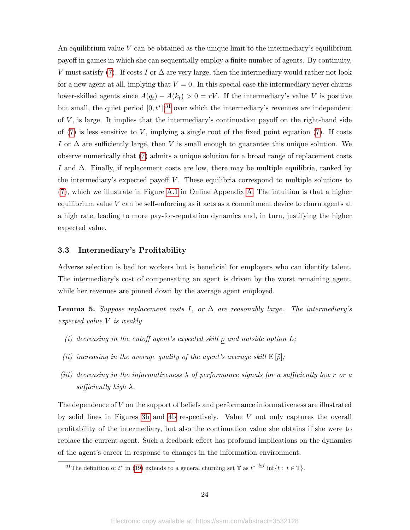An equilibrium value  $V$  can be obtained as the unique limit to the intermediary's equilibrium payoff in games in which she can sequentially employ a finite number of agents. By continuity, V must satisfy [\(7\)](#page-11-3). If costs I or  $\Delta$  are very large, then the intermediary would rather not look for a new agent at all, implying that  $V = 0$ . In this special case the intermediary never churns lower-skilled agents since  $A(q_t) - A(k_t) > 0 = rV$ . If the intermediary's value V is positive but small, the quiet period  $[0, t^*]$ ,<sup>[31](#page-23-0)</sup> over which the intermediary's revenues are independent of  $V$ , is large. It implies that the intermediary's continuation payoff on the right-hand side of  $(7)$  is less sensitive to V, implying a single root of the fixed point equation  $(7)$ . If costs I or  $\Delta$  are sufficiently large, then V is small enough to guarantee this unique solution. We observe numerically that [\(7\)](#page-11-3) admits a unique solution for a broad range of replacement costs I and  $\Delta$ . Finally, if replacement costs are low, there may be multiple equilibria, ranked by the intermediary's expected payoff  $V$ . These equilibria correspond to multiple solutions to [\(7\)](#page-11-3), which we illustrate in Figure [A.1](#page-5-0) in Online Appendix [A.](#page-0-0) The intuition is that a higher equilibrium value  $V$  can be self-enforcing as it acts as a commitment device to churn agents at a high rate, leading to more pay-for-reputation dynamics and, in turn, justifying the higher expected value.

#### 3.3 Intermediary's Profitability

Adverse selection is bad for workers but is beneficial for employers who can identify talent. The intermediary's cost of compensating an agent is driven by the worst remaining agent, while her revenues are pinned down by the average agent employed.

**Lemma 5.** Suppose replacement costs I, or  $\Delta$  are reasonably large. The intermediary's expected value V is weakly

- (i) decreasing in the cutoff agent's expected skill  $p$  and outside option  $L$ ;
- (ii) increasing in the average quality of the agent's average skill  $E[\tilde{p}]$ ;
- (iii) decreasing in the informativeness  $\lambda$  of performance signals for a sufficiently low r or a sufficiently high  $\lambda$ .

The dependence of  $V$  on the support of beliefs and performance informativeness are illustrated by solid lines in Figures [3b](#page-24-0) and [4b](#page-25-0) respectively. Value V not only captures the overall profitability of the intermediary, but also the continuation value she obtains if she were to replace the current agent. Such a feedback effect has profound implications on the dynamics of the agent's career in response to changes in the information environment.

<span id="page-23-0"></span><sup>&</sup>lt;sup>31</sup>The definition of  $t^*$  in [\(19\)](#page-19-3) extends to a general churning set  $\mathbb{T}$  as  $t^* \stackrel{def}{=} \inf\{t : t \in \mathbb{T}\}.$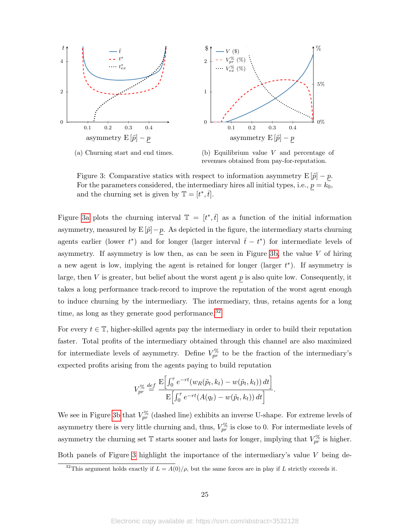<span id="page-24-0"></span>

(a) Churning start and end times.

(b) Equilibrium value V and percentage of revenues obtained from pay-for-reputation.

0%

5%

Figure 3: Comparative statics with respect to information asymmetry  $E[\tilde{p}] - p$ . For the parameters considered, the intermediary hires all initial types, i.e.,  $\underline{p} = k_0$ , and the churning set is given by  $\mathbb{T} = [t^*, \bar{t}].$ 

Figure [3a](#page-24-0) plots the churning interval  $\mathbb{T} = [t^*, \bar{t}]$  as a function of the initial information asymmetry, measured by  $E[\tilde{p}]-p$ . As depicted in the figure, the intermediary starts churning agents earlier (lower  $t^*$ ) and for longer (larger interval  $\bar{t} - t^*$ ) for intermediate levels of asymmetry. If asymmetry is low then, as can be seen in Figure [3b,](#page-24-0) the value  $V$  of hiring a new agent is low, implying the agent is retained for longer (larger  $t^*$ ). If asymmetry is large, then  $V$  is greater, but belief about the worst agent  $p$  is also quite low. Consequently, it takes a long performance track-record to improve the reputation of the worst agent enough to induce churning by the intermediary. The intermediary, thus, retains agents for a long time, as long as they generate good performance.<sup>[32](#page-24-1)</sup>

For every  $t \in \mathbb{T}$ , higher-skilled agents pay the intermediary in order to build their reputation faster. Total profits of the intermediary obtained through this channel are also maximized for intermediate levels of asymmetry. Define  $V_{pr}^{\%}$  to be the fraction of the intermediary's expected profits arising from the agents paying to build reputation

$$
V_{pr}^{\%} \stackrel{def}{=} \frac{\mathrm{E}\left[\int_0^{\tau} e^{-rt}(w_R(\tilde{p}_t, k_t) - w(\tilde{p}_t, k_t))\,dt\right]}{\mathrm{E}\left[\int_0^{\tau} e^{-rt}(A(q_t) - w(\tilde{p}_t, k_t))\,dt\right]}.
$$

We see in Figure [3b](#page-24-0) that  $V_{pr}^{\%}$  (dashed line) exhibits an inverse U-shape. For extreme levels of asymmetry there is very little churning and, thus,  $V_{pr}^{\%}$  is close to 0. For intermediate levels of asymmetry the churning set  $\mathbb T$  starts sooner and lasts for longer, implying that  $V_{pr}^{\%}$  is higher. Both panels of Figure [3](#page-24-0) highlight the importance of the intermediary's value V being de-

<span id="page-24-1"></span><sup>&</sup>lt;sup>32</sup>This argument holds exactly if  $L = A(0)/\rho$ , but the same forces are in play if L strictly exceeds it.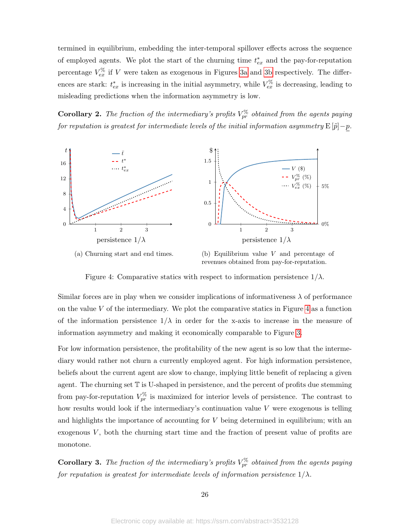termined in equilibrium, embedding the inter-temporal spillover effects across the sequence of employed agents. We plot the start of the churning time  $t_{ex}^*$  and the pay-for-reputation percentage  $V_{ex}^{\%}$  if V were taken as exogenous in Figures [3a](#page-24-0) and [3b](#page-24-0) respectively. The differences are stark:  $t_{ex}^*$  is increasing in the initial asymmetry, while  $V_{ex}^{\%}$  is decreasing, leading to misleading predictions when the information asymmetry is low.

**Corollary 2.** The fraction of the intermediary's profits  $V_{pr}^{\%}$  obtained from the agents paying for reputation is greatest for intermediate levels of the initial information asymmetry  $E[\tilde{p}]-p$ .

<span id="page-25-0"></span>

(a) Churning start and end times.

(b) Equilibrium value V and percentage of revenues obtained from pay-for-reputation.

Figure 4: Comparative statics with respect to information persistence  $1/\lambda$ .

Similar forces are in play when we consider implications of informativeness  $\lambda$  of performance on the value  $V$  of the intermediary. We plot the comparative statics in Figure [4](#page-25-0) as a function of the information persistence  $1/\lambda$  in order for the x-axis to increase in the measure of information asymmetry and making it economically comparable to Figure [3.](#page-24-0)

For low information persistence, the profitability of the new agent is so low that the intermediary would rather not churn a currently employed agent. For high information persistence, beliefs about the current agent are slow to change, implying little benefit of replacing a given agent. The churning set T is U-shaped in persistence, and the percent of profits due stemming from pay-for-reputation  $V_{pr}^{\%}$  is maximized for interior levels of persistence. The contrast to how results would look if the intermediary's continuation value V were exogenous is telling and highlights the importance of accounting for  $V$  being determined in equilibrium; with an exogenous  $V$ , both the churning start time and the fraction of present value of profits are monotone.

**Corollary 3.** The fraction of the intermediary's profits  $V_{pr}^{\%}$  obtained from the agents paying for reputation is greatest for intermediate levels of information persistence  $1/\lambda$ .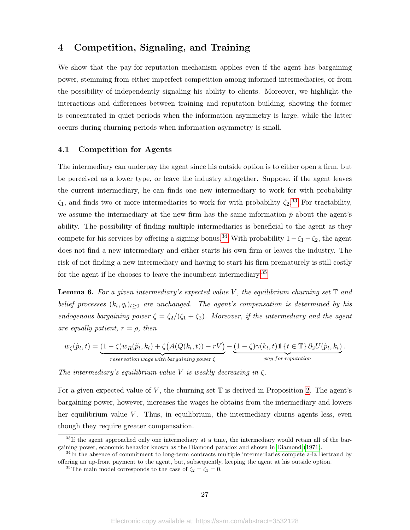### <span id="page-26-0"></span>4 Competition, Signaling, and Training

We show that the pay-for-reputation mechanism applies even if the agent has bargaining power, stemming from either imperfect competition among informed intermediaries, or from the possibility of independently signaling his ability to clients. Moreover, we highlight the interactions and differences between training and reputation building, showing the former is concentrated in quiet periods when the information asymmetry is large, while the latter occurs during churning periods when information asymmetry is small.

#### <span id="page-26-1"></span>4.1 Competition for Agents

The intermediary can underpay the agent since his outside option is to either open a firm, but be perceived as a lower type, or leave the industry altogether. Suppose, if the agent leaves the current intermediary, he can finds one new intermediary to work for with probability  $\zeta_1$ , and finds two or more intermediaries to work for with probability  $\zeta_2$ .<sup>[33](#page-26-2)</sup> For tractability, we assume the intermediary at the new firm has the same information  $\tilde{p}$  about the agent's ability. The possibility of finding multiple intermediaries is beneficial to the agent as they compete for his services by offering a signing bonus.<sup>[34](#page-26-3)</sup> With probability  $1-\zeta_1-\zeta_2$ , the agent does not find a new intermediary and either starts his own firm or leaves the industry. The risk of not finding a new intermediary and having to start his firm prematurely is still costly for the agent if he chooses to leave the incumbent intermediary.[35](#page-26-4)

**Lemma 6.** For a given intermediary's expected value V, the equilibrium churning set  $\mathbb{T}$  and belief processes  $(k_t, q_t)_{t \geq 0}$  are unchanged. The agent's compensation is determined by his endogenous bargaining power  $\zeta = \frac{\zeta_2}{\zeta_1 + \zeta_2}$ . Moreover, if the intermediary and the agent are equally patient,  $r = \rho$ , then

$$
w_{\zeta}(\tilde{p}_t, t) = \underbrace{(1 - \zeta) w_R(\tilde{p}_t, k_t) + \zeta (A(Q(k_t, t)) - rV)}_{reservation \; wage \; with \; bargaining \; power \; \zeta} - \underbrace{(1 - \zeta) \gamma(k_t, t) \, \mathbbm{1} \left\{ t \in \mathbb{T} \right\} \partial_2 U(\tilde{p}_t, k_t)}_{pay \; for \; reputation}.
$$

The intermediary's equilibrium value V is weakly decreasing in  $\zeta$ .

For a given expected value of V, the churning set  $\mathbb T$  is derived in Proposition [2.](#page-16-2) The agent's bargaining power, however, increases the wages he obtains from the intermediary and lowers her equilibrium value  $V$ . Thus, in equilibrium, the intermediary churns agents less, even though they require greater compensation.

<span id="page-26-2"></span> $33$ If the agent approached only one intermediary at a time, the intermediary would retain all of the bargaining power, economic behavior known as the Diamond paradox and shown in [Diamond](#page-43-14) [\(1971\)](#page-43-14).

<span id="page-26-3"></span> $34$ In the absence of commitment to long-term contracts multiple intermediaries compete a-la Bertrand by offering an up-front payment to the agent, but, subsequently, keeping the agent at his outside option.

<span id="page-26-4"></span><sup>&</sup>lt;sup>35</sup>The main model corresponds to the case of  $\zeta_2 = \zeta_1 = 0$ .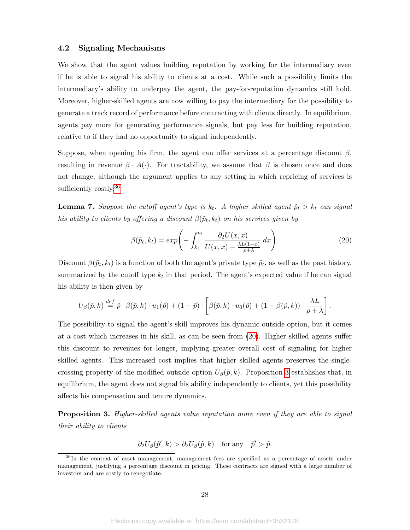#### <span id="page-27-0"></span>4.2 Signaling Mechanisms

We show that the agent values building reputation by working for the intermediary even if he is able to signal his ability to clients at a cost. While such a possibility limits the intermediary's ability to underpay the agent, the pay-for-reputation dynamics still hold. Moreover, higher-skilled agents are now willing to pay the intermediary for the possibility to generate a track record of performance before contracting with clients directly. In equilibrium, agents pay more for generating performance signals, but pay less for building reputation, relative to if they had no opportunity to signal independently.

Suppose, when opening his firm, the agent can offer services at a percentage discount  $\beta$ , resulting in revenue  $\beta \cdot A(\cdot)$ . For tractability, we assume that  $\beta$  is chosen once and does not change, although the argument applies to any setting in which repricing of services is sufficiently costly.<sup>[36](#page-27-1)</sup>

**Lemma 7.** Suppose the cutoff agent's type is  $k_t$ . A higher skilled agent  $\tilde{p}_t > k_t$  can signal his ability to clients by offering a discount  $\beta(\tilde{p}_t, k_t)$  on his services given by

<span id="page-27-2"></span>
$$
\beta(\tilde{p}_t, k_t) = exp\left(-\int_{k_t}^{\tilde{p}_t} \frac{\partial_2 U(x, x)}{U(x, x) - \frac{\lambda L(1 - x)}{\rho + \lambda}} dx\right).
$$
\n(20)

Discount  $\beta(\tilde{p}_t, k_t)$  is a function of both the agent's private type  $\tilde{p}_t$ , as well as the past history, summarized by the cutoff type  $k_t$  in that period. The agent's expected value if he can signal his ability is then given by

$$
U_{\beta}(\tilde{p},k) \stackrel{def}{=} \tilde{p} \cdot \beta(\tilde{p},k) \cdot u_1(\tilde{p}) + (1-\tilde{p}) \cdot \left[ \beta(\tilde{p},k) \cdot u_0(\tilde{p}) + (1-\beta(\tilde{p},k)) \cdot \frac{\lambda L}{\rho+\lambda} \right].
$$

The possibility to signal the agent's skill improves his dynamic outside option, but it comes at a cost which increases in his skill, as can be seen from [\(20\)](#page-27-2). Higher skilled agents suffer this discount to revenues for longer, implying greater overall cost of signaling for higher skilled agents. This increased cost implies that higher skilled agents preserves the singlecrossing property of the modified outside option  $U_{\beta}(\tilde{p}, k)$ . Proposition [3](#page-27-3) establishes that, in equilibrium, the agent does not signal his ability independently to clients, yet this possibility affects his compensation and tenure dynamics.

<span id="page-27-3"></span>Proposition 3. Higher-skilled agents value reputation more even if they are able to signal their ability to clients

$$
\partial_2 U_{\beta}(\tilde{p}',k) > \partial_2 U_{\beta}(\tilde{p},k)
$$
 for any  $\tilde{p}' > \tilde{p}$ .

<span id="page-27-1"></span><sup>&</sup>lt;sup>36</sup>In the context of asset management, management fees are specified as a percentage of assets under management, justifying a percentage discount in pricing. These contracts are signed with a large number of investors and are costly to renegotiate.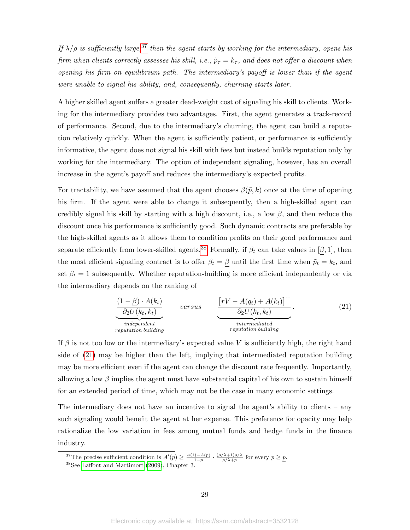If  $\lambda/\rho$  is sufficiently large,<sup>[37](#page-28-0)</sup> then the agent starts by working for the intermediary, opens his firm when clients correctly assesses his skill, i.e.,  $\tilde{p}_{\tau} = k_{\tau}$ , and does not offer a discount when opening his firm on equilibrium path. The intermediary's payoff is lower than if the agent were unable to signal his ability, and, consequently, churning starts later.

A higher skilled agent suffers a greater dead-weight cost of signaling his skill to clients. Working for the intermediary provides two advantages. First, the agent generates a track-record of performance. Second, due to the intermediary's churning, the agent can build a reputation relatively quickly. When the agent is sufficiently patient, or performance is sufficiently informative, the agent does not signal his skill with fees but instead builds reputation only by working for the intermediary. The option of independent signaling, however, has an overall increase in the agent's payoff and reduces the intermediary's expected profits.

For tractability, we have assumed that the agent chooses  $\beta(\tilde{p}, k)$  once at the time of opening his firm. If the agent were able to change it subsequently, then a high-skilled agent can credibly signal his skill by starting with a high discount, i.e., a low  $\beta$ , and then reduce the discount once his performance is sufficiently good. Such dynamic contracts are preferable by the high-skilled agents as it allows them to condition profits on their good performance and separate efficiently from lower-skilled agents.<sup>[38](#page-28-1)</sup> Formally, if  $\beta_t$  can take values in [ $\beta$ , 1], then the most efficient signaling contract is to offer  $\beta_t = \beta$  until the first time when  $\tilde{p}_t = k_t$ , and set  $\beta_t = 1$  subsequently. Whether reputation-building is more efficient independently or via the intermediary depends on the ranking of

<span id="page-28-2"></span>
$$
\underbrace{\frac{(1-\beta)\cdot A(k_t)}{\partial_2 U(k_t, k_t)}}_{independent} \underbrace{\frac{\left[rV - A(q_t) + A(k_t)\right]^+}{\partial_2 U(k_t, k_t)}}_{reputation building}.
$$
\n(21)

If  $\underline{\beta}$  is not too low or the intermediary's expected value V is sufficiently high, the right hand side of [\(21\)](#page-28-2) may be higher than the left, implying that intermediated reputation building may be more efficient even if the agent can change the discount rate frequently. Importantly, allowing a low  $\beta$  implies the agent must have substantial capital of his own to sustain himself for an extended period of time, which may not be the case in many economic settings.

The intermediary does not have an incentive to signal the agent's ability to clients – any such signaling would benefit the agent at her expense. This preference for opacity may help rationalize the low variation in fees among mutual funds and hedge funds in the finance industry.

<span id="page-28-0"></span><sup>37</sup>The precise sufficient condition is  $A'(p) \ge \frac{A(1)-A(p)}{1-p} \cdot \frac{(\rho/\lambda+1)\rho/\lambda}{\rho/\lambda+p}$  for every  $p \ge \underline{p}$ .

<span id="page-28-1"></span><sup>38</sup>See [Laffont and Martimort](#page-44-14) [\(2009\)](#page-44-14), Chapter 3.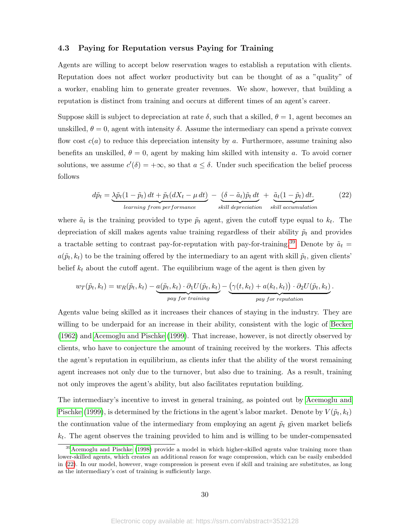#### 4.3 Paying for Reputation versus Paying for Training

Agents are willing to accept below reservation wages to establish a reputation with clients. Reputation does not affect worker productivity but can be thought of as a "quality" of a worker, enabling him to generate greater revenues. We show, however, that building a reputation is distinct from training and occurs at different times of an agent's career.

Suppose skill is subject to depreciation at rate  $\delta$ , such that a skilled,  $\theta = 1$ , agent becomes an unskilled,  $\theta = 0$ , agent with intensity  $\delta$ . Assume the intermediary can spend a private convex flow cost  $c(a)$  to reduce this depreciation intensity by a. Furthermore, assume training also benefits an unskilled,  $\theta = 0$ , agent by making him skilled with intensity a. To avoid corner solutions, we assume  $c'(\delta) = +\infty$ , so that  $a \leq \delta$ . Under such specification the belief process follows

<span id="page-29-1"></span>
$$
d\tilde{p}_t = \underbrace{\lambda \tilde{p}_t (1 - \tilde{p}_t) dt + \tilde{p}_t (dX_t - \mu dt)}_{learning\ from\ performance} - \underbrace{(\delta - \tilde{a}_t) \tilde{p}_t dt}_{skill\ depreciation} + \underbrace{\tilde{a}_t (1 - \tilde{p}_t) dt}_{skill\ accumulation}.
$$
 (22)

where  $\tilde{a}_t$  is the training provided to type  $\tilde{p}_t$  agent, given the cutoff type equal to  $k_t$ . The depreciation of skill makes agents value training regardless of their ability  $\tilde{p}_t$  and provides a tractable setting to contrast pay-for-reputation with pay-for-training.<sup>[39](#page-29-0)</sup> Denote by  $\tilde{a}_t$  =  $a(\tilde{p}_t, k_t)$  to be the training offered by the intermediary to an agent with skill  $\tilde{p}_t$ , given clients' belief  $k_t$  about the cutoff agent. The equilibrium wage of the agent is then given by

$$
w_T(\tilde{p}_t, k_t) = w_R(\tilde{p}_t, k_t) - \underbrace{a(\tilde{p}_t, k_t) \cdot \partial_1 U(\tilde{p}_t, k_t)}_{pay\ for\ training} - \underbrace{(\gamma(t, k_t) + a(k_t, k_t)) \cdot \partial_2 U(\tilde{p}_t, k_t)}_{pay\ for\ reputation}.
$$

Agents value being skilled as it increases their chances of staying in the industry. They are willing to be underpaid for an increase in their ability, consistent with the logic of [Becker](#page-43-15) [\(1962\)](#page-43-15) and [Acemoglu and Pischke](#page-43-6) [\(1999\)](#page-43-6). That increase, however, is not directly observed by clients, who have to conjecture the amount of training received by the workers. This affects the agent's reputation in equilibrium, as clients infer that the ability of the worst remaining agent increases not only due to the turnover, but also due to training. As a result, training not only improves the agent's ability, but also facilitates reputation building.

The intermediary's incentive to invest in general training, as pointed out by [Acemoglu and](#page-43-6) [Pischke](#page-43-6) [\(1999\)](#page-43-6), is determined by the frictions in the agent's labor market. Denote by  $V(\tilde{p}_t, k_t)$ the continuation value of the intermediary from employing an agent  $\tilde{p}_t$  given market beliefs  $k_t$ . The agent observes the training provided to him and is willing to be under-compensated

<span id="page-29-0"></span><sup>39</sup>[Acemoglu and Pischke](#page-43-7) [\(1998\)](#page-43-7) provide a model in which higher-skilled agents value training more than lower-skilled agents, which creates an additional reason for wage compression, which can be easily embedded in [\(22\)](#page-29-1). In our model, however, wage compression is present even if skill and training are substitutes, as long as the intermediary's cost of training is sufficiently large.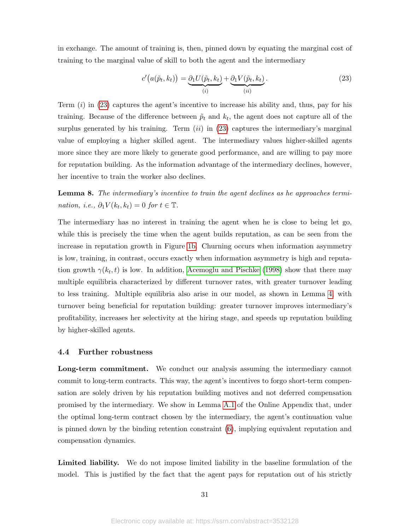in exchange. The amount of training is, then, pinned down by equating the marginal cost of training to the marginal value of skill to both the agent and the intermediary

<span id="page-30-0"></span>
$$
c'(a(\tilde{p}_t, k_t)) = \underbrace{\partial_1 U(\tilde{p}_t, k_t)}_{(i)} + \underbrace{\partial_1 V(\tilde{p}_t, k_t)}_{(ii)}.
$$
\n(23)

Term  $(i)$  in  $(23)$  captures the agent's incentive to increase his ability and, thus, pay for his training. Because of the difference between  $\tilde{p}_t$  and  $k_t$ , the agent does not capture all of the surplus generated by his training. Term  $(ii)$  in  $(23)$  captures the intermediary's marginal value of employing a higher skilled agent. The intermediary values higher-skilled agents more since they are more likely to generate good performance, and are willing to pay more for reputation building. As the information advantage of the intermediary declines, however, her incentive to train the worker also declines.

Lemma 8. The intermediary's incentive to train the agent declines as he approaches termination, i.e.,  $\partial_1 V(k_t, k_t) = 0$  for  $t \in \mathbb{T}$ .

The intermediary has no interest in training the agent when he is close to being let go, while this is precisely the time when the agent builds reputation, as can be seen from the increase in reputation growth in Figure [1b.](#page-17-0) Churning occurs when information asymmetry is low, training, in contrast, occurs exactly when information asymmetry is high and reputation growth  $\gamma(k_t, t)$  is low. In addition, [Acemoglu and Pischke](#page-43-7) [\(1998\)](#page-43-7) show that there may multiple equilibria characterized by different turnover rates, with greater turnover leading to less training. Multiple equilibria also arise in our model, as shown in Lemma [4,](#page-22-2) with turnover being beneficial for reputation building: greater turnover improves intermediary's profitability, increases her selectivity at the hiring stage, and speeds up reputation building by higher-skilled agents.

#### 4.4 Further robustness

Long-term commitment. We conduct our analysis assuming the intermediary cannot commit to long-term contracts. This way, the agent's incentives to forgo short-term compensation are solely driven by his reputation building motives and not deferred compensation promised by the intermediary. We show in Lemma [A.1](#page-14-4) of the Online Appendix that, under the optimal long-term contract chosen by the intermediary, the agent's continuation value is pinned down by the binding retention constraint [\(6\)](#page-11-2), implying equivalent reputation and compensation dynamics.

Limited liability. We do not impose limited liability in the baseline formulation of the model. This is justified by the fact that the agent pays for reputation out of his strictly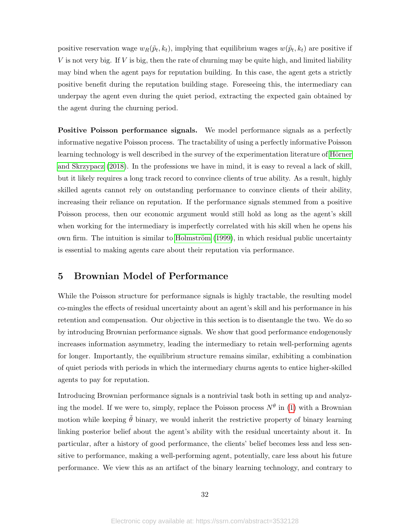positive reservation wage  $w_R(\tilde{p}_t, k_t)$ , implying that equilibrium wages  $w(\tilde{p}_t, k_t)$  are positive if V is not very big. If V is big, then the rate of churning may be quite high, and limited liability may bind when the agent pays for reputation building. In this case, the agent gets a strictly positive benefit during the reputation building stage. Foreseeing this, the intermediary can underpay the agent even during the quiet period, extracting the expected gain obtained by the agent during the churning period.

Positive Poisson performance signals. We model performance signals as a perfectly informative negative Poisson process. The tractability of using a perfectly informative Poisson learning technology is well described in the survey of the experimentation literature of Hörner [and Skrzypacz](#page-44-0) [\(2018\)](#page-44-0). In the professions we have in mind, it is easy to reveal a lack of skill, but it likely requires a long track record to convince clients of true ability. As a result, highly skilled agents cannot rely on outstanding performance to convince clients of their ability, increasing their reliance on reputation. If the performance signals stemmed from a positive Poisson process, then our economic argument would still hold as long as the agent's skill when working for the intermediary is imperfectly correlated with his skill when he opens his own firm. The intuition is similar to Holmström [\(1999\)](#page-44-15), in which residual public uncertainty is essential to making agents care about their reputation via performance.

### <span id="page-31-0"></span>5 Brownian Model of Performance

While the Poisson structure for performance signals is highly tractable, the resulting model co-mingles the effects of residual uncertainty about an agent's skill and his performance in his retention and compensation. Our objective in this section is to disentangle the two. We do so by introducing Brownian performance signals. We show that good performance endogenously increases information asymmetry, leading the intermediary to retain well-performing agents for longer. Importantly, the equilibrium structure remains similar, exhibiting a combination of quiet periods with periods in which the intermediary churns agents to entice higher-skilled agents to pay for reputation.

Introducing Brownian performance signals is a nontrivial task both in setting up and analyzing the model. If we were to, simply, replace the Poisson process  $N^{\theta}$  in [\(1\)](#page-9-3) with a Brownian motion while keeping  $\tilde{\theta}$  binary, we would inherit the restrictive property of binary learning linking posterior belief about the agent's ability with the residual uncertainty about it. In particular, after a history of good performance, the clients' belief becomes less and less sensitive to performance, making a well-performing agent, potentially, care less about his future performance. We view this as an artifact of the binary learning technology, and contrary to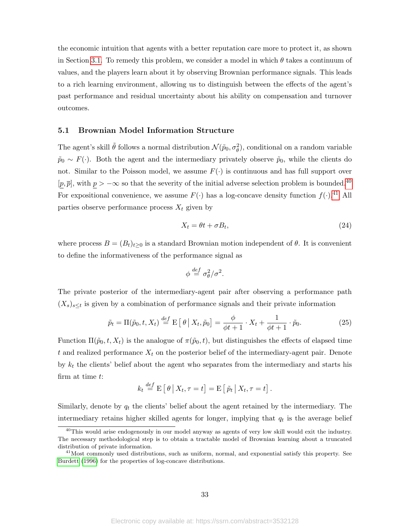the economic intuition that agents with a better reputation care more to protect it, as shown in Section [3.1.](#page-13-3) To remedy this problem, we consider a model in which  $\theta$  takes a continuum of values, and the players learn about it by observing Brownian performance signals. This leads to a rich learning environment, allowing us to distinguish between the effects of the agent's past performance and residual uncertainty about his ability on compensation and turnover outcomes.

#### 5.1 Brownian Model Information Structure

The agent's skill  $\tilde{\theta}$  follows a normal distribution  $\mathcal{N}(\tilde{p}_0, \sigma_\theta^2)$ , conditional on a random variable  $\tilde{p}_0 \sim F(\cdot)$ . Both the agent and the intermediary privately observe  $\tilde{p}_0$ , while the clients do not. Similar to the Poisson model, we assume  $F(\cdot)$  is continuous and has full support over  $[p, \overline{p}]$ , with  $p > -\infty$  so that the severity of the initial adverse selection problem is bounded.<sup>[40](#page-32-0)</sup> For expositional convenience, we assume  $F(\cdot)$  has a log-concave density function  $f(\cdot)$ .<sup>[41](#page-32-1)</sup> All parties observe performance process  $X_t$  given by

$$
X_t = \theta t + \sigma B_t,\tag{24}
$$

where process  $B = (B_t)_{t\geq 0}$  is a standard Brownian motion independent of  $\theta$ . It is convenient to define the informativeness of the performance signal as

<span id="page-32-2"></span>
$$
\phi\stackrel{def}{=}\sigma_\theta^2/\sigma^2.
$$

The private posterior of the intermediary-agent pair after observing a performance path  $(X_s)_{s\leq t}$  is given by a combination of performance signals and their private information

$$
\tilde{p}_t = \Pi(\tilde{p}_0, t, X_t) \stackrel{def}{=} \mathcal{E}\left[\theta \mid X_t, \tilde{p}_0\right] = \frac{\phi}{\phi t + 1} \cdot X_t + \frac{1}{\phi t + 1} \cdot \tilde{p}_0. \tag{25}
$$

Function  $\Pi(\tilde{p}_0, t, X_t)$  is the analogue of  $\pi(\tilde{p}_0, t)$ , but distinguishes the effects of elapsed time t and realized performance  $X_t$  on the posterior belief of the intermediary-agent pair. Denote by  $k_t$  the clients' belief about the agent who separates from the intermediary and starts his firm at time t:

$$
k_t \stackrel{def}{=} \mathrm{E}\left[\theta \,|\, X_t, \tau = t\right] = \mathrm{E}\left[\tilde{p}_t \,|\, X_t, \tau = t\right].
$$

Similarly, denote by  $q_t$  the clients' belief about the agent retained by the intermediary. The intermediary retains higher skilled agents for longer, implying that  $q_t$  is the average belief

<span id="page-32-0"></span> $^{40}$ This would arise endogenously in our model anyway as agents of very low skill would exit the industry. The necessary methodological step is to obtain a tractable model of Brownian learning about a truncated distribution of private information.

<span id="page-32-1"></span><sup>&</sup>lt;sup>41</sup>Most commonly used distributions, such as uniform, normal, and exponential satisfy this property. See [Burdett](#page-43-16) [\(1996\)](#page-43-16) for the properties of log-concave distributions.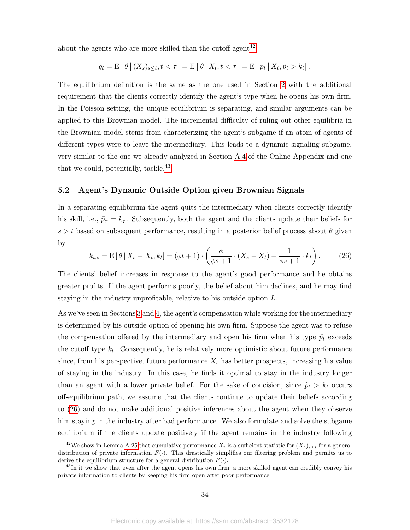about the agents who are more skilled than the cutoff agent<sup>[42](#page-33-0)</sup>

$$
q_t = \mathbf{E}\left[\left.\theta\,\right|(X_s)_{s\leq t}, t < \tau\right] = \mathbf{E}\left[\left.\theta\,\right|X_t, t < \tau\right] = \mathbf{E}\left[\left.\tilde{p}_t\,\right|X_t, \tilde{p}_t > k_t\right].
$$

The equilibrium definition is the same as the one used in Section [2](#page-8-1) with the additional requirement that the clients correctly identify the agent's type when he opens his own firm. In the Poisson setting, the unique equilibrium is separating, and similar arguments can be applied to this Brownian model. The incremental difficulty of ruling out other equilibria in the Brownian model stems from characterizing the agent's subgame if an atom of agents of different types were to leave the intermediary. This leads to a dynamic signaling subgame, very similar to the one we already analyzed in Section [A.4](#page-49-0) of the Online Appendix and one that we could, potentially, tackle.<sup>[43](#page-33-1)</sup>

#### 5.2 Agent's Dynamic Outside Option given Brownian Signals

In a separating equilibrium the agent quits the intermediary when clients correctly identify his skill, i.e.,  $\tilde{p}_{\tau} = k_{\tau}$ . Subsequently, both the agent and the clients update their beliefs for  $s > t$  based on subsequent performance, resulting in a posterior belief process about  $\theta$  given by

<span id="page-33-2"></span>
$$
k_{t,s} = \mathbb{E}\left[\theta \,|\, X_s - X_t, k_t\right] = (\phi t + 1) \cdot \left(\frac{\phi}{\phi s + 1} \cdot (X_s - X_t) + \frac{1}{\phi s + 1} \cdot k_t\right). \tag{26}
$$

The clients' belief increases in response to the agent's good performance and he obtains greater profits. If the agent performs poorly, the belief about him declines, and he may find staying in the industry unprofitable, relative to his outside option L.

As we've seen in Sections [3](#page-13-0) and [4,](#page-26-0) the agent's compensation while working for the intermediary is determined by his outside option of opening his own firm. Suppose the agent was to refuse the compensation offered by the intermediary and open his firm when his type  $\tilde{p}_t$  exceeds the cutoff type  $k_t$ . Consequently, he is relatively more optimistic about future performance since, from his perspective, future performance  $X_t$  has better prospects, increasing his value of staying in the industry. In this case, he finds it optimal to stay in the industry longer than an agent with a lower private belief. For the sake of concision, since  $\tilde{p}_t > k_t$  occurs off-equilibrium path, we assume that the clients continue to update their beliefs according to [\(26\)](#page-33-2) and do not make additional positive inferences about the agent when they observe him staying in the industry after bad performance. We also formulate and solve the subgame equilibrium if the clients update positively if the agent remains in the industry following

<span id="page-33-0"></span><sup>&</sup>lt;sup>42</sup>We show in Lemma [A.25](#page-82-0) that cumulative performance  $X_t$  is a sufficient statistic for  $(X_s)_{s\leq t}$  for a general distribution of private information  $F(\cdot)$ . This drastically simplifies our filtering problem and permits us to derive the equilibrium structure for a general distribution  $F(.)$ .

<span id="page-33-1"></span><sup>&</sup>lt;sup>43</sup>In it we show that even after the agent opens his own firm, a more skilled agent can credibly convey his private information to clients by keeping his firm open after poor performance.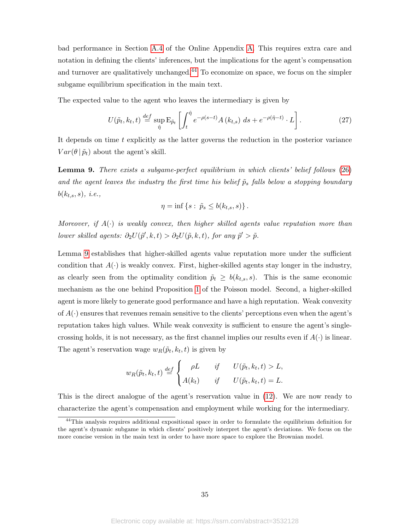bad performance in Section [A.4](#page-49-0) of the Online Appendix [A.](#page-0-0) This requires extra care and notation in defining the clients' inferences, but the implications for the agent's compensation and turnover are qualitatively unchanged.<sup>[44](#page-34-0)</sup> To economize on space, we focus on the simpler subgame equilibrium specification in the main text.

The expected value to the agent who leaves the intermediary is given by

$$
U(\tilde{p}_t, k_t, t) \stackrel{def}{=} \sup_{\hat{\eta}} \mathcal{E}_{\tilde{p}_t} \left[ \int_t^{\hat{\eta}} e^{-\rho(s-t)} A(k_{t,s}) ds + e^{-\rho(\hat{\eta}-t)} \cdot L \right]. \tag{27}
$$

It depends on time  $t$  explicitly as the latter governs the reduction in the posterior variance  $Var(\theta | \tilde{p}_t)$  about the agent's skill.

<span id="page-34-1"></span>Lemma 9. There exists a subgame-perfect equilibrium in which clients' belief follows [\(26\)](#page-33-2) and the agent leaves the industry the first time his belief  $\tilde{p}_s$  falls below a stopping boundary  $b(k_{t,s}, s)$ , *i.e.*,

$$
\eta = \inf \left\{ s : \tilde{p}_s \leq b(k_{t,s}, s) \right\}.
$$

Moreover, if  $A(\cdot)$  is weakly convex, then higher skilled agents value reputation more than lower skilled agents:  $\partial_2 U(\tilde{p}', k, t) > \partial_2 U(\tilde{p}, k, t)$ , for any  $\tilde{p}' > \tilde{p}$ .

Lemma [9](#page-34-1) establishes that higher-skilled agents value reputation more under the sufficient condition that  $A(\cdot)$  is weakly convex. First, higher-skilled agents stay longer in the industry, as clearly seen from the optimality condition  $\tilde{p}_t \geq b(k_{t,s}, s)$ . This is the same economic mechanism as the one behind Proposition [1](#page-14-1) of the Poisson model. Second, a higher-skilled agent is more likely to generate good performance and have a high reputation. Weak convexity of  $A(\cdot)$  ensures that revenues remain sensitive to the clients' perceptions even when the agent's reputation takes high values. While weak convexity is sufficient to ensure the agent's singlecrossing holds, it is not necessary, as the first channel implies our results even if  $A(\cdot)$  is linear. The agent's reservation wage  $w_R(\tilde{p}_t, k_t, t)$  is given by

$$
w_R(\tilde{p}_t, k_t, t) \stackrel{def}{=} \begin{cases} \rho L & \text{if} & U(\tilde{p}_t, k_t, t) > L, \\ A(k_t) & \text{if} & U(\tilde{p}_t, k_t, t) = L. \end{cases}
$$

This is the direct analogue of the agent's reservation value in [\(12\)](#page-15-2). We are now ready to characterize the agent's compensation and employment while working for the intermediary.

<span id="page-34-0"></span><sup>&</sup>lt;sup>44</sup>This analysis requires additional expositional space in order to formulate the equilibrium definition for the agent's dynamic subgame in which clients' positively interpret the agent's deviations. We focus on the more concise version in the main text in order to have more space to explore the Brownian model.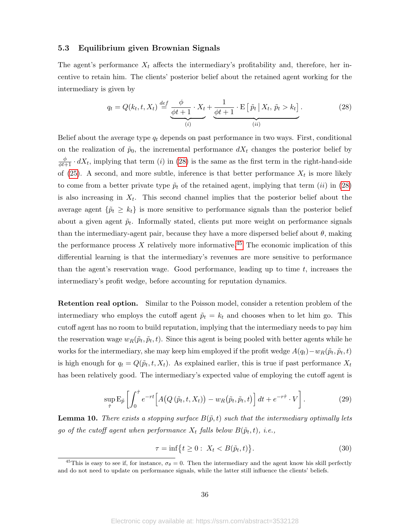#### 5.3 Equilibrium given Brownian Signals

The agent's performance  $X_t$  affects the intermediary's profitability and, therefore, her incentive to retain him. The clients' posterior belief about the retained agent working for the intermediary is given by

<span id="page-35-0"></span>
$$
q_t = Q(k_t, t, X_t) \stackrel{def}{=} \underbrace{\frac{\phi}{\phi t + 1} \cdot X_t}_{(i)} + \underbrace{\frac{1}{\phi t + 1} \cdot E\left[\tilde{p}_t \,|\, X_t, \tilde{p}_t > k_t\right]}_{(ii)}.
$$
\n
$$
(28)
$$

Belief about the average type  $q_t$  depends on past performance in two ways. First, conditional on the realization of  $\tilde{p}_0$ , the incremental performance  $dX_t$  changes the posterior belief by  $\frac{\phi}{\phi t+1} \cdot dX_t$ , implying that term (*i*) in [\(28\)](#page-35-0) is the same as the first term in the right-hand-side of [\(25\)](#page-32-2). A second, and more subtle, inference is that better performance  $X_t$  is more likely to come from a better private type  $\tilde{p}_t$  of the retained agent, implying that term (ii) in [\(28\)](#page-35-0) is also increasing in  $X_t$ . This second channel implies that the posterior belief about the average agent  $\{\tilde{p}_t \geq k_t\}$  is more sensitive to performance signals than the posterior belief about a given agent  $\tilde{p}_t$ . Informally stated, clients put more weight on performance signals than the intermediary-agent pair, because they have a more dispersed belief about  $\theta$ , making the performance process X relatively more informative.<sup>[45](#page-35-1)</sup> The economic implication of this differential learning is that the intermediary's revenues are more sensitive to performance than the agent's reservation wage. Good performance, leading up to time  $t$ , increases the intermediary's profit wedge, before accounting for reputation dynamics.

Retention real option. Similar to the Poisson model, consider a retention problem of the intermediary who employs the cutoff agent  $\tilde{p}_t = k_t$  and chooses when to let him go. This cutoff agent has no room to build reputation, implying that the intermediary needs to pay him the reservation wage  $w_R(\tilde{p}_t, \tilde{p}_t, t)$ . Since this agent is being pooled with better agents while he works for the intermediary, she may keep him employed if the profit wedge  $A(q_t) - w_R(\tilde{p}_t, \tilde{p}_t, t)$ is high enough for  $q_t = Q(\tilde{p}_t, t, X_t)$ . As explained earlier, this is true if past performance  $X_t$ has been relatively good. The intermediary's expected value of employing the cutoff agent is

$$
\sup_{\hat{\tau}} \mathcal{E}_{\tilde{p}} \left[ \int_0^{\hat{\tau}} e^{-rt} \left[ A(Q(\tilde{p}_t, t, X_t)) - w_R(\tilde{p}_t, \tilde{p}_t, t) \right] dt + e^{-r\hat{\tau}} \cdot V \right]. \tag{29}
$$

**Lemma 10.** There exists a stopping surface  $B(\tilde{p}, t)$  such that the intermediary optimally lets go of the cutoff agent when performance  $X_t$  falls below  $B(\tilde{p}_t, t)$ , i.e.,

$$
\tau = \inf\{t \ge 0: \ X_t < B(\tilde{p}_t, t)\}.\tag{30}
$$

<span id="page-35-1"></span><sup>&</sup>lt;sup>45</sup>This is easy to see if, for instance,  $\sigma_{\theta} = 0$ . Then the intermediary and the agent know his skill perfectly and do not need to update on performance signals, while the latter still influence the clients' beliefs.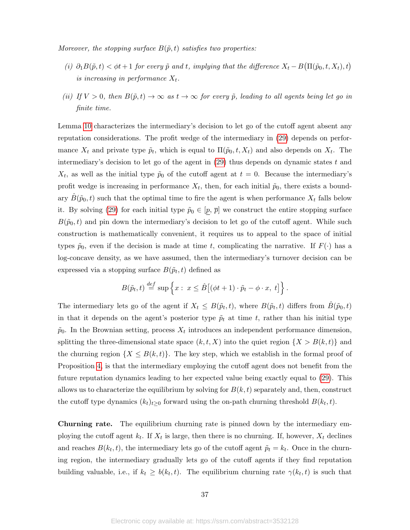Moreover, the stopping surface  $B(\tilde{p}, t)$  satisfies two properties:

- (i)  $\partial_1 B(\tilde{p}, t) < \phi t + 1$  for every  $\tilde{p}$  and t, implying that the difference  $X_t B(\Pi(\tilde{p}_0, t, X_t), t)$ is increasing in performance  $X_t$ .
- (ii) If  $V > 0$ , then  $B(\tilde{p}, t) \to \infty$  as  $t \to \infty$  for every  $\tilde{p}$ , leading to all agents being let go in finite time.

Lemma [10](#page-35-0) characterizes the intermediary's decision to let go of the cutoff agent absent any reputation considerations. The profit wedge of the intermediary in [\(29\)](#page-35-1) depends on performance  $X_t$  and private type  $\tilde{p}_t$ , which is equal to  $\Pi(\tilde{p}_0, t, X_t)$  and also depends on  $X_t$ . The intermediary's decision to let go of the agent in  $(29)$  thus depends on dynamic states t and  $X_t$ , as well as the initial type  $\tilde{p}_0$  of the cutoff agent at  $t = 0$ . Because the intermediary's profit wedge is increasing in performance  $X_t$ , then, for each initial  $\tilde{p}_0$ , there exists a boundary  $B(\tilde{p}_0, t)$  such that the optimal time to fire the agent is when performance  $X_t$  falls below it. By solving [\(29\)](#page-35-1) for each initial type  $\tilde{p}_0 \in [p, \bar{p}]$  we construct the entire stopping surface  $B(\tilde{p}_0, t)$  and pin down the intermediary's decision to let go of the cutoff agent. While such construction is mathematically convenient, it requires us to appeal to the space of initial types  $\tilde{p}_0$ , even if the decision is made at time t, complicating the narrative. If  $F(\cdot)$  has a log-concave density, as we have assumed, then the intermediary's turnover decision can be expressed via a stopping surface  $B(\tilde{p}_t, t)$  defined as

$$
B(\tilde{p}_t, t) \stackrel{def}{=} \sup \left\{ x : x \leq \hat{B}[(\phi t + 1) \cdot \tilde{p}_t - \phi \cdot x, t] \right\}.
$$

The intermediary lets go of the agent if  $X_t \leq B(\tilde{p}_t, t)$ , where  $B(\tilde{p}_t, t)$  differs from  $\hat{B}(\tilde{p}_0, t)$ in that it depends on the agent's posterior type  $\tilde{p}_t$  at time t, rather than his initial type  $\tilde{p}_0$ . In the Brownian setting, process  $X_t$  introduces an independent performance dimension, splitting the three-dimensional state space  $(k, t, X)$  into the quiet region  $\{X > B(k, t)\}\$  and the churning region  $\{X \leq B(k,t)\}\$ . The key step, which we establish in the formal proof of Proposition [4,](#page-37-0) is that the intermediary employing the cutoff agent does not benefit from the future reputation dynamics leading to her expected value being exactly equal to [\(29\)](#page-35-1). This allows us to characterize the equilibrium by solving for  $B(k, t)$  separately and, then, construct the cutoff type dynamics  $(k_t)_{t\geq 0}$  forward using the on-path churning threshold  $B(k_t, t)$ .

Churning rate. The equilibrium churning rate is pinned down by the intermediary employing the cutoff agent  $k_t$ . If  $X_t$  is large, then there is no churning. If, however,  $X_t$  declines and reaches  $B(k_t, t)$ , the intermediary lets go of the cutoff agent  $\tilde{p}_t = k_t$ . Once in the churning region, the intermediary gradually lets go of the cutoff agents if they find reputation building valuable, i.e., if  $k_t \geq b(k_t, t)$ . The equilibrium churning rate  $\gamma(k_t, t)$  is such that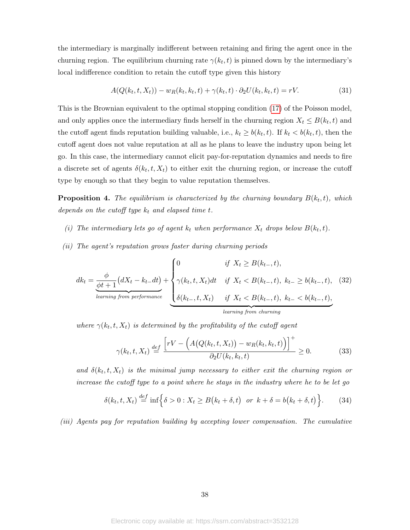the intermediary is marginally indifferent between retaining and firing the agent once in the churning region. The equilibrium churning rate  $\gamma(k_t, t)$  is pinned down by the intermediary's local indifference condition to retain the cutoff type given this history

$$
A(Q(k_t, t, X_t)) - w_R(k_t, k_t, t) + \gamma(k_t, t) \cdot \partial_2 U(k_t, k_t, t) = rV.
$$
\n(31)

This is the Brownian equivalent to the optimal stopping condition [\(17\)](#page-18-0) of the Poisson model, and only applies once the intermediary finds herself in the churning region  $X_t \leq B(k_t, t)$  and the cutoff agent finds reputation building valuable, i.e.,  $k_t \geq b(k_t, t)$ . If  $k_t < b(k_t, t)$ , then the cutoff agent does not value reputation at all as he plans to leave the industry upon being let go. In this case, the intermediary cannot elicit pay-for-reputation dynamics and needs to fire a discrete set of agents  $\delta(k_t, t, X_t)$  to either exit the churning region, or increase the cutoff type by enough so that they begin to value reputation themselves.

<span id="page-37-0"></span>**Proposition 4.** The equilibrium is characterized by the churning boundary  $B(k_t,t)$ , which depends on the cutoff type  $k_t$  and elapsed time t.

- (i) The intermediary lets go of agent  $k_t$  when performance  $X_t$  drops below  $B(k_t,t)$ .
- (ii) The agent's reputation grows faster during churning periods

$$
dk_t = \underbrace{\frac{\phi}{\phi t + 1}(dX_t - k_t - dt)}_{learning\ from\ performance} + \begin{cases} 0 & \text{if } X_t \ge B(k_{t-}, t), \\ \gamma(k_t, t, X_t)dt & \text{if } X_t < B(k_{t-}, t), \ k_{t-} \ge b(k_{t-}, t), \ (32) \\ \delta(k_{t-}, t, X_t) & \text{if } X_t < B(k_{t-}, t), \ k_{t-} < b(k_{t-}, t), \ k_{t-} < b(k_{t-}, t), \end{cases}
$$

where  $\gamma(k_t, t, X_t)$  is determined by the profitability of the cutoff agent

<span id="page-37-1"></span>
$$
\gamma(k_t, t, X_t) \stackrel{def}{=} \frac{\left[rV - \left(A(Q(k_t, t, X_t)) - w_R(k_t, k_t, t)\right)\right]^+}{\partial_2 U(k_t, k_t, t)} \ge 0.
$$
\n(33)

and  $\delta(k_t, t, X_t)$  is the minimal jump necessary to either exit the churning region or increase the cutoff type to a point where he stays in the industry where he to be let go

$$
\delta(k_t, t, X_t) \stackrel{def}{=} \inf \Big\{ \delta > 0 : X_t \ge B(k_t + \delta, t) \quad \text{or} \quad k + \delta = b(k_t + \delta, t) \Big\}.
$$

(iii) Agents pay for reputation building by accepting lower compensation. The cumulative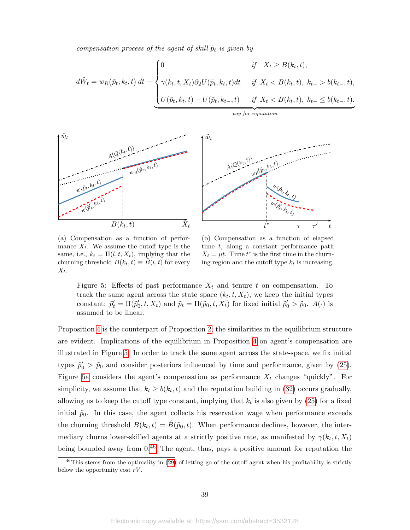compensation process of the agent of skill  $\tilde{p}_t$  is given by

$$
d\tilde{W}_t = w_R(\tilde{p}_t, k_t, t) dt - \begin{cases} 0 & \text{if } X_t \geq B(k_t, t), \\ \gamma(k_t, t, X_t) \partial_2 U(\tilde{p}_t, k_t, t) dt & \text{if } X_t < B(k_t, t), \ k_t > b(k_{t-}, t), \\ U(\tilde{p}_t, k_t, t) - U(\tilde{p}_t, k_{t-}, t) & \text{if } X_t < B(k_t, t), \ k_t = \leq b(k_t, t). \end{cases}
$$

<span id="page-38-0"></span>

(a) Compensation as a function of performance  $X_t$ . We assume the cutoff type is the same, i.e.,  $k_t = \Pi(l, t, X_t)$ , implying that the churning threshold  $B(k_t, t) \equiv \overline{B}(l, t)$  for every  $X_t$ .

(b) Compensation as a function of elapsed time t, along a constant performance path  $X_t = \mu t$ . Time  $t^*$  is the first time in the churning region and the cutoff type  $k_t$  is increasing.

Figure 5: Effects of past performance  $X_t$  and tenure t on compensation. To track the same agent across the state space  $(k_t, t, X_t)$ , we keep the initial types constant:  $\tilde{p}'_t = \Pi(\tilde{p}'_0, t, X_t)$  and  $\tilde{p}_t = \Pi(\tilde{p}_0, t, X_t)$  for fixed initial  $\tilde{p}'_0 > \tilde{p}_0$ .  $A(\cdot)$  is assumed to be linear.

Proposition [4](#page-37-0) is the counterpart of Proposition [2;](#page-16-0) the similarities in the equilibrium structure are evident. Implications of the equilibrium in Proposition [4](#page-37-0) on agent's compensation are illustrated in Figure [5.](#page-38-0) In order to track the same agent across the state-space, we fix initial types  $\tilde{p}'_0 > \tilde{p}_0$  and consider posteriors influenced by time and performance, given by [\(25\)](#page-32-0). Figure [5a](#page-38-0) considers the agent's compensation as performance  $X_t$  changes "quickly". For simplicity, we assume that  $k_t \geq b(k_t, t)$  and the reputation building in [\(32\)](#page-37-1) occurs gradually, allowing us to keep the cutoff type constant, implying that  $k_t$  is also given by  $(25)$  for a fixed initial  $\tilde{p}_0$ . In this case, the agent collects his reservation wage when performance exceeds the churning threshold  $B(k_t, t) = \hat{B}(\tilde{p}_0, t)$ . When performance declines, however, the intermediary churns lower-skilled agents at a strictly positive rate, as manifested by  $\gamma(k_t, t, X_t)$ being bounded away from  $0^{46}$  $0^{46}$  $0^{46}$ . The agent, thus, pays a positive amount for reputation the

<span id="page-38-1"></span> $^{46}$ This stems from the optimality in [\(29\)](#page-35-1) of letting go of the cutoff agent when his profitability is strictly below the opportunity cost  $rV$ .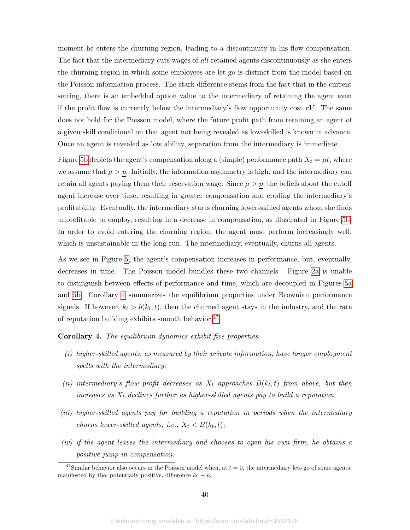moment he enters the churning region, leading to a discontinuity in his flow compensation. The fact that the intermediary cuts wages of all retained agents discontinuously as she enters the churning region in which some employees are let go is distinct from the model based on the Poisson information process. The stark difference stems from the fact that in the current setting, there is an embedded option value to the intermediary of retaining the agent even if the profit flow is currently below the intermediary's flow opportunity cost  $rV$ . The same does not hold for the Poisson model, where the future profit path from retaining an agent of a given skill conditional on that agent not being revealed as low-skilled is known in advance. Once an agent is revealed as low ability, separation from the intermediary is immediate.

Figure [5b](#page-38-0) depicts the agent's compensation along a (simple) performance path  $X_t = \mu t$ , where we assume that  $\mu > p$ . Initially, the information asymmetry is high, and the intermediary can retain all agents paying them their reservation wage. Since  $\mu > p$ , the beliefs about the cutoff agent increase over time, resulting in greater compensation and eroding the intermediary's profitability. Eventually, the intermediary starts churning lower-skilled agents whom she finds unprofitable to employ, resulting in a decrease in compensation, as illustrated in Figure [5b.](#page-38-0) In order to avoid entering the churning region, the agent must perform increasingly well, which is unsustainable in the long-run. The intermediary, eventually, churns all agents.

As we see in Figure [5,](#page-38-0) the agent's compensation increases in performance, but, eventually, decreases in time. The Poisson model bundles these two channels - Figure [2a](#page-19-0) is unable to distinguish between effects of performance and time, which are decoupled in Figures [5a](#page-38-0) and [5b.](#page-38-0) Corollary [4](#page-39-0) summarizes the equilibrium properties under Brownian performance signals. If however,  $k_t > b(k_t, t)$ , then the churned agent stays in the industry, and the rate of reputation building exhibits smooth behavior. $47$ 

<span id="page-39-0"></span>Corollary 4. The equilibrium dynamics exhibit five properties

- (i) higher-skilled agents, as measured by their private information, have longer employment spells with the intermediary;
- (ii) intermediary's flow profit decreases as  $X_t$  approaches  $B(k_t, t)$  from above, but then increases as  $X_t$  declines further as higher-skilled agents pay to build a reputation.
- (iii) higher-skilled agents pay for building a reputation in periods when the intermediary *churns lower-skilled agents, i.e.,*  $X_t < B(k_t, t)$ ;
- (iv) if the agent leaves the intermediary and chooses to open his own firm, he obtains a positive jump in compensation.

<span id="page-39-1"></span><sup>&</sup>lt;sup>47</sup>Similar behavior also occurs in the Poisson model when, at  $t = 0$ , the intermediary lets go of some agents, manifested by the, potentially positive, difference  $k_0 - p$ .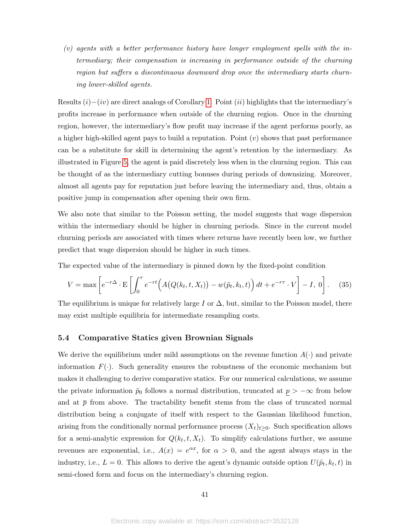(v) agents with a better performance history have longer employment spells with the intermediary; their compensation is increasing in performance outside of the churning region but suffers a discontinuous downward drop once the intermediary starts churning lower-skilled agents.

Results  $(i)-(iv)$  are direct analogs of Corollary [1.](#page-20-0) Point  $(ii)$  highlights that the intermediary's profits increase in performance when outside of the churning region. Once in the churning region, however, the intermediary's flow profit may increase if the agent performs poorly, as a higher high-skilled agent pays to build a reputation. Point  $(v)$  shows that past performance can be a substitute for skill in determining the agent's retention by the intermediary. As illustrated in Figure [5,](#page-38-0) the agent is paid discretely less when in the churning region. This can be thought of as the intermediary cutting bonuses during periods of downsizing. Moreover, almost all agents pay for reputation just before leaving the intermediary and, thus, obtain a positive jump in compensation after opening their own firm.

We also note that similar to the Poisson setting, the model suggests that wage dispersion within the intermediary should be higher in churning periods. Since in the current model churning periods are associated with times where returns have recently been low, we further predict that wage dispersion should be higher in such times.

The expected value of the intermediary is pinned down by the fixed-point condition

<span id="page-40-0"></span>
$$
V = \max\left[e^{-r\Delta} \cdot \mathbb{E}\left[\int_0^{\tau} e^{-rt}\Big(A\big(Q(k_t, t, X_t)\big) - w(\tilde{p}_t, k_t, t)\Big) dt + e^{-r\tau} \cdot V\right] - I, 0\right].
$$
 (35)

The equilibrium is unique for relatively large I or  $\Delta$ , but, similar to the Poisson model, there may exist multiple equilibria for intermediate resampling costs.

#### 5.4 Comparative Statics given Brownian Signals

We derive the equilibrium under mild assumptions on the revenue function  $A(\cdot)$  and private information  $F(\cdot)$ . Such generality ensures the robustness of the economic mechanism but makes it challenging to derive comparative statics. For our numerical calculations, we assume the private information  $\tilde{p}_0$  follows a normal distribution, truncated at  $p > -\infty$  from below and at  $\bar{p}$  from above. The tractability benefit stems from the class of truncated normal distribution being a conjugate of itself with respect to the Gaussian likelihood function, arising from the conditionally normal performance process  $(X_t)_{t\geq0}$ . Such specification allows for a semi-analytic expression for  $Q(k_t, t, X_t)$ . To simplify calculations further, we assume revenues are exponential, i.e.,  $A(x) = e^{\alpha x}$ , for  $\alpha > 0$ , and the agent always stays in the industry, i.e.,  $L = 0$ . This allows to derive the agent's dynamic outside option  $U(\tilde{p}_t, k_t, t)$  in semi-closed form and focus on the intermediary's churning region.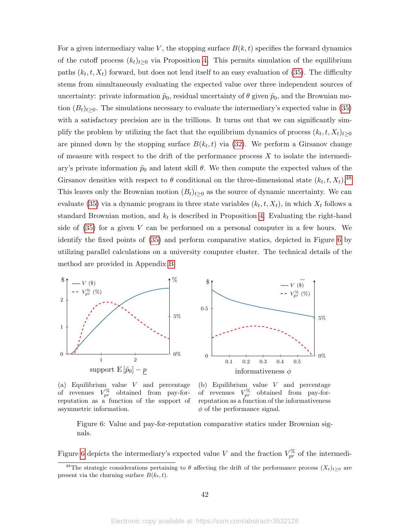For a given intermediary value V, the stopping surface  $B(k, t)$  specifies the forward dynamics of the cutoff process  $(k_t)_{t\geq 0}$  via Proposition [4.](#page-37-0) This permits simulation of the equilibrium paths  $(k_t, t, X_t)$  forward, but does not lend itself to an easy evaluation of [\(35\)](#page-40-0). The difficulty stems from simultaneously evaluating the expected value over three independent sources of uncertainty: private information  $\tilde{p}_0$ , residual uncertainty of  $\theta$  given  $\tilde{p}_0$ , and the Brownian motion  $(B_t)_{t>0}$ . The simulations necessary to evaluate the intermediary's expected value in [\(35\)](#page-40-0) with a satisfactory precision are in the trillions. It turns out that we can significantly simplify the problem by utilizing the fact that the equilibrium dynamics of process  $(k_t, t, X_t)_{t\geq 0}$ are pinned down by the stopping surface  $B(k_t, t)$  via [\(32\)](#page-37-1). We perform a Girsanov change of measure with respect to the drift of the performance process  $X$  to isolate the intermediary's private information  $\tilde{p}_0$  and latent skill  $\theta$ . We then compute the expected values of the Girsanov densities with respect to  $\theta$  conditional on the three-dimensional state  $(k_t, t, X_t)$ .<sup>[48](#page-41-0)</sup> This leaves only the Brownian motion  $(B_t)_{t>0}$  as the source of dynamic uncertainty. We can evaluate [\(35\)](#page-40-0) via a dynamic program in three state variables  $(k_t, t, X_t)$ , in which  $X_t$  follows a standard Brownian motion, and  $k_t$  is described in Proposition [4.](#page-37-0) Evaluating the right-hand side of  $(35)$  for a given V can be performed on a personal computer in a few hours. We identify the fixed points of [\(35\)](#page-40-0) and perform comparative statics, depicted in Figure [6](#page-41-1) by utilizing parallel calculations on a university computer cluster. The technical details of the method are provided in Appendix [B.](#page-0-0)

<span id="page-41-1"></span>

(a) Equilibrium value V and percentage of revenues  $V_{pr}^{\%}$  obtained from pay-forreputation as a function of the support of asymmetric information.

(b) Equilibrium value  $V$  and percentage of revenues  $V_{pr}^{\%}$  obtained from pay-forreputation as a function of the informativeness  $\phi$  of the performance signal.

Figure 6: Value and pay-for-reputation comparative statics under Brownian signals.

Figure [6](#page-41-1) depicts the intermediary's expected value V and the fraction  $V_{pr}^{\%}$  of the intermedi-

<span id="page-41-0"></span><sup>&</sup>lt;sup>48</sup>The strategic considerations pertaining to  $\theta$  affecting the drift of the performance process  $(X_t)_{t\geq0}$  are present via the churning surface  $B(k_t, t)$ .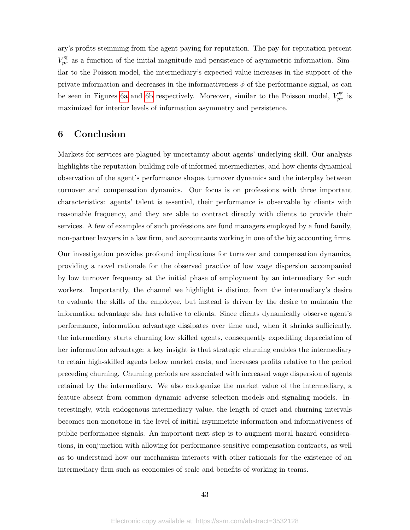ary's profits stemming from the agent paying for reputation. The pay-for-reputation percent  $V_{pr}^{\%}$  as a function of the initial magnitude and persistence of asymmetric information. Similar to the Poisson model, the intermediary's expected value increases in the support of the private information and decreases in the informativeness  $\phi$  of the performance signal, as can be seen in Figures [6a](#page-41-1) and [6b](#page-41-1) respectively. Moreover, similar to the Poisson model,  $V_{pr}^{\%}$  is maximized for interior levels of information asymmetry and persistence.

## 6 Conclusion

Markets for services are plagued by uncertainty about agents' underlying skill. Our analysis highlights the reputation-building role of informed intermediaries, and how clients dynamical observation of the agent's performance shapes turnover dynamics and the interplay between turnover and compensation dynamics. Our focus is on professions with three important characteristics: agents' talent is essential, their performance is observable by clients with reasonable frequency, and they are able to contract directly with clients to provide their services. A few of examples of such professions are fund managers employed by a fund family, non-partner lawyers in a law firm, and accountants working in one of the big accounting firms.

Our investigation provides profound implications for turnover and compensation dynamics, providing a novel rationale for the observed practice of low wage dispersion accompanied by low turnover frequency at the initial phase of employment by an intermediary for such workers. Importantly, the channel we highlight is distinct from the intermediary's desire to evaluate the skills of the employee, but instead is driven by the desire to maintain the information advantage she has relative to clients. Since clients dynamically observe agent's performance, information advantage dissipates over time and, when it shrinks sufficiently, the intermediary starts churning low skilled agents, consequently expediting depreciation of her information advantage: a key insight is that strategic churning enables the intermediary to retain high-skilled agents below market costs, and increases profits relative to the period preceding churning. Churning periods are associated with increased wage dispersion of agents retained by the intermediary. We also endogenize the market value of the intermediary, a feature absent from common dynamic adverse selection models and signaling models. Interestingly, with endogenous intermediary value, the length of quiet and churning intervals becomes non-monotone in the level of initial asymmetric information and informativeness of public performance signals. An important next step is to augment moral hazard considerations, in conjunction with allowing for performance-sensitive compensation contracts, as well as to understand how our mechanism interacts with other rationals for the existence of an intermediary firm such as economies of scale and benefits of working in teams.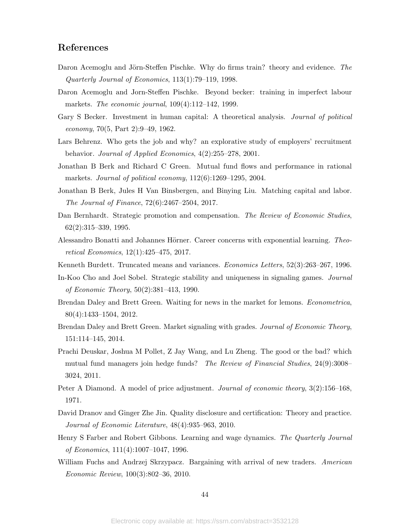## References

- Daron Acemoglu and Jörn-Steffen Pischke. Why do firms train? theory and evidence. The Quarterly Journal of Economics, 113(1):79–119, 1998.
- Daron Acemoglu and Jorn-Steffen Pischke. Beyond becker: training in imperfect labour markets. The economic journal, 109(4):112–142, 1999.
- Gary S Becker. Investment in human capital: A theoretical analysis. *Journal of political* economy, 70(5, Part 2):9–49, 1962.
- Lars Behrenz. Who gets the job and why? an explorative study of employers' recruitment behavior. *Journal of Applied Economics*, 4(2):255–278, 2001.
- Jonathan B Berk and Richard C Green. Mutual fund flows and performance in rational markets. Journal of political economy, 112(6):1269–1295, 2004.
- Jonathan B Berk, Jules H Van Binsbergen, and Binying Liu. Matching capital and labor. The Journal of Finance, 72(6):2467–2504, 2017.
- Dan Bernhardt. Strategic promotion and compensation. The Review of Economic Studies, 62(2):315–339, 1995.
- Alessandro Bonatti and Johannes Hörner. Career concerns with exponential learning. Theoretical Economics, 12(1):425–475, 2017.
- Kenneth Burdett. Truncated means and variances. Economics Letters, 52(3):263–267, 1996.
- In-Koo Cho and Joel Sobel. Strategic stability and uniqueness in signaling games. Journal of Economic Theory, 50(2):381–413, 1990.
- Brendan Daley and Brett Green. Waiting for news in the market for lemons. Econometrica, 80(4):1433–1504, 2012.
- Brendan Daley and Brett Green. Market signaling with grades. Journal of Economic Theory, 151:114–145, 2014.
- Prachi Deuskar, Joshua M Pollet, Z Jay Wang, and Lu Zheng. The good or the bad? which mutual fund managers join hedge funds? The Review of Financial Studies, 24(9):3008– 3024, 2011.
- Peter A Diamond. A model of price adjustment. *Journal of economic theory*,  $3(2):156-168$ , 1971.
- David Dranov and Ginger Zhe Jin. Quality disclosure and certification: Theory and practice. Journal of Economic Literature, 48(4):935–963, 2010.
- Henry S Farber and Robert Gibbons. Learning and wage dynamics. The Quarterly Journal of Economics, 111(4):1007–1047, 1996.
- William Fuchs and Andrzej Skrzypacz. Bargaining with arrival of new traders. American Economic Review, 100(3):802–36, 2010.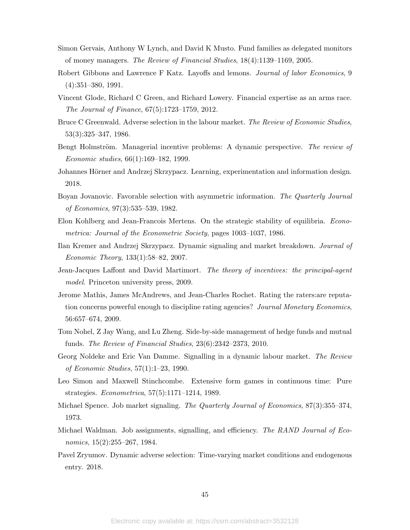- Simon Gervais, Anthony W Lynch, and David K Musto. Fund families as delegated monitors of money managers. The Review of Financial Studies, 18(4):1139–1169, 2005.
- Robert Gibbons and Lawrence F Katz. Layoffs and lemons. Journal of labor Economics, 9 (4):351–380, 1991.
- <span id="page-44-0"></span>Vincent Glode, Richard C Green, and Richard Lowery. Financial expertise as an arms race. The Journal of Finance, 67(5):1723–1759, 2012.
- Bruce C Greenwald. Adverse selection in the labour market. The Review of Economic Studies, 53(3):325–347, 1986.
- Bengt Holmström. Managerial incentive problems: A dynamic perspective. The review of Economic studies, 66(1):169–182, 1999.
- Johannes Hörner and Andrzej Skrzypacz. Learning, experimentation and information design. 2018.
- Boyan Jovanovic. Favorable selection with asymmetric information. The Quarterly Journal of Economics, 97(3):535–539, 1982.
- Elon Kohlberg and Jean-Francois Mertens. On the strategic stability of equilibria. Econometrica: Journal of the Econometric Society, pages 1003–1037, 1986.
- Ilan Kremer and Andrzej Skrzypacz. Dynamic signaling and market breakdown. Journal of Economic Theory, 133(1):58–82, 2007.
- Jean-Jacques Laffont and David Martimort. The theory of incentives: the principal-agent model. Princeton university press, 2009.
- Jerome Mathis, James McAndrews, and Jean-Charles Rochet. Rating the raters:are reputation concerns powerful enough to discipline rating agencies? Journal Monetary Economics, 56:657–674, 2009.
- Tom Nohel, Z Jay Wang, and Lu Zheng. Side-by-side management of hedge funds and mutual funds. The Review of Financial Studies, 23(6):2342–2373, 2010.
- Georg Noldeke and Eric Van Damme. Signalling in a dynamic labour market. The Review of Economic Studies, 57(1):1–23, 1990.
- Leo Simon and Maxwell Stinchcombe. Extensive form games in continuous time: Pure strategies. Econometrica, 57(5):1171–1214, 1989.
- Michael Spence. Job market signaling. The Quarterly Journal of Economics, 87(3):355–374, 1973.
- Michael Waldman. Job assignments, signalling, and efficiency. The RAND Journal of Economics, 15(2):255–267, 1984.
- Pavel Zryumov. Dynamic adverse selection: Time-varying market conditions and endogenous entry. 2018.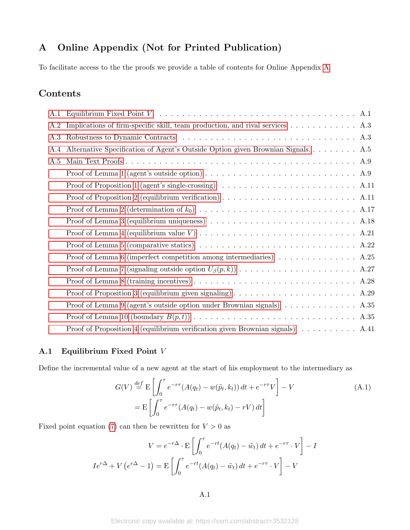# A Online Appendix (Not for Printed Publication)

To facilitate access to the the proofs we provide a table of contents for Online Appendix [A.](#page-0-0)

# Contents

|     | A.2 Implications of firm-specific skill, team production, and rival services A.3                                      |
|-----|-----------------------------------------------------------------------------------------------------------------------|
|     |                                                                                                                       |
|     | A.4 Alternative Specification of Agent's Outside Option given Brownian Signals A.5                                    |
| A.5 |                                                                                                                       |
|     |                                                                                                                       |
|     | Proof of Proposition 1 (agent's single-crossing) $\dots \dots \dots \dots \dots \dots \dots \dots \dots$ . A.11       |
|     |                                                                                                                       |
|     |                                                                                                                       |
|     | Proof of Lemma 3 (equilibrium uniqueness) $\ldots \ldots \ldots \ldots \ldots \ldots \ldots \ldots \ldots$ . A.18     |
|     |                                                                                                                       |
|     | Proof of Lemma 5 (comparative statics) $\ldots \ldots \ldots \ldots \ldots \ldots \ldots \ldots \ldots$ . A.22        |
|     |                                                                                                                       |
|     |                                                                                                                       |
|     | Proof of Lemma 8 (training incentives) $\ldots \ldots \ldots \ldots \ldots \ldots \ldots \ldots \ldots \ldots$ . A.28 |
|     |                                                                                                                       |
|     |                                                                                                                       |
|     |                                                                                                                       |
|     | Proof of Proposition 4 (equilibrium verification given Brownian signals) A.41                                         |

## A.1 Equilibrium Fixed Point V

Define the incremental value of a new agent at the start of his employment to the intermediary as

$$
G(V) \stackrel{def}{=} \mathcal{E} \left[ \int_0^\tau e^{-r\tau} (A(q_t) - w(\tilde{p}_t, k_t)) dt + e^{-r\tau} V \right] - V
$$
\n
$$
= \mathcal{E} \left[ \int_0^\tau e^{-r\tau} (A(q_t) - w(\tilde{p}_t, k_t) - rV) dt \right]
$$
\n(A.1)

Fixed point equation [\(7\)](#page-11-0) can then be rewritten for  $V > 0$  as

$$
V = e^{-r\Delta} \cdot \mathbb{E}\left[\int_0^{\tau} e^{-rt}(A(q_t) - \tilde{w}_t) dt + e^{-r\tau} \cdot V\right] - I
$$

$$
I e^{r\Delta} + V(e^{r\Delta} - 1) = \mathbb{E}\left[\int_0^{\tau} e^{-rt}(A(q_t) - \tilde{w}_t) dt + e^{-r\tau} \cdot V\right] - V
$$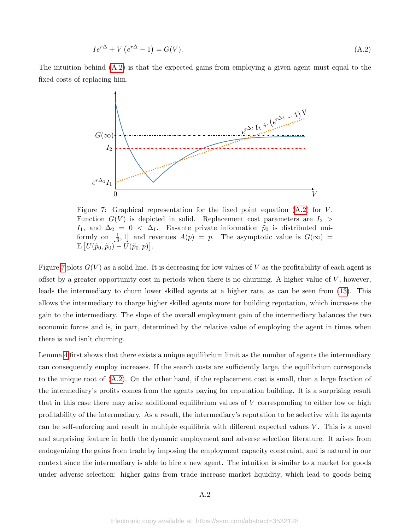<span id="page-46-0"></span>
$$
Ie^{r\Delta} + V(e^{r\Delta} - 1) = G(V). \tag{A.2}
$$

The intuition behind [\(A.2\)](#page-46-0) is that the expected gains from employing a given agent must equal to the fixed costs of replacing him.

<span id="page-46-1"></span>

Figure 7: Graphical representation for the fixed point equation  $(A.2)$  for V. Function  $G(V)$  is depicted in solid. Replacement cost parameters are  $I_2$ I<sub>1</sub>, and  $\Delta_2 = 0 < \Delta_1$ . Ex-ante private information  $\tilde{p}_0$  is distributed uniformly on  $\left[\frac{1}{3}\right]$  $\frac{1}{3}$ , 1 and revenues  $A(p) = p$ . The asymptotic value is  $G(\infty) =$  $\mathrm{E}\left[U(\tilde{p}_0,\tilde{p}_0)-U(\tilde{p}_0,p)\right].$ 

Figure [7](#page-46-1) plots  $G(V)$  as a solid line. It is decreasing for low values of V as the profitability of each agent is offset by a greater opportunity cost in periods when there is no churning. A higher value of  $V$ , however, leads the intermediary to churn lower skilled agents at a higher rate, as can be seen from [\(13\)](#page-16-1). This allows the intermediary to charge higher skilled agents more for building reputation, which increases the gain to the intermediary. The slope of the overall employment gain of the intermediary balances the two economic forces and is, in part, determined by the relative value of employing the agent in times when there is and isn't churning.

Lemma [4](#page-22-1) first shows that there exists a unique equilibrium limit as the number of agents the intermediary can consequently employ increases. If the search costs are sufficiently large, the equilibrium corresponds to the unique root of [\(A.2\)](#page-46-0). On the other hand, if the replacement cost is small, then a large fraction of the intermediary's profits comes from the agents paying for reputation building. It is a surprising result that in this case there may arise additional equilibrium values of V corresponding to either low or high profitability of the intermediary. As a result, the intermediary's reputation to be selective with its agents can be self-enforcing and result in multiple equilibria with different expected values  $V$ . This is a novel and surprising feature in both the dynamic employment and adverse selection literature. It arises from endogenizing the gains from trade by imposing the employment capacity constraint, and is natural in our context since the intermediary is able to hire a new agent. The intuition is similar to a market for goods under adverse selection: higher gains from trade increase market liquidity, which lead to goods being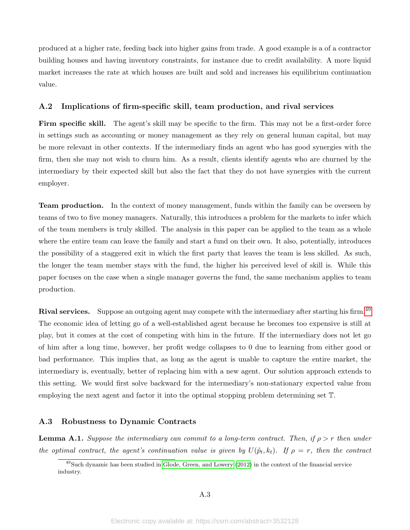produced at a higher rate, feeding back into higher gains from trade. A good example is a of a contractor building houses and having inventory constraints, for instance due to credit availability. A more liquid market increases the rate at which houses are built and sold and increases his equilibrium continuation value.

## <span id="page-47-0"></span>A.2 Implications of firm-specific skill, team production, and rival services

Firm specific skill. The agent's skill may be specific to the firm. This may not be a first-order force in settings such as accounting or money management as they rely on general human capital, but may be more relevant in other contexts. If the intermediary finds an agent who has good synergies with the firm, then she may not wish to churn him. As a result, clients identify agents who are churned by the intermediary by their expected skill but also the fact that they do not have synergies with the current employer.

Team production. In the context of money management, funds within the family can be overseen by teams of two to five money managers. Naturally, this introduces a problem for the markets to infer which of the team members is truly skilled. The analysis in this paper can be applied to the team as a whole where the entire team can leave the family and start a fund on their own. It also, potentially, introduces the possibility of a staggered exit in which the first party that leaves the team is less skilled. As such, the longer the team member stays with the fund, the higher his perceived level of skill is. While this paper focuses on the case when a single manager governs the fund, the same mechanism applies to team production.

Rival services. Suppose an outgoing agent may compete with the intermediary after starting his firm.<sup>[49](#page-47-2)</sup> The economic idea of letting go of a well-established agent because he becomes too expensive is still at play, but it comes at the cost of competing with him in the future. If the intermediary does not let go of him after a long time, however, her profit wedge collapses to 0 due to learning from either good or bad performance. This implies that, as long as the agent is unable to capture the entire market, the intermediary is, eventually, better of replacing him with a new agent. Our solution approach extends to this setting. We would first solve backward for the intermediary's non-stationary expected value from employing the next agent and factor it into the optimal stopping problem determining set T.

#### <span id="page-47-1"></span>A.3 Robustness to Dynamic Contracts

**Lemma A.1.** Suppose the intermediary can commit to a long-term contract. Then, if  $\rho > r$  then under the optimal contract, the agent's continuation value is given by  $U(\tilde{p}_t, k_t)$ . If  $\rho = r$ , then the contract

<span id="page-47-2"></span><sup>49</sup>Such dynamic has been studied in [Glode, Green, and Lowery](#page-44-0) [\(2012\)](#page-44-0) in the context of the financial service industry.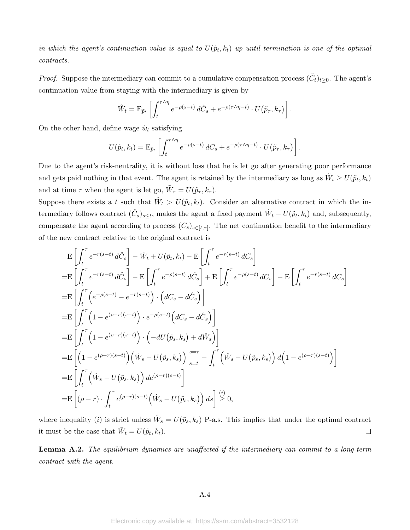in which the agent's continuation value is equal to  $U(\tilde{p}_t, k_t)$  up until termination is one of the optimal contracts.

*Proof.* Suppose the intermediary can commit to a cumulative compensation process  $(\tilde{C}_t)_{t\geq 0}$ . The agent's continuation value from staying with the intermediary is given by

$$
\hat{W}_t = \mathcal{E}_{\tilde{p}_t} \left[ \int_t^{\tau \wedge \eta} e^{-\rho(s-t)} d\hat{C}_s + e^{-\rho(\tau \wedge \eta - t)} \cdot U(\tilde{p}_\tau, k_\tau) \right].
$$

On the other hand, define wage  $\tilde{w}_t$  satisfying

$$
U(\tilde{p}_t, k_t) = \mathcal{E}_{\tilde{p}_t} \left[ \int_t^{\tau \wedge \eta} e^{-\rho(s-t)} dC_s + e^{-\rho(\tau \wedge \eta - t)} \cdot U(\tilde{p}_\tau, k_\tau) \right].
$$

Due to the agent's risk-neutrality, it is without loss that he is let go after generating poor performance and gets paid nothing in that event. The agent is retained by the intermediary as long as  $\tilde{W}_t \ge U(\tilde{p}_t, k_t)$ and at time  $\tau$  when the agent is let go,  $\tilde{W}_{\tau} = U(\tilde{p}_{\tau}, k_{\tau}).$ 

Suppose there exists a t such that  $\hat{W}_t > U(\tilde{p}_t, k_t)$ . Consider an alternative contract in which the intermediary follows contract  $(\hat{C}_s)_{s\leq t}$ , makes the agent a fixed payment  $\hat{W}_t - U(\tilde{p}_t, k_t)$  and, subsequently, compensate the agent according to process  $(C_s)_{s \in [t,\tau]}$ . The net continuation benefit to the intermediary of the new contract relative to the original contract is

$$
\begin{split}\n&\mathbf{E}\left[\int_{t}^{\tau}e^{-r(s-t)}\,d\hat{C}_{s}\right]-\hat{W}_{t}+U(\tilde{p}_{t},k_{t})-\mathbf{E}\left[\int_{t}^{\tau}e^{-r(s-t)}\,dC_{s}\right] \\
&=\mathbf{E}\left[\int_{t}^{\tau}e^{-r(s-t)}\,d\hat{C}_{s}\right]-\mathbf{E}\left[\int_{t}^{\tau}e^{-\rho(s-t)}\,d\hat{C}_{s}\right]+\mathbf{E}\left[\int_{t}^{\tau}e^{-\rho(s-t)}\,dC_{s}\right]-\mathbf{E}\left[\int_{t}^{\tau}e^{-r(s-t)}\,dC_{s}\right] \\
&=\mathbf{E}\left[\int_{t}^{\tau}\left(e^{-\rho(s-t)}-e^{-r(s-t)}\right)\cdot\left(dC_{s}-d\hat{C}_{s}\right)\right] \\
&=\mathbf{E}\left[\int_{t}^{\tau}\left(1-e^{(\rho-r)(s-t)}\right)\cdot e^{-\rho(s-t)}\left(dC_{s}-d\hat{C}_{s}\right)\right] \\
&=\mathbf{E}\left[\int_{t}^{\tau}\left(1-e^{(\rho-r)(s-t)}\right)\cdot\left(-dU\left(\tilde{p}_{s},k_{s}\right)+d\hat{W}_{s}\right)\right] \\
&=\mathbf{E}\left[\left(1-e^{(\rho-r)(s-t)}\right)\left(\hat{W}_{s}-U\left(\tilde{p}_{s},k_{s}\right)\right)\Big|_{s=t}^{s=\tau}-\int_{t}^{\tau}\left(\hat{W}_{s}-U\left(\tilde{p}_{s},k_{s}\right)\right)d\left(1-e^{(\rho-r)(s-t)}\right)\right] \\
&=\mathbf{E}\left[\int_{t}^{\tau}\left(\hat{W}_{s}-U\left(\tilde{p}_{s},k_{s}\right)\right)d e^{(\rho-r)(s-t)}\right] \\
&=\mathbf{E}\left[(\rho-r)\cdot\int_{t}^{\tau}e^{(\rho-r)(s-t)}\left(\hat{W}_{s}-U\left(\tilde{p}_{s},k_{s}\right)\right)ds\right]\stackrel{(i)}{\geq}0,\n\end{split}
$$

where inequality (*i*) is strict unless  $\hat{W}_s = U(\tilde{p}_s, k_s)$  P-a.s. This implies that under the optimal contract it must be the case that  $\tilde{W}_t = U(\tilde{p}_t, k_t)$ .  $\Box$ 

Lemma A.2. The equilibrium dynamics are unaffected if the intermediary can commit to a long-term contract with the agent.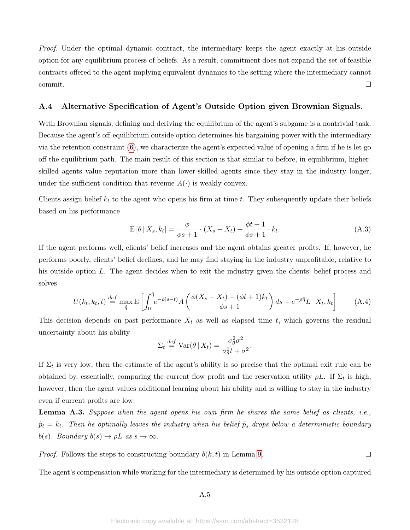Proof. Under the optimal dynamic contract, the intermediary keeps the agent exactly at his outside option for any equilibrium process of beliefs. As a result, commitment does not expand the set of feasible contracts offered to the agent implying equivalent dynamics to the setting where the intermediary cannot commit.  $\Box$ 

#### <span id="page-49-0"></span>A.4 Alternative Specification of Agent's Outside Option given Brownian Signals.

With Brownian signals, defining and deriving the equilibrium of the agent's subgame is a nontrivial task. Because the agent's off-equilibrium outside option determines his bargaining power with the intermediary via the retention constraint [\(6\)](#page-11-1), we characterize the agent's expected value of opening a firm if he is let go off the equilibrium path. The main result of this section is that similar to before, in equilibrium, higherskilled agents value reputation more than lower-skilled agents since they stay in the industry longer, under the sufficient condition that revenue  $A(\cdot)$  is weakly convex.

Clients assign belief  $k_t$  to the agent who opens his firm at time t. They subsequently update their beliefs based on his performance

<span id="page-49-1"></span>
$$
E\left[\theta \mid X_s, k_t\right] = \frac{\phi}{\phi s + 1} \cdot (X_s - X_t) + \frac{\phi t + 1}{\phi s + 1} \cdot k_t.
$$
\n(A.3)

 $\Box$ 

If the agent performs well, clients' belief increases and the agent obtains greater profits. If, however, he performs poorly, clients' belief declines, and he may find staying in the industry unprofitable, relative to his outside option L. The agent decides when to exit the industry given the clients' belief process and solves

$$
U(k_t, k_t, t) \stackrel{def}{=} \max_{\hat{\eta}} \mathbb{E}\left[\int_0^{\hat{\eta}} e^{-\rho(s-t)} A\left(\frac{\phi(X_s - X_t) + (\phi t + 1)k_t}{\phi s + 1}\right) ds + e^{-\rho \hat{\eta}} L \middle| X_t, k_t\right] \tag{A.4}
$$

This decision depends on past performance  $X_t$  as well as elapsed time t, which governs the residual uncertainty about his ability

$$
\Sigma_t \stackrel{def}{=} \text{Var}(\theta \mid X_t) = \frac{\sigma_\theta^2 \sigma^2}{\sigma_\theta^2 t + \sigma^2},
$$

If  $\Sigma_t$  is very low, then the estimate of the agent's ability is so precise that the optimal exit rule can be obtained by, essentially, comparing the current flow profit and the reservation utility  $\rho L$ . If  $\Sigma_t$  is high, however, then the agent values additional learning about his ability and is willing to stay in the industry even if current profits are low.

**Lemma A.3.** Suppose when the agent opens his own firm he shares the same belief as clients, i.e.,  $\tilde{p}_t = k_t$ . Then he optimally leaves the industry when his belief  $\tilde{p}_s$  drops below a deterministic boundary b(s). Boundary  $b(s) \to \rho L$  as  $s \to \infty$ .

*Proof.* Follows the steps to constructing boundary  $b(k, t)$  in Lemma [9.](#page-34-0)

The agent's compensation while working for the intermediary is determined by his outside option captured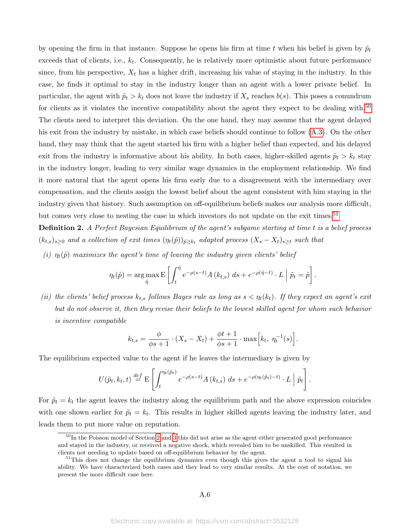by opening the firm in that instance. Suppose he opens his firm at time t when his belief is given by  $\tilde{p}_t$ exceeds that of clients, i.e.,  $k_t$ . Consequently, he is relatively more optimistic about future performance since, from his perspective,  $X_t$  has a higher drift, increasing his value of staying in the industry. In this case, he finds it optimal to stay in the industry longer than an agent with a lower private belief. In particular, the agent with  $\tilde{p}_t > k_t$  does not leave the industry if  $X_s$  reaches  $b(s)$ . This poses a conundrum for clients as it violates the incentive compatibility about the agent they expect to be dealing with.<sup>[50](#page-50-0)</sup> The clients need to interpret this deviation. On the one hand, they may assume that the agent delayed his exit from the industry by mistake, in which case beliefs should continue to follow [\(A.3\)](#page-49-1). On the other hand, they may think that the agent started his firm with a higher belief than expected, and his delayed exit from the industry is informative about his ability. In both cases, higher-skilled agents  $\tilde{p}_t > k_t$  stay in the industry longer, leading to very similar wage dynamics in the employment relationship. We find it more natural that the agent opens his firm early due to a disagreement with the intermediary over compensation, and the clients assign the lowest belief about the agent consistent with him staying in the industry given that history. Such assumption on off-equilibrium beliefs makes our analysis more difficult, but comes very close to nesting the case in which investors do not update on the exit times.<sup>[51](#page-50-1)</sup>

Definition 2. A Perfect Bayesian Equilibrium of the agent's subgame starting at time t is a belief process  $(k_{t,s})_{s\geq0}$  and a collection of exit times  $(\eta_t(\hat{p}))_{\hat{p}\geq k_t}$  adapted process  $(X_s - X_t)_{s\geq t}$  such that

(i)  $\eta_t(\hat{p})$  maximizes the agent's time of leaving the industry given clients' belief

$$
\eta_t(\hat{p}) = \arg \max_{\hat{\eta}} \mathbb{E} \left[ \int_t^{\hat{\eta}} e^{-\rho(s-t)} A(k_{t,s}) \, ds + e^{-\rho(\hat{\eta}-t)} \cdot L \mid \tilde{p}_t = \hat{p} \right].
$$

(ii) the clients' belief process  $k_{t,s}$  follows Bayes rule as long as  $s < \eta_t(k_t)$ . If they expect an agent's exit but do not observe it, then they revise their beliefs to the lowest skilled agent for whom such behavior is incentive compatible

$$
k_{t,s} = \frac{\phi}{\phi s + 1} \cdot (X_s - X_t) + \frac{\phi t + 1}{\phi s + 1} \cdot \max \Big[ k_t, \eta_t^{-1}(s) \Big].
$$

The equilibrium expected value to the agent if he leaves the intermediary is given by

$$
U(\tilde{p}_t, k_t, t) \stackrel{def}{=} \mathrm{E}\left[\int_t^{\eta_t(\tilde{p}_t)} e^{-\rho(s-t)} A(k_{t,s}) ds + e^{-\rho(\eta_t(\tilde{p}_t)-t)} \cdot L \mid \tilde{p}_t\right].
$$

For  $\tilde{p}_t = k_t$  the agent leaves the industry along the equilibrium path and the above expression coincides with one shown earlier for  $\tilde{p}_t = k_t$ . This results in higher skilled agents leaving the industry later, and leads them to put more value on reputation.

<span id="page-50-0"></span> $50$ In the Poisson model of Section [2](#page-8-0) and [3](#page-13-0) this did not arise as the agent either generated good performance and stayed in the industry, or received a negative shock, which revealed him to be unskilled. This resulted in clients not needing to update based on off-equilibrium behavior by the agent.

<span id="page-50-1"></span><sup>&</sup>lt;sup>51</sup>This does not change the equilibrium dynamics even though this gives the agent a tool to signal his ability. We have characterized both cases and they lead to very similar results. At the cost of notation, we present the more difficult case here.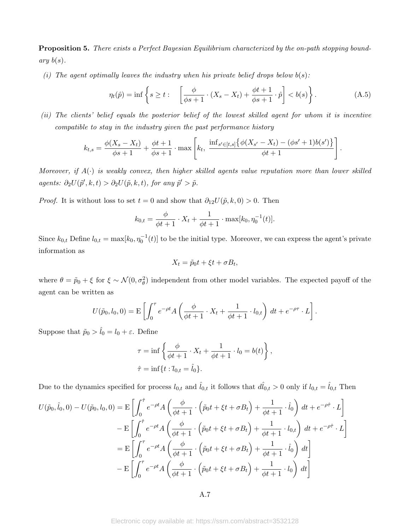<span id="page-51-0"></span>Proposition 5. There exists a Perfect Bayesian Equilibrium characterized by the on-path stopping boundary  $b(s)$ .

(i) The agent optimally leaves the industry when his private belief drops below  $b(s)$ :

<span id="page-51-1"></span>
$$
\eta_t(\hat{p}) = \inf \left\{ s \ge t : \quad \left[ \frac{\phi}{\phi s + 1} \cdot (X_s - X_t) + \frac{\phi t + 1}{\phi s + 1} \cdot \hat{p} \right] < b(s) \right\}.
$$
\n(A.5)

(ii) The clients' belief equals the posterior belief of the lowest skilled agent for whom it is incentive compatible to stay in the industry given the past performance history

$$
k_{t,s} = \frac{\phi(X_s - X_t)}{\phi s + 1} + \frac{\phi t + 1}{\phi s + 1} \cdot \max\left[k_t, \frac{\inf_{s' \in [t,s]} \{\phi(X_{s'} - X_t) - (\phi s' + 1)b(s')\}}{\phi t + 1}\right].
$$

Moreover, if  $A(\cdot)$  is weakly convex, then higher skilled agents value reputation more than lower skilled agents:  $\partial_2 U(\tilde{p}', k, t) > \partial_2 U(\tilde{p}, k, t)$ , for any  $\tilde{p}' > \tilde{p}$ .

*Proof.* It is without loss to set  $t = 0$  and show that  $\partial_{12}U(\tilde{p},k,0) > 0$ . Then

$$
k_{0,t} = \frac{\phi}{\phi t + 1} \cdot X_t + \frac{1}{\phi t + 1} \cdot \max[k_0, \eta_0^{-1}(t)].
$$

Since  $k_{0,t}$  Define  $l_{0,t} = \max[k_0, \eta_0^{-1}(t)]$  to be the initial type. Moreover, we can express the agent's private information as

$$
X_t = \tilde{p}_0 t + \xi t + \sigma B_t,
$$

where  $\theta = \tilde{p}_0 + \xi$  for  $\xi \sim \mathcal{N}(0, \sigma_\theta^2)$  independent from other model variables. The expected payoff of the agent can be written as

$$
U(\tilde{p}_0, l_0, 0) = \mathbf{E}\left[\int_0^{\tau} e^{-\rho t} A\left(\frac{\phi}{\phi t + 1} \cdot X_t + \frac{1}{\phi t + 1} \cdot l_{0,t}\right) dt + e^{-\rho \tau} \cdot L\right].
$$

Suppose that  $\tilde{p}_0 > \hat{l}_0 = l_0 + \varepsilon$ . Define

$$
\tau = \inf \left\{ \frac{\phi}{\phi t + 1} \cdot X_t + \frac{1}{\phi t + 1} \cdot l_0 = b(t) \right\},\
$$
  

$$
\hat{\tau} = \inf \{ t : l_{0,t} = \hat{l}_0 \}.
$$

Due to the dynamics specified for process  $l_{0,t}$  and  $\hat{l}_{0,t}$  it follows that  $d\hat{l}_{0,t} > 0$  only if  $l_{0,t} = \hat{l}_{0,t}$  Then

$$
U(\tilde{p}_0, \hat{l}_0, 0) - U(\tilde{p}_0, l_0, 0) = \mathcal{E} \left[ \int_0^{\hat{\tau}} e^{-\rho t} A \left( \frac{\phi}{\phi t + 1} \cdot \left( \tilde{p}_0 t + \xi t + \sigma B_t \right) + \frac{1}{\phi t + 1} \cdot \hat{l}_0 \right) dt + e^{-\rho \hat{\tau}} \cdot L \right]
$$
  

$$
- \mathcal{E} \left[ \int_0^{\hat{\tau}} e^{-\rho t} A \left( \frac{\phi}{\phi t + 1} \cdot \left( \tilde{p}_0 t + \xi t + \sigma B_t \right) + \frac{1}{\phi t + 1} \cdot l_{0,t} \right) dt + e^{-\rho \hat{\tau}} \cdot L \right]
$$
  

$$
= \mathcal{E} \left[ \int_0^{\tau} e^{-\rho t} A \left( \frac{\phi}{\phi t + 1} \cdot \left( \tilde{p}_0 t + \xi t + \sigma B_t \right) + \frac{1}{\phi t + 1} \cdot \hat{l}_0 \right) dt \right]
$$
  

$$
- \mathcal{E} \left[ \int_0^{\tau} e^{-\rho t} A \left( \frac{\phi}{\phi t + 1} \cdot \left( \tilde{p}_0 t + \xi t + \sigma B_t \right) + \frac{1}{\phi t + 1} \cdot l_0 \right) dt \right]
$$

A.7

Electronic copy available at: https://ssrn.com/abstract=3532128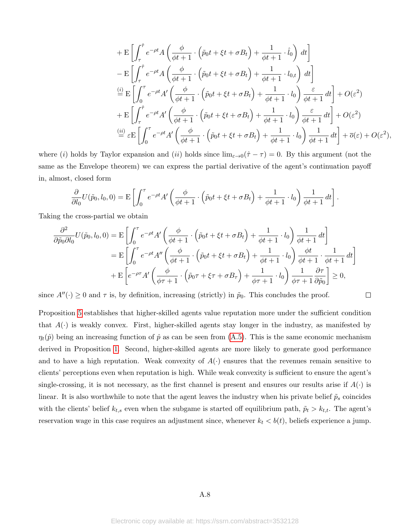$$
+ \mathbf{E} \left[ \int_{\tau}^{\hat{\tau}} e^{-\rho t} A \left( \frac{\phi}{\phi t + 1} \cdot \left( \tilde{p}_0 t + \xi t + \sigma B_t \right) + \frac{1}{\phi t + 1} \cdot \hat{l}_0 \right) dt \right]
$$
  
\n
$$
- \mathbf{E} \left[ \int_{\tau}^{\hat{\tau}} e^{-\rho t} A \left( \frac{\phi}{\phi t + 1} \cdot \left( \tilde{p}_0 t + \xi t + \sigma B_t \right) + \frac{1}{\phi t + 1} \cdot l_{0,t} \right) dt \right]
$$
  
\n
$$
\stackrel{(i)}{=} \mathbf{E} \left[ \int_{0}^{\tau} e^{-\rho t} A' \left( \frac{\phi}{\phi t + 1} \cdot \left( \tilde{p}_0 t + \xi t + \sigma B_t \right) + \frac{1}{\phi t + 1} \cdot l_0 \right) \frac{\varepsilon}{\phi t + 1} dt \right] + O(\varepsilon^2)
$$
  
\n
$$
+ \mathbf{E} \left[ \int_{\tau}^{\hat{\tau}} e^{-\rho t} A' \left( \frac{\phi}{\phi t + 1} \cdot \left( \tilde{p}_0 t + \xi t + \sigma B_t \right) + \frac{1}{\phi t + 1} \cdot l_0 \right) \frac{\varepsilon}{\phi t + 1} dt \right] + O(\varepsilon^2)
$$
  
\n
$$
\stackrel{(ii)}{=} \varepsilon \mathbf{E} \left[ \int_{0}^{\tau} e^{-\rho t} A' \left( \frac{\phi}{\phi t + 1} \cdot \left( \tilde{p}_0 t + \xi t + \sigma B_t \right) + \frac{1}{\phi t + 1} \cdot l_0 \right) \frac{1}{\phi t + 1} dt \right] + \overline{o}(\varepsilon) + O(\varepsilon^2),
$$

 $\Box$ 

where (i) holds by Taylor expansion and (ii) holds since  $\lim_{\varepsilon\to 0}(\hat{\tau}-\tau)=0$ . By this argument (not the same as the Envelope theorem) we can express the partial derivative of the agent's continuation payoff in, almost, closed form

$$
\frac{\partial}{\partial l_0} U(\tilde{p}_0, l_0, 0) = \mathbf{E} \left[ \int_0^{\tau} e^{-\rho t} A' \left( \frac{\phi}{\phi t + 1} \cdot \left( \tilde{p}_0 t + \xi t + \sigma B_t \right) + \frac{1}{\phi t + 1} \cdot l_0 \right) \frac{1}{\phi t + 1} dt \right].
$$

Taking the cross-partial we obtain

$$
\frac{\partial^2}{\partial \tilde{p}_0 \partial l_0} U(\tilde{p}_0, l_0, 0) = \mathbf{E} \left[ \int_0^\tau e^{-\rho t} A' \left( \frac{\phi}{\phi t + 1} \cdot (\tilde{p}_0 t + \xi t + \sigma B_t) + \frac{1}{\phi t + 1} \cdot l_0 \right) \frac{1}{\phi t + 1} dt \right]
$$
  
\n
$$
= \mathbf{E} \left[ \int_0^\tau e^{-\rho t} A'' \left( \frac{\phi}{\phi t + 1} \cdot (\tilde{p}_0 t + \xi t + \sigma B_t) + \frac{1}{\phi t + 1} \cdot l_0 \right) \frac{\phi t}{\phi t + 1} \cdot \frac{1}{\phi t + 1} dt \right]
$$
  
\n
$$
+ \mathbf{E} \left[ e^{-\rho \tau} A' \left( \frac{\phi}{\phi \tau + 1} \cdot (\tilde{p}_0 \tau + \xi \tau + \sigma B_\tau) + \frac{1}{\phi \tau + 1} \cdot l_0 \right) \frac{1}{\phi \tau + 1} \frac{\partial \tau}{\partial \tilde{p}_0} \right] \ge 0,
$$

since  $A''(\cdot) \geq 0$  and  $\tau$  is, by definition, increasing (strictly) in  $\tilde{p}_0$ . This concludes the proof.

Proposition [5](#page-51-0) establishes that higher-skilled agents value reputation more under the sufficient condition that  $A(\cdot)$  is weakly convex. First, higher-skilled agents stay longer in the industry, as manifested by  $\eta_t(\hat{p})$  being an increasing function of  $\hat{p}$  as can be seen from [\(A.5\)](#page-51-1). This is the same economic mechanism derived in Proposition [1.](#page-14-1) Second, higher-skilled agents are more likely to generate good performance and to have a high reputation. Weak convexity of  $A(\cdot)$  ensures that the revenues remain sensitive to clients' perceptions even when reputation is high. While weak convexity is sufficient to ensure the agent's single-crossing, it is not necessary, as the first channel is present and ensures our results arise if  $A(\cdot)$  is linear. It is also worthwhile to note that the agent leaves the industry when his private belief  $\tilde{p}_s$  coincides with the clients' belief  $k_{t,s}$  even when the subgame is started off equilibrium path,  $\tilde{p}_t > k_{t,t}$ . The agent's reservation wage in this case requires an adjustment since, whenever  $k_t < b(t)$ , beliefs experience a jump.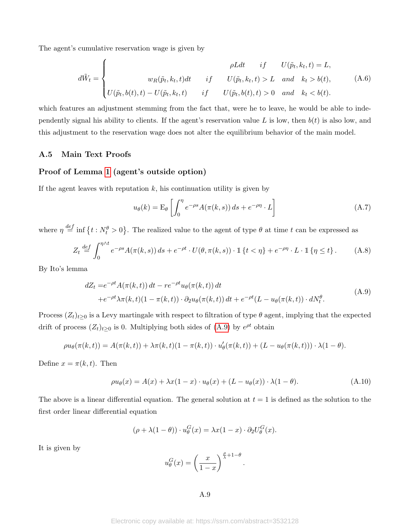The agent's cumulative reservation wage is given by

$$
d\tilde{W}_t = \begin{cases}\n\rho L dt & if \qquad U(\tilde{p}_t, k_t, t) = L, \\
w_R(\tilde{p}_t, k_t, t) dt & if \qquad U(\tilde{p}_t, k_t, t) > L \quad and \quad k_t > b(t), \\
U(\tilde{p}_t, b(t), t) - U(\tilde{p}_t, k_t, t) & if \qquad U(\tilde{p}_t, b(t), t) > 0 \quad and \quad k_t < b(t).\n\end{cases}
$$
(A.6)

which features an adjustment stemming from the fact that, were he to leave, he would be able to independently signal his ability to clients. If the agent's reservation value L is low, then  $b(t)$  is also low, and this adjustment to the reservation wage does not alter the equilibrium behavior of the main model.

#### <span id="page-53-0"></span>A.5 Main Text Proofs

#### <span id="page-53-1"></span>Proof of Lemma [1](#page-14-0) (agent's outside option)

If the agent leaves with reputation  $k$ , his continuation utility is given by

<span id="page-53-3"></span>
$$
u_{\theta}(k) = \mathcal{E}_{\theta}\left[\int_0^{\eta} e^{-\rho s} A(\pi(k, s)) ds + e^{-\rho \eta} \cdot L\right]
$$
 (A.7)

where  $\eta \stackrel{def}{=} \inf \{ t : N_t^{\theta} > 0 \}.$  The realized value to the agent of type  $\theta$  at time t can be expressed as

$$
Z_t \stackrel{def}{=} \int_0^{\eta \wedge t} e^{-\rho s} A(\pi(k, s)) ds + e^{-\rho t} \cdot U(\theta, \pi(k, s)) \cdot \mathbb{1} \left\{ t < \eta \right\} + e^{-\rho \eta} \cdot L \cdot \mathbb{1} \left\{ \eta \le t \right\}.
$$
 (A.8)

By Ito's lemma

<span id="page-53-2"></span>
$$
dZ_t = e^{-\rho t} A(\pi(k, t)) dt - r e^{-\rho t} u_{\theta}(\pi(k, t)) dt
$$
  
+ 
$$
e^{-\rho t} \lambda \pi(k, t) (1 - \pi(k, t)) \cdot \partial_2 u_{\theta}(\pi(k, t)) dt + e^{-\rho t} (L - u_{\theta}(\pi(k, t)) \cdot dN_t^{\theta}.
$$
 (A.9)

Process  $(Z_t)_{t\geq 0}$  is a Levy martingale with respect to filtration of type  $\theta$  agent, implying that the expected drift of process  $(Z_t)_{t\geq 0}$  is 0. Multiplying both sides of [\(A.9\)](#page-53-2) by  $e^{\rho t}$  obtain

$$
\rho u_{\theta}(\pi(k,t)) = A(\pi(k,t)) + \lambda \pi(k,t)(1-\pi(k,t)) \cdot u'_{\theta}(\pi(k,t)) + (L - u_{\theta}(\pi(k,t))) \cdot \lambda(1-\theta).
$$

Define  $x = \pi(k, t)$ . Then

<span id="page-53-4"></span>
$$
\rho u_{\theta}(x) = A(x) + \lambda x (1 - x) \cdot u_{\theta}(x) + (L - u_{\theta}(x)) \cdot \lambda (1 - \theta). \tag{A.10}
$$

.

The above is a linear differential equation. The general solution at  $t = 1$  is defined as the solution to the first order linear differential equation

$$
(\rho + \lambda(1 - \theta)) \cdot u_{\theta}^{G}(x) = \lambda x(1 - x) \cdot \partial_{2}U_{\theta}^{G}(x).
$$

It is given by

$$
u_{\theta}^{G}(x) = \left(\frac{x}{1-x}\right)^{\frac{\rho}{\lambda}+1-\theta}
$$

A.9

Electronic copy available at: https://ssrn.com/abstract=3532128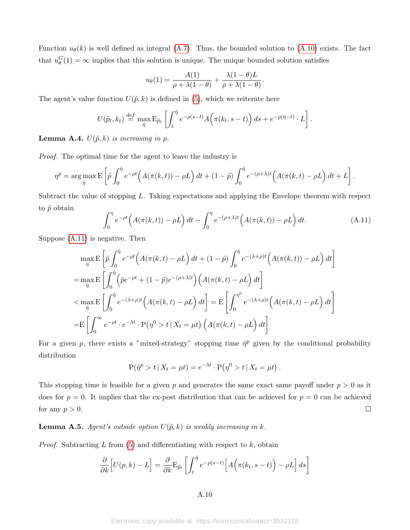Function  $u_{\theta}(k)$  is well defined as integral [\(A.7\)](#page-53-3). Thus, the bounded solution to [\(A.10\)](#page-53-4) exists. The fact that  $u_{\theta}^{G}(1) = \infty$  implies that this solution is unique. The unique bounded solution satisfies

$$
u_{\theta}(1) = \frac{A(1)}{\rho + \lambda(1 - \theta)} + \frac{\lambda(1 - \theta)L}{\rho + \lambda(1 - \theta)}.
$$

The agent's value function  $U(\tilde{p}, k)$  is defined in [\(5\)](#page-10-0), which we reiterate here

$$
U(\tilde{p}_t, k_t) \stackrel{def}{=} \max_{\hat{\eta}} \mathcal{E}_{\tilde{p}_t} \left[ \int_t^{\hat{\eta}} e^{-\rho(s-t)} A\Big(\pi(k_t, s-t)\Big) ds + e^{-\rho(\hat{\eta}-t)} \cdot L \right].
$$

**Lemma A.4.**  $U(\tilde{p}, k)$  is increasing in p.

Proof. The optimal time for the agent to leave the industry is

$$
\eta^{p} = \arg \max_{\hat{\eta}} \mathbb{E}\left[\tilde{p} \int_{0}^{\hat{\eta}} e^{-\rho t} \Big(A(\pi(k,t)) - \rho L\Big) dt + (1-\tilde{p}) \int_{0}^{\hat{\eta}} e^{-(\rho+\lambda)t} \Big(A(\pi(k,t) - \rho L\Big) dt + L\right].
$$

Subtract the value of stopping L. Taking expectations and applying the Envelope theorem with respect to  $\tilde{p}$  obtain

<span id="page-54-0"></span>
$$
\int_0^\eta e^{-\rho t} \Big( A(\pi(k,t)) - \rho L \Big) dt - \int_0^\eta e^{-(\rho + \lambda)t} \Big( A(\pi(k,t)) - \rho L \Big) dt.
$$
 (A.11)

Suppose [\(A.11\)](#page-54-0) is negative. Then

$$
\max_{\hat{\eta}} \mathbf{E} \left[ \tilde{p} \int_0^{\hat{\eta}} e^{-\rho t} \Big( A(\pi(k, t) - \rho L) dt + (1 - \tilde{p}) \int_0^{\hat{\eta}} e^{-(\lambda + \rho)t} \Big( A(\pi(k, t)) - \rho L \Big) dt \right]
$$
\n
$$
= \max_{\hat{\eta}} \mathbf{E} \left[ \int_0^{\hat{\eta}} \Big( \tilde{p} e^{-\rho t} + (1 - \tilde{p}) e^{-(\rho + \lambda)t} \Big) \Big( A(\pi(k, t) - \rho L) dt \Big) \right]
$$
\n
$$
< \max_{\hat{\eta}} \mathbf{E} \left[ \int_0^{\hat{\eta}} e^{-(\lambda + \rho)t} \Big( A(\pi(k, t) - \rho L) dt \Big) dt \right] = \mathbf{E} \left[ \int_0^{\eta^0} e^{-(\lambda + \rho)t} \Big( A(\pi(k, t) - \rho L) dt \Big) dt \right]
$$
\n
$$
= \mathbf{E} \left[ \int_0^\infty e^{-\rho t} \cdot e^{-\lambda t} \cdot \mathbf{P}(\eta^0 > t \mid X_t = \mu t) \Big( A(\pi(k, t) - \rho L) dt \right]
$$

For a given p, there exists a "mixed-strategy" stopping time  $\hat{\eta}^p$  given by the conditional probability distribution

$$
P(\hat{\eta}^p > t | X_t = \mu t) = e^{-\lambda t} \cdot P(\eta^0 > t | X_t = \mu t).
$$

This stopping time is feasible for a given p and generates the same exact same payoff under  $p > 0$  as it does for  $p = 0$ . It implies that the ex-post distribution that can be achieved for  $p = 0$  can be achieved  $\Box$ for any  $p > 0$ .

**Lemma A.5.** Agent's outside option  $U(\tilde{p}, k)$  is weakly increasing in k.

*Proof.* Subtracting  $L$  from [\(5\)](#page-10-0) and differentiating with respect to  $k$ , obtain

$$
\frac{\partial}{\partial k} \Big[ U(p,k) - L \Big] = \frac{\partial}{\partial k} \mathcal{E}_{\tilde{p}_t} \left[ \int_t^{\hat{\eta}} e^{-\rho(s-t)} \Big[ A \Big( \pi(k_t, s-t) \Big) - \rho L \Big] ds \right]
$$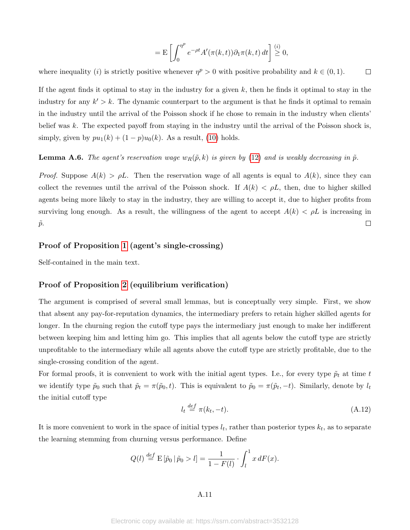$$
= \mathbf{E}\left[\int_0^{\eta^p} e^{-\rho t} A'(\pi(k,t)) \partial_1 \pi(k,t) dt\right] \stackrel{(i)}{\geq} 0,
$$

where inequality (*i*) is strictly positive whenever  $\eta^p > 0$  with positive probability and  $k \in (0,1)$ .  $\Box$ 

If the agent finds it optimal to stay in the industry for a given  $k$ , then he finds it optimal to stay in the industry for any  $k' > k$ . The dynamic counterpart to the argument is that he finds it optimal to remain in the industry until the arrival of the Poisson shock if he chose to remain in the industry when clients' belief was k. The expected payoff from staying in the industry until the arrival of the Poisson shock is, simply, given by  $pu_1(k) + (1-p)u_0(k)$ . As a result, [\(10\)](#page-14-2) holds.

## **Lemma A.6.** The agent's reservation wage  $w_R(\tilde{p}, k)$  is given by [\(12\)](#page-15-0) and is weakly decreasing in  $\tilde{p}$ .

*Proof.* Suppose  $A(k) > \rho L$ . Then the reservation wage of all agents is equal to  $A(k)$ , since they can collect the revenues until the arrival of the Poisson shock. If  $A(k) < \rho L$ , then, due to higher skilled agents being more likely to stay in the industry, they are willing to accept it, due to higher profits from surviving long enough. As a result, the willingness of the agent to accept  $A(k) < \rho L$  is increasing in  $\Box$  $\tilde{p}$ .

## <span id="page-55-0"></span>Proof of Proposition [1](#page-14-1) (agent's single-crossing)

Self-contained in the main text.

## <span id="page-55-1"></span>Proof of Proposition [2](#page-16-0) (equilibrium verification)

The argument is comprised of several small lemmas, but is conceptually very simple. First, we show that absent any pay-for-reputation dynamics, the intermediary prefers to retain higher skilled agents for longer. In the churning region the cutoff type pays the intermediary just enough to make her indifferent between keeping him and letting him go. This implies that all agents below the cutoff type are strictly unprofitable to the intermediary while all agents above the cutoff type are strictly profitable, due to the single-crossing condition of the agent.

For formal proofs, it is convenient to work with the initial agent types. I.e., for every type  $\tilde{p}_t$  at time t we identify type  $\tilde{p}_0$  such that  $\tilde{p}_t = \pi(\tilde{p}_0, t)$ . This is equivalent to  $\tilde{p}_0 = \pi(\tilde{p}_t, -t)$ . Similarly, denote by  $l_t$ the initial cutoff type

$$
l_t \stackrel{def}{=} \pi(k_t, -t). \tag{A.12}
$$

It is more convenient to work in the space of initial types  $l_t$ , rather than posterior types  $k_t$ , as to separate the learning stemming from churning versus performance. Define

$$
Q(l) \stackrel{def}{=} \mathbb{E} \left[ \tilde{p}_0 \, | \, \tilde{p}_0 > l \right] = \frac{1}{1 - F(l)} \cdot \int_l^1 x \, dF(x).
$$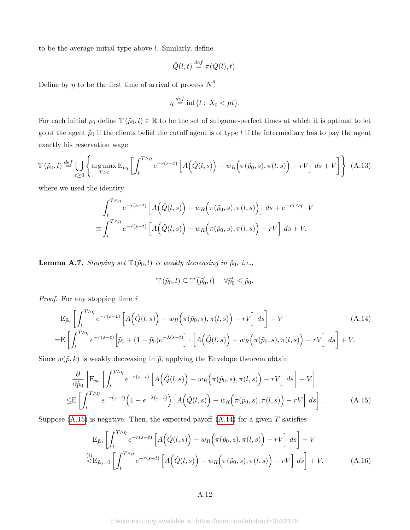to be the average initial type above l. Similarly, define

$$
\hat{Q}(l,t) \stackrel{def}{=} \pi(Q(l),t).
$$

Define by  $\eta$  to be the first time of arrival of process  $N^{\theta}$ 

$$
\eta \stackrel{\text{def}}{=} \inf\{t : X_t < \mu t\}.
$$

For each initial  $p_0$  define  $\mathbb{T}(\tilde{p}_0, l) \in \mathbb{R}$  to be the set of subgame-perfect times at which it is optimal to let go of the agent  $\tilde{p}_0$  if the clients belief the cutoff agent is of type l if the intermediary has to pay the agent exactly his reservation wage

$$
\mathbb{T}\left(\tilde{p}_0, l\right) \stackrel{def}{=} \bigcup_{t \geq 0} \left\{ \operatorname*{arg\,max}_{T \geq t} \mathcal{E}_{p_0} \left[ \int_t^{T \wedge \eta} e^{-r(s-t)} \left[ A\left(\hat{Q}(l,s)\right) - w_R\left(\pi(\tilde{p}_0,s), \pi(l,s)\right) - rV \right] ds + V \right] \right\} \tag{A.13}
$$

where we used the identity

$$
\int_{t}^{T \wedge \eta} e^{-r(s-t)} \left[ A(\hat{Q}(l,s)) - w_R(\pi(\tilde{p}_0,s), \pi(l,s)) \right] ds + e^{-r\hat{\tau} \wedge \eta} \cdot V
$$
  

$$
\equiv \int_{t}^{T \wedge \eta} e^{-r(s-t)} \left[ A(\hat{Q}(l,s)) - w_R(\pi(\tilde{p}_0,s), \pi(l,s)) - rV \right] ds + V.
$$

**Lemma A.7.** Stopping set  $\mathbb{T}(\tilde{p}_0, l)$  is weakly decreasing in  $\tilde{p}_0$ , i.e.,

<span id="page-56-1"></span><span id="page-56-0"></span>
$$
\mathbb{T}\left(\tilde{p}_0,l\right) \subseteq \mathbb{T}\left(\tilde{p}'_0,l\right) \quad \forall \tilde{p}'_0 \leq \tilde{p}_0.
$$

*Proof.* For any stopping time  $\hat{\tau}$ 

$$
\mathcal{E}_{\tilde{p}_0} \left[ \int_t^{T \wedge \eta} e^{-r(s-t)} \left[ A(\hat{Q}(l,s)) - w_R\Big(\pi(\tilde{p}_0,s), \pi(l,s)\Big) - rV \right] ds \right] + V \tag{A.14}
$$
\n
$$
= \mathcal{E} \left[ \int_t^{T \wedge \eta} e^{-r(s-t)} \left[ \tilde{p}_0 + (1-\tilde{p}_0)e^{-\lambda(s-t)} \right] \cdot \left[ A(\hat{Q}(l,s)) - w_R\Big(\pi(\tilde{p}_0,s), \pi(l,s)\Big) - rV \right] ds \right] + V. \tag{A.14}
$$

Since  $w(\tilde{p}, k)$  is weakly decreasing in  $\tilde{p}$ , applying the Envelope theorem obtain

$$
\frac{\partial}{\partial \tilde{p}_0} \left[ \mathbf{E}_{p_0} \left[ \int_t^{T \wedge \eta} e^{-r(s-t)} \left[ A \left( \hat{Q}(l,s) \right) - w_R \left( \pi(\tilde{p}_0, s), \pi(l,s) \right) - rV \right] ds \right] + V \right]
$$
\n
$$
\leq \mathbf{E} \left[ \int_t^{T \wedge \eta} e^{-r(s-t)} \left( 1 - e^{-\lambda(s-t)} \right) \left[ A \left( \hat{Q}(l,s) \right) - w_R \left( \pi(\tilde{p}_0, s), \pi(l,s) \right) - rV \right] ds \right]. \tag{A.15}
$$

Suppose  $(A.15)$  is negative. Then, the expected payoff  $(A.14)$  for a given T satisfies

$$
\mathcal{E}_{\tilde{p}_0} \left[ \int_t^{T \wedge \eta} e^{-r(s-t)} \left[ A(\hat{Q}(l,s)) - w_R\Big(\pi(\tilde{p}_0,s), \pi(l,s)\Big) - rV \right] ds \right] + V
$$
\n
$$
\langle \mathcal{E}_{\tilde{p}_0=0} \left[ \int_t^{T \wedge \eta} e^{-r(s-t)} \left[ A(\hat{Q}(l,s)) - w_R\Big(\pi(\tilde{p}_0,s), \pi(l,s)\Big) - rV \right] ds \right] + V. \tag{A.16}
$$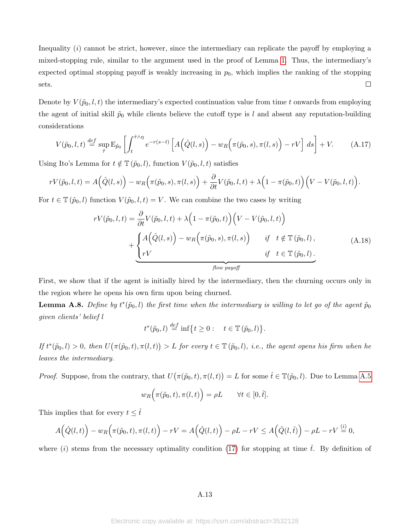Inequality  $(i)$  cannot be strict, however, since the intermediary can replicate the payoff by employing a mixed-stopping rule, similar to the argument used in the proof of Lemma [1.](#page-14-0) Thus, the intermediary's expected optimal stopping payoff is weakly increasing in  $p_0$ , which implies the ranking of the stopping sets.  $\Box$ 

Denote by  $V(\tilde{p}_0, l, t)$  the intermediary's expected continuation value from time t onwards from employing the agent of initial skill  $\tilde{p}_0$  while clients believe the cutoff type is l and absent any reputation-building considerations

$$
V(\tilde{p}_0, l, t) \stackrel{def}{=} \sup_{\hat{\tau}} \mathcal{E}_{\tilde{p}_0} \left[ \int_t^{\hat{\tau} \wedge \eta} e^{-r(s-t)} \left[ A(\hat{Q}(l, s)) - w_R(\pi(\tilde{p}_0, s), \pi(l, s)) - rV \right] ds \right] + V. \tag{A.17}
$$

Using Ito's Lemma for  $t \notin \mathbb{T}(\tilde{p}_0, l)$ , function  $V(\tilde{p}_0, l, t)$  satisfies

$$
rV(\tilde{p}_0,l,t) = A(\hat{Q}(l,s)) - w_R(\pi(\tilde{p}_0,s),\pi(l,s)) + \frac{\partial}{\partial t}V(\tilde{p}_0,l,t) + \lambda(1-\pi(\tilde{p}_0,t))\Big(V-V(\tilde{p}_0,l,t)\Big).
$$

For  $t \in \mathbb{T}(\tilde{p}_0, l)$  function  $V(\tilde{p}_0, l, t) = V$ . We can combine the two cases by writing

$$
rV(\tilde{p}_0, l, t) = \frac{\partial}{\partial t} V(\tilde{p}_0, l, t) + \lambda \Big( 1 - \pi(\tilde{p}_0, t) \Big) \Big( V - V(\tilde{p}_0, l, t) \Big) + \underbrace{\begin{cases} A(\hat{Q}(l, s)) - w_R \Big( \pi(\tilde{p}_0, s), \pi(l, s) \Big) & \text{if } t \notin \mathbb{T}(\tilde{p}_0, l), \\ rV & \text{if } t \in \mathbb{T}(\tilde{p}_0, l). \end{cases} \tag{A.18}
$$

First, we show that if the agent is initially hired by the intermediary, then the churning occurs only in the region where he opens his own firm upon being churned.

**Lemma A.8.** Define by  $t^*(\tilde{p}_0, l)$  the first time when the intermediary is willing to let go of the agent  $\tilde{p}_0$ given clients' belief l

$$
t^*(\tilde{p}_0,l) \stackrel{def}{=} \inf\big\{t \ge 0: \quad t \in \mathbb{T}(\tilde{p}_0,l)\big\}.
$$

If  $t^*(\tilde{p}_0, l) > 0$ , then  $U(\pi(\tilde{p}_0, t), \pi(l, t)) > L$  for every  $t \in \mathbb{T}(\tilde{p}_0, l)$ , i.e., the agent opens his firm when he leaves the intermediary.

*Proof.* Suppose, from the contrary, that  $U(\pi(\tilde{p}_0, t), \pi(l, t)) = L$  for some  $\hat{t} \in \mathbb{T}(\tilde{p}_0, l)$ . Due to Lemma [A.5](#page-23-0)

$$
w_R\Big(\pi(\tilde{p}_0,t),\pi(l,t)\Big)=\rho L \qquad \forall t\in[0,\hat{t}].
$$

This implies that for every  $t \leq \hat{t}$ 

$$
A(\hat{Q}(l,t)) - w_R(\pi(\tilde{p}_0,t),\pi(l,t)) - rV = A(\hat{Q}(l,t)) - \rho L - rV \le A(\hat{Q}(l,\hat{t})) - \rho L - rV \stackrel{(i)}{=} 0,
$$

where (i) stems from the necessary optimality condition [\(17\)](#page-18-0) for stopping at time  $\hat{t}$ . By definition of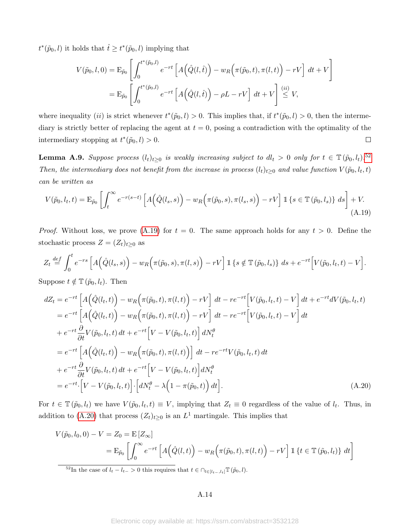$t^*(\tilde{p}_0, l)$  it holds that  $\hat{t} \geq t^*(\tilde{p}_0, l)$  implying that

$$
V(\tilde{p}_0, l, 0) = \mathcal{E}_{\tilde{p}_0} \left[ \int_0^{t^*(\tilde{p}_0, l)} e^{-rt} \left[ A(\hat{Q}(l, \hat{t})) - w_R(\pi(\tilde{p}_0, t), \pi(l, t)) - rV \right] dt + V \right]
$$
  
= 
$$
\mathcal{E}_{\tilde{p}_0} \left[ \int_0^{t^*(\tilde{p}_0, l)} e^{-rt} \left[ A(\hat{Q}(l, \hat{t})) - \rho L - rV \right] dt + V \right] \stackrel{(ii)}{\leq} V,
$$

where inequality (ii) is strict whenever  $t^*(\tilde{p}_0, l) > 0$ . This implies that, if  $t^*(\tilde{p}_0, l) > 0$ , then the intermediary is strictly better of replacing the agent at  $t = 0$ , posing a contradiction with the optimality of the intermediary stopping at  $t^*(\tilde{p}_0, l) > 0$ .  $\Box$ 

**Lemma A.9.** Suppose process  $(l_t)_{t\geq 0}$  is weakly increasing subject to  $dl_t > 0$  only for  $t \in \mathbb{T}(\tilde{p}_0, l_t)$ .<sup>[52](#page-58-0)</sup> Then, the intermediary does not benefit from the increase in process  $(l_t)_{t\geq0}$  and value function  $V(\tilde{p}_0, l_t, t)$ can be written as

<span id="page-58-1"></span>
$$
V(\tilde{p}_0, l_t, t) = \mathcal{E}_{\tilde{p}_0} \left[ \int_t^{\infty} e^{-r(s-t)} \left[ A(\hat{Q}(l_s, s)) - w_R(\pi(\tilde{p}_0, s), \pi(l_s, s)) - rV \right] \mathbbm{1} \left\{ s \in \mathbb{T}(\tilde{p}_0, l_s) \right\} ds \right] + V.
$$
\n(A.19)

*Proof.* Without loss, we prove  $(A.19)$  for  $t = 0$ . The same approach holds for any  $t > 0$ . Define the stochastic process  $Z = (Z_t)_{t \geq 0}$  as

$$
Z_t \stackrel{def}{=} \int_0^t e^{-rs} \left[ A\Big(\hat{Q}(l_s, s)\Big) - w_R\Big(\pi(\tilde{p}_0, s), \pi(l, s)\Big) - rV \right] \mathbb{1}\left\{ s \notin \mathbb{T}(\tilde{p}_0, l_s) \right\} ds + e^{-rt} \Big[V(\tilde{p}_0, l_t, t) - V \Big].
$$

Suppose  $t \notin \mathbb{T}(\tilde{p}_0, l_t)$ . Then

$$
dZ_t = e^{-rt} \left[ A(\hat{Q}(l_t, t)) - w_R(\pi(\tilde{p}_0, t), \pi(l, t)) - rV \right] dt - re^{-rt} \left[ V(\tilde{p}_0, l_t, t) - V \right] dt + e^{-rt} dV(\tilde{p}_0, l_t, t)
$$
  
\n
$$
= e^{-rt} \left[ A(\hat{Q}(l_t, t)) - w_R(\pi(\tilde{p}_0, t), \pi(l, t)) - rV \right] dt - re^{-rt} \left[ V(\tilde{p}_0, l_t, t) - V \right] dt
$$
  
\n
$$
+ e^{-rt} \frac{\partial}{\partial t} V(\tilde{p}_0, l_t, t) dt + e^{-rt} \left[ V - V(\tilde{p}_0, l_t, t) \right] dN_t^{\theta}
$$
  
\n
$$
= e^{-rt} \left[ A(\hat{Q}(l_t, t)) - w_R(\pi(\tilde{p}_0, t), \pi(l, t)) \right] dt - re^{-rt} V(\tilde{p}_0, l_t, t) dt
$$
  
\n
$$
+ e^{-rt} \frac{\partial}{\partial t} V(\tilde{p}_0, l_t, t) dt + e^{-rt} \left[ V - V(\tilde{p}_0, l_t, t) \right] dN_t^{\theta}
$$
  
\n
$$
= e^{-rt} \cdot \left[ V - V(\tilde{p}_0, l_t, t) \right] \cdot \left[ dN_t^{\theta} - \lambda \left( 1 - \pi(\tilde{p}_0, t) \right) dt \right]. \tag{A.20}
$$

For  $t \in \mathbb{T}(\tilde{p}_0, l_t)$  we have  $V(\tilde{p}_0, l_t, t) \equiv V$ , implying that  $Z_t \equiv 0$  regardless of the value of  $l_t$ . Thus, in addition to [\(A.20\)](#page-58-2) that process  $(Z_t)_{t\geq 0}$  is an  $L^1$  martingale. This implies that

<span id="page-58-2"></span>
$$
V(\tilde{p}_0, l_0, 0) - V = Z_0 = E[Z_{\infty}]
$$
  
= 
$$
E_{\tilde{p}_0} \left[ \int_0^{\infty} e^{-rt} \left[ A(\hat{Q}(l, t)) - w_R(\pi(\tilde{p}_0, t), \pi(l, t)) - rV \right] \mathbb{1} \left\{ t \in \mathbb{T}(\tilde{p}_0, l_t) \right\} dt \right]
$$

<span id="page-58-0"></span><sup>52</sup>In the case of  $l_t - l_{t-} > 0$  this requires that  $t \in \bigcap_{l \in [l_{t-}, l_t]} \mathbb{T}(\tilde{p}_0, l)$ .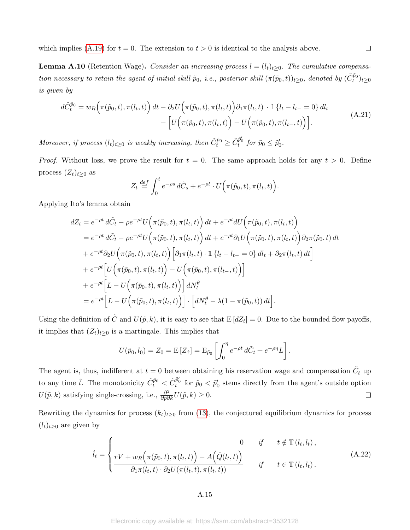**Lemma A.10** (Retention Wage). Consider an increasing process  $l = (l_t)_{t\geq0}$ . The cumulative compensation necessary to retain the agent of initial skill  $\tilde{p}_0$ , i.e., posterior skill  $(\pi(\tilde{p}_0,t))_{t\geq 0}$ , denoted by  $(\tilde{C}^{\tilde{p}_0}_t)_{t\geq 0}$ is given by

<span id="page-59-1"></span>
$$
d\tilde{C}_{t}^{\tilde{p}_{0}} = w_{R} \Big(\pi(\tilde{p}_{0},t),\pi(l_{t},t)\Big) dt - \partial_{2} U \Big(\pi(\tilde{p}_{0},t),\pi(l_{t},t)\Big) \partial_{1}\pi(l_{t},t) \cdot \mathbb{1}\left\{l_{t} - l_{t-} = 0\right\} dl_{t}
$$

$$
- \Big[U\Big(\pi(\tilde{p}_{0},t),\pi(l_{t},t)\Big) - U\Big(\pi(\tilde{p}_{0},t),\pi(l_{t-},t)\Big)\Big].
$$
 (A.21)

Moreover, if process  $(l_t)_{t\geq 0}$  is weakly increasing, then  $\tilde{C}^{\tilde{p}_0}_t \geq \tilde{C}^{\tilde{p}'_0}_t$  for  $\tilde{p}_0 \leq \tilde{p}'_0$ .

*Proof.* Without loss, we prove the result for  $t = 0$ . The same approach holds for any  $t > 0$ . Define process  $(Z_t)_{t\geq 0}$  as

$$
Z_t \stackrel{def}{=} \int_0^t e^{-\rho s} d\tilde{C}_s + e^{-\rho t} \cdot U\Big(\pi(\tilde{p}_0, t), \pi(l_t, t)\Big).
$$

Applying Ito's lemma obtain

$$
dZ_t = e^{-\rho t} d\tilde{C}_t - \rho e^{-\rho t} U(\pi(\tilde{p}_0, t), \pi(l_t, t)) dt + e^{-\rho t} dU(\pi(\tilde{p}_0, t), \pi(l_t, t))
$$
  
\n
$$
= e^{-\rho t} d\tilde{C}_t - \rho e^{-\rho t} U(\pi(\tilde{p}_0, t), \pi(l_t, t)) dt + e^{-\rho t} \partial_1 U(\pi(\tilde{p}_0, t), \pi(l_t, t)) \partial_2 \pi(\tilde{p}_0, t) dt
$$
  
\n
$$
+ e^{-\rho t} \partial_2 U(\pi(\tilde{p}_0, t), \pi(l_t, t)) \left[ \partial_1 \pi(l_t, t) \cdot \mathbb{1} \{ l_t - l_t = 0 \} dl_t + \partial_2 \pi(l_t, t) dt \right]
$$
  
\n
$$
+ e^{-\rho t} \left[ U(\pi(\tilde{p}_0, t), \pi(l_t, t)) - U(\pi(\tilde{p}_0, t), \pi(l_t, t)) \right]
$$
  
\n
$$
+ e^{-\rho t} \left[ L - U(\pi(\tilde{p}_0, t), \pi(l_t, t)) \right] dN_t^{\theta}
$$
  
\n
$$
= e^{-\rho t} \left[ L - U(\pi(\tilde{p}_0, t), \pi(l_t, t)) \right] \cdot \left[ dN_t^{\theta} - \lambda(1 - \pi(\tilde{p}_0, t)) dt \right].
$$

Using the definition of  $\tilde{C}$  and  $U(\tilde{p}, k)$ , it is easy to see that  $E[dZ_t] = 0$ . Due to the bounded flow payoffs, it implies that  $(Z_t)_{t\geq 0}$  is a martingale. This implies that

$$
U(\tilde{p}_0, l_0) = Z_0 = E[Z_{\hat{\tau}}] = E_{\tilde{p}_0} \left[ \int_0^{\eta} e^{-\rho t} d\tilde{C}_t + e^{-\rho \eta} L \right].
$$

The agent is, thus, indifferent at  $t=0$  between obtaining his reservation wage and compensation  $\tilde{C}_t$  up to any time  $\hat{t}$ . The monotonicity  $\tilde{C}_{t}^{\tilde{p}_0} < \tilde{C}_{t}^{\tilde{p}'_0}$  for  $\tilde{p}_0 < \tilde{p}'_0$  stems directly from the agent's outside option  $U(\tilde{p}, k)$  satisfying single-crossing, i.e.,  $\frac{\partial^2}{\partial p \partial k} U(\tilde{p}, k) \geq 0$ .  $\Box$ 

Rewriting the dynamics for process  $(k_t)_{t\geq 0}$  from [\(13\)](#page-16-1), the conjectured equilibrium dynamics for process  $(l_t)_{t\geq0}$  are given by

<span id="page-59-0"></span>
$$
\dot{l}_t = \begin{cases}\n0 & \text{if } t \notin \mathbb{T}(l_t, l_t), \\
\frac{rV + w_R\left(\pi(\tilde{p}_0, t), \pi(l_t, t)\right) - A\left(\hat{Q}(l_t, t)\right)}{\partial_1 \pi(l_t, t) \cdot \partial_2 U(\pi(l_t, t), \pi(l_t, t))} & \text{if } t \in \mathbb{T}(l_t, l_t).\n\end{cases}
$$
\n(A.22)

A.15

Electronic copy available at: https://ssrn.com/abstract=3532128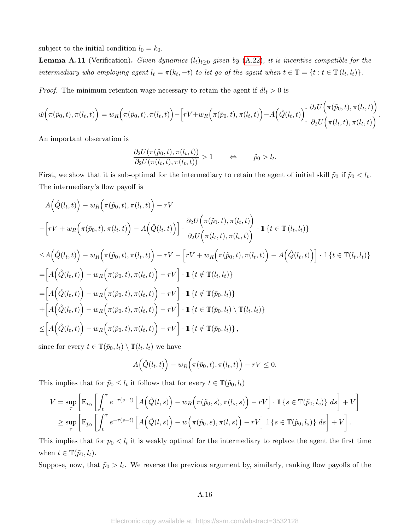subject to the initial condition  $l_0 = k_0$ .

**Lemma A.11** (Verification). Given dynamics  $(l_t)_{t\geq0}$  given by [\(A.22\)](#page-59-0), it is incentive compatible for the intermediary who employing agent  $l_t = \pi(k_t, -t)$  to let go of the agent when  $t \in \mathbb{T} = \{t : t \in \mathbb{T} (l_t, l_t)\}.$ 

*Proof.* The minimum retention wage necessary to retain the agent if  $dl_t > 0$  is

$$
\hat{w}(\pi(\tilde{p}_0,t),\pi(l_t,t)) = w_R(\pi(\tilde{p}_0,t),\pi(l_t,t)) - \Big[ rV + w_R\Big(\pi(\tilde{p}_0,t),\pi(l_t,t)\Big) - A\Big(\hat{Q}(l_t,t)\Big) \Big] \frac{\partial_2 U(\pi(\tilde{p}_0,t),\pi(l_t,t))}{\partial_2 U\Big(\pi(l_t,t),\pi(l_t,t)\Big)}.
$$

An important observation is

$$
\frac{\partial_2 U(\pi(\tilde{p}_0, t), \pi(l_t, t))}{\partial_2 U(\pi(l_t, t), \pi(l_t, t))} > 1 \qquad \Leftrightarrow \qquad \tilde{p}_0 > l_t.
$$

First, we show that it is sub-optimal for the intermediary to retain the agent of initial skill  $\tilde{p}_0$  if  $\tilde{p}_0 < l_t$ . The intermediary's flow payoff is

$$
A(\hat{Q}(l_{t},t)) - w_{R}(\pi(\tilde{p}_{0},t),\pi(l_{t},t)) - rV
$$
  
\n
$$
- [rV + w_{R}(\pi(\tilde{p}_{0},t),\pi(l_{t},t)) - A(\hat{Q}(l_{t},t))] \cdot \frac{\partial_{2}U(\pi(\tilde{p}_{0},t),\pi(l_{t},t))}{\partial_{2}U(\pi(l_{t},t),\pi(l_{t},t))} \cdot 1 \{t \in \mathbb{T}(l_{t},l_{t})\}
$$
  
\n
$$
\leq A(\hat{Q}(l_{t},t)) - w_{R}(\pi(\tilde{p}_{0},t),\pi(l_{t},t)) - rV - [rV + w_{R}(\pi(\tilde{p}_{0},t),\pi(l_{t},t)) - A(\hat{Q}(l_{t},t))] \cdot 1 \{t \in \mathbb{T}(l_{t},l_{t})\}
$$
  
\n
$$
= [A(\hat{Q}(l_{t},t)) - w_{R}(\pi(\tilde{p}_{0},t),\pi(l_{t},t)) - rV] \cdot 1 \{t \notin \mathbb{T}(l_{t},l_{t})\}
$$
  
\n
$$
= [A(\hat{Q}(l_{t},t)) - w_{R}(\pi(\tilde{p}_{0},t),\pi(l_{t},t)) - rV] \cdot 1 \{t \notin \mathbb{T}(\tilde{p}_{0},l_{t})\}
$$
  
\n
$$
+ [A(\hat{Q}(l_{t},t)) - w_{R}(\pi(\tilde{p}_{0},t),\pi(l_{t},t)) - rV] \cdot 1 \{t \in \mathbb{T}(\tilde{p}_{0},l_{t}) \setminus \mathbb{T}(l_{t},l_{t})\}
$$
  
\n
$$
\leq [A(\hat{Q}(l_{t},t)) - w_{R}(\pi(\tilde{p}_{0},t),\pi(l_{t},t)) - rV] \cdot 1 \{t \notin \mathbb{T}(\tilde{p}_{0},l_{t})\},
$$

since for every  $t \in \mathbb{T}(\tilde{p}_0, l_t) \setminus \mathbb{T}(l_t, l_t)$  we have

$$
A(\hat{Q}(l_t,t)) - w_R(\pi(\tilde{p}_0,t),\pi(l_t,t)) - rV \leq 0.
$$

This implies that for  $\tilde{p}_0 \leq l_t$  it follows that for every  $t \in \mathbb{T}(\tilde{p}_0, l_t)$ 

$$
V = \sup_{\tau} \left[ \mathcal{E}_{\tilde{p}_0} \left[ \int_t^{\tau} e^{-r(s-t)} \left[ A(\hat{Q}(l,s)) - w_R(\pi(\tilde{p}_0,s), \pi(l_s,s)) - rV \right] \cdot \mathbb{1} \left\{ s \in \mathbb{T}(\tilde{p}_0,l_s) \right\} ds \right] + V \right]
$$
  
\n
$$
\geq \sup_{\tau} \left[ \mathcal{E}_{\tilde{p}_0} \left[ \int_t^{\tau} e^{-r(s-t)} \left[ A(\hat{Q}(l,s)) - w(\pi(\tilde{p}_0,s), \pi(l,s)) - rV \right] \mathbb{1} \left\{ s \in \mathbb{T}(\tilde{p}_0,l_s) \right\} ds \right] + V \right].
$$

This implies that for  $p_0 < l_t$  it is weakly optimal for the intermediary to replace the agent the first time when  $t \in \mathbb{T}(\tilde{p}_0, l_t)$ .

Suppose, now, that  $\tilde{p}_0 > l_t$ . We reverse the previous argument by, similarly, ranking flow payoffs of the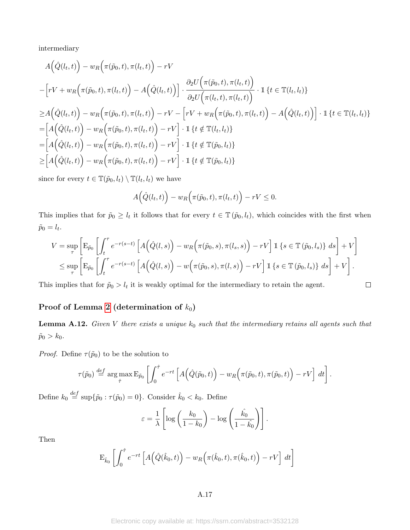intermediary

$$
A(\hat{Q}(l_{t},t)) - w_{R}(\pi(\tilde{p}_{0},t),\pi(l_{t},t)) - rV
$$
  
\n
$$
- [rV + w_{R}(\pi(\tilde{p}_{0},t),\pi(l_{t},t)) - A(\hat{Q}(l_{t},t))] \cdot \frac{\partial_{2}U(\pi(\tilde{p}_{0},t),\pi(l_{t},t))}{\partial_{2}U(\pi(l_{t},t),\pi(l_{t},t))} \cdot \mathbb{1} \{t \in \mathbb{T}(l_{t},l_{t})\}
$$
  
\n
$$
\geq A(\hat{Q}(l_{t},t)) - w_{R}(\pi(\tilde{p}_{0},t),\pi(l_{t},t)) - rV - [rV + w_{R}(\pi(\tilde{p}_{0},t),\pi(l_{t},t)) - A(\hat{Q}(l_{t},t))] \cdot \mathbb{1} \{t \in \mathbb{T}(l_{t},l_{t})\}
$$
  
\n
$$
= [A(\hat{Q}(l_{t},t)) - w_{R}(\pi(\tilde{p}_{0},t),\pi(l_{t},t)) - rV] \cdot \mathbb{1} \{t \notin \mathbb{T}(l_{t},l_{t})\}
$$
  
\n
$$
= [A(\hat{Q}(l_{t},t)) - w_{R}(\pi(\tilde{p}_{0},t),\pi(l_{t},t)) - rV] \cdot \mathbb{1} \{t \notin \mathbb{T}(\tilde{p}_{0},l_{t})\}
$$
  
\n
$$
\geq [A(\hat{Q}(l_{t},t)) - w_{R}(\pi(\tilde{p}_{0},t),\pi(l_{t},t)) - rV] \cdot \mathbb{1} \{t \notin \mathbb{T}(\tilde{p}_{0},l_{t})\}
$$

since for every  $t \in \mathbb{T}(\tilde{p}_0, l_t) \setminus \mathbb{T}(l_t, l_t)$  we have

$$
A(\hat{Q}(l_t,t)) - w_R(\pi(\tilde{p}_0,t),\pi(l_t,t)) - rV \le 0.
$$

This implies that for  $\tilde{p}_0 \geq l_t$  it follows that for every  $t \in \mathbb{T}(\tilde{p}_0, l_t)$ , which coincides with the first when  $\tilde{p}_0 = l_t.$ 

$$
V = \sup_{\tau} \left[ \mathcal{E}_{\tilde{p}_0} \left[ \int_t^{\tau} e^{-r(s-t)} \left[ A(\hat{Q}(l,s)) - w_R(\pi(\tilde{p}_0,s), \pi(l_s,s)) - rV \right] \mathbb{1} \left\{ s \in \mathbb{T}(\tilde{p}_0,l_s) \right\} ds \right] + V \right]
$$
  

$$
\leq \sup_{\tau} \left[ \mathcal{E}_{\tilde{p}_0} \left[ \int_t^{\tau} e^{-r(s-t)} \left[ A(\hat{Q}(l,s)) - w(\pi(\tilde{p}_0,s), \pi(l,s)) - rV \right] \mathbb{1} \left\{ s \in \mathbb{T}(\tilde{p}_0,l_s) \right\} ds \right] + V \right].
$$

This implies that for  $\tilde{p}_0 > l_t$  it is weakly optimal for the intermediary to retain the agent.

## <span id="page-61-0"></span>Proof of Lemma [2](#page-21-0) (determination of  $k_0$ )

**Lemma A.12.** Given V there exists a unique  $k_0$  such that the intermediary retains all agents such that  $\tilde{p}_0 > k_0$ .

*Proof.* Define  $\tau(\tilde{p}_0)$  to be the solution to

$$
\tau(\tilde{p}_0) \stackrel{def}{=} \arg \max_{\hat{\tau}} \mathbb{E}_{\tilde{p}_0} \left[ \int_0^{\hat{\tau}} e^{-rt} \left[ A(\hat{Q}(\tilde{p}_0, t)) - w_R(\pi(\tilde{p}_0, t), \pi(\tilde{p}_0, t)) - rV \right] dt \right]
$$

.

 $\Box$ 

Define  $k_0 \stackrel{def}{=} \sup\{\tilde{p}_0 : \tau(\tilde{p}_0) = 0\}$ . Consider  $\hat{k}_0 < k_0$ . Define

$$
\varepsilon = \frac{1}{\lambda} \left[ \log \left( \frac{k_0}{1 - k_0} \right) - \log \left( \frac{\hat{k_0}}{1 - \hat{k_0}} \right) \right].
$$

Then

$$
\mathcal{E}_{\hat{k}_0}\left[\int_0^{\hat{\tau}} e^{-rt}\left[A\left(\hat{Q}(\hat{k}_0,t)\right) - w_R\left(\pi(\hat{k}_0,t),\pi(\hat{k}_0,t)\right) - rV\right] dt\right]
$$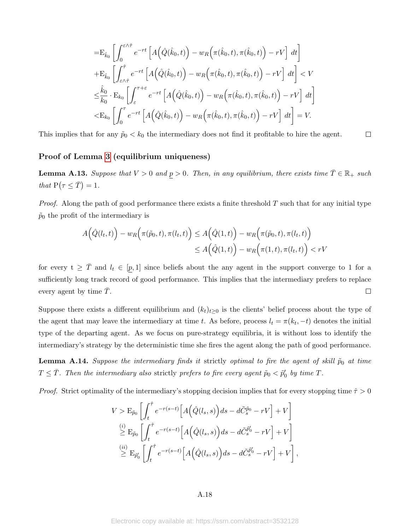$$
= \mathbb{E}_{\hat{k}_0} \left[ \int_0^{\varepsilon \wedge \hat{\tau}} e^{-rt} \left[ A(\hat{Q}(\hat{k}_0, t)) - w_R(\pi(\hat{k}_0, t), \pi(\hat{k}_0, t)) - rV \right] dt \right]
$$
  
+ 
$$
\mathbb{E}_{\hat{k}_0} \left[ \int_{\varepsilon \wedge \hat{\tau}}^{\hat{\tau}} e^{-rt} \left[ A(\hat{Q}(\hat{k}_0, t)) - w_R(\pi(\hat{k}_0, t), \pi(\hat{k}_0, t)) - rV \right] dt \right] < V
$$
  

$$
\leq \frac{\hat{k}_0}{k_0} \cdot \mathbb{E}_{k_0} \left[ \int_{\varepsilon}^{\tau + \varepsilon} e^{-rt} \left[ A(\hat{Q}(\hat{k}_0, t)) - w_R(\pi(\hat{k}_0, t), \pi(\hat{k}_0, t)) - rV \right] dt \right]
$$
  

$$
< \mathbb{E}_{k_0} \left[ \int_0^{\tau} e^{-rt} \left[ A(\hat{Q}(\hat{k}_0, t)) - w_R(\pi(\hat{k}_0, t), \pi(\hat{k}_0, t)) - rV \right] dt \right] = V.
$$

This implies that for any  $\tilde{p}_0 < k_0$  the intermediary does not find it profitable to hire the agent.

#### <span id="page-62-0"></span>Proof of Lemma [3](#page-22-0) (equilibrium uniqueness)

**Lemma A.13.** Suppose that  $V > 0$  and  $p > 0$ . Then, in any equilibrium, there exists time  $\overline{T} \in \mathbb{R}_+$  such that  $P(\tau \leq \overline{T}) = 1$ .

 $\Box$ 

*Proof.* Along the path of good performance there exists a finite threshold  $T$  such that for any initial type  $\tilde{p}_0$  the profit of the intermediary is

$$
A(\hat{Q}(l_t,t)) - w_R(\pi(\tilde{p}_0,t),\pi(l_t,t)) \le A(\hat{Q}(1,t)) - w_R(\pi(\tilde{p}_0,t),\pi(l_t,t))
$$
  

$$
\le A(\hat{Q}(1,t)) - w_R(\pi(1,t),\pi(l_t,t)) < rV
$$

for every  $t \geq \overline{T}$  and  $l_t \in [p, 1]$  since beliefs about the any agent in the support converge to 1 for a sufficiently long track record of good performance. This implies that the intermediary prefers to replace every agent by time  $T$ .  $\Box$ 

Suppose there exists a different equilibrium and  $(k_t)_{t\geq 0}$  is the clients' belief process about the type of the agent that may leave the intermediary at time t. As before, process  $l_t = \pi(k_t, -t)$  denotes the initial type of the departing agent. As we focus on pure-strategy equilibria, it is without loss to identify the intermediary's strategy by the deterministic time she fires the agent along the path of good performance.

**Lemma A.14.** Suppose the intermediary finds it strictly optimal to fire the agent of skill  $\tilde{p}_0$  at time  $T \leq \overline{T}$ . Then the intermediary also strictly prefers to fire every agent  $\tilde{p}_0 < \tilde{p}'_0$  by time T.

*Proof.* Strict optimality of the intermediary's stopping decision implies that for every stopping time  $\hat{\tau} > 0$ 

$$
V > \mathcal{E}_{\tilde{p}_0} \left[ \int_t^{\hat{\tau}} e^{-r(s-t)} \left[ A(\hat{Q}(l_s, s)) ds - d\tilde{C}_s^{\tilde{p}_0} - rV \right] + V \right]
$$
  
\n
$$
\stackrel{(i)}{\geq} \mathcal{E}_{\tilde{p}_0} \left[ \int_t^{\hat{\tau}} e^{-r(s-t)} \left[ A(\hat{Q}(l_s, s)) ds - d\tilde{C}_s^{\tilde{p}_0} - rV \right] + V \right]
$$
  
\n
$$
\stackrel{(ii)}{\geq} \mathcal{E}_{\tilde{p}_0'} \left[ \int_t^{\hat{\tau}} e^{-r(s-t)} \left[ A(\hat{Q}(l_s, s)) ds - d\tilde{C}_s^{\tilde{p}_0} - rV \right] + V \right],
$$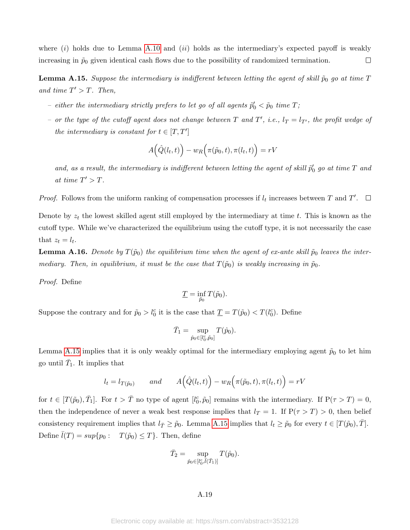where  $(i)$  holds due to Lemma [A.10](#page-35-0) and  $(ii)$  holds as the intermediary's expected payoff is weakly increasing in  $\tilde{p}_0$  given identical cash flows due to the possibility of randomized termination.  $\Box$ 

<span id="page-63-0"></span>**Lemma A.15.** Suppose the intermediary is indifferent between letting the agent of skill  $\tilde{p}_0$  go at time T and time  $T' > T$ . Then,

- either the intermediary strictly prefers to let go of all agents  $\tilde{p}'_0 < \tilde{p}_0$  time T;
- or the type of the cutoff agent does not change between T and T', i.e.,  $l_T = l_{T'}$ , the profit wedge of the intermediary is constant for  $t \in [T, T']$

$$
A(\hat{Q}(l_t,t)) - w_R(\pi(\tilde{p}_0,t),\pi(l_t,t)) = rV
$$

and, as a result, the intermediary is indifferent between letting the agent of skill  $\tilde{p}'_0$  go at time T and at time  $T' > T$ .

*Proof.* Follows from the uniform ranking of compensation processes if  $l_t$  increases between T and T'.  $\Box$ 

Denote by  $z_t$  the lowest skilled agent still employed by the intermediary at time  $t$ . This is known as the cutoff type. While we've characterized the equilibrium using the cutoff type, it is not necessarily the case that  $z_t = l_t$ .

<span id="page-63-1"></span>**Lemma A.16.** Denote by  $T(\tilde{p}_0)$  the equilibrium time when the agent of ex-ante skill  $\tilde{p}_0$  leaves the intermediary. Then, in equilibrium, it must be the case that  $T(\tilde{p}_0)$  is weakly increasing in  $\tilde{p}_0$ .

Proof. Define

$$
\underline{T} = \inf_{\tilde{p}_0} T(\tilde{p}_0).
$$

Suppose the contrary and for  $\tilde{p}_0 > l_0^c$  it is the case that  $\underline{T} = T(\tilde{p}_0) < T(l_0^c)$ . Define

$$
\bar{T}_1 = \sup_{\hat{p}_0 \in [l_0^c, \tilde{p}_0]} T(\hat{p}_0).
$$

Lemma [A.15](#page-63-0) implies that it is only weakly optimal for the intermediary employing agent  $\tilde{p}_0$  to let him go until  $\bar{T}_1$ . It implies that

$$
l_t = l_{T(\tilde{p}_0)} \qquad and \qquad A(\hat{Q}(l_t, t)) - w_R(\pi(\tilde{p}_0, t), \pi(l_t, t)) = rV
$$

for  $t \in [T(\tilde{p}_0), \bar{T}_1]$ . For  $t > \bar{T}$  no type of agent  $[l_0^c, \tilde{p}_0]$  remains with the intermediary. If  $P(\tau > T) = 0$ , then the independence of never a weak best response implies that  $l_T = 1$ . If  $P(\tau > T) > 0$ , then belief consistency requirement implies that  $l_{\bar{T}} \geq \tilde{p}_0$ . Lemma [A.15](#page-63-0) implies that  $l_t \geq \tilde{p}_0$  for every  $t \in [T(\tilde{p}_0), T]$ . Define  $\bar{l}(T) = \sup\{p_0: T(\tilde{p}_0) \leq T\}$ . Then, define

$$
\bar{T}_2 = \sup_{\hat{p}_0 \in [l_0^c, \bar{l}(\bar{T}_1)]} T(\hat{p}_0).
$$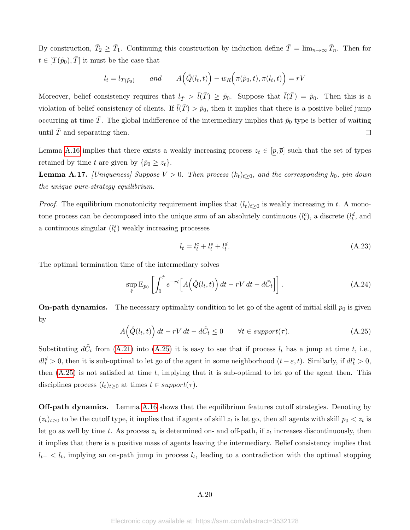By construction,  $\bar{T}_2 \geq \bar{T}_1$ . Continuing this construction by induction define  $\bar{T} = \lim_{n \to \infty} \bar{T}_n$ . Then for  $t \in [T(\tilde{p}_0), T]$  it must be the case that

$$
l_t = l_{T(\tilde{p}_0)} \qquad and \qquad A(\hat{Q}(l_t, t)) - w_R(\pi(\tilde{p}_0, t), \pi(l_t, t)) = rV
$$

Moreover, belief consistency requires that  $l_{\overline{T}} > \overline{l}(\overline{T}) \geq \tilde{p}_0$ . Suppose that  $\overline{l}(\overline{T}) = \tilde{p}_0$ . Then this is a violation of belief consistency of clients. If  $\bar{l}(\bar{T}) > \tilde{p}_0$ , then it implies that there is a positive belief jump occurring at time T. The global indifference of the intermediary implies that  $\tilde{p}_0$  type is better of waiting until  $\overline{T}$  and separating then.  $\Box$ 

Lemma [A.16](#page-63-1) implies that there exists a weakly increasing process  $z_t \in [p, \overline{p}]$  such that the set of types retained by time t are given by  $\{\tilde{p}_0 \geq z_t\}.$ 

**Lemma A.17.** [Uniqueness] Suppose  $V > 0$ . Then process  $(k_t)_{t>0}$ , and the corresponding  $k_0$ , pin down the unique pure-strategy equilibrium.

*Proof.* The equilibrium monotonicity requirement implies that  $(l_t)_{t\geq 0}$  is weakly increasing in t. A monotone process can be decomposed into the unique sum of an absolutely continuous  $(l_t^c)$ , a discrete  $(l_t^d$ , and a continuous singular  $(l_t^s)$  weakly increasing processes

<span id="page-64-1"></span>
$$
l_t = l_t^c + l_t^s + l_t^d. \tag{A.23}
$$

The optimal termination time of the intermediary solves

$$
\sup_{\hat{\tau}} \mathcal{E}_{p_0} \left[ \int_0^{\hat{\tau}} e^{-rt} \left[ A \left( \hat{Q}(l_t, t) \right) dt - rV dt - d\tilde{C}_t \right] \right]. \tag{A.24}
$$

<span id="page-64-0"></span>**On-path dynamics.** The necessary optimality condition to let go of the agent of initial skill  $p_0$  is given by

$$
A(\hat{Q}(l_t, t)) dt - rV dt - d\tilde{C}_t \le 0 \qquad \forall t \in support(\tau). \tag{A.25}
$$

Substituting  $d\tilde{C}_t$  from [\(A.21\)](#page-59-1) into [\(A.25\)](#page-64-0) it is easy to see that if process  $l_t$  has a jump at time t, i.e.,  $dl_t^d > 0$ , then it is sub-optimal to let go of the agent in some neighborhood  $(t - \varepsilon, t)$ . Similarly, if  $dl_t^s > 0$ , then  $(A.25)$  is not satisfied at time t, implying that it is sub-optimal to let go of the agent then. This disciplines process  $(l_t)_{t\geq 0}$  at times  $t \in support(\tau)$ .

Off-path dynamics. Lemma [A.16](#page-63-1) shows that the equilibrium features cutoff strategies. Denoting by  $(z_t)_{t\geq0}$  to be the cutoff type, it implies that if agents of skill  $z_t$  is let go, then all agents with skill  $p_0 < z_t$  is let go as well by time t. As process  $z_t$  is determined on- and off-path, if  $z_t$  increases discontinuously, then it implies that there is a positive mass of agents leaving the intermediary. Belief consistency implies that  $l_{t-} < l_t$ , implying an on-path jump in process  $l_t$ , leading to a contradiction with the optimal stopping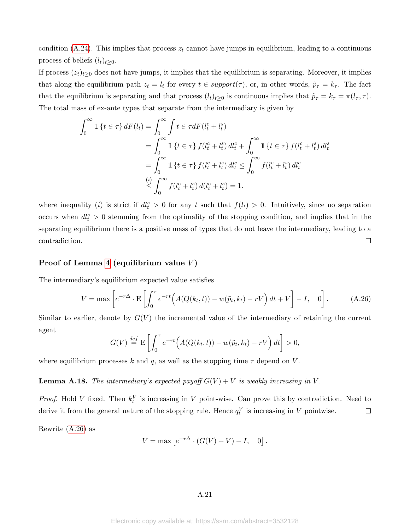condition [\(A.24\)](#page-64-1). This implies that process  $z_t$  cannot have jumps in equilibrium, leading to a continuous process of beliefs  $(l_t)_{t\geq0}$ .

If process  $(z_t)_{t\geq0}$  does not have jumps, it implies that the equilibrium is separating. Moreover, it implies that along the equilibrium path  $z_t = l_t$  for every  $t \in support(\tau)$ , or, in other words,  $\tilde{p}_{\tau} = k_{\tau}$ . The fact that the equilibrium is separating and that process  $(l_t)_{t\geq 0}$  is continuous implies that  $\tilde{p}_{\tau} = k_{\tau} = \pi(l_{\tau}, \tau)$ . The total mass of ex-ante types that separate from the intermediary is given by

$$
\int_0^{\infty} 1 \{ t \in \tau \} dF(t_t) = \int_0^{\infty} \int t \in \tau dF(t_t^c + t_t^s)
$$
  
= 
$$
\int_0^{\infty} 1 \{ t \in \tau \} f(t_t^c + t_t^s) dt_t^c + \int_0^{\infty} 1 \{ t \in \tau \} f(t_t^c + t_t^s) dt_t^s
$$
  
= 
$$
\int_0^{\infty} 1 \{ t \in \tau \} f(t_t^c + t_t^s) dt_t^c \le \int_0^{\infty} f(t_t^c + t_t^s) dt_t^c
$$
  

$$
\le \int_0^{\infty} f(t_t^c + t_t^s) d(t_t^c + t_t^s) = 1.
$$

where inequality (i) is strict if  $dl_t^s > 0$  for any t such that  $f(l_t) > 0$ . Intuitively, since no separation occurs when  $dl_t^s > 0$  stemming from the optimality of the stopping condition, and implies that in the separating equilibrium there is a positive mass of types that do not leave the intermediary, leading to a contradiction.  $\Box$ 

#### <span id="page-65-0"></span>Proof of Lemma [4](#page-22-1) (equilibrium value  $V$ )

The intermediary's equilibrium expected value satisfies

$$
V = \max\left[e^{-r\Delta} \cdot \mathbb{E}\left[\int_0^{\tau} e^{-rt}\left(A(Q(k_t, t)) - w(\tilde{p}_t, k_t) - rV\right)dt + V\right] - I, \quad 0\right].\tag{A.26}
$$

Similar to earlier, denote by  $G(V)$  the incremental value of the intermediary of retaining the current agent

<span id="page-65-1"></span>
$$
G(V) \stackrel{def}{=} \mathbf{E} \left[ \int_0^{\tau} e^{-rt} \Big( A(Q(k_t, t)) - w(\tilde{p}_t, k_t) - rV \Big) dt \right] > 0,
$$

where equilibrium processes k and q, as well as the stopping time  $\tau$  depend on V.

## **Lemma A.18.** The intermediary's expected payoff  $G(V) + V$  is weakly increasing in V.

*Proof.* Hold V fixed. Then  $k_t^V$  is increasing in V point-wise. Can prove this by contradiction. Need to derive it from the general nature of the stopping rule. Hence  $q_t^V$  is increasing in V pointwise.  $\Box$ 

Rewrite [\(A.26\)](#page-65-1) as

$$
V = \max \left[ e^{-r\Delta} \cdot (G(V) + V) - I, \quad 0 \right].
$$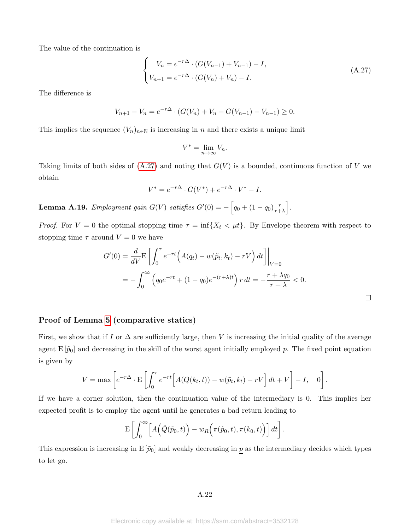The value of the continuation is

<span id="page-66-1"></span>
$$
\begin{cases}\nV_n = e^{-r\Delta} \cdot (G(V_{n-1}) + V_{n-1}) - I, \\
V_{n+1} = e^{-r\Delta} \cdot (G(V_n) + V_n) - I.\n\end{cases}
$$
\n(A.27)

The difference is

$$
V_{n+1} - V_n = e^{-r\Delta} \cdot (G(V_n) + V_n - G(V_{n-1}) - V_{n-1}) \ge 0.
$$

This implies the sequence  $(V_n)_{n\in\mathbb{N}}$  is increasing in n and there exists a unique limit

$$
V^* = \lim_{n \to \infty} V_n.
$$

Taking limits of both sides of  $(A.27)$  and noting that  $G(V)$  is a bounded, continuous function of V we obtain

$$
V^*=e^{-r\Delta}\cdot G(V^*)+e^{-r\Delta}\cdot V^*-I.
$$

**Lemma A.19.** Employment gain  $G(V)$  satisfies  $G'(0) = -\left[q_0 + (1 - q_0)\frac{r}{r+1}\right]$  $\frac{r}{r+\lambda}\bigg].$ 

*Proof.* For  $V = 0$  the optimal stopping time  $\tau = \inf\{X_t \le \mu t\}$ . By Envelope theorem with respect to stopping time  $\tau$  around  $V = 0$  we have

$$
G'(0) = \frac{d}{dV} \mathbb{E} \left[ \int_0^{\tau} e^{-rt} \left( A(q_t) - w(\tilde{p}_t, k_t) - rV \right) dt \right] \Big|_{V=0}
$$
  
= 
$$
- \int_0^{\infty} \left( q_0 e^{-rt} + (1 - q_0) e^{-(r+\lambda)t} \right) r dt = -\frac{r + \lambda q_0}{r + \lambda} < 0.
$$

## <span id="page-66-0"></span>Proof of Lemma [5](#page-23-0) (comparative statics)

First, we show that if I or  $\Delta$  are sufficiently large, then V is increasing the initial quality of the average agent  $E[\tilde{p}_0]$  and decreasing in the skill of the worst agent initially employed p. The fixed point equation is given by

$$
V = \max \left[ e^{-r\Delta} \cdot \mathbb{E} \left[ \int_0^{\tau} e^{-rt} \left[ A(Q(k_t, t)) - w(\tilde{p}_t, k_t) - rV \right] dt + V \right] - I, \quad 0 \right].
$$

If we have a corner solution, then the continuation value of the intermediary is 0. This implies her expected profit is to employ the agent until he generates a bad return leading to

$$
\mathbf{E}\left[\int_0^\infty \Big[A\Big(\hat{Q}(\tilde{p}_0,t)\Big)-w_R\Big(\pi(\tilde{p}_0,t),\pi(k_0,t)\Big)\Big]\,dt\right].
$$

This expression is increasing in  $E[\tilde{p}_0]$  and weakly decreasing in  $p$  as the intermediary decides which types to let go.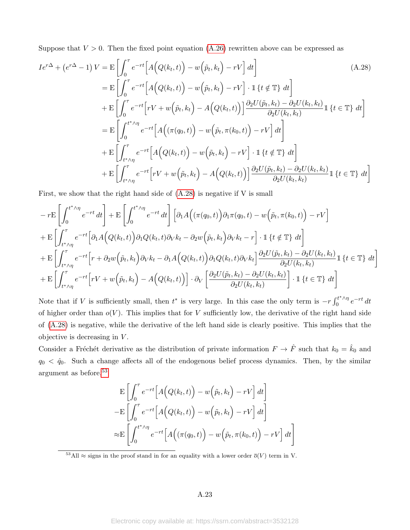Suppose that  $V > 0$ . Then the fixed point equation  $(A.26)$  rewritten above can be expressed as

<span id="page-67-0"></span>
$$
I e^{r\Delta} + (e^{r\Delta} - 1) V = \mathbb{E} \left[ \int_0^{\tau} e^{-rt} \left[ A \Big( Q(k_t, t) \Big) - w \Big( \tilde{p}_t, k_t \Big) - rV \right] dt \right]
$$
\n
$$
= \mathbb{E} \left[ \int_0^{\tau} e^{-rt} \left[ A \Big( Q(k_t, t) \Big) - w \Big( \tilde{p}_t, k_t \Big) - rV \right] \cdot \mathbb{I} \left\{ t \notin \mathbb{T} \right\} dt \right]
$$
\n
$$
+ \mathbb{E} \left[ \int_0^{\tau} e^{-rt} \Big[ rV + w \Big( \tilde{p}_t, k_t \Big) - A \Big( Q(k_t, t) \Big) \Big] \frac{\partial_2 U(\tilde{p}_t, k_t) - \partial_2 U(k_t, k_t)}{\partial_2 U(k_t, k_t)} \mathbb{I} \left\{ t \in \mathbb{T} \right\} dt \right]
$$
\n
$$
= \mathbb{E} \left[ \int_0^{t^* \wedge \eta} e^{-rt} \Big[ A \Big( (\pi(q_0, t) \Big) - w \Big( \tilde{p}_t, \pi(k_0, t) \Big) - rV \Big] dt \right]
$$
\n
$$
+ \mathbb{E} \left[ \int_{t^* \wedge \eta}^{\tau} e^{-rt} \Big[ A \Big( Q(k_t, t) \Big) - w \Big( \tilde{p}_t, k_t \Big) - rV \Big] \cdot \mathbb{I} \left\{ t \notin \mathbb{T} \right\} dt \right]
$$
\n
$$
+ \mathbb{E} \left[ \int_{t^* \wedge \eta}^{\tau} e^{-rt} \Big[ rV + w \Big( \tilde{p}_t, k_t \Big) - A \Big( Q(k_t, t) \Big) \Big] \frac{\partial_2 U(\tilde{p}_t, k_t) - \partial_2 U(k_t, k_t)}{\partial_2 U(k_t, k_t)} \mathbb{I} \left\{ t \in \mathbb{T} \right\} dt \right]
$$

First, we show that the right hand side of  $(A.28)$  is negative if V is small

$$
-rE\left[\int_{0}^{t^{*}\wedge\eta}e^{-rt}dt\right] + E\left[\int_{0}^{t^{*}\wedge\eta}e^{-rt}dt\right] \left[\partial_{1}A\Big((\pi(q_{0},t))\partial_{1}\pi(q_{0},t) - w\Big(\tilde{p}_{t},\pi(k_{0},t)\Big) - rV\right] + E\left[\int_{t^{*}\wedge\eta}^{\tau}e^{-rt}\Big[\partial_{1}A\Big(Q(k_{t},t)\Big)\partial_{1}Q(k_{t},t)\partial_{V}k_{t} - \partial_{2}w\Big(\tilde{p}_{t},k_{t}\Big)\partial_{V}k_{t} - r\right] \cdot \mathbb{1}\left\{t \notin \mathbb{T}\right\} dt\right] + E\left[\int_{t^{*}\wedge\eta}^{\tau}e^{-rt}\Big[r + \partial_{2}w\Big(\tilde{p}_{t},k_{t}\Big)\partial_{V}k_{t} - \partial_{1}A\Big(Q(k_{t},t)\Big)\partial_{1}Q(k_{t},t)\partial_{V}k_{t}\Big]\frac{\partial_{2}U(\tilde{p}_{t},k_{t}) - \partial_{2}U(k_{t},k_{t})}{\partial_{2}U(k_{t},k_{t})}\mathbb{1}\left\{t \in \mathbb{T}\right\} dt\right] + E\left[\int_{t^{*}\wedge\eta}^{\tau}e^{-rt}\Big[rV + w\Big(\tilde{p}_{t},k_{t}\Big) - A\Big(Q(k_{t},t)\Big)\Big] \cdot \partial_{V}\Big[\frac{\partial_{2}U(\tilde{p}_{t},k_{t}) - \partial_{2}U(k_{t},k_{t})}{\partial_{2}U(k_{t},k_{t})}\Big] \cdot \mathbb{1}\left\{t \in \mathbb{T}\right\} dt\right]
$$

Note that if V is sufficiently small, then  $t^*$  is very large. In this case the only term is  $-r \int_0^{t^* \wedge \eta}$  $e^{-rt}$  dt  $e^{-rt}$  dt of higher order than  $o(V)$ . This implies that for V sufficiently low, the derivative of the right hand side of [\(A.28\)](#page-67-0) is negative, while the derivative of the left hand side is clearly positive. This implies that the objective is decreasing in V .

Consider a Fréchét derivative as the distribution of private information  $F \to \hat{F}$  such that  $k_0 = \hat{k}_0$  and  $q_0 < \hat{q}_0$ . Such a change affects all of the endogenous belief process dynamics. Then, by the similar argument as before,[53](#page-67-1)

$$
\begin{aligned} &\mathbf{E}\left[\int_0^\tau e^{-rt}\Big[A\Big(Q(k_t,t)\Big)-w\Big(\tilde{p}_t,k_t\Big)-rV\Big]\,dt\right] \\ &- \mathbf{E}\left[\int_0^\tau e^{-rt}\Big[A\Big(Q(k_t,t)\Big)-w\Big(\tilde{p}_t,k_t\Big)-rV\Big]\,dt\right] \\ &\approx \mathbf{E}\left[\int_0^{t^*\wedge\eta} e^{-rt}\Big[A\Big((\pi(q_0,t)\Big)-w\Big(\tilde{p}_t,\pi(k_0,t)\Big)-rV\Big]\,dt\right] \end{aligned}
$$

<span id="page-67-1"></span> $\frac{53}{12}$  All  $\approx$  signs in the proof stand in for an equality with a lower order  $\overline{o}(V)$  term in V.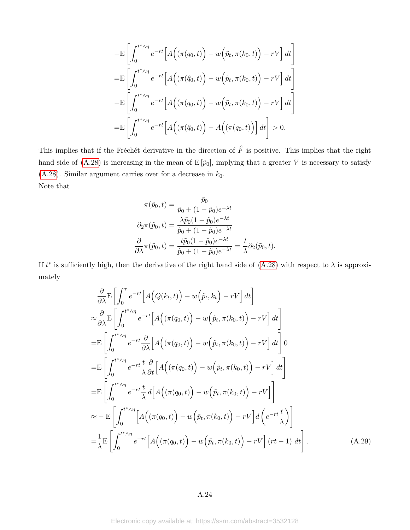$$
-E\left[\int_0^{t^*\wedge\eta} e^{-rt}\left[A\Big(\pi(q_0,t)\Big) - w\Big(\tilde{p}_t, \pi(k_0,t)\Big) - rV\right]dt\right]
$$
  
\n
$$
=E\left[\int_0^{t^*\wedge\eta} e^{-rt}\left[A\Big(\pi(\hat{q}_0,t)\Big) - w\Big(\tilde{p}_t, \pi(k_0,t)\Big) - rV\right]dt\right]
$$
  
\n
$$
-E\left[\int_0^{t^*\wedge\eta} e^{-rt}\left[A\Big(\pi(q_0,t)\Big) - w\Big(\tilde{p}_t, \pi(k_0,t)\Big) - rV\right]dt\right]
$$
  
\n
$$
=E\left[\int_0^{t^*\wedge\eta} e^{-rt}\left[A\Big(\pi(\hat{q}_0,t)\Big) - A\Big(\pi(q_0,t)\Big)\right]dt\right] > 0.
$$

This implies that if the Fréchét derivative in the direction of  $\hat{F}$  is positive. This implies that the right hand side of [\(A.28\)](#page-67-0) is increasing in the mean of  $E[\tilde{p}_0]$ , implying that a greater V is necessary to satisfy [\(A.28\)](#page-67-0). Similar argument carries over for a decrease in  $k_0$ . Note that

$$
\pi(\tilde{p}_0, t) = \frac{\tilde{p}_0}{\tilde{p}_0 + (1 - \tilde{p}_0)e^{-\lambda t}} \n\partial_2 \pi(\tilde{p}_0, t) = \frac{\lambda \tilde{p}_0 (1 - \tilde{p}_0)e^{-\lambda t}}{\tilde{p}_0 + (1 - \tilde{p}_0)e^{-\lambda t}} \n\frac{\partial}{\partial \lambda} \pi(\tilde{p}_0, t) = \frac{t \tilde{p}_0 (1 - \tilde{p}_0)e^{-\lambda t}}{\tilde{p}_0 + (1 - \tilde{p}_0)e^{-\lambda t}} = \frac{t}{\lambda} \partial_2(\tilde{p}_0, t).
$$

If  $t^*$  is sufficiently high, then the derivative of the right hand side of [\(A.28\)](#page-67-0) with respect to  $\lambda$  is approximately

<span id="page-68-0"></span>
$$
\frac{\partial}{\partial \lambda} \mathbf{E} \left[ \int_0^{\tau} e^{-rt} \left[ A \left( Q(k_t, t) \right) - w \left( \tilde{p}_t, k_t \right) - rV \right] dt \right]
$$
\n
$$
\approx \frac{\partial}{\partial \lambda} \mathbf{E} \left[ \int_0^{t^* \wedge \eta} e^{-rt} \left[ A \left( (\pi(q_0, t) - w \left( \tilde{p}_t, \pi(k_0, t) \right) - rV \right] dt \right] \right]
$$
\n
$$
= \mathbf{E} \left[ \int_0^{t^* \wedge \eta} e^{-rt} \frac{\partial}{\partial \lambda} \left[ A \left( (\pi(q_0, t) - w \left( \tilde{p}_t, \pi(k_0, t) \right) - rV \right] dt \right] 0 \right]
$$
\n
$$
= \mathbf{E} \left[ \int_0^{t^* \wedge \eta} e^{-rt} \frac{t}{\lambda} \frac{\partial}{\partial t} \left[ A \left( (\pi(q_0, t) - w \left( \tilde{p}_t, \pi(k_0, t) \right) - rV \right] dt \right] \right]
$$
\n
$$
= \mathbf{E} \left[ \int_0^{t^* \wedge \eta} e^{-rt} \frac{t}{\lambda} d \left[ A \left( (\pi(q_0, t) - w \left( \tilde{p}_t, \pi(k_0, t) \right) - rV \right] \right] \right]
$$
\n
$$
\approx - \mathbf{E} \left[ \int_0^{t^* \wedge \eta} \left[ A \left( (\pi(q_0, t) - w \left( \tilde{p}_t, \pi(k_0, t) \right) - rV \right] d \left( e^{-rt} \frac{t}{\lambda} \right) \right] \right]
$$
\n
$$
= \frac{1}{\lambda} \mathbf{E} \left[ \int_0^{t^* \wedge \eta} e^{-rt} \left[ A \left( (\pi(q_0, t) - w \left( \tilde{p}_t, \pi(k_0, t) \right) - rV \right] (rt - 1) dt \right]. \tag{A.29}
$$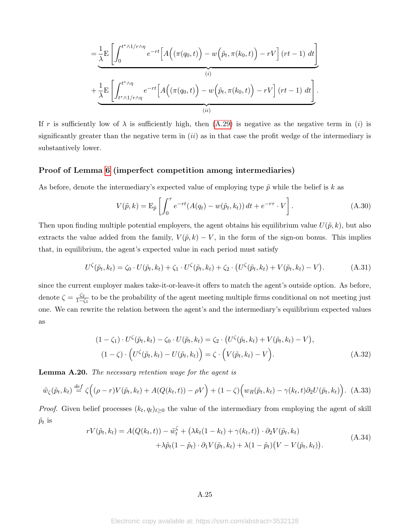$$
= \underbrace{\frac{1}{\lambda} \mathbf{E} \left[ \int_0^{t^* \wedge 1/r \wedge \eta} e^{-rt} \left[ A \Big( (\pi(q_0, t) \Big) - w \Big( \tilde{p}_t, \pi(k_0, t) \Big) - rV \right] (rt-1) \, dt \right]}_{(i)} + \underbrace{\frac{1}{\lambda} \mathbf{E} \left[ \int_{t^* \wedge 1/r \wedge \eta}^{t^* \wedge \eta} e^{-rt} \left[ A \Big( (\pi(q_0, t) \Big) - w \Big( \tilde{p}_t, \pi(k_0, t) \Big) - rV \right] (rt-1) \, dt \right]}_{(ii)}.
$$

If r is sufficiently low of  $\lambda$  is sufficiently high, then [\(A.29\)](#page-68-0) is negative as the negative term in (i) is significantly greater than the negative term in  $(ii)$  as in that case the profit wedge of the intermediary is substantively lower.

#### <span id="page-69-0"></span>Proof of Lemma [6](#page-26-0) (imperfect competition among intermediaries)

As before, denote the intermediary's expected value of employing type  $\tilde{p}$  while the belief is k as

<span id="page-69-3"></span>
$$
V(\tilde{p},k) = \mathcal{E}_{\tilde{p}}\left[\int_0^{\tau} e^{-rt}(A(q_t) - w(\tilde{p}_t, k_t)) dt + e^{-r\tau} \cdot V\right].
$$
 (A.30)

Then upon finding multiple potential employers, the agent obtains his equilibrium value  $U(\tilde{p}, k)$ , but also extracts the value added from the family,  $V(\tilde{p}, k) - V$ , in the form of the sign-on bonus. This implies that, in equilibrium, the agent's expected value in each period must satisfy

$$
U^{\zeta}(\tilde{p}_t, k_t) = \zeta_0 \cdot U(\tilde{p}_t, k_t) + \zeta_1 \cdot U^{\zeta}(\tilde{p}_t, k_t) + \zeta_2 \cdot (U^{\zeta}(\tilde{p}_t, k_t) + V(\tilde{p}_t, k_t) - V). \tag{A.31}
$$

since the current employer makes take-it-or-leave-it offers to match the agent's outside option. As before, denote  $\zeta = \frac{\zeta_2}{1-\zeta_1}$  $\frac{\zeta_2}{1-\zeta_1}$  to be the probability of the agent meeting multiple firms conditional on not meeting just one. We can rewrite the relation between the agent's and the intermediary's equilibrium expected values as

<span id="page-69-1"></span>
$$
(1 - \zeta_1) \cdot U^{\zeta}(\tilde{p}_t, k_t) - \zeta_0 \cdot U(\tilde{p}_t, k_t) = \zeta_2 \cdot (U^{\zeta}(\tilde{p}_t, k_t) + V(\tilde{p}_t, k_t) - V),
$$
  

$$
(1 - \zeta) \cdot (U^{\zeta}(\tilde{p}_t, k_t) - U(\tilde{p}_t, k_t)) = \zeta \cdot (V(\tilde{p}_t, k_t) - V).
$$
 (A.32)

**Lemma A.20.** The necessary retention wage for the agent is

$$
\tilde{w}_{\zeta}(\tilde{p}_t, k_t) \stackrel{def}{=} \zeta((\rho - r)V(\tilde{p}_t, k_t) + A(Q(k_t, t)) - \rho V) + (1 - \zeta)\Big(w_R(\tilde{p}_t, k_t) - \gamma(k_t, t)\partial_2 U(\tilde{p}_t, k_t)\Big). \tag{A.33}
$$

<span id="page-69-2"></span>*Proof.* Given belief processes  $(k_t, q_t)_{t \geq 0}$  the value of the intermediary from employing the agent of skill  $\tilde{p}_t$  is

$$
rV(\tilde{p}_t, k_t) = A(Q(k_t, t)) - \tilde{w}_t^{\zeta} + \left(\lambda k_t (1 - k_t) + \gamma(k_t, t)\right) \cdot \partial_2 V(\tilde{p}_t, k_t) + \lambda \tilde{p}_t (1 - \tilde{p}_t) \cdot \partial_1 V(\tilde{p}_t, k_t) + \lambda (1 - \tilde{p}_t) \left(V - V(\tilde{p}_t, k_t)\right).
$$
\n(A.34)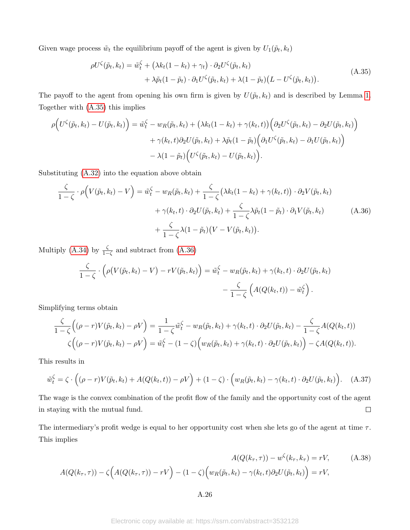Given wage process  $\tilde{w}_t$  the equilibrium payoff of the agent is given by  $U_1(\tilde{p}_t, k_t)$ 

<span id="page-70-0"></span>
$$
\rho U^{\zeta}(\tilde{p}_t, k_t) = \tilde{w}_t^{\zeta} + \left(\lambda k_t (1 - k_t) + \gamma_t\right) \cdot \partial_2 U^{\zeta}(\tilde{p}_t, k_t) + \lambda \tilde{p}_t (1 - \tilde{p}_t) \cdot \partial_1 U^{\zeta}(\tilde{p}_t, k_t) + \lambda (1 - \tilde{p}_t) \left(L - U^{\zeta}(\tilde{p}_t, k_t)\right).
$$
\n(A.35)

The payoff to the agent from opening his own firm is given by  $U(\tilde{p}_t, k_t)$  and is described by Lemma [1.](#page-14-0) Together with [\(A.35\)](#page-70-0) this implies

$$
\rho\Big(U^{\zeta}(\tilde{p}_t, k_t) - U(\tilde{p}_t, k_t)\Big) = \tilde{w}_t^{\zeta} - w_R(\tilde{p}_t, k_t) + \left(\lambda k_t(1 - k_t) + \gamma(k_t, t)\right)\left(\partial_2 U^{\zeta}(\tilde{p}_t, k_t) - \partial_2 U(\tilde{p}_t, k_t)\right) + \gamma(k_t, t)\partial_2 U(\tilde{p}_t, k_t) + \lambda \tilde{p}_t(1 - \tilde{p}_t)\left(\partial_1 U^{\zeta}(\tilde{p}_t, k_t) - \partial_1 U(\tilde{p}_t, k_t)\right) - \lambda(1 - \tilde{p}_t)\left(U^{\zeta}(\tilde{p}_t, k_t) - U(\tilde{p}_t, k_t)\right).
$$

Substituting [\(A.32\)](#page-69-1) into the equation above obtain

<span id="page-70-1"></span>
$$
\frac{\zeta}{1-\zeta} \cdot \rho \Big( V(\tilde{p}_t, k_t) - V \Big) = \tilde{w}_t^{\zeta} - w_R(\tilde{p}_t, k_t) + \frac{\zeta}{1-\zeta} \big( \lambda k_t (1-k_t) + \gamma(k_t, t) \big) \cdot \partial_2 V(\tilde{p}_t, k_t) \n+ \gamma(k_t, t) \cdot \partial_2 U(\tilde{p}_t, k_t) + \frac{\zeta}{1-\zeta} \lambda \tilde{p}_t (1-\tilde{p}_t) \cdot \partial_1 V(\tilde{p}_t, k_t) \n+ \frac{\zeta}{1-\zeta} \lambda (1-\tilde{p}_t) \big( V - V(\tilde{p}_t, k_t) \big).
$$
\n(A.36)

Multiply [\(A.34\)](#page-69-2) by  $\frac{\zeta}{1-\zeta}$  and subtract from [\(A.36\)](#page-70-1)

$$
\frac{\zeta}{1-\zeta} \cdot \left( \rho \big( V(\tilde{p}_t, k_t) - V \big) - r V(\tilde{p}_t, k_t) \right) = \tilde{w}_t^{\zeta} - w_R(\tilde{p}_t, k_t) + \gamma(k_t, t) \cdot \partial_2 U(\tilde{p}_t, k_t) - \frac{\zeta}{1-\zeta} \left( A(Q(k_t, t)) - \tilde{w}_t^{\zeta} \right).
$$

Simplifying terms obtain

$$
\frac{\zeta}{1-\zeta}\Big((\rho-r)V(\tilde{p}_t,k_t)-\rho V\Big)=\frac{1}{1-\zeta}\tilde{w}_t^{\zeta}-w_R(\tilde{p}_t,k_t)+\gamma(k_t,t)\cdot\partial_2U(\tilde{p}_t,k_t)-\frac{\zeta}{1-\zeta}A(Q(k_t,t))
$$

$$
\zeta((\rho-r)V(\tilde{p}_t,k_t)-\rho V)=\tilde{w}_t^{\zeta}-(1-\zeta)\Big(w_R(\tilde{p}_t,k_t)+\gamma(k_t,t)\cdot\partial_2U(\tilde{p}_t,k_t)\Big)-\zeta A(Q(k_t,t)).
$$

This results in

$$
\tilde{w}_t^{\zeta} = \zeta \cdot \left( (\rho - r) V(\tilde{p}_t, k_t) + A(Q(k_t, t)) - \rho V \right) + (1 - \zeta) \cdot \left( w_R(\tilde{p}_t, k_t) - \gamma(k_t, t) \cdot \partial_2 U(\tilde{p}_t, k_t) \right). \tag{A.37}
$$

The wage is the convex combination of the profit flow of the family and the opportunity cost of the agent  $\Box$ in staying with the mutual fund.

The intermediary's profit wedge is equal to her opportunity cost when she lets go of the agent at time  $\tau$ . This implies

$$
A(Q(k_{\tau},\tau)) - w^{\zeta}(k_{\tau},k_{\tau}) = rV, \qquad (A.38)
$$

$$
A(Q(k_{\tau},\tau)) - \zeta \Big( A(Q(k_{\tau},\tau)) - rV \Big) - (1-\zeta) \Big( w_R(\tilde{p}_t,k_t) - \gamma(k_t,t) \partial_2 U(\tilde{p}_t,k_t) \Big) = rV,
$$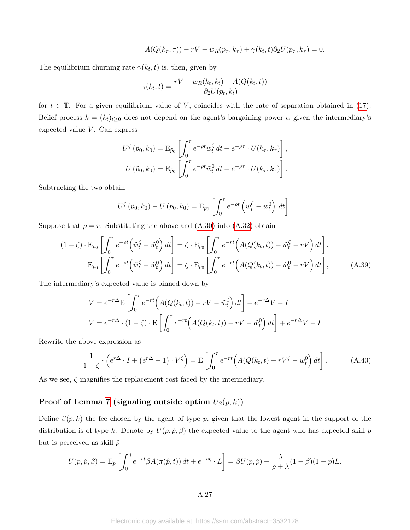$$
A(Q(k_{\tau},\tau)) - rV - w_R(\tilde{p}_{\tau},k_{\tau}) + \gamma(k_t,t)\partial_2 U(\tilde{p}_{\tau},k_{\tau}) = 0.
$$

The equilibrium churning rate  $\gamma(k_t, t)$  is, then, given by

$$
\gamma(k_t, t) = \frac{rV + w_R(k_t, k_t) - A(Q(k_t, t))}{\partial_2 U(\tilde{p}_t, k_t)}
$$

for  $t \in \mathbb{T}$ . For a given equilibrium value of V, coincides with the rate of separation obtained in [\(17\)](#page-18-0). Belief process  $k = (k_t)_{t\geq 0}$  does not depend on the agent's bargaining power  $\alpha$  given the intermediary's expected value  $V$ . Can express

$$
U^{\zeta}(\tilde{p}_0, k_0) = \mathcal{E}_{\tilde{p}_0} \left[ \int_0^{\tau} e^{-\rho t} \tilde{w}_t^{\zeta} dt + e^{-\rho \tau} \cdot U(k_{\tau}, k_{\tau}) \right],
$$
  

$$
U(\tilde{p}_0, k_0) = \mathcal{E}_{\tilde{p}_0} \left[ \int_0^{\tau} e^{-\rho t} \tilde{w}_t^0 dt + e^{-\rho \tau} \cdot U(k_{\tau}, k_{\tau}) \right].
$$

Subtracting the two obtain

$$
U^{\zeta}(\tilde{p}_0, k_0) - U(\tilde{p}_0, k_0) = \mathbf{E}_{\tilde{p}_0} \left[ \int_0^{\tau} e^{-\rho t} \left( \tilde{w}_t^{\zeta} - \tilde{w}_t^0 \right) dt \right].
$$

Suppose that  $\rho = r$ . Substituting the above and [\(A.30\)](#page-69-3) into [\(A.32\)](#page-69-1) obtain

$$
(1 - \zeta) \cdot \mathbf{E}_{\tilde{p}_0} \left[ \int_0^{\tau} e^{-\rho t} \left( \tilde{w}_t^{\zeta} - \tilde{w}_t^0 \right) dt \right] = \zeta \cdot \mathbf{E}_{\tilde{p}_0} \left[ \int_0^{\tau} e^{-rt} \left( A(Q(k_t, t)) - \tilde{w}_t^{\zeta} - rV \right) dt \right],
$$
  

$$
\mathbf{E}_{\tilde{p}_0} \left[ \int_0^{\tau} e^{-\rho t} \left( \tilde{w}_t^{\zeta} - \tilde{w}_t^0 \right) dt \right] = \zeta \cdot \mathbf{E}_{\tilde{p}_0} \left[ \int_0^{\tau} e^{-rt} \left( A(Q(k_t, t)) - \tilde{w}_t^0 - rV \right) dt \right],
$$
(A.39)

The intermediary's expected value is pinned down by

$$
V = e^{-r\Delta} \mathbf{E} \left[ \int_0^{\tau} e^{-rt} \left( A(Q(k_t, t)) - rV - \tilde{w}_t^{\zeta} \right) dt \right] + e^{-r\Delta} V - I
$$
  

$$
V = e^{-r\Delta} \cdot (1 - \zeta) \cdot \mathbf{E} \left[ \int_0^{\tau} e^{-rt} \left( A(Q(k_t, t)) - rV - \tilde{w}_t^0 \right) dt \right] + e^{-r\Delta} V - I
$$

Rewrite the above expression as

$$
\frac{1}{1-\zeta} \cdot \left( e^{r\Delta} \cdot I + \left( e^{r\Delta} - 1 \right) \cdot V^{\zeta} \right) = \mathcal{E} \left[ \int_0^{\tau} e^{-rt} \left( A(Q(k_t, t) - rV^{\zeta} - \tilde{w}_t^0) \right) dt \right]. \tag{A.40}
$$

As we see,  $\zeta$  magnifies the replacement cost faced by the intermediary.

# <span id="page-71-0"></span>Proof of Lemma [7](#page-27-0) (signaling outside option  $U_\beta(p,k)$ )

Define  $\beta(p,k)$  the fee chosen by the agent of type p, given that the lowest agent in the support of the distribution is of type k. Denote by  $U(p, \hat{p}, \beta)$  the expected value to the agent who has expected skill p but is perceived as skill  $\hat{p}$ 

$$
U(p,\hat{p},\beta) = \mathcal{E}_p \left[ \int_0^{\eta} e^{-\rho t} \beta A(\pi(\hat{p},t)) dt + e^{-\rho \eta} \cdot L \right] = \beta U(p,\hat{p}) + \frac{\lambda}{\rho + \lambda} (1 - \beta)(1 - p)L.
$$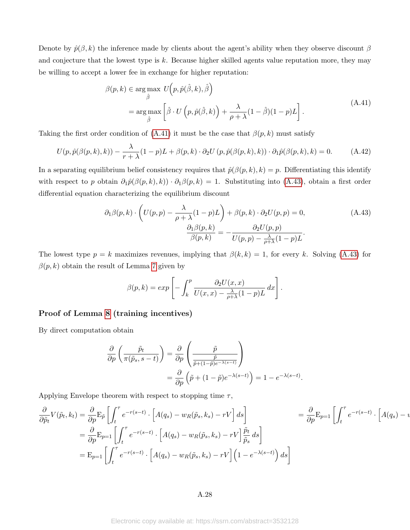Denote by  $\hat{p}(\beta, k)$  the inference made by clients about the agent's ability when they observe discount  $\beta$ and conjecture that the lowest type is k. Because higher skilled agents value reputation more, they may be willing to accept a lower fee in exchange for higher reputation:

<span id="page-72-0"></span>
$$
\beta(p,k) \in \underset{\hat{\beta}}{\arg \max} U\left(p, \hat{p}(\hat{\beta},k), \hat{\beta}\right)
$$
  
= 
$$
\underset{\hat{\beta}}{\arg \max} \left[\hat{\beta} \cdot U\left(p, \hat{p}(\hat{\beta},k)\right) + \frac{\lambda}{\rho + \lambda} (1 - \hat{\beta})(1 - p)L\right].
$$
 (A.41)

Taking the first order condition of  $(A.41)$  it must be the case that  $\beta(p, k)$  must satisfy

$$
U(p, \hat{p}(\beta(p,k), k)) - \frac{\lambda}{r + \lambda} (1 - p)L + \beta(p, k) \cdot \partial_2 U(p, \hat{p}(\beta(p,k), k)) \cdot \partial_1 \hat{p}(\beta(p,k), k) = 0.
$$
 (A.42)

In a separating equilibrium belief consistency requires that  $\hat{p}(\beta(p,k), k) = p$ . Differentiating this identify with respect to p obtain  $\partial_1 \hat{p}(\beta(p,k), k)$ ) ·  $\partial_1 \beta(p,k) = 1$ . Substituting into [\(A.43\)](#page-72-1), obtain a first order differential equation characterizing the equilibrium discount

$$
\partial_1 \beta(p,k) \cdot \left( U(p,p) - \frac{\lambda}{\rho + \lambda} (1-p)L \right) + \beta(p,k) \cdot \partial_2 U(p,p) = 0,
$$
\n(A.43)\n
$$
\frac{\partial_1 \beta(p,k)}{\beta(p,k)} = -\frac{\partial_2 U(p,p)}{U(p,p) - \frac{\lambda}{\rho + \lambda} (1-p)L}.
$$

The lowest type  $p = k$  maximizes revenues, implying that  $\beta(k, k) = 1$ , for every k. Solving [\(A.43\)](#page-72-1) for  $\beta(p, k)$  obtain the result of Lemma [7](#page-27-0) given by

<span id="page-72-1"></span>
$$
\beta(p,k) = exp\left[-\int_k^p \frac{\partial_2 U(x,x)}{U(x,x) - \frac{\lambda}{\rho+\lambda}(1-p)L} dx\right].
$$

# Proof of Lemma [8](#page-30-0) (training incentives)

By direct computation obtain

$$
\frac{\partial}{\partial p} \left( \frac{\tilde{p}_t}{\pi(\tilde{p}_s, s - t)} \right) = \frac{\partial}{\partial p} \left( \frac{\tilde{p}}{\frac{\tilde{p}}{\tilde{p} + (1 - \tilde{p})e^{-\lambda(s - t)}}} \right)
$$

$$
= \frac{\partial}{\partial p} \left( \tilde{p} + (1 - \tilde{p})e^{-\lambda(s - t)} \right) = 1 - e^{-\lambda(s - t)}.
$$

Applying Envelope theorem with respect to stopping time  $\tau$ ,

$$
\frac{\partial}{\partial \tilde{p}_t} V(\tilde{p}_t, k_t) = \frac{\partial}{\partial p} \mathbf{E}_{\tilde{p}} \left[ \int_t^\tau e^{-r(s-t)} \cdot \left[ A(q_s) - w_R(\tilde{p}_s, k_s) - rV \right] ds \right] = \frac{\partial}{\partial p} \mathbf{E}_{p=1} \left[ \int_t^\tau e^{-r(s-t)} \cdot \left[ A(q_s) - w_R(\tilde{p}_s, k_s) - rV \right] \frac{\tilde{p}_t}{\tilde{p}_s} ds \right]
$$
  
\n
$$
= \mathbf{E}_{p=1} \left[ \int_t^\tau e^{-r(s-t)} \cdot \left[ A(q_s) - w_R(\tilde{p}_s, k_s) - rV \right] \left( 1 - e^{-\lambda(s-t)} \right) ds \right]
$$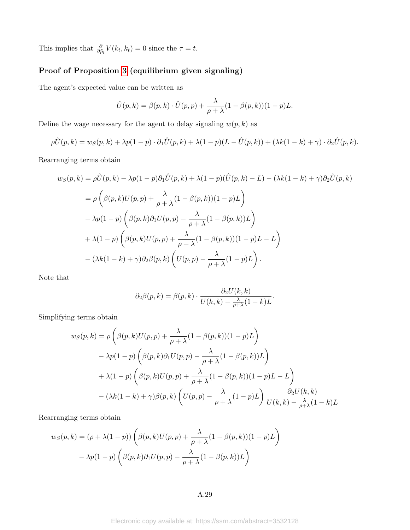This implies that  $\frac{\partial}{\partial \tilde{p}_t} V(k_t, k_t) = 0$  since the  $\tau = t$ .

# Proof of Proposition [3](#page-27-1) (equilibrium given signaling)

The agent's expected value can be written as

$$
\hat{U}(p,k) = \beta(p,k) \cdot \hat{U}(p,p) + \frac{\lambda}{\rho + \lambda} (1 - \beta(p,k))(1 - p)L.
$$

Define the wage necessary for the agent to delay signaling  $w(p, k)$  as

$$
\rho \hat{U}(p,k) = w_S(p,k) + \lambda p(1-p) \cdot \partial_1 \hat{U}(p,k) + \lambda (1-p)(L - \hat{U}(p,k)) + (\lambda k(1-k) + \gamma) \cdot \partial_2 \hat{U}(p,k).
$$

Rearranging terms obtain

$$
w_S(p,k) = \rho \hat{U}(p,k) - \lambda p(1-p)\partial_1 \hat{U}(p,k) + \lambda(1-p)(\hat{U}(p,k) - L) - (\lambda k(1-k) + \gamma)\partial_2 \hat{U}(p,k)
$$
  
\n
$$
= \rho \left(\beta(p,k)U(p,p) + \frac{\lambda}{\rho+\lambda}(1-\beta(p,k))(1-p)L\right)
$$
  
\n
$$
-\lambda p(1-p)\left(\beta(p,k)\partial_1 U(p,p) - \frac{\lambda}{\rho+\lambda}(1-\beta(p,k))L\right)
$$
  
\n
$$
+ \lambda(1-p)\left(\beta(p,k)U(p,p) + \frac{\lambda}{\rho+\lambda}(1-\beta(p,k))(1-p)L - L\right)
$$
  
\n
$$
- (\lambda k(1-k) + \gamma)\partial_2 \beta(p,k)\left(U(p,p) - \frac{\lambda}{\rho+\lambda}(1-p)L\right).
$$

Note that

$$
\partial_2 \beta(p,k) = \beta(p,k) \cdot \frac{\partial_2 U(k,k)}{U(k,k) - \frac{\lambda}{\rho + \lambda} (1-k)L}.
$$

Simplifying terms obtain

$$
w_S(p,k) = \rho \left(\beta(p,k)U(p,p) + \frac{\lambda}{\rho+\lambda}(1-\beta(p,k))(1-p)L\right)
$$
  

$$
-\lambda p(1-p)\left(\beta(p,k)\partial_1 U(p,p) - \frac{\lambda}{\rho+\lambda}(1-\beta(p,k))L\right)
$$
  

$$
+\lambda(1-p)\left(\beta(p,k)U(p,p) + \frac{\lambda}{\rho+\lambda}(1-\beta(p,k))(1-p)L-L\right)
$$
  

$$
-(\lambda k(1-k)+\gamma)\beta(p,k)\left(U(p,p) - \frac{\lambda}{\rho+\lambda}(1-p)L\right)\frac{\partial_2 U(k,k)}{U(k,k)-\frac{\lambda}{\rho+\lambda}(1-k)L}
$$

Rearranging terms obtain

$$
w_S(p,k) = (\rho + \lambda(1-p)) \left( \beta(p,k)U(p,p) + \frac{\lambda}{\rho + \lambda}(1 - \beta(p,k))(1 - p)L \right)
$$

$$
- \lambda p(1-p) \left( \beta(p,k)\partial_1 U(p,p) - \frac{\lambda}{\rho + \lambda}(1 - \beta(p,k))L \right)
$$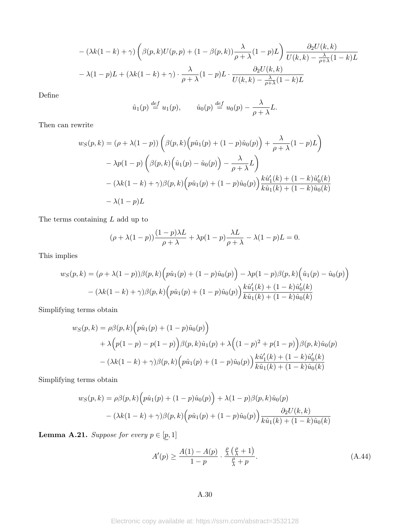$$
- (\lambda k(1 - k) + \gamma) \left( \beta(p, k)U(p, p) + (1 - \beta(p, k)) \frac{\lambda}{\rho + \lambda} (1 - p)L \right) \frac{\partial_2 U(k, k)}{U(k, k) - \frac{\lambda}{\rho + \lambda} (1 - k)L}
$$

$$
- \lambda (1 - p)L + (\lambda k(1 - k) + \gamma) \cdot \frac{\lambda}{\rho + \lambda} (1 - p)L \cdot \frac{\partial_2 U(k, k)}{U(k, k) - \frac{\lambda}{\rho + \lambda} (1 - k)L}
$$

Define

$$
\hat{u}_1(p) \stackrel{def}{=} u_1(p), \qquad \hat{u}_0(p) \stackrel{def}{=} u_0(p) - \frac{\lambda}{\rho + \lambda}L.
$$

Then can rewrite

$$
w_S(p,k) = (\rho + \lambda(1-p)) \left( \beta(p,k) \left( p\hat{u}_1(p) + (1-p)\hat{u}_0(p) \right) + \frac{\lambda}{\rho + \lambda} (1-p)L \right)
$$
  
-  $\lambda p(1-p) \left( \beta(p,k) \left( \hat{u}_1(p) - \hat{u}_0(p) \right) - \frac{\lambda}{\rho + \lambda} L \right)$   
-  $(\lambda k(1-k) + \gamma) \beta(p,k) \left( p\hat{u}_1(p) + (1-p)\hat{u}_0(p) \right) \frac{k\hat{u}_1'(k) + (1-k)\hat{u}_0'(k)}{k\hat{u}_1(k) + (1-k)\hat{u}_0(k)}$   
-  $\lambda(1-p)L$ 

The terms containing  $L$  add up to

$$
(\rho + \lambda(1-p))\frac{(1-p)\lambda L}{\rho + \lambda} + \lambda p(1-p)\frac{\lambda L}{\rho + \lambda} - \lambda(1-p)L = 0.
$$

This implies

$$
w_S(p,k) = (\rho + \lambda(1-p))\beta(p,k)\left(p\hat{u}_1(p) + (1-p)\hat{u}_0(p)\right) - \lambda p(1-p)\beta(p,k)\left(\hat{u}_1(p) - \hat{u}_0(p)\right) - (\lambda k(1-k) + \gamma)\beta(p,k)\left(p\hat{u}_1(p) + (1-p)\hat{u}_0(p)\right)\frac{k\hat{u}_1'(k) + (1-k)\hat{u}_0'(k)}{k\hat{u}_1(k) + (1-k)\hat{u}_0(k)}
$$

Simplifying terms obtain

$$
w_S(p,k) = \rho \beta(p,k) \left( p\hat{u}_1(p) + (1-p)\hat{u}_0(p) \right)
$$
  
+  $\lambda \left( p(1-p) - p(1-p) \right) \beta(p,k) \hat{u}_1(p) + \lambda \left( (1-p)^2 + p(1-p) \right) \beta(p,k) \hat{u}_0(p)$   
-  $(\lambda k(1-k) + \gamma) \beta(p,k) \left( p\hat{u}_1(p) + (1-p)\hat{u}_0(p) \right) \frac{k\hat{u}'_1(k) + (1-k)\hat{u}'_0(k)}{k\hat{u}_1(k) + (1-k)\hat{u}_0(k)}$ 

Simplifying terms obtain

$$
w_S(p,k) = \rho \beta(p,k) \left( p \hat{u}_1(p) + (1-p) \hat{u}_0(p) \right) + \lambda (1-p) \beta(p,k) \hat{u}_0(p)
$$

$$
- (\lambda k(1-k) + \gamma) \beta(p,k) \left( p \hat{u}_1(p) + (1-p) \hat{u}_0(p) \right) \frac{\partial_2 U(k,k)}{k \hat{u}_1(k) + (1-k) \hat{u}_0(k)}
$$

**Lemma A.21.** Suppose for every  $p \in [p, 1]$ 

$$
A'(p) \ge \frac{A(1) - A(p)}{1 - p} \cdot \frac{\frac{\rho}{\lambda} \left(\frac{\rho}{\lambda} + 1\right)}{\frac{\rho}{\lambda} + p}.\tag{A.44}
$$

# A.30

Electronic copy available at: https://ssrn.com/abstract=3532128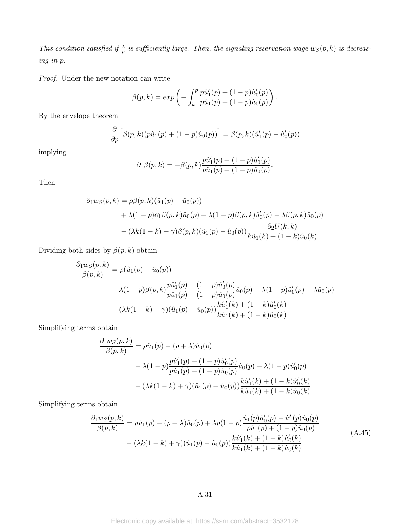This condition satisfied if  $\frac{\lambda}{\rho}$  is sufficiently large. Then, the signaling reservation wage  $w_S(p, k)$  is decreasing in p.

Proof. Under the new notation can write

$$
\beta(p,k) = exp\left(-\int_{k}^{p} \frac{p\hat{u}'_1(p) + (1-p)\hat{u}'_0(p)}{p\hat{u}_1(p) + (1-p)\hat{u}_0(p)}\right)
$$

.

By the envelope theorem

$$
\frac{\partial}{\partial p} \Big[ \beta(p,k)(p\hat{u}_1(p) + (1-p)\hat{u}_0(p)) \Big] = \beta(p,k)(\hat{u}'_1(p) - \hat{u}'_0(p))
$$

implying

$$
\partial_1 \beta(p,k) = -\beta(p,k) \frac{p\hat{u}'_1(p) + (1-p)\hat{u}'_0(p)}{p\hat{u}_1(p) + (1-p)\hat{u}_0(p)}.
$$

Then

$$
\partial_1 w_S(p,k) = \rho \beta(p,k)(\hat{u}_1(p) - \hat{u}_0(p)) \n+ \lambda(1-p)\partial_1\beta(p,k)\hat{u}_0(p) + \lambda(1-p)\beta(p,k)\hat{u}'_0(p) - \lambda\beta(p,k)\hat{u}_0(p) \n- (\lambda k(1-k) + \gamma)\beta(p,k)(\hat{u}_1(p) - \hat{u}_0(p)) \frac{\partial_2 U(k,k)}{k\hat{u}_1(k) + (1-k)\hat{u}_0(k)}
$$

Dividing both sides by  $\beta(p, k)$  obtain

$$
\frac{\partial_1 w_S(p,k)}{\beta(p,k)} = \rho(\hat{u}_1(p) - \hat{u}_0(p))
$$
  
 
$$
- \lambda (1-p)\beta(p,k)\frac{p\hat{u}'_1(p) + (1-p)\hat{u}'_0(p)}{p\hat{u}_1(p) + (1-p)\hat{u}_0(p)}\hat{u}_0(p) + \lambda (1-p)\hat{u}'_0(p) - \lambda \hat{u}_0(p)
$$
  
 
$$
- (\lambda k(1-k) + \gamma)(\hat{u}_1(p) - \hat{u}_0(p))\frac{k\hat{u}'_1(k) + (1-k)\hat{u}'_0(k)}{k\hat{u}_1(k) + (1-k)\hat{u}_0(k)}
$$

Simplifying terms obtain

$$
\frac{\partial_1 w_S(p,k)}{\beta(p,k)} = \rho \hat{u}_1(p) - (\rho + \lambda)\hat{u}_0(p)
$$
  
 
$$
- \lambda (1-p) \frac{p\hat{u}'_1(p) + (1-p)\hat{u}'_0(p)}{p\hat{u}_1(p) + (1-p)\hat{u}_0(p)} \hat{u}_0(p) + \lambda (1-p)\hat{u}'_0(p)
$$
  
 
$$
- (\lambda k(1-k) + \gamma)(\hat{u}_1(p) - \hat{u}_0(p)) \frac{k\hat{u}'_1(k) + (1-k)\hat{u}'_0(k)}{k\hat{u}_1(k) + (1-k)\hat{u}_0(k)}
$$

Simplifying terms obtain

<span id="page-75-0"></span>
$$
\frac{\partial_1 w_S(p,k)}{\beta(p,k)} = \rho \hat{u}_1(p) - (\rho + \lambda)\hat{u}_0(p) + \lambda p(1-p)\frac{\hat{u}_1(p)\hat{u}_0'(p) - \hat{u}_1'(p)\hat{u}_0(p)}{p\hat{u}_1(p) + (1-p)\hat{u}_0(p)} \n- (\lambda k(1-k) + \gamma)(\hat{u}_1(p) - \hat{u}_0(p))\frac{k\hat{u}_1'(k) + (1-k)\hat{u}_0'(k)}{k\hat{u}_1(k) + (1-k)\hat{u}_0(k)}
$$
\n(A.45)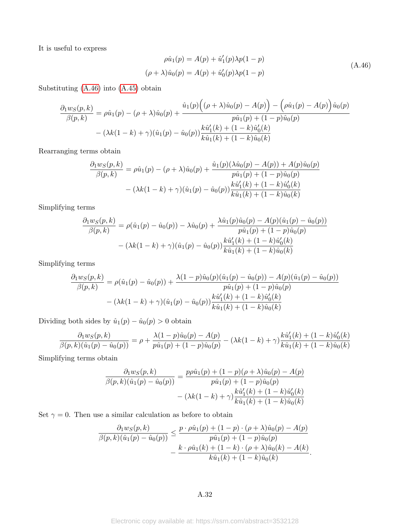It is useful to express

<span id="page-76-0"></span>
$$
\rho \hat{u}_1(p) = A(p) + \hat{u}'_1(p)\lambda p(1-p) (\rho + \lambda)\hat{u}_0(p) = A(p) + \hat{u}'_0(p)\lambda p(1-p)
$$
\n(A.46)

Substituting [\(A.46\)](#page-76-0) into [\(A.45\)](#page-75-0) obtain

$$
\frac{\partial_1 w_S(p,k)}{\beta(p,k)} = \rho \hat{u}_1(p) - (\rho + \lambda)\hat{u}_0(p) + \frac{\hat{u}_1(p)\left((\rho + \lambda)\hat{u}_0(p) - A(p)\right) - \left(\rho \hat{u}_1(p) - A(p)\right)\hat{u}_0(p)}{p\hat{u}_1(p) + (1 - p)\hat{u}_0(p)} - (\lambda k(1 - k) + \gamma)(\hat{u}_1(p) - \hat{u}_0(p))\frac{k\hat{u}_1'(k) + (1 - k)\hat{u}_0'(k)}{k\hat{u}_1(k) + (1 - k)\hat{u}_0(k)}
$$

Rearranging terms obtain

$$
\frac{\partial_1 w_S(p,k)}{\beta(p,k)} = \rho \hat{u}_1(p) - (\rho + \lambda)\hat{u}_0(p) + \frac{\hat{u}_1(p)(\lambda \hat{u}_0(p) - A(p)) + A(p)\hat{u}_0(p)}{p\hat{u}_1(p) + (1 - p)\hat{u}_0(p)}
$$

$$
- (\lambda k(1 - k) + \gamma)(\hat{u}_1(p) - \hat{u}_0(p))\frac{k\hat{u}'_1(k) + (1 - k)\hat{u}'_0(k)}{k\hat{u}_1(k) + (1 - k)\hat{u}_0(k)}
$$

Simplifying terms

$$
\frac{\partial_1 w_S(p,k)}{\beta(p,k)} = \rho(\hat{u}_1(p) - \hat{u}_0(p)) - \lambda \hat{u}_0(p) + \frac{\lambda \hat{u}_1(p)\hat{u}_0(p) - A(p)(\hat{u}_1(p) - \hat{u}_0(p))}{p\hat{u}_1(p) + (1 - p)\hat{u}_0(p)}
$$

$$
- (\lambda k(1 - k) + \gamma)(\hat{u}_1(p) - \hat{u}_0(p))\frac{k\hat{u}_1'(k) + (1 - k)\hat{u}_0'(k)}{k\hat{u}_1(k) + (1 - k)\hat{u}_0(k)}
$$

Simplifying terms

$$
\frac{\partial_1 w_S(p,k)}{\beta(p,k)} = \rho(\hat{u}_1(p) - \hat{u}_0(p)) + \frac{\lambda(1-p)\hat{u}_0(p)(\hat{u}_1(p) - \hat{u}_0(p)) - A(p)(\hat{u}_1(p) - \hat{u}_0(p))}{p\hat{u}_1(p) + (1-p)\hat{u}_0(p)}
$$

$$
- (\lambda k(1-k) + \gamma)(\hat{u}_1(p) - \hat{u}_0(p))\frac{k\hat{u}'_1(k) + (1-k)\hat{u}'_0(k)}{k\hat{u}_1(k) + (1-k)\hat{u}_0(k)}
$$

Dividing both sides by  $\hat{u}_1(p) - \hat{u}_0(p) > 0$  obtain

$$
\frac{\partial_1 w_S(p,k)}{\beta(p,k)(\hat{u}_1(p) - \hat{u}_0(p))} = \rho + \frac{\lambda(1-p)\hat{u}_0(p) - A(p)}{p\hat{u}_1(p) + (1-p)\hat{u}_0(p)} - (\lambda k(1-k) + \gamma) \frac{k\hat{u}'_1(k) + (1-k)\hat{u}'_0(k)}{k\hat{u}_1(k) + (1-k)\hat{u}_0(k)}
$$

Simplifying terms obtain

$$
\frac{\partial_1 w_S(p,k)}{\beta(p,k)(\hat{u}_1(p) - \hat{u}_0(p))} = \frac{p\rho \hat{u}_1(p) + (1-p)(\rho + \lambda)\hat{u}_0(p) - A(p)}{p\hat{u}_1(p) + (1-p)\hat{u}_0(p)} - (\lambda k(1-k) + \gamma) \frac{k\hat{u}'_1(k) + (1-k)\hat{u}'_0(k)}{k\hat{u}_1(k) + (1-k)\hat{u}_0(k)}
$$

Set  $\gamma = 0$ . Then use a similar calculation as before to obtain

$$
\frac{\partial_1 w_S(p,k)}{\beta(p,k)(\hat{u}_1(p) - \hat{u}_0(p))} \leq \frac{p \cdot \rho \hat{u}_1(p) + (1-p) \cdot (\rho + \lambda) \hat{u}_0(p) - A(p)}{p \hat{u}_1(p) + (1-p) \hat{u}_0(p)} - \frac{k \cdot \rho \hat{u}_1(k) + (1-k) \cdot (\rho + \lambda) \hat{u}_0(k) - A(k)}{k \hat{u}_1(k) + (1-k) \hat{u}_0(k)}.
$$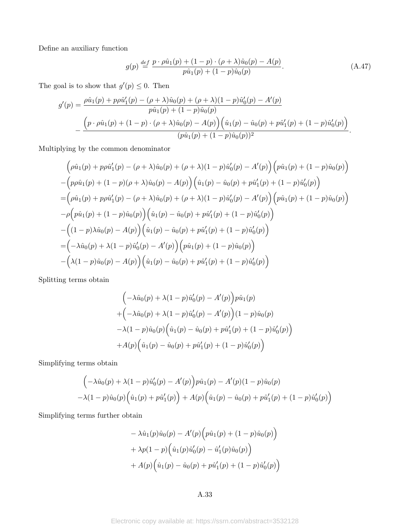Define an auxiliary function

$$
g(p) \stackrel{def}{=} \frac{p \cdot \rho \hat{u}_1(p) + (1 - p) \cdot (\rho + \lambda) \hat{u}_0(p) - A(p)}{p \hat{u}_1(p) + (1 - p) \hat{u}_0(p)}.
$$
 (A.47)

The goal is to show that  $g'(p) \leq 0$ . Then

$$
g'(p) = \frac{\rho \hat{u}_1(p) + p \rho \hat{u}'_1(p) - (\rho + \lambda)\hat{u}_0(p) + (\rho + \lambda)(1 - p)\hat{u}'_0(p) - A'(p)}{p \hat{u}_1(p) + (1 - p)\hat{u}_0(p)}
$$
  
 
$$
-\frac{\left(p \cdot \rho \hat{u}_1(p) + (1 - p) \cdot (\rho + \lambda)\hat{u}_0(p) - A(p)\right)\left(\hat{u}_1(p) - \hat{u}_0(p) + p\hat{u}'_1(p) + (1 - p)\hat{u}'_0(p)\right)}{(p \hat{u}_1(p) + (1 - p)\hat{u}_0(p))^2}.
$$

Multiplying by the common denominator

$$
\left(\rho \hat{u}_1(p) + p\rho \hat{u}'_1(p) - (\rho + \lambda)\hat{u}_0(p) + (\rho + \lambda)(1 - p)\hat{u}'_0(p) - A'(p)\right)\left(p\hat{u}_1(p) + (1 - p)\hat{u}_0(p)\right) - \left(p\rho \hat{u}_1(p) + (1 - p)(\rho + \lambda)\hat{u}_0(p) - A(p)\right)\left(\hat{u}_1(p) - \hat{u}_0(p) + p\hat{u}'_1(p) + (1 - p)\hat{u}'_0(p)\right) = \left(\rho \hat{u}_1(p) + p\rho \hat{u}'_1(p) - (\rho + \lambda)\hat{u}_0(p) + (\rho + \lambda)(1 - p)\hat{u}'_0(p) - A'(p)\right)\left(p\hat{u}_1(p) + (1 - p)\hat{u}_0(p)\right) - \rho\left(p\hat{u}_1(p) + (1 - p)\hat{u}_0(p)\right)\left(\hat{u}_1(p) - \hat{u}_0(p) + p\hat{u}'_1(p) + (1 - p)\hat{u}'_0(p)\right) - \left((1 - p)\lambda \hat{u}_0(p) - A(p)\right)\left(\hat{u}_1(p) - \hat{u}_0(p) + p\hat{u}'_1(p) + (1 - p)\hat{u}'_0(p)\right) = \left(-\lambda \hat{u}_0(p) + \lambda(1 - p)\hat{u}'_0(p) - A'(p)\right)\left(p\hat{u}_1(p) + (1 - p)\hat{u}_0(p)\right) - \left(\lambda(1 - p)\hat{u}_0(p) - A(p)\right)\left(\hat{u}_1(p) - \hat{u}_0(p) + p\hat{u}'_1(p) + (1 - p)\hat{u}'_0(p)\right)
$$

Splitting terms obtain

$$
\begin{aligned}\n&\left(-\lambda \hat{u}_0(p) + \lambda (1-p)\hat{u}'_0(p) - A'(p)\right) p\hat{u}_1(p) \\
&+ \left(-\lambda \hat{u}_0(p) + \lambda (1-p)\hat{u}'_0(p) - A'(p)\right) (1-p)\hat{u}_0(p) \\
&- \lambda (1-p)\hat{u}_0(p)\left(\hat{u}_1(p) - \hat{u}_0(p) + p\hat{u}'_1(p) + (1-p)\hat{u}'_0(p)\right) \\
&+ A(p)\left(\hat{u}_1(p) - \hat{u}_0(p) + p\hat{u}'_1(p) + (1-p)\hat{u}'_0(p)\right)\n\end{aligned}
$$

Simplifying terms obtain

$$
\left(-\lambda \hat{u}_0(p) + \lambda (1-p)\hat{u}'_0(p) - A'(p)\right) p\hat{u}_1(p) - A'(p)(1-p)\hat{u}_0(p)
$$

$$
-\lambda (1-p)\hat{u}_0(p)\left(\hat{u}_1(p) + p\hat{u}'_1(p)\right) + A(p)\left(\hat{u}_1(p) - \hat{u}_0(p) + p\hat{u}'_1(p) + (1-p)\hat{u}'_0(p)\right)
$$

Simplifying terms further obtain

$$
- \lambda \hat{u}_1(p)\hat{u}_0(p) - A'(p) \Big(p\hat{u}_1(p) + (1-p)\hat{u}_0(p)\Big) + \lambda p(1-p) \Big(\hat{u}_1(p)\hat{u}'_0(p) - \hat{u}'_1(p)\hat{u}_0(p)\Big) + A(p) \Big(\hat{u}_1(p) - \hat{u}_0(p) + p\hat{u}'_1(p) + (1-p)\hat{u}'_0(p)\Big)
$$

A.33

Electronic copy available at: https://ssrn.com/abstract=3532128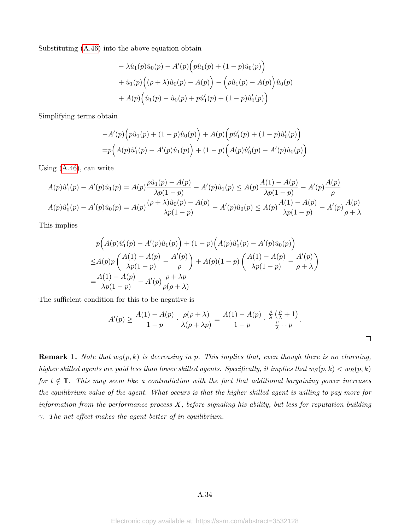Substituting [\(A.46\)](#page-76-0) into the above equation obtain

$$
- \lambda \hat{u}_1(p)\hat{u}_0(p) - A'(p) \Big(p\hat{u}_1(p) + (1-p)\hat{u}_0(p)\Big) + \hat{u}_1(p) \Big((\rho + \lambda)\hat{u}_0(p) - A(p)\Big) - \Big(\rho \hat{u}_1(p) - A(p)\Big)\hat{u}_0(p) + A(p) \Big(\hat{u}_1(p) - \hat{u}_0(p) + p\hat{u}'_1(p) + (1-p)\hat{u}'_0(p)\Big)
$$

Simplifying terms obtain

$$
-A'(p)\Big(p\hat{u}_1(p) + (1-p)\hat{u}_0(p)\Big) + A(p)\Big(p\hat{u}'_1(p) + (1-p)\hat{u}'_0(p)\Big) = p\Big(A(p)\hat{u}'_1(p) - A'(p)\hat{u}_1(p)\Big) + (1-p)\Big(A(p)\hat{u}'_0(p) - A'(p)\hat{u}_0(p)\Big)
$$

Using [\(A.46\)](#page-76-0), can write

$$
A(p)\hat{u}'_1(p) - A'(p)\hat{u}_1(p) = A(p)\frac{\rho \hat{u}_1(p) - A(p)}{\lambda p(1 - p)} - A'(p)\hat{u}_1(p) \le A(p)\frac{A(1) - A(p)}{\lambda p(1 - p)} - A'(p)\frac{A(p)}{\rho}
$$
  

$$
A(p)\hat{u}'_0(p) - A'(p)\hat{u}_0(p) = A(p)\frac{(\rho + \lambda)\hat{u}_0(p) - A(p)}{\lambda p(1 - p)} - A'(p)\hat{u}_0(p) \le A(p)\frac{A(1) - A(p)}{\lambda p(1 - p)} - A'(p)\frac{A(p)}{\rho + \lambda}
$$

This implies

$$
p\Big(A(p)\hat{u}'_1(p) - A'(p)\hat{u}_1(p)\Big) + (1-p)\Big(A(p)\hat{u}'_0(p) - A'(p)\hat{u}_0(p)\Big) \le A(p)p\Big(\frac{A(1) - A(p)}{\lambda p(1 - p)} - \frac{A'(p)}{\rho}\Big) + A(p)(1 - p)\Big(\frac{A(1) - A(p)}{\lambda p(1 - p)} - \frac{A'(p)}{\rho + \lambda}\Big) = \frac{A(1) - A(p)}{\lambda p(1 - p)} - A'(p)\frac{\rho + \lambda p}{\rho(\rho + \lambda)}
$$

The sufficient condition for this to be negative is

$$
A'(p) \ge \frac{A(1) - A(p)}{1 - p} \cdot \frac{\rho(\rho + \lambda)}{\lambda(\rho + \lambda p)} = \frac{A(1) - A(p)}{1 - p} \cdot \frac{\frac{\rho}{\lambda}(\frac{\rho}{\lambda} + 1)}{\frac{\rho}{\lambda} + p}.
$$

**Remark 1.** Note that  $w_S(p, k)$  is decreasing in p. This implies that, even though there is no churning, higher skilled agents are paid less than lower skilled agents. Specifically, it implies that  $w_S(p, k) < w_R(p, k)$ for  $t \notin \mathbb{T}$ . This may seem like a contradiction with the fact that additional bargaining power increases the equilibrium value of the agent. What occurs is that the higher skilled agent is willing to pay more for information from the performance process  $X$ , before signaling his ability, but less for reputation building  $\gamma$ . The net effect makes the agent better of in equilibrium.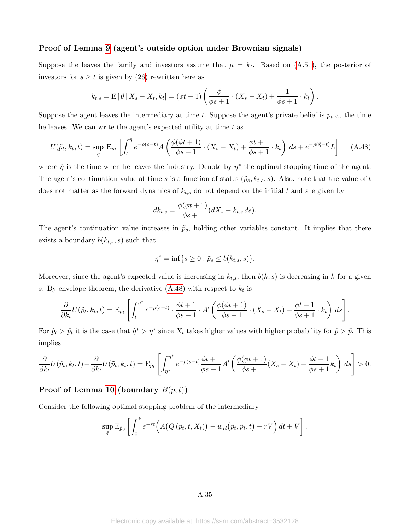## Proof of Lemma [9](#page-34-0) (agent's outside option under Brownian signals)

Suppose the leaves the family and investors assume that  $\mu = k_t$ . Based on  $(A.51)$ , the posterior of investors for  $s \geq t$  is given by [\(26\)](#page-33-0) rewritten here as

$$
k_{t,s} = \mathbb{E} [\theta | X_s - X_t, k_t] = (\phi t + 1) \left( \frac{\phi}{\phi s + 1} \cdot (X_s - X_t) + \frac{1}{\phi s + 1} \cdot k_t \right).
$$

Suppose the agent leaves the intermediary at time t. Suppose the agent's private belief is  $p_t$  at the time he leaves. We can write the agent's expected utility at time  $t$  as

$$
U(\tilde{p}_t, k_t, t) = \sup_{\hat{\eta}} \mathcal{E}_{\tilde{p}_t} \left[ \int_t^{\hat{\eta}} e^{-\rho(s-t)} A\left(\frac{\phi(\phi t + 1)}{\phi s + 1} \cdot (X_s - X_t) + \frac{\phi t + 1}{\phi s + 1} \cdot k_t\right) ds + e^{-\rho(\hat{\eta} - t)} L \right] \tag{A.48}
$$

where  $\hat{\eta}$  is the time when he leaves the industry. Denote by  $\eta^*$  the optimal stopping time of the agent. The agent's continuation value at time s is a function of states  $(\tilde{p}_s, k_{t,s}, s)$ . Also, note that the value of t does not matter as the forward dynamics of  $k_{t,s}$  do not depend on the initial t and are given by

<span id="page-79-0"></span>
$$
dk_{t,s} = \frac{\phi(\phi t + 1)}{\phi s + 1} (dX_s - k_{t,s} ds).
$$

The agent's continuation value increases in  $\tilde{p}_s$ , holding other variables constant. It implies that there exists a boundary  $b(k_{t,s}, s)$  such that

$$
\eta^* = \inf\{s \ge 0 : \tilde{p}_s \le b(k_{t,s}, s)\}.
$$

Moreover, since the agent's expected value is increasing in  $k_{t,s}$ , then  $b(k, s)$  is decreasing in k for a given s. By envelope theorem, the derivative  $(A.48)$  with respect to  $k_t$  is

$$
\frac{\partial}{\partial k_t} U(\tilde{p}_t, k_t, t) = \mathbf{E}_{\tilde{p}_t} \left[ \int_t^{\eta^*} e^{-\rho(s-t)} \cdot \frac{\phi t + 1}{\phi s + 1} \cdot A' \left( \frac{\phi(\phi t + 1)}{\phi s + 1} \cdot (X_s - X_t) + \frac{\phi t + 1}{\phi s + 1} \cdot k_t \right) ds \right].
$$

For  $\hat{p}_t > \tilde{p}_t$  it is the case that  $\hat{\eta}^* > \eta^*$  since  $X_t$  takes higher values with higher probability for  $\hat{p} > \tilde{p}$ . This implies

$$
\frac{\partial}{\partial k_t} U(\hat{p}_t, k_t, t) - \frac{\partial}{\partial k_t} U(\tilde{p}_t, k_t, t) = \mathcal{E}_{\tilde{p}_t} \left[ \int_{\eta^*}^{\hat{\eta}^*} e^{-\rho(s-t)} \frac{\phi t + 1}{\phi s + 1} A' \left( \frac{\phi(\phi t + 1)}{\phi s + 1} (X_s - X_t) + \frac{\phi t + 1}{\phi s + 1} k_t \right) ds \right] > 0.
$$

# Proof of Lemma [10](#page-35-0) (boundary  $B(p,t)$ )

Consider the following optimal stopping problem of the intermediary

$$
\sup_{\hat{\tau}} \mathbb{E}_{\tilde{p}_0} \left[ \int_0^{\hat{\tau}} e^{-rt} \Big( A(Q(\tilde{p}_t, t, X_t)) - w_R(\tilde{p}_t, \tilde{p}_t, t) - rV \Big) dt + V \right].
$$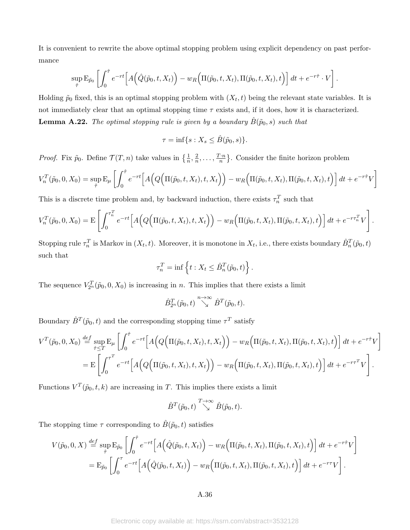It is convenient to rewrite the above optimal stopping problem using explicit dependency on past performance

$$
\sup_{\hat{\tau}} \mathcal{E}_{\tilde{p}_0}\left[\int_0^{\hat{\tau}} e^{-rt} \Big[ A\Big(\hat{Q}(\tilde{p}_0,t,X_t)\Big) - w_R\Big(\Pi(\tilde{p}_0,t,X_t),\Pi(\tilde{p}_0,t,X_t),t\Big)\Big] dt + e^{-r\hat{\tau}} \cdot V\right].
$$

Holding  $\tilde{p}_0$  fixed, this is an optimal stopping problem with  $(X_t, t)$  being the relevant state variables. It is not immediately clear that an optimal stopping time  $\tau$  exists and, if it does, how it is characterized. **Lemma A.22.** The optimal stopping rule is given by a boundary  $\hat{B}(\tilde{p}_0, s)$  such that

$$
\tau = \inf\{s : X_s \leq \hat{B}(\tilde{p}_0, s)\}.
$$

*Proof.* Fix  $\tilde{p}_0$ . Define  $\mathcal{T}(T, n)$  take values in  $\{\frac{1}{n}, \frac{2}{n}\}$  $\frac{2}{n}, \ldots, \frac{T \cdot n}{n}$  $\lfloor \frac{n}{n} \rfloor$ . Consider the finite horizon problem

$$
V_n^T(\tilde{p}_0, 0, X_0) = \sup_{\hat{\tau}} \mathcal{E}_{\mu} \left[ \int_0^{\hat{\tau}} e^{-rt} \left[ A\Big(Q\Big(\Pi(\tilde{p}_0, t, X_t), t, X_t\Big) \Big) - w_R\Big(\Pi(\tilde{p}_0, t, X_t), \Pi(\tilde{p}_0, t, X_t), t\Big) \right] dt + e^{-r\hat{\tau}} V \right]
$$

This is a discrete time problem and, by backward induction, there exists  $\tau_n^T$  such that

$$
V_n^T(\tilde{p}_0, 0, X_0) = \mathbb{E}\left[\int_0^{\tau_n^T} e^{-rt} \left[ A\Big(Q\Big(\Pi(\tilde{p}_0, t, X_t), t, X_t\Big)\Big) - w_R\Big(\Pi(\tilde{p}_0, t, X_t), \Pi(\tilde{p}_0, t, X_t), t\Big)\right] dt + e^{-r\tau_n^T} V\right].
$$

Stopping rule  $\tau_n^T$  is Markov in  $(X_t, t)$ . Moreover, it is monotone in  $X_t$ , i.e., there exists boundary  $\hat{B}_n^T(\tilde{p}_0, t)$ such that

$$
\tau_n^T = \inf \left\{ t : X_t \leq \hat{B}_n^T(\tilde{p}_0, t) \right\}.
$$

The sequence  $V_{2n}^T(\tilde{p}_0, 0, X_0)$  is increasing in n. This implies that there exists a limit

$$
\hat{B}_{2^n}^T(\tilde{p}_0,t) \overset{n\to\infty}{\searrow} \hat{B}^T(\tilde{p}_0,t).
$$

Boundary  $\hat{B}^T(\tilde{p}_0, t)$  and the corresponding stopping time  $\tau^T$  satisfy

$$
V^T(\tilde{p}_0, 0, X_0) \stackrel{def}{=} \sup_{\hat{\tau} \leq T} \mathbb{E}_{\mu} \left[ \int_0^{\hat{\tau}} e^{-rt} \left[ A \Big( Q \Big( \Pi(\tilde{p}_0, t, X_t), t, X_t \Big) \Big) - w_R \Big( \Pi(\tilde{p}_0, t, X_t), \Pi(\tilde{p}_0, t, X_t), t \Big) \right] dt + e^{-r\hat{\tau}} V \right]
$$
  

$$
= \mathbb{E} \left[ \int_0^{\tau^T} e^{-rt} \left[ A \Big( Q \Big( \Pi(\tilde{p}_0, t, X_t), t, X_t \Big) \Big) - w_R \Big( \Pi(\tilde{p}_0, t, X_t), \Pi(\tilde{p}_0, t, X_t), t \Big) \right] dt + e^{-r\tau} V \right].
$$

Functions  $V^T(\tilde{p}_0, t, k)$  are increasing in T. This implies there exists a limit

$$
\hat{B}^T(\tilde{p}_0,t) \overset{T\to\infty}{\searrow} \hat{B}(\tilde{p}_0,t).
$$

The stopping time  $\tau$  corresponding to  $\hat{B}(\tilde{p}_0, t)$  satisfies

$$
V(\tilde{p}_0, 0, X) \stackrel{def}{=} \sup_{\hat{\tau}} \mathcal{E}_{\tilde{p}_0} \left[ \int_0^{\hat{\tau}} e^{-rt} \left[ A(\hat{Q}(\tilde{p}_0, t, X_t)) - w_R \Big( \Pi(\tilde{p}_0, t, X_t), \Pi(\tilde{p}_0, t, X_t), t \Big) \right] dt + e^{-r\hat{\tau}} V \right]
$$
  

$$
= \mathcal{E}_{\tilde{p}_0} \left[ \int_0^{\tau} e^{-rt} \left[ A(\hat{Q}(\tilde{p}_0, t, X_t)) - w_R \Big( \Pi(\tilde{p}_0, t, X_t), \Pi(\tilde{p}_0, t, X_t), t \Big) \right] dt + e^{-r\tau} V \right].
$$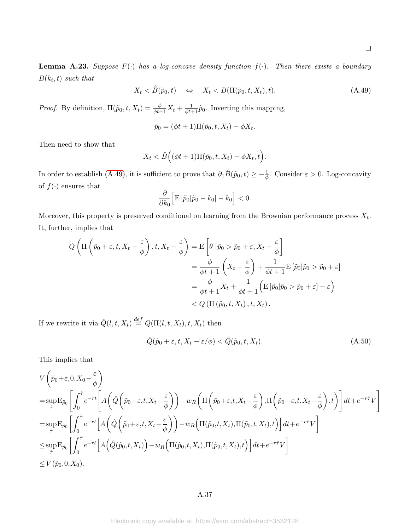**Lemma A.23.** Suppose  $F(\cdot)$  has a log-concave density function  $f(\cdot)$ . Then there exists a boundary  $B(k_t, t)$  such that

<span id="page-81-0"></span>
$$
X_t < \hat{B}(\tilde{p}_0, t) \quad \Leftrightarrow \quad X_t < B(\Pi(\tilde{p}_0, t, X_t), t). \tag{A.49}
$$

*Proof.* By definition,  $\Pi(\tilde{p}_0, t, X_t) = \frac{\phi}{\phi t+1} X_t + \frac{1}{\phi t+1} \tilde{p}_0$ . Inverting this mapping,

$$
\tilde{p}_0 = (\phi t + 1) \Pi(\tilde{p}_0, t, X_t) - \phi X_t.
$$

Then need to show that

$$
X_t < \hat{B}\Big((\phi t + 1)\Pi(\tilde{p}_0, t, X_t) - \phi X_t, t\Big).
$$

In order to establish [\(A.49\)](#page-81-0), it is sufficient to prove that  $\partial_1 \hat{B}(\tilde{p}_0, t) \geq -\frac{1}{\phi}$ . Consider  $\varepsilon > 0$ . Log-concavity of  $f(\cdot)$  ensures that

$$
\frac{\partial}{\partial k_0} \Big[ \mathbf{E} \left[ \tilde{p}_0 | \tilde{p}_0 - k_0 \right] - k_0 \Big] < 0.
$$

Moreover, this property is preserved conditional on learning from the Brownian performance process  $X_t$ . It, further, implies that

$$
Q\left(\Pi\left(\tilde{p}_0+\varepsilon,t,X_t-\frac{\varepsilon}{\phi}\right),t,X_t-\frac{\varepsilon}{\phi}\right) = \mathcal{E}\left[\theta \mid \tilde{p}_0 > \tilde{p}_0+\varepsilon,X_t-\frac{\varepsilon}{\phi}\right]
$$
  

$$
= \frac{\phi}{\phi t+1}\left(X_t-\frac{\varepsilon}{\phi}\right) + \frac{1}{\phi t+1}\mathcal{E}\left[\tilde{p}_0\middle|\tilde{p}_0 > \tilde{p}_0+\varepsilon\right]
$$
  

$$
= \frac{\phi}{\phi t+1}X_t + \frac{1}{\phi t+1}\left(\mathcal{E}\left[\tilde{p}_0\middle|\tilde{p}_0 > \tilde{p}_0+\varepsilon\right]-\varepsilon\right)
$$
  

$$
< Q\left(\Pi\left(\tilde{p}_0,t,X_t\right),t,X_t\right).
$$

If we rewrite it via  $\hat{Q}(l, t, X_t) \stackrel{def}{=} Q(\Pi(l, t, X_t), t, X_t)$  then

$$
\hat{Q}(\tilde{p}_0 + \varepsilon, t, X_t - \varepsilon/\phi) < \hat{Q}(\tilde{p}_0, t, X_t). \tag{A.50}
$$

This implies that

$$
\begin{split} & V\left(\tilde{p}_0+\varepsilon,0,X_0-\frac{\varepsilon}{\phi}\right) \\ &= \underset{\hat{\tau}}{\sup} \mathcal{E}_{\tilde{p}_0}\left[\int_0^{\hat{\tau}} e^{-rt} \left[ A\left(\hat{Q}\left(\tilde{p}_0+\varepsilon,t,X_t-\frac{\varepsilon}{\phi}\right)\right) - w_R\left(\Pi\left(\tilde{p}_0+\varepsilon,t,X_t-\frac{\varepsilon}{\phi}\right),\Pi\left(\tilde{p}_0+\varepsilon,t,X_t-\frac{\varepsilon}{\phi}\right),t\right) \right] dt + e^{-r\hat{\tau}} V \right] \\ &= \underset{\hat{\tau}}{\sup} \mathcal{E}_{\tilde{p}_0}\left[\int_0^{\hat{\tau}} e^{-rt} \left[ A\left(\hat{Q}\left(\tilde{p}_0+\varepsilon,t,X_t-\frac{\varepsilon}{\phi}\right)\right) - w_R\left(\Pi(\tilde{p}_0,t,X_t),\Pi(\tilde{p}_0,t,X_t),t\right) \right] dt + e^{-r\hat{\tau}} V \right] \\ & \leq \underset{\hat{\tau}}{\sup} \mathcal{E}_{\tilde{p}_0}\left[\int_0^{\hat{\tau}} e^{-rt} \left[ A\left(\hat{Q}(\tilde{p}_0,t,X_t)\right) - w_R\left(\Pi(\tilde{p}_0,t,X_t),\Pi(\tilde{p}_0,t,X_t),t\right) \right] dt + e^{-r\hat{\tau}} V \right] \\ & \leq V(\tilde{p}_0,0,X_0). \end{split}
$$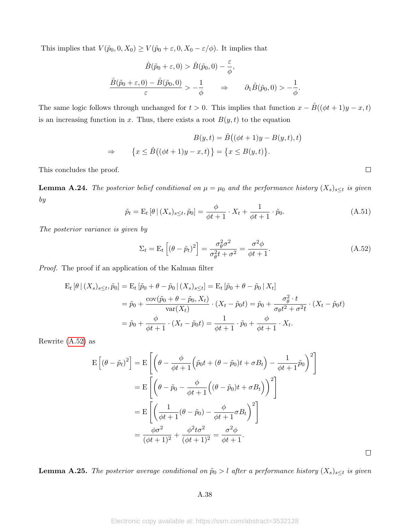This implies that  $V(\tilde{p}_0, 0, X_0) \ge V(\tilde{p}_0 + \varepsilon, 0, X_0 - \varepsilon/\phi)$ . It implies that

$$
\hat{B}(\tilde{p}_0 + \varepsilon, 0) > \hat{B}(\tilde{p}_0, 0) - \frac{\varepsilon}{\phi},
$$
  

$$
\frac{\hat{B}(\tilde{p}_0 + \varepsilon, 0) - \hat{B}(\tilde{p}_0, 0)}{\varepsilon} > -\frac{1}{\phi} \implies \partial_1 \hat{B}(\tilde{p}_0, 0) > -\frac{1}{\phi}.
$$

The same logic follows through unchanged for  $t > 0$ . This implies that function  $x - \hat{B}((\phi t + 1)y - x, t)$ is an increasing function in x. Thus, there exists a root  $B(y, t)$  to the equation

$$
B(y,t) = \hat{B}((\phi t + 1)y - B(y,t), t)
$$
  
\n
$$
\Rightarrow \qquad \{x \le \hat{B}((\phi t + 1)y - x, t)\} = \{x \le B(y,t)\}.
$$

This concludes the proof.

<span id="page-82-0"></span>**Lemma A.24.** The posterior belief conditional on  $\mu = \mu_0$  and the performance history  $(X_s)_{s\leq t}$  is given by

$$
\tilde{p}_t = \mathcal{E}_t\left[\theta \mid (X_s)_{s \le t}, \tilde{p}_0\right] = \frac{\phi}{\phi t + 1} \cdot X_t + \frac{1}{\phi t + 1} \cdot \tilde{p}_0. \tag{A.51}
$$

The posterior variance is given by

<span id="page-82-1"></span>
$$
\Sigma_t = \mathcal{E}_t \left[ (\theta - \tilde{p}_t)^2 \right] = \frac{\sigma_\theta^2 \sigma^2}{\sigma_\theta^2 t + \sigma^2} = \frac{\sigma^2 \phi}{\phi t + 1}.
$$
\n(A.52)

Proof. The proof if an application of the Kalman filter

$$
\begin{split} \mathcal{E}_{t}\left[\theta\left|\left(X_{s}\right)_{s\leq t},\tilde{p}_{0}\right]=\mathcal{E}_{t}\left[\tilde{p}_{0}+\theta-\tilde{p}_{0}\left|\left(X_{s}\right)_{s\leq t}\right.\right]=\mathcal{E}_{t}\left[\tilde{p}_{0}+\theta-\tilde{p}_{0}\left|\left(X_{t}\right)\right.\right] \\ =\tilde{p}_{0}+\frac{\text{cov}(\tilde{p}_{0}+\theta-\tilde{p}_{0},X_{t})}{\text{var}(X_{t})}\cdot\left(X_{t}-\tilde{p}_{0}t\right)=\tilde{p}_{0}+\frac{\sigma_{\theta}^{2}\cdot t}{\sigma_{\theta}t^{2}+\sigma^{2}t}\cdot\left(X_{t}-\tilde{p}_{0}t\right) \\ =\tilde{p}_{0}+\frac{\phi}{\phi t+1}\cdot\left(X_{t}-\tilde{p}_{0}t\right)=\frac{1}{\phi t+1}\cdot\tilde{p}_{0}+\frac{\phi}{\phi t+1}\cdot X_{t}. \end{split}
$$

Rewrite [\(A.52\)](#page-82-1) as

$$
\mathbf{E}\left[ (\theta - \tilde{p}_t)^2 \right] = \mathbf{E}\left[ \left( \theta - \frac{\phi}{\phi t + 1} \left( \tilde{p}_0 t + (\theta - \tilde{p}_0) t + \sigma B_t \right) - \frac{1}{\phi t + 1} \tilde{p}_0 \right)^2 \right]
$$
  
\n
$$
= \mathbf{E}\left[ \left( \theta - \tilde{p}_0 - \frac{\phi}{\phi t + 1} \left( (\theta - \tilde{p}_0) t + \sigma B_t \right) \right)^2 \right]
$$
  
\n
$$
= \mathbf{E}\left[ \left( \frac{1}{\phi t + 1} (\theta - \tilde{p}_0) - \frac{\phi}{\phi t + 1} \sigma B_t \right)^2 \right]
$$
  
\n
$$
= \frac{\phi \sigma^2}{(\phi t + 1)^2} + \frac{\phi^2 t \sigma^2}{(\phi t + 1)^2} = \frac{\sigma^2 \phi}{\phi t + 1}.
$$

 $\Box$ 

 $\Box$ 

**Lemma A.25.** The posterior average conditional on  $\tilde{p}_0 > l$  after a performance history  $(X_s)_{s\leq t}$  is given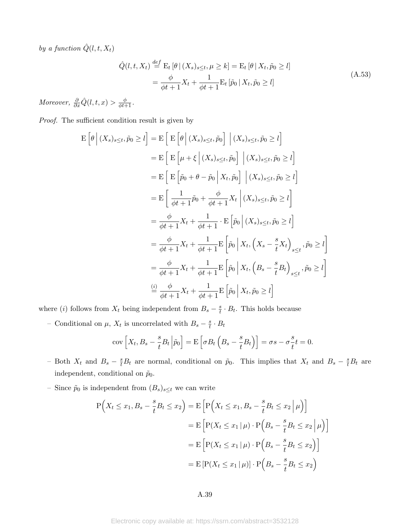by a function  $\hat{Q}(l, t, X_t)$ 

$$
\hat{Q}(l, t, X_t) \stackrel{def}{=} \mathcal{E}_t \left[ \theta \mid (X_s)_{s \le t}, \mu \ge k \right] = \mathcal{E}_t \left[ \theta \mid X_t, \tilde{p}_0 \ge l \right]
$$
\n
$$
= \frac{\phi}{\phi t + 1} X_t + \frac{1}{\phi t + 1} \mathcal{E}_t \left[ \tilde{p}_0 \mid X_t, \tilde{p}_0 \ge l \right]
$$
\n(A.53)

Moreover,  $\frac{\partial}{\partial x}\hat{Q}(l,t,x) > \frac{\phi}{\phi t+1}$ .

Proof. The sufficient condition result is given by

$$
\mathbf{E}\left[\theta\left|(X_s)_{s\leq t}, \tilde{p}_0 \geq l\right] = \mathbf{E}\left[\mathbf{E}\left[\theta\left|(X_s)_{s\leq t}, \tilde{p}_0\right] \middle| (X_s)_{s\leq t}, \tilde{p}_0 \geq l\right]\right]
$$
\n
$$
= \mathbf{E}\left[\mathbf{E}\left[\mu + \xi\left|(X_s)_{s\leq t}, \tilde{p}_0\right] \middle| (X_s)_{s\leq t}, \tilde{p}_0 \geq l\right]\right]
$$
\n
$$
= \mathbf{E}\left[\mathbf{E}\left[\tilde{p}_0 + \theta - \tilde{p}_0\middle| X_t, \tilde{p}_0\right] \middle| (X_s)_{s\leq t}, \tilde{p}_0 \geq l\right]\right]
$$
\n
$$
= \mathbf{E}\left[\frac{1}{\phi t + 1}\tilde{p}_0 + \frac{\phi}{\phi t + 1}X_t\middle| (X_s)_{s\leq t}, \tilde{p}_0 \geq l\right]
$$
\n
$$
= \frac{\phi}{\phi t + 1}X_t + \frac{1}{\phi t + 1} \mathbf{E}\left[\tilde{p}_0\middle| X_t, \left(X_s - \frac{s}{t}X_t\right)_{s\leq t}, \tilde{p}_0 \geq l\right]
$$
\n
$$
= \frac{\phi}{\phi t + 1}X_t + \frac{1}{\phi t + 1} \mathbf{E}\left[\tilde{p}_0\middle| X_t, \left(X_s - \frac{s}{t}X_t\right)_{s\leq t}, \tilde{p}_0 \geq l\right]
$$
\n
$$
= \frac{\phi}{\phi t + 1}X_t + \frac{1}{\phi t + 1} \mathbf{E}\left[\tilde{p}_0\middle| X_t, \left(B_s - \frac{s}{t}B_t\right)_{s\leq t}, \tilde{p}_0 \geq l\right]
$$
\n
$$
\stackrel{\text{(i)}{\equiv}}{\frac{\phi}{\phi t + 1}X_t + \frac{1}{\phi t + 1} \mathbf{E}\left[\tilde{p}_0\middle| X_t, \tilde{p}_0 \geq l\right]
$$

where (i) follows from  $X_t$  being independent from  $B_s - \frac{s}{t}$  $\frac{s}{t} \cdot B_t$ . This holds because

– Conditional on  $\mu$ ,  $X_t$  is uncorrelated with  $B_s - \frac{s}{t}$  $\frac{s}{t} \cdot B_t$ 

$$
\text{cov}\left[X_t, B_s - \frac{s}{t}B_t\left|\tilde{p}_0\right.\right] = \text{E}\left[\sigma B_t\left(B_s - \frac{s}{t}B_t\right)\right] = \sigma s - \sigma \frac{s}{t}t = 0.
$$

- − Both  $X_t$  and  $B_s \frac{s}{t}B_t$  are normal, conditional on  $\tilde{p}_0$ . This implies that  $X_t$  and  $B_s \frac{s}{t}B_t$  are independent, conditional on  $\tilde{p}_0$ .
- Since  $\tilde{p}_0$  is independent from  $(B_s)_{s\leq t}$  we can write

$$
P(X_t \le x_1, B_s - \frac{s}{t}B_t \le x_2) = E\left[P(X_t \le x_1, B_s - \frac{s}{t}B_t \le x_2 \mid \mu)\right]
$$
  

$$
= E\left[P(X_t \le x_1 \mid \mu) \cdot P(B_s - \frac{s}{t}B_t \le x_2 \mid \mu)\right]
$$
  

$$
= E\left[P(X_t \le x_1 \mid \mu) \cdot P(B_s - \frac{s}{t}B_t \le x_2)\right]
$$
  

$$
= E\left[P(X_t \le x_1 \mid \mu) \cdot P(B_s - \frac{s}{t}B_t \le x_2)\right]
$$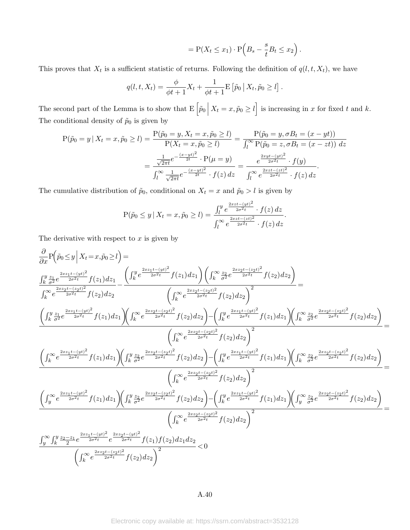$$
= P(X_t \le x_1) \cdot P\left(B_s - \frac{s}{t}B_t \le x_2\right).
$$

This proves that  $X_t$  is a sufficient statistic of returns. Following the definition of  $q(l, t, X_t)$ , we have

$$
q(l, t, X_t) = \frac{\phi}{\phi t + 1} X_t + \frac{1}{\phi t + 1} E [\tilde{p}_0 | X_t, \tilde{p}_0 \ge l].
$$

The second part of the Lemma is to show that  $E\left[\tilde{p}_0 \mid X_t = x, \tilde{p}_0 \ge l\right]$  is increasing in x for fixed t and k. The conditional density of  $\tilde{p}_0$  is given by

$$
P(\tilde{p}_0 = y | X_t = x, \tilde{p}_0 \ge l) = \frac{P(\tilde{p}_0 = y, X_t = x, \tilde{p}_0 \ge l)}{P(X_t = x, \tilde{p}_0 \ge l)} = \frac{P(\tilde{p}_0 = y, \sigma B_t = (x - yt))}{\int_l^{\infty} P(\tilde{p}_0 = z, \sigma B_t = (x - zt)) dz}
$$

$$
= \frac{\frac{1}{\sqrt{2\pi t}}e^{-\frac{(x - yt)^2}{2t}} \cdot P(\mu = y)}{\int_l^{\infty} \frac{1}{\sqrt{2\pi t}}e^{-\frac{(x - yt)^2}{2t}} \cdot f(z) dz} = \frac{e^{\frac{2xyt - (yt)^2}{2\sigma^2 t}} \cdot f(y)}{\int_l^{\infty} e^{\frac{2xzt - (zt)^2}{2\sigma^2 t}} \cdot f(z) dz}.
$$

The cumulative distribution of  $\tilde{p}_0$ , conditional on  $X_t = x$  and  $\tilde{p}_0 > l$  is given by

$$
P(\tilde{p}_0 \le y \mid X_t = x, \tilde{p}_0 \ge l) = \frac{\int_l^y e^{\frac{2xzt - (yt)^2}{2\sigma^2 t}} \cdot f(z) dz}{\int_l^\infty e^{\frac{2xzt - (zt)^2}{2\sigma^2 t}} \cdot f(z) dz}.
$$

The derivative with respect to  $x$  is given by

$$
\frac{\partial}{\partial x}\mathbf{P}\left(\tilde{p}_{0}\leq y\,\bigg|\,X_{t}=x,\tilde{p}_{0}\geq l\right) = \\ \frac{\int_{k}^{y}\frac{z_{1}}{\sigma^{2}}e^{-\frac{2x_{21}t-(y_{t})^{2}}{2\sigma^{2}t}}f(z_{1})dz_{1}}{\int_{k}^{\infty}e^{\frac{2x_{22}t-(z_{2}t)^{2}}{2\sigma^{2}t}}f(z_{2})dz_{2}} - \frac{\left(\int_{k}^{y}e^{\frac{2x_{21}t-(y_{t})^{2}}{2\sigma^{2}t}}f(z_{1})dz_{1}\right)\left(\int_{k}^{\infty}\frac{z_{2}}{\sigma^{2}}e^{\frac{2x_{22}t-(z_{2}t)^{2}}{2\sigma^{2}t}}f(z_{2})dz_{2}\right)}{\left(\int_{k}^{\infty}e^{\frac{2x_{21}t-(y_{t})^{2}}{2\sigma^{2}t}}f(z_{2})dz_{2}\right)^{2}} - \frac{\left(\int_{k}^{y}\frac{z_{1}}{\sigma^{2}}e^{-\frac{2x_{21}t-(y_{t})^{2}}{2\sigma^{2}t}}f(z_{2})dz_{2}\right)^{2}}{\left(\int_{k}^{\infty}e^{\frac{2x_{21}t-(y_{t})^{2}}{2\sigma^{2}t}}f(z_{1})dz_{1}\right)\left(\int_{k}^{\infty}e^{\frac{2x_{22}t-(z_{2}t)^{2}}{2\sigma^{2}t}}f(z_{2})dz_{2}\right)^{2}} - \frac{\left(\int_{k}^{\infty}e^{\frac{2x_{21}t-(y_{t})^{2}}{2\sigma^{2}t}}f(z_{2})dz_{2}\right)^{2}}{\left(\int_{k}^{\infty}e^{\frac{2x_{21}t-(y_{t})^{2}}{2\sigma^{2}t}}f(z_{1})dz_{1}\right)\left(\int_{k}^{y}\frac{z_{2}}{\sigma^{2}}e^{\frac{2x_{22}t-(z_{2}t)^{2}}{2\sigma^{2}t}}f(z_{2})dz_{2}\right)^{2}} - \frac{\left(\int_{k}^{\infty}e^{\frac{2x_{21}t-(y_{t})^{2}}{2\sigma^{2}t}}f(z_{2})dz_{2}\right)^{2}}{\left(\int_{k}^{\infty}e^{\frac{2
$$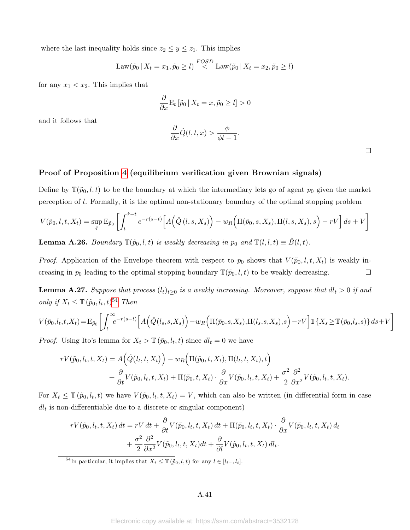where the last inequality holds since  $z_2 \leq y \leq z_1$ . This implies

Law
$$
(\tilde{p}_0 | X_t = x_1, \tilde{p}_0 \ge l)
$$
<sup>*FOSD*</sup> Law $(\tilde{p}_0 | X_t = x_2, \tilde{p}_0 \ge l)$ 

for any  $x_1 < x_2$ . This implies that

$$
\frac{\partial}{\partial x} \mathbf{E}_t \left[ \tilde{p}_0 \, | \, X_t = x, \tilde{p}_0 \ge l \right] > 0
$$

and it follows that

$$
\frac{\partial}{\partial x}\hat{Q}(l,t,x) > \frac{\phi}{\phi t + 1}.
$$

 $\Box$ 

# Proof of Proposition [4](#page-37-0) (equilibrium verification given Brownian signals)

Define by  $\mathbb{T}(\tilde{p}_0, l, t)$  to be the boundary at which the intermediary lets go of agent  $p_0$  given the market perception of l. Formally, it is the optimal non-stationary boundary of the optimal stopping problem

$$
V(\tilde{p}_0, l, t, X_t) = \sup_{\hat{\tau}} \mathbb{E}_{\tilde{p}_0} \left[ \int_t^{\hat{\tau}-t} e^{-r(s-t)} \left[ A(\hat{Q}(l, s, X_s)) - w_R\Big(\Pi(\tilde{p}_0, s, X_s), \Pi(l, s, X_s), s\Big) - rV \right] ds + V \right]
$$

**Lemma A.26.** Boundary  $\mathbb{T}(\tilde{p}_0, l, t)$  is weakly decreasing in  $p_0$  and  $\mathbb{T}(l, l, t) \equiv \hat{B}(l, t)$ .

*Proof.* Application of the Envelope theorem with respect to  $p_0$  shows that  $V(\tilde{p}_0, l, t, X_t)$  is weakly increasing in  $p_0$  leading to the optimal stopping boundary  $\mathbb{T}(\tilde{p}_0, l, t)$  to be weakly decreasing.  $\Box$ 

<span id="page-85-1"></span>**Lemma A.27.** Suppose that process  $(l_t)_{t\geq 0}$  is a weakly increasing. Moreover, suppose that  $dl_t > 0$  if and only if  $X_t \leq \mathbb{T}(\tilde{p}_0, l_t, t)^{54}$  $X_t \leq \mathbb{T}(\tilde{p}_0, l_t, t)^{54}$  $X_t \leq \mathbb{T}(\tilde{p}_0, l_t, t)^{54}$  Then

$$
V(\tilde{p}_0,l_t,t,X_t) = \mathbf{E}_{\tilde{p}_0}\left[\int_t^{\infty} e^{-r(s-t)} \left[ A\left(\hat{Q}(l_s,s,X_s)\right) - w_R\Big(\Pi(\tilde{p}_0,s,X_s),\Pi(l_s,s,X_s),s\Big) - rV\right] \mathbbm{1}\left\{X_s \geq \mathbbm{T}(\tilde{p}_0,l_s,s)\right\} ds + V\right]
$$

*Proof.* Using Ito's lemma for  $X_t > \mathbb{T}(\tilde{p}_0, l_t, t)$  since  $dl_t = 0$  we have

$$
rV(\tilde{p}_0, l_t, t, X_t) = A\left(\hat{Q}(l_t, t, X_t)\right) - w_R\left(\Pi(\tilde{p}_0, t, X_t), \Pi(l_t, t, X_t), t\right) + \frac{\partial}{\partial t}V(\tilde{p}_0, l_t, t, X_t) + \Pi(\tilde{p}_0, t, X_t) \cdot \frac{\partial}{\partial x}V(\tilde{p}_0, l_t, t, X_t) + \frac{\sigma^2}{2}\frac{\partial^2}{\partial x^2}V(\tilde{p}_0, l_t, t, X_t).
$$

For  $X_t \leq \mathbb{T}(\tilde{p}_0, l_t, t)$  we have  $V(\tilde{p}_0, l_t, t, X_t) = V$ , which can also be written (in differential form in case  $dl_t$  is non-differentiable due to a discrete or singular component)

$$
rV(\tilde{p}_0, l_t, t, X_t) dt = rV dt + \frac{\partial}{\partial t} V(\tilde{p}_0, l_t, t, X_t) dt + \Pi(\tilde{p}_0, l_t, t, X_t) \cdot \frac{\partial}{\partial x} V(\tilde{p}_0, l_t, t, X_t) dt + \frac{\sigma^2}{2} \frac{\partial^2}{\partial x^2} V(\tilde{p}_0, l_t, t, X_t) dt + \frac{\partial}{\partial l} V(\tilde{p}_0, l_t, t, X_t) dl_t.
$$

<span id="page-85-0"></span><sup>54</sup>In particular, it implies that  $X_t \leq \mathbb{T}(\tilde{p}_0, l, t)$  for any  $l \in [l_{t-}, l_t]$ .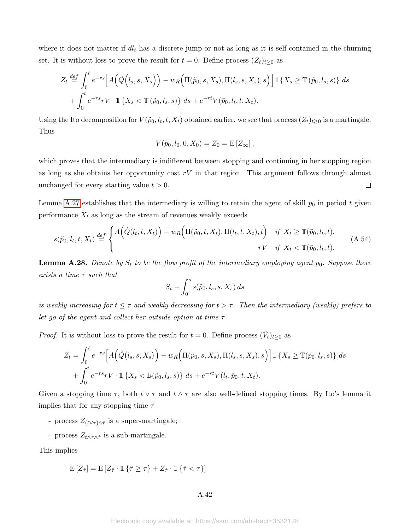where it does not matter if  $dl_t$  has a discrete jump or not as long as it is self-contained in the churning set. It is without loss to prove the result for  $t = 0$ . Define process  $(Z_t)_{t\geq 0}$  as

$$
Z_t \stackrel{def}{=} \int_0^t e^{-rs} \Big[ A(\hat{Q}(l_s, s, X_s)) - w_R\Big(\Pi(\tilde{p}_0, s, X_s), \Pi(l_s, s, X_s), s\Big) \Big] \mathbbm{1} \{X_s \ge \mathbbm{T}(\tilde{p}_0, l_s, s)\} ds + \int_0^t e^{-rs} rV \cdot \mathbbm{1} \{X_s < \mathbbm{T}(\tilde{p}_0, l_s, s)\} ds + e^{-rt} V(\tilde{p}_0, l_t, t, X_t).
$$

Using the Ito decomposition for  $V(\tilde{p}_0, l_t, t, X_t)$  obtained earlier, we see that process  $(Z_t)_{t\geq 0}$  is a martingale. Thus

$$
V(\tilde{p}_0, l_0, 0, X_0) = Z_0 = E[Z_{\infty}],
$$

which proves that the intermediary is indifferent between stopping and continuing in her stopping region as long as she obtains her opportunity cost  $rV$  in that region. This argument follows through almost  $\Box$ unchanged for every starting value  $t > 0$ .

Lemma [A.27](#page-85-1) establishes that the intermediary is willing to retain the agent of skill  $p_0$  in period t given performance  $X_t$  as long as the stream of revenues weakly exceeds

$$
s(\tilde{p}_0, l_t, t, X_t) \stackrel{def}{=} \begin{cases} A(\hat{Q}(l_t, t, X_t)) - w_R\Big(\Pi(\tilde{p}_0, t, X_t), \Pi(l_t, t, X_t), t\Big) & \text{if } X_t \ge \mathbb{T}(\tilde{p}_0, l_t, t), \\ rV & \text{if } X_t < \mathbb{T}(\tilde{p}_0, l_t, t). \end{cases} \tag{A.54}
$$

<span id="page-86-0"></span>**Lemma A.28.** Denote by  $S_t$  to be the flow profit of the intermediary employing agent  $p_0$ . Suppose there exists a time  $\tau$  such that

$$
S_t - \int_0^s s(\tilde{p}_0, l_s, s, X_s) ds
$$

is weakly increasing for  $t \leq \tau$  and weakly decreasing for  $t > \tau$ . Then the intermediary (weakly) prefers to let go of the agent and collect her outside option at time  $\tau$ .

*Proof.* It is without loss to prove the result for  $t = 0$ . Define process  $(\hat{V}_t)_{t \geq 0}$  as

$$
Z_{t} = \int_{0}^{t} e^{-rs} \left[ A(\hat{Q}(l_{s}, s, X_{s})) - w_{R}(\Pi(\tilde{p}_{0}, s, X_{s}), \Pi(l_{s}, s, X_{s}), s) \right] \mathbb{1} \{X_{s} \geq \mathbb{T}(\tilde{p}_{0}, l_{s}, s)\} ds + \int_{0}^{t} e^{-rs} rV \cdot \mathbb{1} \{X_{s} < \mathbb{B}(\tilde{p}_{0}, l_{s}, s)\} ds + e^{-rt}V(l_{t}, \tilde{p}_{0}, t, X_{t}).
$$

Given a stopping time  $\tau$ , both  $t \vee \tau$  and  $t \wedge \tau$  are also well-defined stopping times. By Ito's lemma it implies that for any stopping time  $\hat{\tau}$ 

- process  $Z_{(t\vee\tau)\wedge\hat{\tau}}$  is a super-martingale;
- process  $Z_{t\wedge\tau\wedge\hat{\tau}}$  is a sub-martingale.

This implies

$$
\mathrm{E}\left[Z_{\hat{\tau}}\right] = \mathrm{E}\left[Z_{\hat{\tau}} \cdot \mathbbm{1}\left\{\hat{\tau} \geq \tau\right\} + Z_{\hat{\tau}} \cdot \mathbbm{1}\left\{\hat{\tau} < \tau\right\}\right]
$$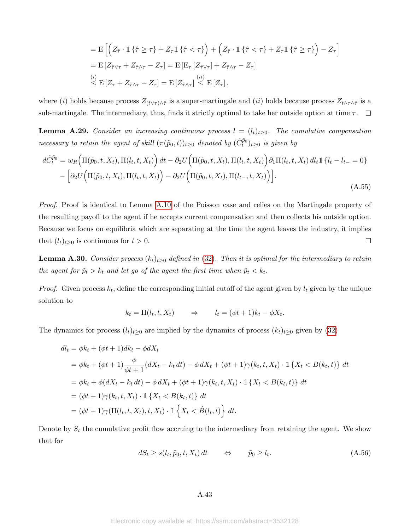<span id="page-87-0"></span>
$$
= \mathcal{E}\left[\left(Z_{\hat{\tau}} \cdot \mathbb{1}\left\{\hat{\tau} \geq \tau\right\} + Z_{\tau}\mathbb{1}\left\{\hat{\tau} < \tau\right\}\right) + \left(Z_{\hat{\tau}} \cdot \mathbb{1}\left\{\hat{\tau} < \tau\right\} + Z_{\tau}\mathbb{1}\left\{\hat{\tau} \geq \tau\right\}\right) - Z_{\tau}\right]
$$
\n
$$
= \mathcal{E}\left[Z_{\hat{\tau}\vee\tau} + Z_{\hat{\tau}\wedge\tau} - Z_{\tau}\right] = \mathcal{E}\left[\mathcal{E}_{\tau}\left[Z_{\hat{\tau}\vee\tau}\right] + Z_{\hat{\tau}\wedge\tau} - Z_{\tau}\right]
$$
\n
$$
\stackrel{(i)}{\leq} \mathcal{E}\left[Z_{\tau} + Z_{\hat{\tau}\wedge\tau} - Z_{\tau}\right] = \mathcal{E}\left[Z_{\hat{\tau}\wedge\tau}\right] \stackrel{(ii)}{\leq} \mathcal{E}\left[Z_{\tau}\right].
$$

where (i) holds because process  $Z_{(t\vee\tau)\wedge\hat{\tau}}$  is a super-martingale and (ii) holds because process  $Z_{t\wedge\tau\wedge\hat{\tau}}$  is a sub-martingale. The intermediary, thus, finds it strictly optimal to take her outside option at time  $\tau$ .  $\Box$ 

**Lemma A.29.** Consider an increasing continuous process  $l = (l_t)_{t\geq 0}$ . The cumulative compensation necessary to retain the agent of skill  $(\pi(\tilde{p}_0,t))_{t\geq 0}$  denoted by  $(\tilde{C}^{\tilde{p}_0}_t)_{t\geq 0}$  is given by

$$
d\tilde{C}_{t}^{\tilde{p}_{0}} = w_{R} \Big( \Pi(\tilde{p}_{0}, t, X_{t}), \Pi(l_{t}, t, X_{t}) \Big) dt - \partial_{2} U \Big( \Pi(\tilde{p}_{0}, t, X_{t}), \Pi(l_{t}, t, X_{t}) \Big) \partial_{1} \Pi(l_{t}, t, X_{t}) dl_{t} \mathbb{1} \{ l_{t} - l_{t-} = 0 \} - \Big[ \partial_{2} U \Big( \Pi(\tilde{p}_{0}, t, X_{t}), \Pi(l_{t}, t, X_{t}) \Big) - \partial_{2} U \Big( \Pi(\tilde{p}_{0}, t, X_{t}), \Pi(l_{t-}, t, X_{t}) \Big) \Big].
$$
\n(A.55)

Proof. Proof is identical to Lemma [A.10](#page-35-0) of the Poisson case and relies on the Martingale property of the resulting payoff to the agent if he accepts current compensation and then collects his outside option. Because we focus on equilibria which are separating at the time the agent leaves the industry, it implies that  $(l_t)_{t\geq 0}$  is continuous for  $t > 0$ .  $\Box$ 

**Lemma A.30.** Consider process  $(k_t)_{t>0}$  defined in [\(32\)](#page-37-1). Then it is optimal for the intermediary to retain the agent for  $\tilde{p}_t > k_t$  and let go of the agent the first time when  $\tilde{p}_t < k_t$ .

*Proof.* Given process  $k_t$ , define the corresponding initial cutoff of the agent given by  $l_t$  given by the unique solution to

$$
k_t = \Pi(l_t, t, X_t) \qquad \Rightarrow \qquad l_t = (\phi t + 1)k_t - \phi X_t.
$$

The dynamics for process  $(l_t)_{t\geq 0}$  are implied by the dynamics of process  $(k_t)_{t\geq 0}$  given by [\(32\)](#page-37-1)

$$
dl_t = \phi k_t + (\phi t + 1)dk_t - \phi dX_t
$$
  
=  $\phi k_t + (\phi t + 1) \frac{\phi}{\phi t + 1} (dX_t - k_t dt) - \phi dX_t + (\phi t + 1) \gamma (k_t, t, X_t) \cdot \mathbb{1} \{X_t < B(k_t, t)\} dt$   
=  $\phi k_t + \phi (dX_t - k_t dt) - \phi dX_t + (\phi t + 1) \gamma (k_t, t, X_t) \cdot \mathbb{1} \{X_t < B(k_t, t)\} dt$   
=  $(\phi t + 1) \gamma (k_t, t, X_t) \cdot \mathbb{1} \{X_t < B(k_t, t)\} dt$   
=  $(\phi t + 1) \gamma (\Pi(l_t, t, X_t), t, X_t) \cdot \mathbb{1} \{X_t < \hat{B}(l_t, t)\} dt$ .

<span id="page-87-1"></span>Denote by  $S_t$  the cumulative profit flow accruing to the intermediary from retaining the agent. We show that for

$$
dS_t \ge s(l_t, \tilde{p}_0, t, X_t) dt \qquad \Leftrightarrow \qquad \tilde{p}_0 \ge l_t. \tag{A.56}
$$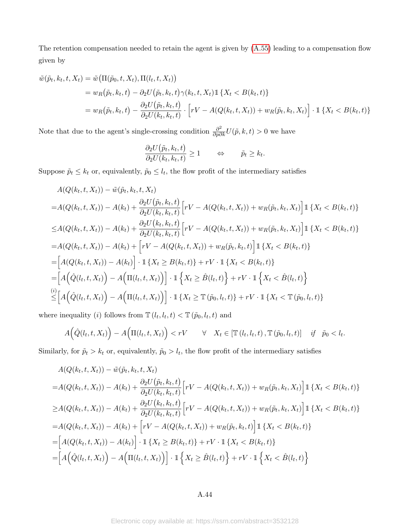The retention compensation needed to retain the agent is given by [\(A.55\)](#page-87-0) leading to a compensation flow given by

$$
\tilde{w}(\tilde{p}_t, k_t, t, X_t) = \tilde{w}(\Pi(\tilde{p}_0, t, X_t), \Pi(l_t, t, X_t))
$$
\n
$$
= w_R(\tilde{p}_t, k_t, t) - \partial_2 U(\tilde{p}_t, k_t, t) \gamma(k_t, t, X_t) \mathbb{1} \{X_t < B(k_t, t)\}
$$
\n
$$
= w_R(\tilde{p}_t, k_t, t) - \frac{\partial_2 U(\tilde{p}_t, k_t, t)}{\partial_2 U(k_t, k_t, t)} \cdot \left[ rV - A(Q(k_t, t, X_t)) + w_R(\tilde{p}_t, k_t, X_t) \right] \cdot \mathbb{1} \{X_t < B(k_t, t)\}
$$

Note that due to the agent's single-crossing condition  $\frac{\partial^2}{\partial p \partial k}U(\tilde{p},k,t) > 0$  we have

$$
\frac{\partial_2 U(\tilde{p}_t, k_t, t)}{\partial_2 U(k_t, k_t, t)} \ge 1 \qquad \Leftrightarrow \qquad \tilde{p}_t \ge k_t.
$$

Suppose  $\tilde{p}_t \leq k_t$  or, equivalently,  $\tilde{p}_0 \leq l_t$ , the flow profit of the intermediary satisfies

$$
A(Q(k_t, t, X_t)) - \tilde{w}(\tilde{p}_t, k_t, t, X_t)
$$
  
= $A(Q(k_t, t, X_t)) - A(k_t) + \frac{\partial_2 U(\tilde{p}_t, k_t, t)}{\partial_2 U(k_t, k_t, t)} [rV - A(Q(k_t, t, X_t)) + w_R(\tilde{p}_t, k_t, X_t)] \mathbb{1} \{X_t < B(k_t, t)\}$   
 $\leq A(Q(k_t, t, X_t)) - A(k_t) + \frac{\partial_2 U(k_t, k_t, t)}{\partial_2 U(k_t, k_t, t)} [rV - A(Q(k_t, t, X_t)) + w_R(\tilde{p}_t, k_t, X_t)] \mathbb{1} \{X_t < B(k_t, t)\}$   
= $A(Q(k_t, t, X_t)) - A(k_t) + [rV - A(Q(k_t, t, X_t)) + w_R(\tilde{p}_t, k_t, t)] \mathbb{1} \{X_t < B(k_t, t)\}$   
= $[A(Q(k_t, t, X_t)) - A(k_t)] \cdot \mathbb{1} \{X_t \geq B(k_t, t)\} + rV \cdot \mathbb{1} \{X_t < B(k_t, t)\}$   
= $[A(\hat{Q}(l_t, t, X_t)) - A(\Pi(l_t, t, X_t)))] \cdot \mathbb{1} \{X_t \geq \hat{B}(l_t, t)\} + rV \cdot \mathbb{1} \{X_t < \hat{B}(l_t, t)\}$   
 $\leq [A(\hat{Q}(l_t, t, X_t)) - A(\Pi(l_t, t, X_t)))] \cdot \mathbb{1} \{X_t \geq \mathbb{T}(\tilde{p}_0, l_t, t)\} + rV \cdot \mathbb{1} \{X_t < \mathbb{T}(\tilde{p}_0, l_t, t)\}$ 

where inequality (*i*) follows from  $\mathbb{T} (l_t, l_t, t) < \mathbb{T} (\tilde{p}_0, l_t, t)$  and

$$
A(\hat{Q}(l_t, t, X_t)) - A(\Pi(l_t, t, X_t)) < rV \quad \forall \quad X_t \in [\mathbb{T}(l_t, l_t, t), \mathbb{T}(\tilde{p}_0, l_t, t)] \quad \text{if} \quad \tilde{p}_0 < l_t.
$$

Similarly, for  $\tilde{p}_t > k_t$  or, equivalently,  $\tilde{p}_0 > l_t$ , the flow profit of the intermediary satisfies

$$
A(Q(k_t, t, X_t)) - \tilde{w}(\tilde{p}_t, k_t, t, X_t)
$$
  
= $A(Q(k_t, t, X_t)) - A(k_t) + \frac{\partial_2 U(\tilde{p}_t, k_t, t)}{\partial_2 U(k_t, k_t, t)} \Big[ rV - A(Q(k_t, t, X_t)) + w_R(\tilde{p}_t, k_t, X_t) \Big] \mathbb{1} \{X_t < B(k_t, t)\}$   
 $\geq A(Q(k_t, t, X_t)) - A(k_t) + \frac{\partial_2 U(k_t, k_t, t)}{\partial_2 U(k_t, k_t, t)} \Big[ rV - A(Q(k_t, t, X_t)) + w_R(\tilde{p}_t, k_t, X_t) \Big] \mathbb{1} \{X_t < B(k_t, t)\}$   
= $A(Q(k_t, t, X_t)) - A(k_t) + \Big[ rV - A(Q(k_t, t, X_t)) + w_R(\tilde{p}_t, k_t, t) \Big] \mathbb{1} \{X_t < B(k_t, t)\}$   
=  $\Big[ A(Q(k_t, t, X_t)) - A(k_t) \Big] \cdot \mathbb{1} \{X_t \geq B(k_t, t)\} + rV \cdot \mathbb{1} \{X_t < B(k_t, t)\}$   
=  $\Big[ A(\hat{Q}(l_t, t, X_t)) - A(\Pi(l_t, t, X_t)) \Big) \cdot \mathbb{1} \{X_t \geq \hat{B}(l_t, t)\} + rV \cdot \mathbb{1} \{X_t < \hat{B}(l_t, t)\} \Big]$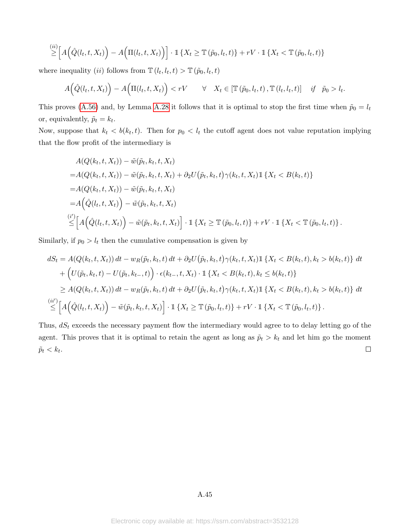$$
\stackrel{(ii)}{\geq} \Big[A\Big(\hat{Q}(l_t,t,X_t)\Big) - A\Big(\Pi(l_t,t,X_t)\Big)\Big] \cdot \mathbb{1}\left\{X_t \geq \mathbb{T}\left(\tilde{p}_0,l_t,t\right)\right\} + rV \cdot \mathbb{1}\left\{X_t < \mathbb{T}\left(\tilde{p}_0,l_t,t\right)\right\}
$$

where inequality (*ii*) follows from  $\mathbb{T} (l_t, l_t, t) > \mathbb{T} (\tilde{p}_0, l_t, t)$ 

$$
A(\hat{Q}(l_t, t, X_t)) - A(\Pi(l_t, t, X_t)) < rV \qquad \forall \quad X_t \in [\mathbb{T}(\tilde{p}_0, l_t, t), \mathbb{T}(l_t, l_t, t)] \quad \text{if} \quad \tilde{p}_0 > l_t.
$$

This proves [\(A.56\)](#page-87-1) and, by Lemma [A.28](#page-86-0) it follows that it is optimal to stop the first time when  $\tilde{p}_0 = l_t$ or, equivalently,  $\tilde{p}_t = k_t$ .

Now, suppose that  $k_t < b(k_t, t)$ . Then for  $p_0 < l_t$  the cutoff agent does not value reputation implying that the flow profit of the intermediary is

$$
A(Q(k_t, t, X_t)) - \tilde{w}(\tilde{p}_t, k_t, t, X_t)
$$
  
=  $A(Q(k_t, t, X_t)) - \tilde{w}(\tilde{p}_t, k_t, t, X_t) + \partial_2 U(\tilde{p}_t, k_t, t) \gamma(k_t, t, X_t) \mathbb{1} \{X_t < B(k_t, t)\}$   
=  $A(Q(k_t, t, X_t)) - \tilde{w}(\tilde{p}_t, k_t, t, X_t)$   
=  $A(\hat{Q}(l_t, t, X_t)) - \tilde{w}(\tilde{p}_t, k_t, t, X_t)$   

$$
\stackrel{(i')}{\leq} \Big[A(\hat{Q}(l_t, t, X_t)) - \tilde{w}(\tilde{p}_t, k_t, t, X_t)\Big] \cdot \mathbb{1} \{X_t \geq \mathbb{T}(\tilde{p}_0, l_t, t)\} + rV \cdot \mathbb{1} \{X_t < \mathbb{T}(\tilde{p}_0, l_t, t)\}.
$$

Similarly, if  $p_0 > l_t$  then the cumulative compensation is given by

$$
dS_t = A(Q(k_t, t, X_t)) dt - w_R(\tilde{p}_t, k_t, t) dt + \partial_2 U(\tilde{p}_t, k_t, t) \gamma(k_t, t, X_t) \mathbb{1} \{X_t < B(k_t, t), k_t > b(k_t, t)\} dt + \left(U(\tilde{p}_t, k_t, t) - U(\tilde{p}_t, k_{t-}, t)\right) \cdot \epsilon(k_{t-}, t, X_t) \cdot \mathbb{1} \{X_t < B(k_t, t), k_t \le b(k_t, t)\} \ge A(Q(k_t, t, X_t)) dt - w_R(\tilde{p}_t, k_t, t) dt + \partial_2 U(\tilde{p}_t, k_t, t) \gamma(k_t, t, X_t) \mathbb{1} \{X_t < B(k_t, t), k_t > b(k_t, t)\} dt \stackrel{(ii')}{\le} \left[A\left(\hat{Q}(l_t, t, X_t)\right) - \tilde{w}(\tilde{p}_t, k_t, t, X_t)\right] \cdot \mathbb{1} \{X_t \ge \mathbb{T}(\tilde{p}_0, l_t, t)\} + rV \cdot \mathbb{1} \{X_t < \mathbb{T}(\tilde{p}_0, l_t, t)\}.
$$

Thus,  $dS_t$  exceeds the necessary payment flow the intermediary would agree to to delay letting go of the agent. This proves that it is optimal to retain the agent as long as  $\tilde{p}_t > k_t$  and let him go the moment  $\tilde{p}_t < k_t.$  $\Box$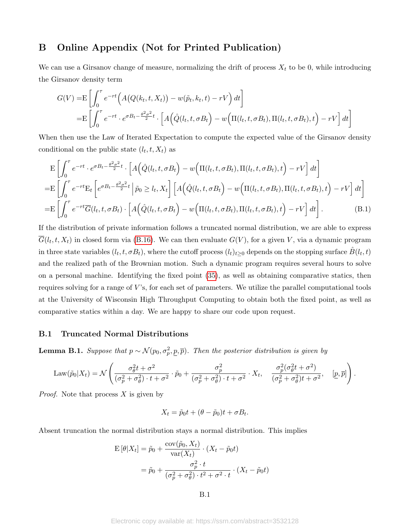# B Online Appendix (Not for Printed Publication)

We can use a Girsanov change of measure, normalizing the drift of process  $X_t$  to be 0, while introducing the Girsanov density term

$$
G(V) = \mathbb{E}\left[\int_0^{\tau} e^{-rt} \Big(A\big(Q(k_t, t, X_t)\big) - w(\tilde{p}_t, k_t, t) - rV\Big) dt\right]
$$
  
= 
$$
\mathbb{E}\left[\int_0^{\tau} e^{-rt} \cdot e^{\sigma B_t - \frac{\theta^2 \sigma^2}{2}t} \cdot \Big[A\Big(\hat{Q}(l_t, t, \sigma B_t\Big) - w\Big(\Pi(l_t, t, \sigma B_t), \Pi(l_t, t, \sigma B_t), t\Big) - rV\Big] dt\right]
$$

When then use the Law of Iterated Expectation to compute the expected value of the Girsanov density conditional on the public state  $(l_t, t, X_t)$  as

$$
\mathbf{E}\left[\int_0^{\tau} e^{-rt} \cdot e^{\sigma B_t - \frac{\theta^2 \sigma^2}{2}t} \cdot \left[ A\left(\hat{Q}(l_t, t, \sigma B_t) - w\left(\Pi(l_t, t, \sigma B_t), \Pi(l_t, t, \sigma B_t), t\right) - rV \right] dt \right] \n= \mathbf{E}\left[\int_0^{\tau} e^{-rt} \mathbf{E}_t \left[ e^{\sigma B_t - \frac{\theta^2 \sigma^2}{2}t} \middle| \tilde{p}_0 \ge l_t, X_t \right] \left[ A\left(\hat{Q}(l_t, t, \sigma B_t) - w\left(\Pi(l_t, t, \sigma B_t), \Pi(l_t, t, \sigma B_t), t\right) - rV \right] dt \right] \n= \mathbf{E}\left[\int_0^{\tau} e^{-rt} \overline{G}(l_t, t, \sigma B_t) \cdot \left[ A\left(\hat{Q}(l_t, t, \sigma B_t) - w\left(\Pi(l_t, t, \sigma B_t), \Pi(l_t, t, \sigma B_t), t\right) - rV \right] dt \right].
$$
\n(B.1)

If the distribution of private information follows a truncated normal distribution, we are able to express  $\overline{G}(l_t, t, X_t)$  in closed form via [\(B.16\)](#page-56-0). We can then evaluate  $G(V)$ , for a given V, via a dynamic program in three state variables  $(l_t, t, \sigma B_t)$ , where the cutoff process  $(l_t)_{t\geq 0}$  depends on the stopping surface  $\hat{B}(l_t, t)$ and the realized path of the Brownian motion. Such a dynamic program requires several hours to solve on a personal machine. Identifying the fixed point [\(35\)](#page-40-0), as well as obtaining comparative statics, then requires solving for a range of  $V$ 's, for each set of parameters. We utilize the parallel computational tools at the University of Wisconsin High Throughput Computing to obtain both the fixed point, as well as comparative statics within a day. We are happy to share our code upon request.

## B.1 Truncated Normal Distributions

**Lemma B.1.** Suppose that  $p \sim \mathcal{N}(p_0, \sigma_p^2, \underline{p}, \overline{p})$ . Then the posterior distribution is given by

Law
$$
(\tilde{p}_0|X_t) = \mathcal{N}\left(\frac{\sigma_\theta^2 t + \sigma^2}{(\sigma_p^2 + \sigma_\theta^2) \cdot t + \sigma^2} \cdot \tilde{p}_0 + \frac{\sigma_p^2}{(\sigma_p^2 + \sigma_\theta^2) \cdot t + \sigma^2} \cdot X_t, \quad \frac{\sigma_p^2(\sigma_\theta^2 t + \sigma^2)}{(\sigma_p^2 + \sigma_\theta^2)t + \sigma^2}, \quad [\underline{p}, \overline{p}]\right).
$$

*Proof.* Note that process  $X$  is given by

$$
X_t = \tilde{p}_0 t + (\theta - \tilde{p}_0)t + \sigma B_t.
$$

Absent truncation the normal distribution stays a normal distribution. This implies

$$
\begin{aligned} \mathcal{E}\left[\theta|X_t\right] &= \tilde{p}_0 + \frac{\text{cov}(\tilde{p}_0, X_t)}{\text{var}(X_t)} \cdot (X_t - \tilde{p}_0 t) \\ &= \tilde{p}_0 + \frac{\sigma_p^2 \cdot t}{(\sigma_p^2 + \sigma_\theta^2) \cdot t^2 + \sigma^2 \cdot t} \cdot (X_t - \tilde{p}_0 t) \end{aligned}
$$

B.1

Electronic copy available at: https://ssrn.com/abstract=3532128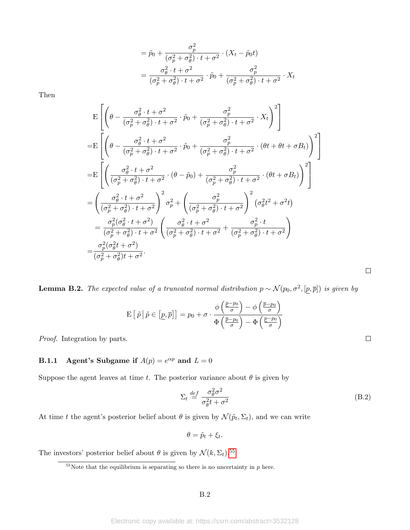$$
= \tilde{p}_0 + \frac{\sigma_p^2}{(\sigma_p^2 + \sigma_\theta^2) \cdot t + \sigma^2} \cdot (X_t - \tilde{p}_0 t)
$$
  
= 
$$
\frac{\sigma_\theta^2 \cdot t + \sigma^2}{(\sigma_p^2 + \sigma_\theta^2) \cdot t + \sigma^2} \cdot \tilde{p}_0 + \frac{\sigma_p^2}{(\sigma_p^2 + \sigma_\theta^2) \cdot t + \sigma^2} \cdot X_t
$$

Then

$$
\begin{split}\n&\mathbf{E}\left[\left(\theta-\frac{\sigma_{\theta}^{2}\cdot t+\sigma^{2}}{(\sigma_{p}^{2}+\sigma_{\theta}^{2})\cdot t+\sigma^{2}}\cdot\tilde{p}_{0}+\frac{\sigma_{p}^{2}}{(\sigma_{p}^{2}+\sigma_{\theta}^{2})\cdot t+\sigma^{2}}\cdot X_{t}\right)^{2}\right] \\
&=\mathbf{E}\left[\left(\theta-\frac{\sigma_{\theta}^{2}\cdot t+\sigma^{2}}{(\sigma_{p}^{2}+\sigma_{\theta}^{2})\cdot t+\sigma^{2}}\cdot\tilde{p}_{0}+\frac{\sigma_{p}^{2}}{(\sigma_{p}^{2}+\sigma_{\theta}^{2})\cdot t+\sigma^{2}}\cdot(\theta t+\theta t+\sigma B_{t})\right)^{2}\right] \\
&=\mathbf{E}\left[\left(\frac{\sigma_{\theta}^{2}\cdot t+\sigma^{2}}{(\sigma_{p}^{2}+\sigma_{\theta}^{2})\cdot t+\sigma^{2}}\cdot(\theta-\tilde{p}_{0})+\frac{\sigma_{p}^{2}}{(\sigma_{p}^{2}+\sigma_{\theta}^{2})\cdot t+\sigma^{2}}\cdot(\theta t+\sigma B_{t})\right)^{2}\right] \\
&=\left(\frac{\sigma_{\theta}^{2}\cdot t+\sigma^{2}}{(\sigma_{p}^{2}+\sigma_{\theta}^{2})\cdot t+\sigma^{2}}\right)^{2}\sigma_{p}^{2}+\left(\frac{\sigma_{p}^{2}}{(\sigma_{p}^{2}+\sigma_{\theta}^{2})\cdot t+\sigma^{2}}\right)^{2}\left(\sigma_{\theta}^{2}t^{2}+\sigma^{2}t\right) \\
&=\frac{\sigma_{p}^{2}(\sigma_{\theta}^{2}\cdot t+\sigma^{2})}{(\sigma_{p}^{2}+\sigma_{\theta}^{2})\cdot t+\sigma^{2}}\left(\frac{\sigma_{\theta}^{2}\cdot t+\sigma^{2}}{(\sigma_{p}^{2}+\sigma_{\theta}^{2})\cdot t+\sigma^{2}}+\frac{\sigma_{p}^{2}\cdot t}{(\sigma_{p}^{2}+\sigma_{\theta}^{2})\cdot t+\sigma^{2}}\right) \\
&=\frac{\sigma_{p}^{2}(\sigma_{\theta}^{2}t+\sigma^{2})}{(\sigma_{p}^{2}+\sigma_{\theta}^{2})t+\sigma^{2}}.\n\end{split}
$$

**Lemma B.2.** The expected value of a truncated normal distribution  $p \sim \mathcal{N}(p_0, \sigma^2, [p, \overline{p}])$  is given by

$$
\mathrm{E}\left[\left.\tilde{p}\,\right|\tilde{p}\in\left[\underline{p},\overline{p}\right]\right]=p_0+\sigma\cdot\frac{\phi\left(\frac{p-p_0}{\sigma}\right)-\phi\left(\frac{\overline{p}-p_0}{\sigma}\right)}{\Phi\left(\frac{\overline{p}-p_0}{\sigma}\right)-\Phi\left(\frac{p-p_0}{\sigma}\right)}
$$

Proof. Integration by parts.

# **B.1.1** Agent's Subgame if  $A(p) = e^{\alpha p}$  and  $L = 0$

Suppose the agent leaves at time t. The posterior variance about  $\theta$  is given by

$$
\Sigma_t \stackrel{def}{=} \frac{\sigma_\theta^2 \sigma^2}{\sigma_\theta^2 t + \sigma^2} \tag{B.2}
$$

 $\Box$ 

 $\Box$ 

At time t the agent's posterior belief about  $\theta$  is given by  $\mathcal{N}(\tilde{p}_t, \Sigma_t)$ , and we can write

$$
\theta = \tilde{p}_t + \xi_t.
$$

The investors' posterior belief about  $\theta$  is given by  $\mathcal{N}(k,\Sigma_t).^{55}$  $\mathcal{N}(k,\Sigma_t).^{55}$  $\mathcal{N}(k,\Sigma_t).^{55}$ 

<span id="page-91-0"></span> $\frac{55}{55}$ Note that the equilibrium is separating so there is no uncertainty in p here.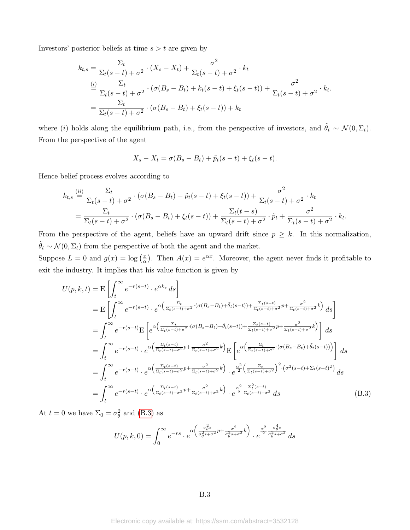Investors' posterior beliefs at time  $s > t$  are given by

$$
k_{t,s} = \frac{\Sigma_{t}}{\Sigma_{t}(s-t) + \sigma^{2}} \cdot (X_{s} - X_{t}) + \frac{\sigma^{2}}{\Sigma_{t}(s-t) + \sigma^{2}} \cdot k_{t}
$$
  
\n
$$
\stackrel{(i)}{=} \frac{\Sigma_{t}}{\Sigma_{t}(s-t) + \sigma^{2}} \cdot (\sigma(B_{s} - B_{t}) + k_{t}(s-t) + \xi_{t}(s-t)) + \frac{\sigma^{2}}{\Sigma_{t}(s-t) + \sigma^{2}} \cdot k_{t}
$$
  
\n
$$
= \frac{\Sigma_{t}}{\Sigma_{t}(s-t) + \sigma^{2}} \cdot (\sigma(B_{s} - B_{t}) + \xi_{t}(s-t)) + k_{t}
$$

where (i) holds along the equilibrium path, i.e., from the perspective of investors, and  $\tilde{\theta}_t \sim \mathcal{N}(0, \Sigma_t)$ . From the perspective of the agent

$$
X_s - X_t = \sigma(B_s - B_t) + \tilde{p}_t(s - t) + \xi_t(s - t).
$$

Hence belief process evolves according to

$$
k_{t,s} \stackrel{(ii)}{=} \frac{\Sigma_t}{\Sigma_t(s-t) + \sigma^2} \cdot (\sigma(B_s - B_t) + \tilde{p}_t(s-t) + \xi_t(s-t)) + \frac{\sigma^2}{\Sigma_t(s-t) + \sigma^2} \cdot k_t
$$
  

$$
= \frac{\Sigma_t}{\Sigma_t(s-t) + \sigma^2} \cdot (\sigma(B_s - B_t) + \xi_t(s-t)) + \frac{\Sigma_t(t-s)}{\Sigma_t(s-t) + \sigma^2} \cdot \tilde{p}_t + \frac{\sigma^2}{\Sigma_t(s-t) + \sigma^2} \cdot k_t.
$$

From the perspective of the agent, beliefs have an upward drift since  $p \geq k$ . In this normalization,  $\tilde{\theta}_t \sim \mathcal{N}(0,\Sigma_t)$  from the perspective of both the agent and the market.

Suppose  $L = 0$  and  $g(x) = \log(\frac{x}{\alpha})$  $\frac{x}{\alpha}$ ). Then  $A(x) = e^{\alpha x}$ . Moreover, the agent never finds it profitable to exit the industry. It implies that his value function is given by

$$
U(p,k,t) = \mathcal{E}\left[\int_{t}^{\infty} e^{-r(s-t)} \cdot e^{\alpha k s} ds\right]
$$
  
\n
$$
= \mathcal{E}\left[\int_{t}^{\infty} e^{-r(s-t)} \cdot e^{\alpha \left(\frac{\Sigma_{t}}{\Sigma_{t}(s-t)+\sigma^{2}} \cdot (\sigma(B_{s}-B_{t})+\tilde{\theta}_{t}(s-t)) + \frac{\Sigma_{t}(s-t)}{\Sigma_{t}(s-t)+\sigma^{2}} p + \frac{\sigma^{2}}{\Sigma_{t}(s-t)+\sigma^{2}} k\right)} ds\right]
$$
  
\n
$$
= \int_{t}^{\infty} e^{-r(s-t)} \mathcal{E}\left[e^{\alpha \left(\frac{\Sigma_{t}}{\Sigma_{t}(s-t)+\sigma^{2}} \cdot (\sigma(B_{s}-B_{t})+\tilde{\theta}_{t}(s-t)) + \frac{\Sigma_{t}(s-t)}{\Sigma_{t}(s-t)+\sigma^{2}} p + \frac{\sigma^{2}}{\Sigma_{t}(s-t)+\sigma^{2}} k\right)}\right] ds
$$
  
\n
$$
= \int_{t}^{\infty} e^{-r(s-t)} \cdot e^{\alpha \left(\frac{\Sigma_{t}(s-t)}{\Sigma_{t}(s-t)+\sigma^{2}} p + \frac{\sigma^{2}}{\Sigma_{t}(s-t)+\sigma^{2}} k\right)} \mathcal{E}\left[e^{\alpha \left(\frac{\Sigma_{t}}{\Sigma_{t}(s-t)+\sigma^{2}} \cdot (\sigma(B_{s}-B_{t})+\tilde{\theta}_{t}(s-t))\right)}\right] ds
$$
  
\n
$$
= \int_{t}^{\infty} e^{-r(s-t)} \cdot e^{\alpha \left(\frac{\Sigma_{t}(s-t)}{\Sigma_{t}(s-t)+\sigma^{2}} p + \frac{\sigma^{2}}{\Sigma_{t}(s-t)+\sigma^{2}} k\right)} \cdot e^{\frac{\alpha^{2}}{2} \left(\frac{\Sigma_{t}}{\Sigma_{t}(s-t)+\sigma^{2}}\right)^{2} \cdot (\sigma^{2}(s-t) + \Sigma_{t}(s-t)^{2}\right)} ds
$$
  
\n
$$
= \int_{t}^{\infty} e^{-r(s-t)} \cdot e^{\alpha \left(\frac{\Sigma_{t}(s-t)}{\Sigma_{t}(s-t)+\sigma^{2}} p + \frac{\sigma^{2}}{\Sigma_{t}(s-t)+\sigma^{2}} k\right)} \cdot e^{\frac{\alpha^{2}}{2} \frac{\Sigma_{t}^{2}(s-t)}{\Sigma_{t}(s-t)+\sigma^{2}} ds
$$
(B.3)

At  $t = 0$  we have  $\Sigma_0 = \sigma_\theta^2$  and [\(B.3\)](#page-49-0) as

$$
U(p,k,0) = \int_0^\infty e^{-rs} \cdot e^{\alpha \left(\frac{\sigma_\theta^2 s}{\sigma_\theta^2 s + \sigma^2} p + \frac{\sigma^2}{\sigma_\theta^2 s + \sigma^2} k\right)} \cdot e^{\frac{\alpha^2}{2} \frac{\sigma_\theta^4 s}{\sigma_\theta^2 s + \sigma^2}} ds
$$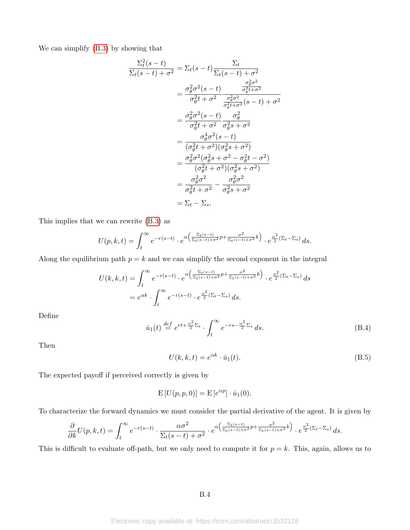We can simplify [\(B.3\)](#page-49-0) by showing that

$$
\frac{\Sigma_t^2(s-t)}{\Sigma_t(s-t)+\sigma^2} = \Sigma_t(s-t)\frac{\Sigma_t}{\Sigma_t(s-t)+\sigma^2}
$$

$$
= \frac{\sigma_\theta^2 \sigma^2(s-t)}{\sigma_\theta^2 t + \sigma^2} \frac{\frac{\sigma_\theta^2 \sigma^2}{\sigma_\theta^2 t + \sigma^2}}{\frac{\sigma_\theta^2 \sigma^2}{\sigma_\theta^2 t + \sigma^2} (s-t) + \sigma^2}
$$

$$
= \frac{\sigma_\theta^2 \sigma^2(s-t)}{\sigma_\theta^2 t + \sigma^2} \frac{\sigma_\theta^2}{\sigma_\theta^2 s + \sigma^2}
$$

$$
= \frac{\sigma_\theta^4 \sigma^2(s-t)}{(\sigma_\theta^2 t + \sigma^2)(\sigma_\theta^2 s + \sigma^2)}
$$

$$
= \frac{\sigma_\theta^2 \sigma^2 (\sigma_\theta^2 s + \sigma^2 - \sigma_\theta^2 t - \sigma^2)}{(\sigma_\theta^2 t + \sigma^2)(\sigma_\theta^2 s + \sigma^2)}
$$

$$
= \frac{\sigma_\theta^2 \sigma^2}{\sigma_\theta^2 t + \sigma^2} - \frac{\sigma_\theta^2 \sigma^2}{\sigma_\theta^2 s + \sigma^2}
$$

$$
= \Sigma_t - \Sigma_s.
$$

This implies that we can rewrite [\(B.3\)](#page-49-0) as

$$
U(p,k,t) = \int_t^{\infty} e^{-r(s-t)} \cdot e^{\alpha \left(\frac{\sum_t (s-t)}{\sum_t (s-t) + \sigma^2} p + \frac{\sigma^2}{\sum_t (s-t) + \sigma^2} k\right)} \cdot e^{\frac{\alpha^2}{2} (\sum_t - \sum_s)} ds.
$$

Along the equilibrium path  $p = k$  and we can simplify the second exponent in the integral

$$
U(k, k, t) = \int_{t}^{\infty} e^{-r(s-t)} \cdot e^{\alpha \left(\frac{\Sigma_{t}(s-t)}{\Sigma_{t}(s-t)+\sigma^{2}}p+\frac{\sigma^{2}}{\Sigma_{t}(s-t)+\sigma^{2}}k\right)} \cdot e^{\frac{\alpha^{2}}{2}(\Sigma_{t}-\Sigma_{s})} ds
$$
  
=  $e^{\alpha k} \cdot \int_{t}^{\infty} e^{-r(s-t)} \cdot e^{\frac{\alpha^{2}}{2}(\Sigma_{t}-\Sigma_{s})} ds.$ 

Define

$$
\hat{u}_1(t) \stackrel{def}{=} e^{rt + \frac{\alpha^2}{2} \Sigma_t} \cdot \int_t^\infty e^{-rs - \frac{\alpha^2}{2} \Sigma_s} ds. \tag{B.4}
$$

Then

$$
U(k,k,t) = e^{\alpha k} \cdot \hat{u}_1(t). \tag{B.5}
$$

The expected payoff if perceived correctly is given by

$$
E[U(p, p, 0)] = E[e^{\alpha p}] \cdot \hat{u}_1(0).
$$

To characterize the forward dynamics we must consider the partial derivative of the agent. It is given by

$$
\frac{\partial}{\partial k}U(p,k,t) = \int_t^{\infty} e^{-r(s-t)} \cdot \frac{\alpha \sigma^2}{\Sigma_t(s-t) + \sigma^2} \cdot e^{\alpha \left(\frac{\Sigma_t(s-t)}{\Sigma_t(s-t) + \sigma^2} p + \frac{\sigma^2}{\Sigma_t(s-t) + \sigma^2} k\right)} \cdot e^{\frac{\alpha^2}{2}(\Sigma_t - \Sigma_s)} ds.
$$

This is difficult to evaluate off-path, but we only need to compute it for  $p = k$ . This, again, allows us to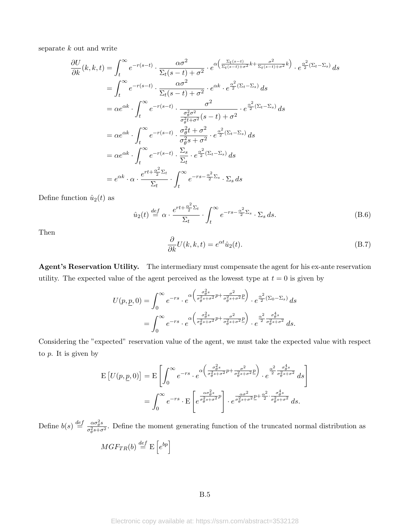separate  $k$  out and write

$$
\frac{\partial U}{\partial k}(k, k, t) = \int_{t}^{\infty} e^{-r(s-t)} \cdot \frac{\alpha \sigma^{2}}{\Sigma_{t}(s-t) + \sigma^{2}} \cdot e^{\alpha \left(\frac{\Sigma_{t}(s-t)}{\Sigma_{t}(s-t) + \sigma^{2}} k + \frac{\sigma^{2}}{\Sigma_{t}(s-t) + \sigma^{2}} k\right)} \cdot e^{\frac{\alpha^{2}}{2} (\Sigma_{t} - \Sigma_{s})} ds
$$
\n
$$
= \int_{t}^{\infty} e^{-r(s-t)} \cdot \frac{\alpha \sigma^{2}}{\Sigma_{t}(s-t) + \sigma^{2}} \cdot e^{\alpha k} \cdot e^{\frac{\alpha^{2}}{2} (\Sigma_{t} - \Sigma_{s})} ds
$$
\n
$$
= \alpha e^{\alpha k} \cdot \int_{t}^{\infty} e^{-r(s-t)} \cdot \frac{\sigma^{2}}{\sigma_{\theta}^{2} \sigma^{2}} (s-t) + \sigma^{2}
$$
\n
$$
= \alpha e^{\alpha k} \cdot \int_{t}^{\infty} e^{-r(s-t)} \cdot \frac{\sigma_{\theta}^{2} t + \sigma^{2}}{\sigma_{\theta}^{2} s + \sigma^{2}} \cdot e^{\frac{\alpha^{2}}{2} (\Sigma_{t} - \Sigma_{s})} ds
$$
\n
$$
= \alpha e^{\alpha k} \cdot \int_{t}^{\infty} e^{-r(s-t)} \cdot \frac{\Sigma_{s}}{\Sigma_{t}} \cdot e^{\frac{\alpha^{2}}{2} (\Sigma_{t} - \Sigma_{s})} ds
$$
\n
$$
= e^{\alpha k} \cdot \int_{t}^{\infty} e^{-r(s-t)} \cdot \frac{\Sigma_{s}}{\Sigma_{t}} \cdot e^{\frac{\alpha^{2}}{2} (\Sigma_{t} - \Sigma_{s})} ds
$$
\n
$$
= e^{\alpha k} \cdot \alpha \cdot \frac{e^{rt + \frac{\alpha^{2}}{2} \Sigma_{t}}}{\Sigma_{t}} \cdot \int_{t}^{\infty} e^{-rs - \frac{\alpha^{2}}{2} \Sigma_{s}} \cdot \Sigma_{s} ds
$$

Define function  $\hat{u}_2(t)$  as

$$
\hat{u}_2(t) \stackrel{def}{=} \alpha \cdot \frac{e^{rt + \frac{\alpha^2}{2} \Sigma_t}}{\Sigma_t} \cdot \int_t^\infty e^{-rs - \frac{\alpha^2}{2} \Sigma_s} \cdot \Sigma_s ds. \tag{B.6}
$$

Then

$$
\frac{\partial}{\partial k}U(k,k,t) = e^{\alpha t}\hat{u}_2(t).
$$
\n(B.7)

Agent's Reservation Utility. The intermediary must compensate the agent for his ex-ante reservation utility. The expected value of the agent perceived as the lowesst type at  $t = 0$  is given by

$$
U(p, \underline{p}, 0) = \int_0^\infty e^{-rs} \cdot e^{\alpha \left(\frac{\sigma_\theta^2 s}{\sigma_\theta^2 s + \sigma^2} p + \frac{\sigma^2}{\sigma_\theta^2 s + \sigma^2} \underline{p}\right)} \cdot e^{\frac{\alpha^2}{2} (\Sigma_0 - \Sigma_s)} ds
$$
  
= 
$$
\int_0^\infty e^{-rs} \cdot e^{\alpha \left(\frac{\sigma_\theta^2 s}{\sigma_\theta^2 s + \sigma^2} p + \frac{\sigma^2}{\sigma_\theta^2 s + \sigma^2} \underline{p}\right)} \cdot e^{\frac{\alpha^2}{2} \frac{\sigma_\theta^4 s}{\sigma_\theta^2 s + \sigma^2}} ds.
$$

Considering the "expected" reservation value of the agent, we must take the expected value with respect to  $p$ . It is given by

$$
\mathcal{E}\left[U(p,\underline{p},0)\right] = \mathcal{E}\left[\int_0^\infty e^{-rs} \cdot e^{\alpha\left(\frac{\sigma_\theta^2 s}{\sigma_\theta^2 s + \sigma^2} p + \frac{\sigma^2}{\sigma_\theta^2 s + \sigma^2} \underline{p}\right)} \cdot e^{\frac{\alpha^2}{2} \frac{\sigma_\theta^4 s}{\sigma_\theta^2 s + \sigma^2}} ds\right]
$$
  

$$
= \int_0^\infty e^{-rs} \cdot \mathcal{E}\left[e^{\frac{\alpha \sigma_\theta^2 s}{\sigma_\theta^2 s + \sigma^2} p}\right] \cdot e^{\frac{\alpha \sigma^2}{\sigma_\theta^2 s + \sigma^2} \underline{p} + \frac{\alpha^2}{2} \cdot \frac{\sigma_\theta^4 s}{\sigma_\theta^2 s + \sigma^2}} ds.
$$

Define  $b(s) \stackrel{def}{=} \frac{\alpha \sigma_{\theta}^2 s}{\sigma_{\theta}^2 s}$  $\frac{\omega_{\theta}s}{\sigma_{\theta}^{2}s+\sigma^{2}}$ . Define the moment generating function of the truncated normal distribution as

$$
MGF_{TR}(b) \stackrel{def}{=} \mathrm{E}\left[e^{bp}\right]
$$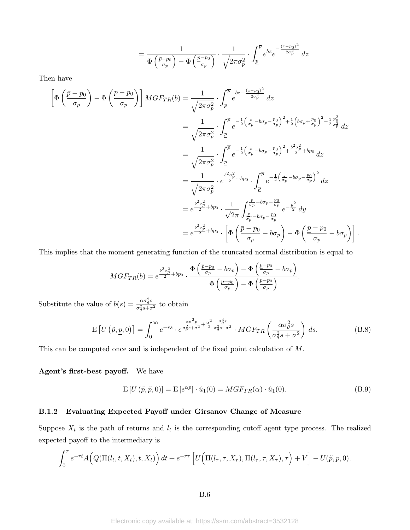$$
= \frac{1}{\Phi\left(\frac{\bar{p}-p_0}{\sigma_p}\right) - \Phi\left(\frac{p-p_0}{\sigma_p}\right)} \cdot \frac{1}{\sqrt{2\pi\sigma_p^2}} \cdot \int_{\underline{p}}^{\overline{p}} e^{bz} e^{-\frac{(z-p_0)^2}{2\sigma_p^2}} dz
$$

Then have

$$
\begin{split}\n\left[\Phi\left(\frac{\bar{p}-p_{0}}{\sigma_{p}}\right)-\Phi\left(\frac{p-p_{0}}{\sigma_{p}}\right)\right] MGF_{TR}(b) &= \frac{1}{\sqrt{2\pi\sigma_{p}^{2}}}\cdot\int_{p}^{\overline{p}} e^{-\frac{1}{2}\left(\frac{z}{\sigma_{p}}-b\sigma_{p}-\frac{p_{0}}{\sigma_{p}}\right)^{2}+\frac{1}{2}\left(b\sigma_{p}+\frac{p_{0}}{\sigma_{p}}\right)^{2}-\frac{1}{2}\frac{p_{0}^{2}}{\sigma_{p}^{2}}}\frac{1}{dz} \\
&= \frac{1}{\sqrt{2\pi\sigma_{p}^{2}}}\cdot\int_{p}^{\overline{p}} e^{-\frac{1}{2}\left(\frac{z}{\sigma_{p}}-b\sigma_{p}-\frac{p_{0}}{\sigma_{p}}\right)^{2}+\frac{1}{2}\left(b\sigma_{p}+\frac{p_{0}}{\sigma_{p}}\right)^{2}-\frac{1}{2}\frac{p_{0}^{2}}{\sigma_{p}^{2}}}\frac{1}{dz} \\
&= \frac{1}{\sqrt{2\pi\sigma_{p}^{2}}}\cdot\int_{p}^{\overline{p}} e^{-\frac{1}{2}\left(\frac{z}{\sigma_{p}}-b\sigma_{p}-\frac{p_{0}}{\sigma_{p}}\right)^{2}+\frac{b^{2}\sigma_{p}^{2}}{2}+bp_{0}}\frac{1}{\sqrt{2\pi\sigma_{p}^{2}}}\frac{1}{\sigma_{p}^{2}}\frac{1}{\sigma_{p}^{2}}\frac{1}{\sigma_{p}^{2}}\frac{1}{\sigma_{p}^{2}}\frac{1}{\sigma_{p}^{2}}\frac{1}{\sigma_{p}^{2}}\frac{1}{\sigma_{p}^{2}}\frac{1}{\sigma_{p}^{2}}\frac{1}{\sigma_{p}^{2}}\frac{1}{\sigma_{p}^{2}}\frac{1}{\sigma_{p}^{2}}\frac{1}{\sigma_{p}^{2}}\frac{1}{\sigma_{p}^{2}}\frac{1}{\sigma_{p}^{2}}\frac{1}{\sigma_{p}^{2}}\frac{1}{\sigma_{p}^{2}}\frac{1}{\sigma_{p}^{2}}\frac{1}{\sigma_{p}^{2}}\frac{1}{\sigma_{p}^{2}}\frac{1}{\sigma_{p}^{2}}\frac{1}{\sigma_{p}^{2}}\frac{1}{\sigma_{p}^{2}}\
$$

This implies that the moment generating function of the truncated normal distribution is equal to

$$
MGF_{TR}(b) = e^{\frac{b^2 \sigma_p^2}{2} + bp_0} \cdot \frac{\Phi\left(\frac{\overline{p} - p_0}{\sigma_p} - b\sigma_p\right) - \Phi\left(\frac{p - p_0}{\sigma_p} - b\sigma_p\right)}{\Phi\left(\frac{\overline{p} - p_0}{\sigma_p}\right) - \Phi\left(\frac{p - p_0}{\sigma_p}\right)}.
$$

Substitute the value of  $b(s) = \frac{\alpha \sigma_{\theta}^2 s}{\sigma_{\theta}^2 s}$  $rac{\alpha \sigma_{\theta} s}{\sigma_{\theta}^2 s + \sigma^2}$  to obtain

$$
\mathcal{E}\left[U\left(\tilde{p},\underline{p},0\right)\right] = \int_0^\infty e^{-rs} \cdot e^{\frac{\alpha \sigma^2 \underline{p}}{\sigma_\theta^2 s + \sigma^2} + \frac{\alpha^2}{2} \frac{\sigma_\theta^4 s}{\sigma_\theta^2 s + \sigma^2}} \cdot MGF_{TR}\left(\frac{\alpha \sigma_\theta^2 s}{\sigma_\theta^2 s + \sigma^2}\right) ds. \tag{B.8}
$$

This can be computed once and is independent of the fixed point calculation of M.

## Agent's first-best payoff. We have

$$
E[U(\tilde{p}, \tilde{p}, 0)] = E[e^{\alpha p}] \cdot \hat{u}_1(0) = MGF_{TR}(\alpha) \cdot \hat{u}_1(0).
$$
\n(B.9)

.

## B.1.2 Evaluating Expected Payoff under Girsanov Change of Measure

Suppose  $X_t$  is the path of returns and  $l_t$  is the corresponding cutoff agent type process. The realized expected payoff to the intermediary is

$$
\int_0^{\tau} e^{-rt} A\Big(Q(\Pi(l_t, t, X_t), t, X_t)\Big) dt + e^{-r\tau} \Big[U\Big(\Pi(l_{\tau}, \tau, X_{\tau}), \Pi(l_{\tau}, \tau, X_{\tau}), \tau\Big) + V\Big] - U(\tilde{p}, \underline{p}, 0).
$$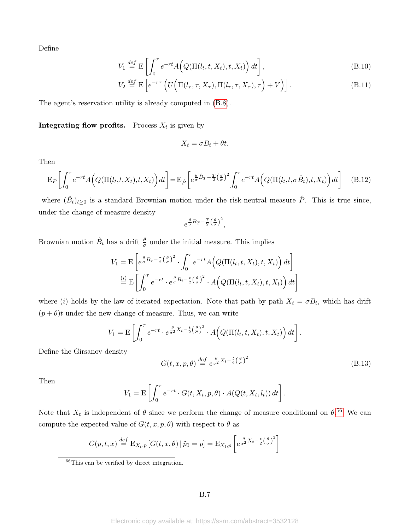Define

$$
V_1 \stackrel{def}{=} \mathcal{E}\left[\int_0^\tau e^{-rt}A\Big(Q(\Pi(l_t, t, X_t), t, X_t)\Big) dt\right],\tag{B.10}
$$

$$
V_2 \stackrel{def}{=} \mathcal{E}\left[e^{-r\tau}\left(U\left(\Pi(l_\tau, \tau, X_\tau), \Pi(l_\tau, \tau, X_\tau), \tau\right) + V\right)\right].
$$
\n(B.11)

The agent's reservation utility is already computed in [\(B.8\)](#page-53-0).

**Integrating flow profits.** Process  $X_t$  is given by

$$
X_t = \sigma B_t + \theta t.
$$

Then

$$
\mathcal{E}_{P}\left[\int_{0}^{\tau} e^{-rt} A\Big(Q(\Pi(l_t, t, X_t), t, X_t)\Big) dt\right] = \mathcal{E}_{\hat{P}}\left[e^{\frac{\theta}{\sigma}\hat{B}_{T} - \frac{T}{2}\left(\frac{\theta}{\sigma}\right)^{2}} \int_{0}^{\tau} e^{-rt} A\Big(Q(\Pi(l_t, t, \sigma \hat{B}_t), t, X_t)\Big) dt\right]
$$
(B.12)

where  $(\hat{B}_t)_{t\geq0}$  is a standard Brownian motion under the risk-neutral measure  $\hat{P}$ . This is true since, under the change of measure density

$$
e^{\frac{\theta}{\sigma}\hat{B}_T - \frac{T}{2}\left(\frac{\theta}{\sigma}\right)^2},
$$

Brownian motion  $\hat{B}_t$  has a drift  $\frac{\theta}{\sigma}$  under the initial measure. This implies

$$
V_1 = \mathbf{E} \left[ e^{\frac{\theta}{\sigma} B_{\tau} - \frac{\tau}{2} \left( \frac{\theta}{\sigma} \right)^2} \cdot \int_0^{\tau} e^{-rt} A \Big( Q(\Pi(l_t, t, X_t), t, X_t) \Big) dt \right]
$$
  

$$
\stackrel{\text{(i)}}{=} \mathbf{E} \left[ \int_0^{\tau} e^{-rt} \cdot e^{\frac{\theta}{\sigma} B_t - \frac{t}{2} \left( \frac{\theta}{\sigma} \right)^2} \cdot A \Big( Q(\Pi(l_t, t, X_t), t, X_t) \Big) dt \right]
$$

where (i) holds by the law of iterated expectation. Note that path by path  $X_t = \sigma B_t$ , which has drift  $(p + \theta)t$  under the new change of measure. Thus, we can write

$$
V_1 = \mathbf{E}\left[\int_0^{\tau} e^{-rt} \cdot e^{\frac{\theta}{\sigma^2}X_t - \frac{t}{2}(\frac{\theta}{\sigma})^2} \cdot A\Big(Q(\Pi(l_t, t, X_t), t, X_t)\Big) dt\right].
$$

Define the Girsanov density

$$
G(t, x, p, \theta) \stackrel{def}{=} e^{\frac{\theta}{\sigma^2} X_t - \frac{t}{2} \left(\frac{\theta}{\sigma}\right)^2}
$$
\n(B.13)

Then

$$
V_1 = \mathbf{E}\left[\int_0^{\tau} e^{-rt} \cdot G(t, X_t, p, \theta) \cdot A(Q(t, X_t, l_t)) dt\right].
$$

Note that  $X_t$  is independent of  $\theta$  since we perform the change of measure conditional on  $\theta$ .<sup>[56](#page-96-0)</sup> We can compute the expected value of  $G(t, x, p, \theta)$  with respect to  $\theta$  as

$$
G(p, t, x) \stackrel{def}{=} \mathbf{E}_{X_t, p} \left[ G(t, x, \theta) \mid \tilde{p}_0 = p \right] = \mathbf{E}_{X_t, p} \left[ e^{\frac{\theta}{\sigma^2} X_t - \frac{t}{2} \left( \frac{\theta}{\sigma} \right)^2} \right]
$$

<span id="page-96-0"></span><sup>56</sup>This can be verified by direct integration.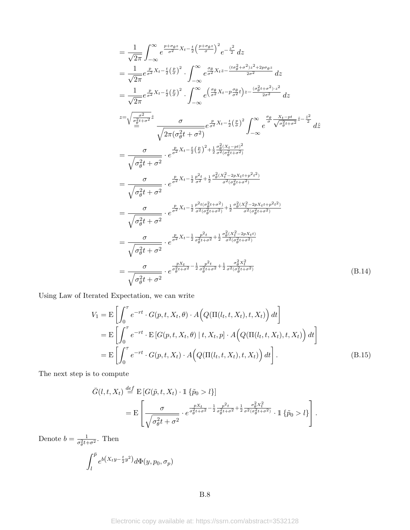$$
\begin{split}\n&= \frac{1}{\sqrt{2\pi}} \int_{-\infty}^{\infty} e^{\frac{p+\sigma_{\theta}z}{\sigma^{2}}} X_{t} - \frac{t}{2} \left(\frac{p+\sigma_{\theta}z}{\sigma}\right)^{2} e^{-\frac{z^{2}}{2}} dz \\
&= \frac{1}{\sqrt{2\pi}} e^{\frac{p}{\sigma^{2}}} X_{t} - \frac{t}{2} \left(\frac{p}{\sigma}\right)^{2} \cdot \int_{-\infty}^{\infty} e^{\frac{\sigma_{\theta}}{\sigma^{2}}} X_{t} z - \frac{(t\sigma_{\theta}^{2} + \sigma^{2})z^{2} + 2p\sigma_{\theta}z}{2\sigma^{2}} dz \\
&= \frac{1}{\sqrt{2\pi}} e^{\frac{p}{\sigma^{2}}} X_{t} - \frac{t}{2} \left(\frac{p}{\sigma}\right)^{2} \cdot \int_{-\infty}^{\infty} e^{\left(\frac{\sigma_{\theta}}{\sigma^{2}} X_{t} - p\frac{\sigma_{\theta}}{\sigma^{2}}t\right)z - \frac{(\sigma_{\theta}^{2}t + \sigma^{2})z^{2}}{2\sigma^{2}}} dz \\
&= \sqrt{\frac{\sigma_{\theta}^{2}}{\frac{\sigma^{2}}{2} + \sigma^{2}}} \int_{-\infty}^{\infty} e^{\frac{p}{\sigma^{2}}} X_{t} - \frac{t}{2} \left(\frac{p}{\sigma}\right)^{2} \int_{-\infty}^{\infty} e^{\frac{\sigma_{\theta}}{\sigma} \frac{X_{t} - p t}{\sigma_{\theta}^{2}t + \sigma^{2}}} \frac{z - \frac{z^{2}}{2}}{2} dz \\
&= \frac{\sigma}{\sqrt{\sigma_{\theta}^{2}t + \sigma^{2}}} \cdot e^{\frac{p}{\sigma^{2}} X_{t} - \frac{t}{2} \left(\frac{p}{\sigma}\right)^{2} + \frac{1}{2} \frac{\sigma_{\theta}^{2}(X_{t} - p t)^{2}}{\sigma^{2}(\sigma_{\theta}^{2}t + \sigma^{2})}} \\
&= \frac{\sigma}{\sqrt{\sigma_{\theta}^{2}t + \sigma^{2}}} \cdot e^{\frac{p}{\sigma^{2}} X_{t} - \frac{1}{2} \frac{p^{2}t}{\sigma^{2}} + \frac{1}{2} \frac{\sigma_{\theta}^{2}(X_{t}^{2} - 2pX_{t}t + p^{2}t^{2})}{\sigma^{2}(\
$$

Using Law of Iterated Expectation, we can write

$$
V_1 = \mathbf{E} \left[ \int_0^{\tau} e^{-rt} \cdot G(p, t, X_t, \theta) \cdot A \Big( Q(\Pi(l_t, t, X_t), t, X_t) \Big) dt \right]
$$
  
\n
$$
= \mathbf{E} \left[ \int_0^{\tau} e^{-rt} \cdot \mathbf{E} \left[ G(p, t, X_t, \theta) \mid t, X_t, p \right] \cdot A \Big( Q(\Pi(l_t, t, X_t), t, X_t) \Big) dt \right]
$$
  
\n
$$
= \mathbf{E} \left[ \int_0^{\tau} e^{-rt} \cdot G(p, t, X_t) \cdot A \Big( Q(\Pi(l_t, t, X_t), t, X_t) \Big) dt \right].
$$
\n(B.15)

The next step is to compute

$$
\bar{G}(l, t, X_t) \stackrel{def}{=} \mathbf{E} \left[ G(\tilde{p}, t, X_t) \cdot \mathbb{1} \left\{ \tilde{p}_0 > l \right\} \right]
$$
\n
$$
= \mathbf{E} \left[ \frac{\sigma}{\sqrt{\sigma_\theta^2 t + \sigma^2}} \cdot e^{\frac{pX_t}{\sigma_\theta^2 t + \sigma^2} - \frac{1}{2} \frac{p^2 t}{\sigma_\theta^2 t + \sigma^2} + \frac{1}{2} \frac{\sigma_\theta^2 X_t^2}{\sigma^2 (\sigma_\theta^2 t + \sigma^2)}} \cdot \mathbb{1} \left\{ \tilde{p}_0 > l \right\} \right].
$$

Denote  $b=\frac{1}{\sigma^2+1}$  $\frac{1}{\sigma_{\theta}^2 t + \sigma^2}$ . Then

$$
\int_l^{\bar{p}} e^{b(X_t y - \frac{t}{2}y^2)} d\Phi(y, p_0, \sigma_p)
$$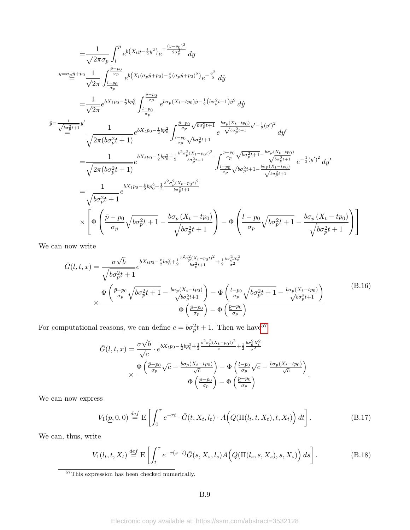$$
= \frac{1}{\sqrt{2\pi}\sigma_{p}}\int_{l}^{\bar{p}}e^{b(X_{t}y-\frac{t}{2}y^{2})}e^{-\frac{(y-p_{0})^{2}}{2\sigma_{p}^{2}}}dy
$$
\n
$$
y = \sigma_{\underline{p}\underline{\hat{y}}} + p_{0} \frac{1}{\sqrt{2\pi}} \int_{\frac{l-p_{0}}{\sigma_{p}}}^{\frac{\bar{p}-p_{0}}{\bar{p}}} e^{b(X_{t}(\sigma_{p}\hat{y}+p_{0})-\frac{t}{2}(\sigma_{p}\hat{y}+p_{0})^{2})}e^{-\frac{\hat{y}^{2}}{2}}d\hat{y}
$$
\n
$$
= \frac{1}{\sqrt{2\pi}}e^{bX_{t}p_{0}-\frac{t}{2}bp_{0}^{2}} \int_{\frac{l-p_{0}}{\sigma_{p}}}^{\frac{\bar{p}-p_{0}}{\bar{p}}} e^{b\sigma_{p}(X_{t}-tp_{0})\hat{y}-\frac{1}{2}(b\sigma_{p}^{2}t+1)\hat{y}^{2}}d\hat{y}
$$
\n
$$
\hat{y} = \frac{1}{\sqrt{2\pi}}e^{bX_{t}p_{0}-\frac{t}{2}bp_{0}^{2}} \int_{\frac{l-p_{0}}{\sigma_{p}}}^{\frac{\bar{p}-p_{0}}{\bar{p}}} \sqrt{b\sigma_{p}^{2}t+1}e^{-\frac{b\sigma_{p}(X_{t}-tp_{0})}{b\sigma_{p}^{2}t+1}y-\frac{1}{2}(y')^{2}}dy'
$$
\n
$$
= \frac{1}{\sqrt{2\pi(b\sigma_{p}^{2}t+1)}}e^{bX_{t}p_{0}-\frac{t}{2}bp_{0}^{2}+\frac{1}{2}\frac{b^{2}\sigma_{p}^{2}(X_{t}-p_{0}t)^{2}}{b\sigma_{p}^{2}t+1}} \int_{\frac{l-p_{0}}{\sigma_{p}}\sqrt{b\sigma_{p}^{2}t+1}-\frac{b\sigma_{p}(X_{t}-tp_{0})}{\sqrt{b\sigma_{p}^{2}t+1}}}e^{-\frac{1}{2}(y')^{2}}dy'
$$
\n
$$
= \frac{1}{\sqrt{2\pi(b\sigma_{p}^{2}t+1)}}e^{bX_{t}p_{0}-\frac{t}{2}bp_{0}^{2}+\frac{1}{2}\frac{b^{2}\sigma_{p}^{2
$$

We can now write

$$
\bar{G}(l, t, x) = \frac{\sigma \sqrt{b}}{\sqrt{b \sigma_p^2 t + 1}} e^{bX_t p_0 - \frac{t}{2} b p_0^2 + \frac{1}{2} \frac{b^2 \sigma_p^2 (X_t - p_0 t)^2}{b \sigma_p^2 t + 1} + \frac{1}{2} \frac{b \sigma_p^2 X_t^2}{\sigma^2}} \times \frac{\Phi\left(\frac{\bar{p} - p_0}{\sigma_p} \sqrt{b \sigma_p^2 t + 1} - \frac{b \sigma_p (X_t - t p_0)}{\sqrt{b \sigma_p^2 t + 1}}\right) - \Phi\left(\frac{l - p_0}{\sigma_p} \sqrt{b \sigma_p^2 t + 1} - \frac{b \sigma_p (X_t - t p_0)}{\sqrt{b \sigma_p^2 t + 1}}\right)}{\Phi\left(\frac{\bar{p} - p_0}{\sigma_p}\right) - \Phi\left(\frac{p - p_0}{\sigma_p}\right)} \tag{B.16}
$$

For computational reasons, we can define  $c = b\sigma_p^2 t + 1$ . Then we have <sup>[57](#page-98-0)</sup>

$$
\bar{G}(l,t,x) = \frac{\sigma\sqrt{b}}{\sqrt{c}} \cdot e^{bX_t p_0 - \frac{t}{2}bp_0^2 + \frac{1}{2}\frac{b^2\sigma_p^2(X_t - p_0t)^2}{c} + \frac{1}{2}\frac{b\sigma_p^2X_t^2}{\sigma^2}} \times \frac{\Phi\left(\frac{\bar{p}-p_0}{\sigma_p}\sqrt{c} - \frac{b\sigma_p(X_t - tp_0)}{\sqrt{c}}\right) - \Phi\left(\frac{l-p_0}{\sigma_p}\sqrt{c} - \frac{b\sigma_p(X_t - tp_0)}{\sqrt{c}}\right)}{\Phi\left(\frac{\bar{p}-p_0}{\sigma_p}\right) - \Phi\left(\frac{p-p_0}{\sigma_p}\right)}.
$$

We can now express

$$
V_1(\underline{p}, 0, 0) \stackrel{def}{=} \mathbf{E} \left[ \int_0^\tau e^{-rt} \cdot \bar{G}(t, X_t, l_t) \cdot A\Big(Q(\Pi(l_t, t, X_t), t, X_t)\Big) dt \right]. \tag{B.17}
$$

We can, thus, write

$$
V_1(l_t, t, X_t) \stackrel{def}{=} \mathcal{E}\left[\int_t^\tau e^{-r(s-t)}\bar{G}(s, X_s, l_s)A\Big(Q(\Pi(l_s, s, X_s), s, X_s)\Big)ds\right].
$$
 (B.18)

<span id="page-98-0"></span> $\mathrm{^{57}This}$  expression has been checked numerically.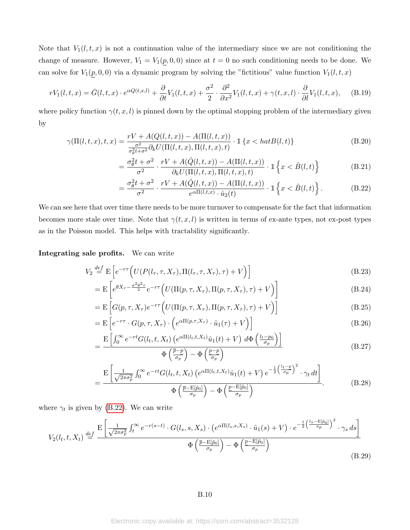Note that  $V_1(l, t, x)$  is not a continuation value of the intermediary since we are not conditioning the change of measure. However,  $V_1 = V_1(\underline{p}, 0, 0)$  since at  $t = 0$  no such conditioning needs to be done. We can solve for  $V_1(p, 0, 0)$  via a dynamic program by solving the "fictitious" value function  $V_1(l, t, x)$ 

$$
rV_1(l,t,x) = \bar{G}(l,t,x) \cdot e^{\alpha Q(t,x,l)} + \frac{\partial}{\partial t} V_1(l,t,x) + \frac{\sigma^2}{2} \cdot \frac{\partial^2}{\partial x^2} V_1(l,t,x) + \gamma(t,x,l) \cdot \frac{\partial}{\partial l} V_1(l,t,x), \quad (B.19)
$$

where policy function  $\gamma(t, x, l)$  is pinned down by the optimal stopping problem of the intermediary given by

$$
\gamma(\Pi(l,t,x),t,x) = \frac{rV + A(Q(l,t,x)) - A(\Pi(l,t,x))}{\frac{\sigma^2}{\sigma_\theta^2 t + \sigma^2} \partial_k U(\Pi(l,t,x),\Pi(l,t,x),t)} \cdot \mathbb{1}\left\{x < hat B(l,t)\right\} \tag{B.20}
$$

$$
= \frac{\sigma_{\theta}^{2}t + \sigma^{2}}{\sigma^{2}} \cdot \frac{rV + A(\hat{Q}(l, t, x)) - A(\Pi(l, t, x))}{\partial_{k}U(\Pi(l, t, x), \Pi(l, t, x), t)} \cdot \mathbb{1}\left\{x < \hat{B}(l, t)\right\}
$$
(B.21)

$$
= \frac{\sigma_{\theta}^2 t + \sigma^2}{\sigma^2} \cdot \frac{rV + A(\hat{Q}(l, t, x)) - A(\Pi(l, t, x))}{e^{\alpha \Pi(l, t, x)} \cdot \hat{u}_2(t)} \cdot \mathbb{1}\left\{x < \hat{B}(l, t)\right\}.
$$
\n(B.22)

We can see here that over time there needs to be more turnover to compensate for the fact that information becomes more stale over time. Note that  $\gamma(t, x, l)$  is written in terms of ex-ante types, not ex-post types as in the Poisson model. This helps with tractability significantly.

Integrating sale profits. We can write

$$
V_2 \stackrel{def}{=} \mathcal{E}\left[e^{-r\tau}\left(U(P(l_\tau, \tau, X_\tau), \Pi(l_\tau, \tau, X_\tau), \tau) + V\right)\right]
$$
\n(B.23)

$$
= \mathcal{E}\left[e^{\theta X_\tau - \frac{\sigma^2 \theta^2 \tau}{2}} e^{-r\tau} \Big( U(\Pi(p, \tau, X_\tau), \Pi(p, \tau, X_\tau), \tau) + V \Big) \right]
$$
(B.24)

$$
= \mathbf{E}\left[G(p,\tau,X_{\tau})e^{-r\tau}\Big(U(\Pi(p,\tau,X_{\tau}),\Pi(p,\tau,X_{\tau}),\tau)+V\Big)\right]
$$
(B.25)

$$
= \mathbf{E}\left[e^{-r\tau} \cdot G(p,\tau,X_{\tau}) \cdot \left(e^{\alpha \Pi(p,\tau,X_{\tau})} \cdot \hat{u}_1(\tau) + V\right)\right]
$$
\n(B.26)

$$
= \frac{\mathrm{E}\left[\int_0^\infty e^{-rt}G(l_t, t, X_t)\left(e^{\alpha\Pi(l_t, t, X_t)}\hat{u}_1(t) + V\right) d\Phi\left(\frac{l_t - p_0}{\sigma_p}\right)\right]}{\Phi\left(\frac{\overline{p} - p}{\sigma}\right) - \Phi\left(\frac{p - p}{\sigma}\right)}\tag{B.27}
$$

$$
\Phi\left(\frac{\overline{p}-p}{\sigma_p}\right) - \Phi\left(\frac{p-p}{\sigma_p}\right)
$$
\n
$$
E\left[\frac{1}{\sqrt{2\pi\sigma_p^2}}\int_0^\infty e^{-rt}G(l_t, t, X_t)\left(e^{\alpha\Pi(l_t, t, X_t)}\hat{u}_1(t) + V\right)e^{-\frac{1}{2}\left(\frac{l_t - p}{\sigma_p}\right)^2}\cdot \gamma_t dt\right]
$$
\n
$$
\Phi\left(\frac{\overline{p}-E[\tilde{p}_0]}{\sigma_p}\right) - \Phi\left(\frac{p-E[\tilde{p}_0]}{\sigma_p}\right)
$$
\n(B.28)

where  $\gamma_t$  is given by [\(B.22\)](#page-59-0). We can write

=

$$
V_2(l_t, t, X_t) \stackrel{def}{=} \frac{\mathrm{E}\left[\frac{1}{\sqrt{2\pi\sigma_p^2}} \int_t^{\infty} e^{-r(s-t)} \cdot G(l_s, s, X_s) \cdot \left(e^{\alpha \Pi(l_s, s, X_s)} \cdot \hat{u}_1(s) + V\right) \cdot e^{-\frac{1}{2}\left(\frac{l_s - \mathrm{E}[\tilde{p}_0]}{\sigma_p}\right)^2} \cdot \gamma_s ds\right]}{\Phi\left(\frac{\overline{p} - \mathrm{E}[\tilde{p}_0]}{\sigma_p}\right) - \Phi\left(\frac{p - \mathrm{E}[\tilde{p}_0]}{\sigma_p}\right)}\tag{B.29}
$$

## B.10